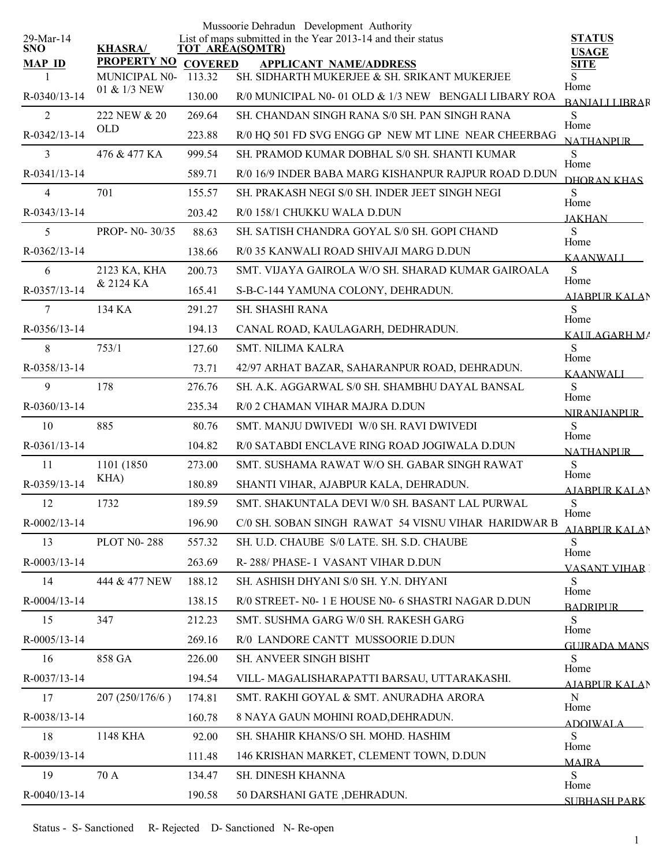|                         |                    |                | Mussoorie Dehradun Development Authority                                              |                                 |
|-------------------------|--------------------|----------------|---------------------------------------------------------------------------------------|---------------------------------|
| 29-Mar-14<br><b>SNO</b> | <b>KHASRA/</b>     |                | List of maps submitted in the Year 2013-14 and their status<br><b>TOT AREA(SQMTR)</b> | <b>STATUS</b>                   |
| <b>MAP ID</b>           | <b>PROPERTY NO</b> | <b>COVERED</b> | <b>APPLICANT NAME/ADDRESS</b>                                                         | <b>USAGE</b><br><b>SITE</b>     |
|                         | MUNICIPAL N0-      | 113.32         | SH. SIDHARTH MUKERJEE & SH. SRIKANT MUKERJEE                                          | Home                            |
| R-0340/13-14            | 01 & 1/3 NEW       | 130.00         | R/0 MUNICIPAL N0-01 OLD & 1/3 NEW BENGALI LIBARY ROA                                  | <b>BANJALLLIBRAR</b>            |
| $\overline{2}$          | 222 NEW & 20       | 269.64         | SH. CHANDAN SINGH RANA S/0 SH. PAN SINGH RANA                                         | S<br>Home                       |
| R-0342/13-14            | <b>OLD</b>         | 223.88         | R/0 HQ 501 FD SVG ENGG GP NEW MT LINE NEAR CHEERBAG                                   | <b>NATHANPLIR</b>               |
| 3                       | 476 & 477 KA       | 999.54         | SH. PRAMOD KUMAR DOBHAL S/0 SH. SHANTI KUMAR                                          | S                               |
| R-0341/13-14            |                    | 589.71         | R/0 16/9 INDER BABA MARG KISHANPUR RAJPUR ROAD D.DUN                                  | Home<br>DHORAN KHAS             |
| $\overline{4}$          | 701                | 155.57         | SH. PRAKASH NEGI S/0 SH. INDER JEET SINGH NEGI                                        | S                               |
| R-0343/13-14            |                    | 203.42         | R/0 158/1 CHUKKU WALA D.DUN                                                           | Home<br><b>JAKHAN</b>           |
| 5                       | PROP- N0-30/35     | 88.63          | SH. SATISH CHANDRA GOYAL S/0 SH. GOPI CHAND                                           | S                               |
| R-0362/13-14            |                    | 138.66         | R/0 35 KANWALI ROAD SHIVAJI MARG D.DUN                                                | Home<br><b>KAANWALI</b>         |
| 6                       | 2123 KA, KHA       | 200.73         | SMT. VIJAYA GAIROLA W/O SH. SHARAD KUMAR GAIROALA                                     | ${\bf S}$                       |
| R-0357/13-14            | & 2124 KA          | 165.41         | S-B-C-144 YAMUNA COLONY, DEHRADUN.                                                    | Home<br><u>AJABPUR KALA</u> N   |
| 7                       | 134 KA             | 291.27         | SH. SHASHI RANA                                                                       | S                               |
| R-0356/13-14            |                    | 194.13         | CANAL ROAD, KAULAGARH, DEDHRADUN.                                                     | Home                            |
| 8                       | 753/1              | 127.60         | <b>SMT. NILIMA KALRA</b>                                                              | KALILAGARH MA<br><sub>S</sub>   |
| R-0358/13-14            |                    | 73.71          | 42/97 ARHAT BAZAR, SAHARANPUR ROAD, DEHRADUN.                                         | Home                            |
| 9                       | 178                | 276.76         | SH. A.K. AGGARWAL S/0 SH. SHAMBHU DAYAL BANSAL                                        | <b>KAANWALI</b><br><sub>S</sub> |
| R-0360/13-14            |                    | 235.34         | R/0 2 CHAMAN VIHAR MAJRA D.DUN                                                        | Home                            |
| 10                      | 885                | 80.76          | SMT. MANJU DWIVEDI W/0 SH. RAVI DWIVEDI                                               | <b>NIRANJANPUR</b><br>S         |
| R-0361/13-14            |                    | 104.82         | R/0 SATABDI ENCLAVE RING ROAD JOGIWALA D.DUN                                          | Home                            |
| 11                      | 1101 (1850)        | 273.00         | SMT. SUSHAMA RAWAT W/O SH. GABAR SINGH RAWAT                                          | <b>NATHANPUR</b><br>S           |
| R-0359/13-14            | KHA)               | 180.89         | SHANTI VIHAR, AJABPUR KALA, DEHRADUN.                                                 | Home                            |
| 12                      | 1732               | 189.59         | SMT. SHAKUNTALA DEVI W/0 SH. BASANT LAL PURWAL                                        | <b>AJABPUR KALAN</b><br>S       |
| R-0002/13-14            |                    | 196.90         | C/0 SH. SOBAN SINGH RAWAT 54 VISNU VIHAR HARIDWAR B                                   | Home                            |
| 13                      | <b>PLOT N0-288</b> | 557.32         | SH. U.D. CHAUBE S/0 LATE. SH. S.D. CHAUBE                                             | AJABPUR KALAN<br>S              |
| R-0003/13-14            |                    | 263.69         | R-288/ PHASE-I VASANT VIHAR D.DUN                                                     | Home                            |
| 14                      | 444 & 477 NEW      | 188.12         | SH. ASHISH DHYANI S/0 SH. Y.N. DHYANI                                                 | <b>VASANT VIHAR</b><br>S        |
| R-0004/13-14            |                    | 138.15         | R/0 STREET- N0-1 E HOUSE N0-6 SHASTRI NAGAR D.DUN                                     | Home                            |
| 15                      | 347                | 212.23         | SMT. SUSHMA GARG W/0 SH. RAKESH GARG                                                  | <b>BADRIPLIR</b><br>S.          |
| R-0005/13-14            |                    | 269.16         | R/0 LANDORE CANTT MUSSOORIE D.DUN                                                     | Home                            |
| 16                      | 858 GA             | 226.00         | SH. ANVEER SINGH BISHT                                                                | <b>GUIRADA MANS</b><br>S        |
| R-0037/13-14            |                    | 194.54         | VILL- MAGALISHARAPATTI BARSAU, UTTARAKASHI.                                           | Home                            |
| 17                      | 207 (250/176/6)    | 174.81         | SMT. RAKHI GOYAL & SMT. ANURADHA ARORA                                                | <u>AJABPUR KALA</u> N<br>N      |
| R-0038/13-14            |                    | 160.78         | 8 NAYA GAUN MOHINI ROAD, DEHRADUN.                                                    | Home                            |
| 18                      | 1148 KHA           | 92.00          | SH. SHAHIR KHANS/O SH. MOHD. HASHIM                                                   | <b>ADOIWALA</b><br>S            |
| R-0039/13-14            |                    | 111.48         | 146 KRISHAN MARKET, CLEMENT TOWN, D.DUN                                               | Home                            |
| 19                      | 70 A               | 134.47         | SH. DINESH KHANNA                                                                     | <b>MAJRA</b><br>S               |
| R-0040/13-14            |                    | 190.58         | 50 DARSHANI GATE , DEHRADUN.                                                          | Home                            |
|                         |                    |                |                                                                                       | <b>SUBHASH PARK</b>             |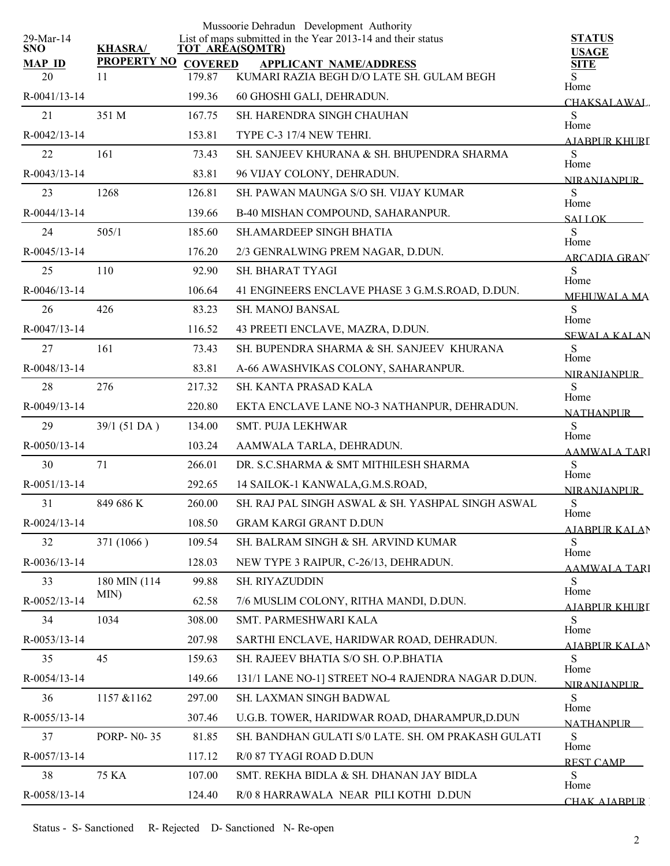|                            |                    |                | Mussoorie Dehradun Development Authority                                              |                               |
|----------------------------|--------------------|----------------|---------------------------------------------------------------------------------------|-------------------------------|
| $29$ -Mar-14<br><b>SNO</b> | <b>KHASRA/</b>     |                | List of maps submitted in the Year 2013-14 and their status<br><b>TOT AREA(SQMTR)</b> | <b>STATUS</b><br><b>USAGE</b> |
| <b>MAP ID</b>              | <b>PROPERTY NO</b> | <b>COVERED</b> | <b>APPLICANT NAME/ADDRESS</b>                                                         | <b>SITE</b>                   |
| 20                         | 11                 | 179.87         | KUMARI RAZIA BEGH D/O LATE SH. GULAM BEGH                                             | S<br>Home                     |
| R-0041/13-14               |                    | 199.36         | 60 GHOSHI GALI, DEHRADUN.                                                             | CHAKSALAWAL.                  |
| 21                         | 351 M              | 167.75         | <b>SH. HARENDRA SINGH CHAUHAN</b>                                                     | S<br>Home                     |
| R-0042/13-14               |                    | 153.81         | TYPE C-3 17/4 NEW TEHRI.                                                              | AIABPUR KHURI                 |
| 22                         | 161                | 73.43          | SH. SANJEEV KHURANA & SH. BHUPENDRA SHARMA                                            | S<br>Home                     |
| R-0043/13-14               |                    | 83.81          | 96 VIJAY COLONY, DEHRADUN.                                                            | <b>NIRANIANPUR</b>            |
| 23                         | 1268               | 126.81         | SH. PAWAN MAUNGA S/O SH. VIJAY KUMAR                                                  | S<br>Home                     |
| R-0044/13-14               |                    | 139.66         | B-40 MISHAN COMPOUND, SAHARANPUR.                                                     | <b>SALLOK</b>                 |
| 24                         | 505/1              | 185.60         | <b>SH.AMARDEEP SINGH BHATIA</b>                                                       | S<br>Home                     |
| R-0045/13-14               |                    | 176.20         | 2/3 GENRALWING PREM NAGAR, D.DUN.                                                     | <b>ARCADIA GRAN</b>           |
| 25                         | 110                | 92.90          | SH. BHARAT TYAGI                                                                      | S                             |
| R-0046/13-14               |                    | 106.64         | 41 ENGINEERS ENCLAVE PHASE 3 G.M.S.ROAD, D.DUN.                                       | Home<br><b>MEHUWALA MA</b>    |
| 26                         | 426                | 83.23          | SH. MANOJ BANSAL                                                                      | S                             |
| R-0047/13-14               |                    | 116.52         | 43 PREETI ENCLAVE, MAZRA, D.DUN.                                                      | Home<br><b>SEWALA KALAN</b>   |
| 27                         | 161                | 73.43          | SH. BUPENDRA SHARMA & SH. SANJEEV KHURANA                                             | ${\bf S}$                     |
| R-0048/13-14               |                    | 83.81          | A-66 AWASHVIKAS COLONY, SAHARANPUR.                                                   | Home<br><b>NIRANIANPUR</b>    |
| 28                         | 276                | 217.32         | SH. KANTA PRASAD KALA                                                                 | S                             |
| R-0049/13-14               |                    | 220.80         | EKTA ENCLAVE LANE NO-3 NATHANPUR, DEHRADUN.                                           | Home<br><b>NATHANPUR</b>      |
| 29                         | 39/1 (51 DA)       | 134.00         | SMT. PUJA LEKHWAR                                                                     | S                             |
| R-0050/13-14               |                    | 103.24         | AAMWALA TARLA, DEHRADUN.                                                              | Home<br><b>AAMWALA TARI</b>   |
| 30                         | 71                 | 266.01         | DR. S.C.SHARMA & SMT MITHILESH SHARMA                                                 | $\mathbf S$                   |
| R-0051/13-14               |                    | 292.65         | 14 SAILOK-1 KANWALA, G.M.S.ROAD,                                                      | Home<br><b>NIRANJANPUR</b>    |
| 31                         | 849 686 K          | 260.00         | SH. RAJ PAL SINGH ASWAL & SH. YASHPAL SINGH ASWAL                                     | S                             |
| R-0024/13-14               |                    | 108.50         | <b>GRAM KARGI GRANT D.DUN</b>                                                         | Home<br>AJABPUR KALAN         |
| 32                         | 371 (1066)         | 109.54         | SH. BALRAM SINGH & SH. ARVIND KUMAR                                                   | S                             |
| R-0036/13-14               |                    | 128.03         | NEW TYPE 3 RAIPUR, C-26/13, DEHRADUN.                                                 | Home<br>AAMWALA TARI          |
| 33                         | 180 MIN (114       | 99.88          | SH. RIYAZUDDIN                                                                        | S                             |
| R-0052/13-14               | MIN)               | 62.58          | 7/6 MUSLIM COLONY, RITHA MANDI, D.DUN.                                                | Home<br><u>AJARPUR KHURI</u>  |
| 34                         | 1034               | 308.00         | SMT. PARMESHWARI KALA                                                                 | S                             |
| R-0053/13-14               |                    | 207.98         | SARTHI ENCLAVE, HARIDWAR ROAD, DEHRADUN.                                              | Home<br>AIABPUR KALAN         |
| 35                         | 45                 | 159.63         | SH. RAJEEV BHATIA S/O SH. O.P.BHATIA                                                  | S                             |
| R-0054/13-14               |                    | 149.66         | 131/1 LANE NO-1] STREET NO-4 RAJENDRA NAGAR D.DUN.                                    | Home<br><b>NIRANIANPUR</b>    |
| 36                         | 1157 & 1162        | 297.00         | SH. LAXMAN SINGH BADWAL                                                               | S                             |
| R-0055/13-14               |                    | 307.46         | U.G.B. TOWER, HARIDWAR ROAD, DHARAMPUR, D.DUN                                         | Home<br><b>NATHANPUR</b>      |
| 37                         | <b>PORP-N0-35</b>  | 81.85          | SH. BANDHAN GULATI S/0 LATE. SH. OM PRAKASH GULATI                                    | S                             |
| R-0057/13-14               |                    | 117.12         | R/0 87 TYAGI ROAD D.DUN                                                               | Home<br><b>REST CAMP</b>      |
| 38                         | <b>75 KA</b>       | 107.00         | SMT. REKHA BIDLA & SH. DHANAN JAY BIDLA                                               | S                             |
| R-0058/13-14               |                    | 124.40         | R/0 8 HARRAWALA NEAR PILI KOTHI D.DUN                                                 | Home<br>CHAK AJARPUR          |
|                            |                    |                |                                                                                       |                               |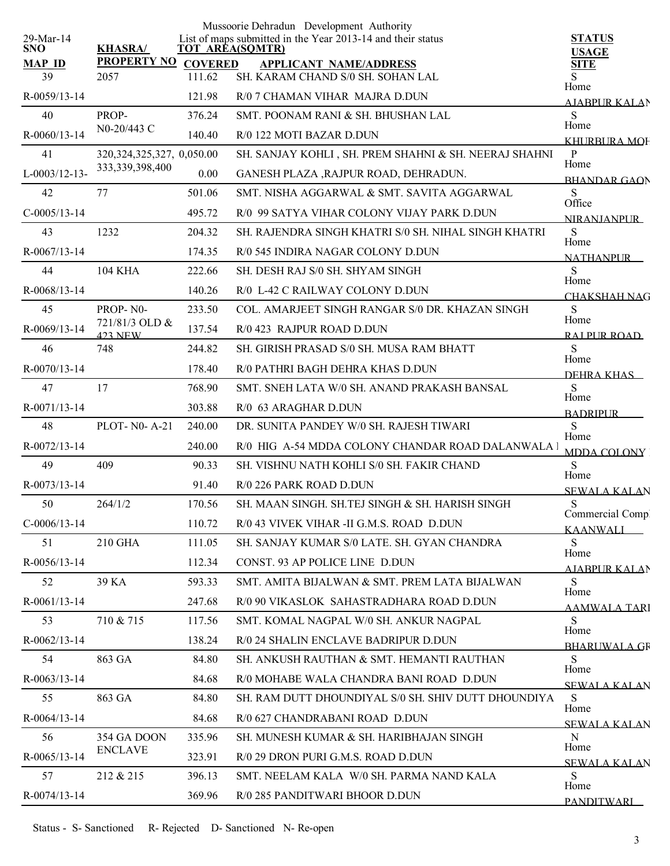|                         |                                  |                        | Mussoorie Dehradun Development Authority                    |                                  |
|-------------------------|----------------------------------|------------------------|-------------------------------------------------------------|----------------------------------|
| 29-Mar-14<br><b>SNO</b> | <b>KHASRA/</b>                   | <b>TOT AREA(SQMTR)</b> | List of maps submitted in the Year 2013-14 and their status | <b>STATUS</b><br><b>USAGE</b>    |
| <b>MAP ID</b>           | <b>PROPERTY NO</b>               | <b>COVERED</b>         | <b>APPLICANT NAME/ADDRESS</b>                               | <b>SITE</b>                      |
| 39                      | 2057                             | 111.62                 | SH. KARAM CHAND S/0 SH. SOHAN LAL                           | S.<br>Home                       |
| $R - 0059/13 - 14$      |                                  | 121.98                 | R/0 7 CHAMAN VIHAR MAJRA D.DUN                              | <b>AJABPUR KALAN</b>             |
| 40                      | PROP-                            | 376.24                 | SMT. POONAM RANI & SH. BHUSHAN LAL                          | S<br>Home                        |
| R-0060/13-14            | N0-20/443 C                      | 140.40                 | R/0 122 MOTI BAZAR D.DUN                                    | KHURBURA MOF                     |
| 41                      | 320, 324, 325, 327, 0, 050.00    |                        | SH. SANJAY KOHLI, SH. PREM SHAHNI & SH. NEERAJ SHAHNI       | $\, {\bf p}$<br>Home             |
| $L-0003/12-13-$         | 333, 339, 398, 400               | 0.00                   | GANESH PLAZA , RAJPUR ROAD, DEHRADUN.                       | <b>BHANDAR GAON</b>              |
| 42                      | 77                               | 501.06                 | SMT. NISHA AGGARWAL & SMT. SAVITA AGGARWAL                  | S<br>Office                      |
| $C-0005/13-14$          |                                  | 495.72                 | R/0 99 SATYA VIHAR COLONY VIJAY PARK D.DUN                  | <b>NIRANIANPUR</b>               |
| 43                      | 1232                             | 204.32                 | SH. RAJENDRA SINGH KHATRI S/0 SH. NIHAL SINGH KHATRI        | ${\bf S}$                        |
| R-0067/13-14            |                                  | 174.35                 | R/0 545 INDIRA NAGAR COLONY D.DUN                           | Home<br><b>NATHANPLIR</b>        |
| 44                      | <b>104 KHA</b>                   | 222.66                 | SH. DESH RAJ S/0 SH. SHYAM SINGH                            | S                                |
| R-0068/13-14            |                                  | 140.26                 | R/0 L-42 C RAILWAY COLONY D.DUN                             | Home<br><b>CHAKSHAH NAG</b>      |
| 45                      | PROP-N0-                         | 233.50                 | COL. AMARJEET SINGH RANGAR S/0 DR. KHAZAN SINGH             | ${\bf S}$                        |
| R-0069/13-14            | 721/81/3 OLD &<br><b>423 NEW</b> | 137.54                 | R/0 423 RAJPUR ROAD D.DUN                                   | Home<br>RAI PUR ROAD             |
| 46                      | 748                              | 244.82                 | SH. GIRISH PRASAD S/0 SH. MUSA RAM BHATT                    | S                                |
| R-0070/13-14            |                                  | 178.40                 | R/0 PATHRI BAGH DEHRA KHAS D.DUN                            | Home<br>DEHRA KHAS               |
| 47                      | 17                               | 768.90                 | SMT. SNEH LATA W/0 SH. ANAND PRAKASH BANSAL                 | S                                |
| R-0071/13-14            |                                  | 303.88                 | R/0 63 ARAGHAR D.DUN                                        | Home                             |
| 48                      | <b>PLOT-N0-A-21</b>              | 240.00                 | DR. SUNITA PANDEY W/0 SH. RAJESH TIWARI                     | <b>BADRIPLIR</b><br>S            |
| R-0072/13-14            |                                  | 240.00                 | R/0 HIG A-54 MDDA COLONY CHANDAR ROAD DALANWALA I           | Home                             |
| 49                      | 409                              | 90.33                  | SH. VISHNU NATH KOHLI S/0 SH. FAKIR CHAND                   | MDDA COLONY<br>${\bf S}$         |
| R-0073/13-14            |                                  | 91.40                  | R/0 226 PARK ROAD D.DUN                                     | Home                             |
| 50                      | 264/1/2                          | 170.56                 | SH. MAAN SINGH, SH.TEJ SINGH & SH. HARISH SINGH             | <b>SEWALA KALAN</b><br>${\bf S}$ |
| $C-0006/13-14$          |                                  | 110.72                 | R/0 43 VIVEK VIHAR - II G.M.S. ROAD D.DUN                   | Commercial Compl                 |
| 51                      | 210 GHA                          | 111.05                 | SH. SANJAY KUMAR S/0 LATE, SH. GYAN CHANDRA                 | <b>KAANWALL</b><br>S             |
| R-0056/13-14            |                                  | 112.34                 | CONST. 93 AP POLICE LINE D.DUN                              | Home                             |
| 52                      | 39 KA                            | 593.33                 | SMT. AMITA BIJALWAN & SMT. PREM LATA BIJALWAN               | <b>AJABPUR KALAN</b><br>S        |
| R-0061/13-14            |                                  | 247.68                 | R/0 90 VIKASLOK SAHASTRADHARA ROAD D.DUN                    | Home                             |
| 53                      | 710 & 715                        | 117.56                 | SMT. KOMAL NAGPAL W/0 SH. ANKUR NAGPAL                      | <u>AAMWALA TARI</u><br>S         |
| R-0062/13-14            |                                  | 138.24                 | R/0 24 SHALIN ENCLAVE BADRIPUR D.DUN                        | Home                             |
| 54                      | 863 GA                           | 84.80                  | SH. ANKUSH RAUTHAN & SMT. HEMANTI RAUTHAN                   | <b>BHARLIWALA GR</b><br>S        |
| R-0063/13-14            |                                  | 84.68                  | R/0 MOHABE WALA CHANDRA BANI ROAD D.DUN                     | Home                             |
| 55                      | 863 GA                           | 84.80                  | SH. RAM DUTT DHOUNDIYAL S/0 SH. SHIV DUTT DHOUNDIYA         | <b>SEWALA KALAN</b><br>S         |
| R-0064/13-14            |                                  | 84.68                  | R/0 627 CHANDRABANI ROAD D.DUN                              | Home                             |
| 56                      | 354 GA DOON                      | 335.96                 | SH. MUNESH KUMAR & SH. HARIBHAJAN SINGH                     | <b>SEWALA KALAN</b><br>N         |
| R-0065/13-14            | <b>ENCLAVE</b>                   | 323.91                 | R/0 29 DRON PURI G.M.S. ROAD D.DUN                          | Home                             |
| 57                      | 212 & 215                        | 396.13                 | SMT. NEELAM KALA W/0 SH. PARMA NAND KALA                    | <b>SEWALA KALAN</b><br>S         |
| R-0074/13-14            |                                  | 369.96                 | R/0 285 PANDITWARI BHOOR D.DUN                              | Home                             |
|                         |                                  |                        |                                                             | <b>PANDITWARI</b>                |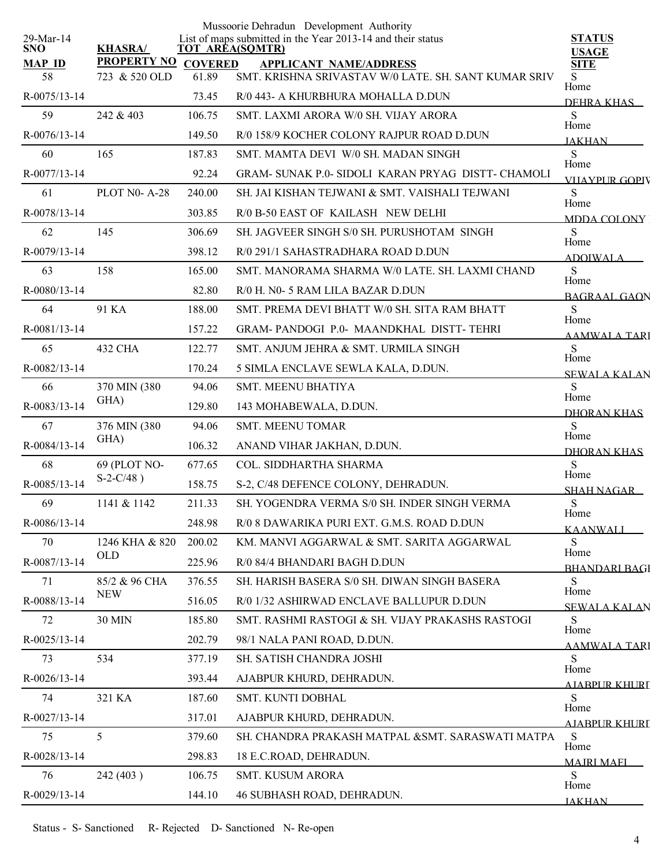|                         |                    |                | Mussoorie Dehradun Development Authority                                              |                               |
|-------------------------|--------------------|----------------|---------------------------------------------------------------------------------------|-------------------------------|
| 29-Mar-14<br><b>SNO</b> | <b>KHASRA/</b>     |                | List of maps submitted in the Year 2013-14 and their status<br><b>TOT AREA(SQMTR)</b> | <b>STATUS</b><br><b>USAGE</b> |
| <b>MAP ID</b>           | <b>PROPERTY NO</b> | <b>COVERED</b> | <b>APPLICANT NAME/ADDRESS</b>                                                         | <b>SITE</b>                   |
| 58                      | 723 & 520 OLD      | 61.89          | SMT. KRISHNA SRIVASTAV W/0 LATE. SH. SANT KUMAR SRIV                                  | S.<br>Home                    |
| R-0075/13-14            |                    | 73.45          | R/0 443- A KHURBHURA MOHALLA D.DUN                                                    | DEHRA KHAS                    |
| 59                      | 242 & 403          | 106.75         | SMT. LAXMI ARORA W/0 SH. VIJAY ARORA                                                  | S<br>Home                     |
| R-0076/13-14            |                    | 149.50         | R/0 158/9 KOCHER COLONY RAJPUR ROAD D.DUN                                             | <b>JAKHAN</b>                 |
| 60                      | 165                | 187.83         | SMT. MAMTA DEVI W/0 SH. MADAN SINGH                                                   | S<br>Home                     |
| R-0077/13-14            |                    | 92.24          | GRAM- SUNAK P.0- SIDOLI KARAN PRYAG DISTT- CHAMOLI                                    | <b>VIIAYPUR GOPIV</b>         |
| 61                      | PLOT N0-A-28       | 240.00         | SH. JAI KISHAN TEJWANI & SMT. VAISHALI TEJWANI                                        | S<br>Home                     |
| R-0078/13-14            |                    | 303.85         | R/0 B-50 EAST OF KAILASH NEW DELHI                                                    | MDDA COLONY                   |
| 62                      | 145                | 306.69         | SH. JAGVEER SINGH S/0 SH. PURUSHOTAM SINGH                                            | S<br>Home                     |
| R-0079/13-14            |                    | 398.12         | R/0 291/1 SAHASTRADHARA ROAD D.DUN                                                    | <b>ADOIWALA</b>               |
| 63                      | 158                | 165.00         | SMT. MANORAMA SHARMA W/0 LATE. SH. LAXMI CHAND                                        | S                             |
| R-0080/13-14            |                    | 82.80          | R/0 H. N0-5 RAM LILA BAZAR D.DUN                                                      | Home<br><b>BAGRAAL GAON</b>   |
| 64                      | 91 KA              | 188.00         | SMT. PREMA DEVI BHATT W/0 SH. SITA RAM BHATT                                          | S                             |
| R-0081/13-14            |                    | 157.22         | GRAM-PANDOGI P.0- MAANDKHAL DISTT-TEHRI                                               | Home<br><b>AAMWALA TARI</b>   |
| 65                      | 432 CHA            | 122.77         | SMT. ANJUM JEHRA & SMT. URMILA SINGH                                                  | S                             |
| R-0082/13-14            |                    | 170.24         | 5 SIMLA ENCLAVE SEWLA KALA, D.DUN.                                                    | Home<br><b>SEWALA KALAN</b>   |
| 66                      | 370 MIN (380       | 94.06          | SMT. MEENU BHATIYA                                                                    | S                             |
| R-0083/13-14            | GHA)               | 129.80         | 143 MOHABEWALA, D.DUN.                                                                | Home                          |
| 67                      | 376 MIN (380       | 94.06          | <b>SMT. MEENU TOMAR</b>                                                               | DHORAN KHAS<br>${\bf S}$      |
| R-0084/13-14            | GHA)               | 106.32         | ANAND VIHAR JAKHAN, D.DUN.                                                            | Home                          |
| 68                      | 69 (PLOT NO-       | 677.65         | COL. SIDDHARTHA SHARMA                                                                | <b>DHORAN KHAS</b><br>S       |
| R-0085/13-14            | $S-2-C/48$ )       | 158.75         | S-2, C/48 DEFENCE COLONY, DEHRADUN.                                                   | Home                          |
| 69                      | 1141 & 1142        | 211.33         | SH. YOGENDRA VERMA S/0 SH. INDER SINGH VERMA                                          | SHAH NAGAR<br>${\bf S}$       |
| R-0086/13-14            |                    | 248.98         | R/0 8 DAWARIKA PURI EXT. G.M.S. ROAD D.DUN                                            | Home                          |
| 70                      | 1246 KHA & 820     | 200.02         | KM. MANVI AGGARWAL & SMT. SARITA AGGARWAL                                             | <b>KAANWALI</b><br>S          |
| R-0087/13-14            | OLD                | 225.96         | R/0 84/4 BHANDARI BAGH D.DUN                                                          | Home                          |
| 71                      | 85/2 & 96 CHA      | 376.55         | SH. HARISH BASERA S/0 SH. DIWAN SINGH BASERA                                          | <b>BHANDARI BAGI</b><br>S     |
| R-0088/13-14            | <b>NEW</b>         | 516.05         | R/0 1/32 ASHIRWAD ENCLAVE BALLUPUR D.DUN                                              | Home                          |
| 72                      | 30 MIN             | 185.80         | SMT. RASHMI RASTOGI & SH. VIJAY PRAKASHS RASTOGI                                      | <b>SEWALA KALAN</b><br>S      |
| R-0025/13-14            |                    | 202.79         | 98/1 NALA PANI ROAD, D.DUN.                                                           | Home                          |
| 73                      | 534                | 377.19         | SH. SATISH CHANDRA JOSHI                                                              | <b>AAMWALA TARI</b><br>S      |
| $R-0026/13-14$          |                    | 393.44         | AJABPUR KHURD, DEHRADUN.                                                              | Home                          |
| 74                      | 321 KA             | 187.60         | SMT. KUNTI DOBHAL                                                                     | AIABPUR KHURT<br>S            |
| R-0027/13-14            |                    | 317.01         | AJABPUR KHURD, DEHRADUN.                                                              | Home                          |
| 75                      | $\overline{5}$     | 379.60         | SH. CHANDRA PRAKASH MATPAL &SMT. SARASWATI MATPA                                      | AIABPUR KHURT<br>S            |
|                         |                    |                |                                                                                       | Home                          |
| R-0028/13-14            |                    | 298.83         | 18 E.C.ROAD, DEHRADUN.                                                                | <b>MAJRI MAFI</b>             |
| 76                      | 242 (403)          | 106.75         | SMT. KUSUM ARORA                                                                      | ${\bf S}$<br>Home             |
| R-0029/13-14            |                    | 144.10         | 46 SUBHASH ROAD, DEHRADUN.                                                            | <b>JAKHAN</b>                 |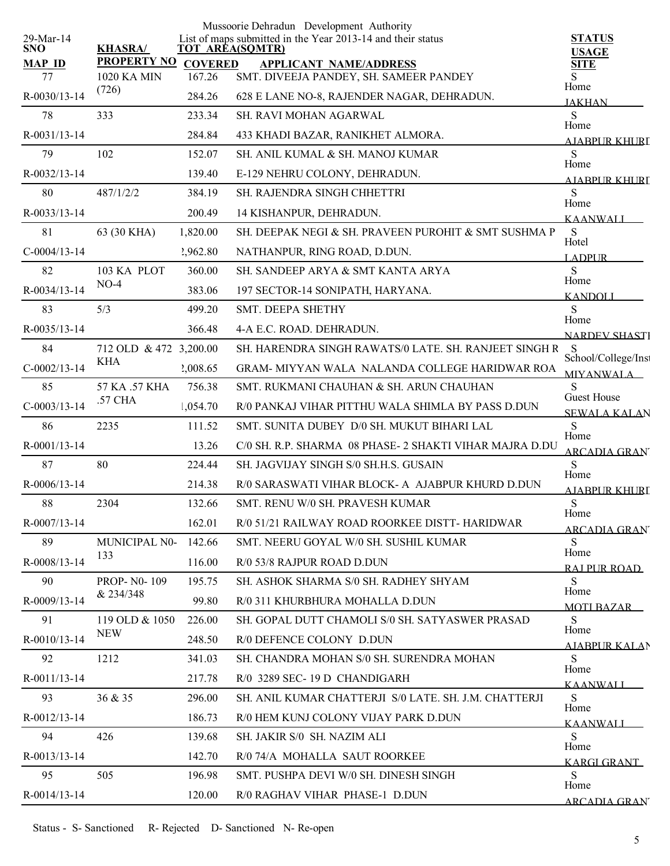|                         |                          |                | Mussoorie Dehradun Development Authority                                              |                               |
|-------------------------|--------------------------|----------------|---------------------------------------------------------------------------------------|-------------------------------|
| 29-Mar-14<br><b>SNO</b> | <b>KHASRA/</b>           |                | List of maps submitted in the Year 2013-14 and their status<br><b>TOT AREA(SQMTR)</b> | <b>STATUS</b><br><b>USAGE</b> |
| <b>MAP ID</b>           | <b>PROPERTY NO</b>       | <b>COVERED</b> | <b>APPLICANT NAME/ADDRESS</b>                                                         | <b>SITE</b>                   |
| 77                      | 1020 KA MIN<br>(726)     | 167.26         | SMT. DIVEEJA PANDEY, SH. SAMEER PANDEY                                                | S.<br>Home                    |
| R-0030/13-14            |                          | 284.26         | 628 E LANE NO-8, RAJENDER NAGAR, DEHRADUN.                                            | <b>JAKHAN</b>                 |
| 78                      | 333                      | 233.34         | SH. RAVI MOHAN AGARWAL                                                                | S<br>Home                     |
| R-0031/13-14            |                          | 284.84         | 433 KHADI BAZAR, RANIKHET ALMORA.                                                     | <u>AIARPUR KHURI</u>          |
| 79                      | 102                      | 152.07         | SH. ANIL KUMAL & SH. MANOJ KUMAR                                                      | S<br>Home                     |
| R-0032/13-14            |                          | 139.40         | E-129 NEHRU COLONY, DEHRADUN.                                                         | AIARPUR KHURI                 |
| 80                      | 487/1/2/2                | 384.19         | SH. RAJENDRA SINGH CHHETTRI                                                           | S                             |
| R-0033/13-14            |                          | 200.49         | 14 KISHANPUR, DEHRADUN.                                                               | Home<br><b>KAANWALI</b>       |
| 81                      | 63 (30 KHA)              | 1,820.00       | SH. DEEPAK NEGI & SH. PRAVEEN PUROHIT & SMT SUSHMA P                                  | S                             |
| $C-0004/13-14$          |                          | 2,962.80       | NATHANPUR, RING ROAD, D.DUN.                                                          | Hotel<br><b>LADPUR</b>        |
| 82                      | 103 KA PLOT              | 360.00         | SH. SANDEEP ARYA & SMT KANTA ARYA                                                     | S                             |
| R-0034/13-14            | $NO-4$                   | 383.06         | 197 SECTOR-14 SONIPATH, HARYANA.                                                      | Home<br><b>KANDOLI</b>        |
| 83                      | 5/3                      | 499.20         | SMT. DEEPA SHETHY                                                                     | S                             |
| R-0035/13-14            |                          | 366.48         | 4-A E.C. ROAD. DEHRADUN.                                                              | Home                          |
| 84                      | 712 OLD & 472 3,200.00   |                | SH. HARENDRA SINGH RAWATS/0 LATE, SH. RANJEET SINGH R                                 | <b>NARDEV SHASTI</b><br>- S   |
| $C-0002/13-14$          | KHA                      | 2,008.65       | GRAM- MIYYAN WALA NALANDA COLLEGE HARIDWAR ROA                                        | School/College/Inst           |
| 85                      | 57 KA .57 KHA            | 756.38         | SMT. RUKMANI CHAUHAN & SH. ARUN CHAUHAN                                               | MIYANWALA<br>S                |
| $C-0003/13-14$          | .57 CHA                  | 1,054.70       | R/0 PANKAJ VIHAR PITTHU WALA SHIMLA BY PASS D.DUN                                     | <b>Guest House</b>            |
| 86                      | 2235                     | 111.52         | SMT. SUNITA DUBEY D/0 SH. MUKUT BIHARI LAL                                            | SEWALA KALAN<br>S             |
| $R-0001/13-14$          |                          | 13.26          | C/0 SH. R.P. SHARMA 08 PHASE- 2 SHAKTI VIHAR MAJRA D.DU                               | Home                          |
| 87                      | 80                       | 224.44         | SH. JAGVIJAY SINGH S/0 SH.H.S. GUSAIN                                                 | <b>ARCADIA GRAN</b><br>S      |
| $R-0006/13-14$          |                          | 214.38         | R/0 SARASWATI VIHAR BLOCK- A AJABPUR KHURD D.DUN                                      | Home                          |
|                         |                          |                |                                                                                       | AJABPUR KHURI                 |
| 88                      | 2304                     | 132.66         | SMT. RENU W/0 SH. PRAVESH KUMAR                                                       | ${\bf S}$<br>Home             |
| R-0007/13-14            |                          | 162.01         | R/0 51/21 RAILWAY ROAD ROORKEE DISTT- HARIDWAR                                        | <b>ARCADIA GRAN</b>           |
| 89                      | MUNICIPAL NO-<br>133     | 142.66         | SMT. NEERU GOYAL W/0 SH. SUSHIL KUMAR                                                 | S<br>Home                     |
| R-0008/13-14            |                          | 116.00         | R/0 53/8 RAJPUR ROAD D.DUN                                                            | RAI PUR ROAD                  |
| 90                      | PROP-N0-109<br>& 234/348 | 195.75         | SH. ASHOK SHARMA S/0 SH. RADHEY SHYAM                                                 | S.<br>Home                    |
| R-0009/13-14            |                          | 99.80          | R/0 311 KHURBHURA MOHALLA D.DUN                                                       | <b>MOTI BAZAR</b>             |
| 91                      | 119 OLD & 1050           | 226.00         | SH. GOPAL DUTT CHAMOLI S/0 SH. SATYASWER PRASAD                                       | S<br>Home                     |
| R-0010/13-14            | <b>NEW</b>               | 248.50         | R/0 DEFENCE COLONY D.DUN                                                              | AIABPUR KALAN                 |
| 92                      | 1212                     | 341.03         | SH. CHANDRA MOHAN S/0 SH. SURENDRA MOHAN                                              | S<br>Home                     |
| R-0011/13-14            |                          | 217.78         | R/0 3289 SEC-19 D CHANDIGARH                                                          | <b>KAANWALI</b>               |
| 93                      | 36 & 35                  | 296.00         | SH. ANIL KUMAR CHATTERJI S/0 LATE, SH. J.M. CHATTERJI                                 | S                             |
| $R - 0012/13 - 14$      |                          | 186.73         | R/0 HEM KUNJ COLONY VIJAY PARK D.DUN                                                  | Home<br><b>KAANWALI</b>       |
| 94                      | 426                      | 139.68         | SH. JAKIR S/0 SH. NAZIM ALI                                                           | S                             |
| $R - 0013/13 - 14$      |                          | 142.70         | R/0 74/A MOHALLA SAUT ROORKEE                                                         | Home<br><b>KARGI GRANT</b>    |
| 95                      | 505                      | 196.98         | SMT. PUSHPA DEVI W/0 SH. DINESH SINGH                                                 | S                             |
| R-0014/13-14            |                          | 120.00         | R/0 RAGHAV VIHAR PHASE-1 D.DUN                                                        | Home                          |
|                         |                          |                |                                                                                       | <b>ARCADIA GRAN</b>           |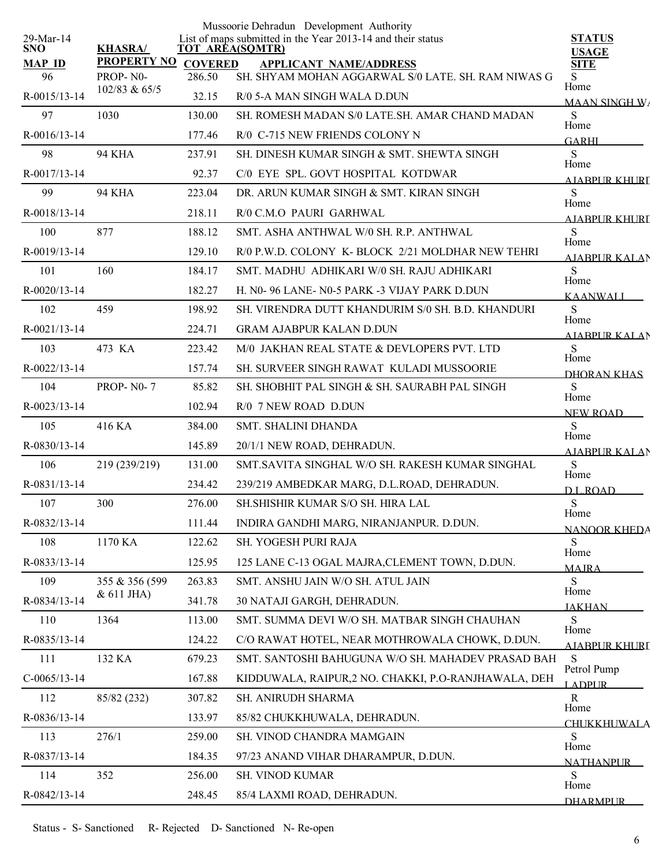| 29-Mar-14           |                                |                          | Mussoorie Dehradun Development Authority<br>List of maps submitted in the Year 2013-14 and their status | <b>STATUS</b>                |
|---------------------|--------------------------------|--------------------------|---------------------------------------------------------------------------------------------------------|------------------------------|
| <b>SNO</b>          | <b>KHASRA/</b>                 | <b>TOT AREA(SQMTR)</b>   |                                                                                                         | <b>USAGE</b>                 |
| <b>MAP ID</b><br>96 | <b>PROPERTY NO</b><br>PROP-N0- | <b>COVERED</b><br>286.50 | <b>APPLICANT NAME/ADDRESS</b><br>SH. SHYAM MOHAN AGGARWAL S/0 LATE. SH. RAM NIWAS G                     | <b>SITE</b><br>S             |
| R-0015/13-14        | 102/83 & 65/5                  | 32.15                    | R/0 5-A MAN SINGH WALA D.DUN                                                                            | Home<br><b>MAAN SINGH W/</b> |
| 97                  | 1030                           | 130.00                   | SH. ROMESH MADAN S/0 LATE.SH. AMAR CHAND MADAN                                                          | S                            |
| R-0016/13-14        |                                | 177.46                   | R/0 C-715 NEW FRIENDS COLONY N                                                                          | Home<br><b>GARHI</b>         |
| 98                  | <b>94 KHA</b>                  | 237.91                   | SH. DINESH KUMAR SINGH & SMT. SHEWTA SINGH                                                              | S                            |
| R-0017/13-14        |                                | 92.37                    | C/0 EYE SPL. GOVT HOSPITAL KOTDWAR                                                                      | Home<br>AIARPUR KHURI        |
| 99                  | <b>94 KHA</b>                  | 223.04                   | DR. ARUN KUMAR SINGH & SMT. KIRAN SINGH                                                                 | S                            |
| R-0018/13-14        |                                | 218.11                   | R/0 C.M.O PAURI GARHWAL                                                                                 | Home<br>AIABPUR KHURT        |
| 100                 | 877                            | 188.12                   | SMT. ASHA ANTHWAL W/0 SH. R.P. ANTHWAL                                                                  | S                            |
| R-0019/13-14        |                                | 129.10                   | R/0 P.W.D. COLONY K-BLOCK 2/21 MOLDHAR NEW TEHRI                                                        | Home<br><b>AIABPURKALAN</b>  |
| 101                 | 160                            | 184.17                   | SMT. MADHU ADHIKARI W/0 SH. RAJU ADHIKARI                                                               | S                            |
| R-0020/13-14        |                                | 182.27                   | H. N0-96 LANE-N0-5 PARK -3 VIJAY PARK D.DUN                                                             | Home<br><b>KAANWALI</b>      |
| 102                 | 459                            | 198.92                   | SH. VIRENDRA DUTT KHANDURIM S/0 SH. B.D. KHANDURI                                                       | S<br>Home                    |
| $R - 0021/13 - 14$  |                                | 224.71                   | <b>GRAM AJABPUR KALAN D.DUN</b>                                                                         | <b>AIABPUR KALAN</b>         |
| 103                 | 473 KA                         | 223.42                   | M/0 JAKHAN REAL STATE & DEVLOPERS PVT. LTD                                                              | S<br>Home                    |
| R-0022/13-14        |                                | 157.74                   | SH. SURVEER SINGH RAWAT KULADI MUSSOORIE                                                                | DHORAN KHAS                  |
| 104                 | <b>PROP-N0-7</b>               | 85.82                    | SH. SHOBHIT PAL SINGH & SH. SAURABH PAL SINGH                                                           | S<br>Home                    |
| R-0023/13-14        |                                | 102.94                   | R/0 7 NEW ROAD D.DUN                                                                                    | NEW ROAD                     |
| 105                 | 416 KA                         | 384.00                   | <b>SMT. SHALINI DHANDA</b>                                                                              | S<br>Home                    |
| R-0830/13-14        |                                | 145.89                   | 20/1/1 NEW ROAD, DEHRADUN.                                                                              | <b>AJABPUR KALAN</b>         |
| 106                 | 219 (239/219)                  | 131.00                   | SMT.SAVITA SINGHAL W/O SH. RAKESH KUMAR SINGHAL                                                         | S<br>Home                    |
| R-0831/13-14        |                                | 234.42                   | 239/219 AMBEDKAR MARG, D.L.ROAD, DEHRADUN.                                                              | D.L.ROAD                     |
| 107                 | 300                            | 276.00                   | SH SHISHIR KUMAR S/O SH. HIRA LAL                                                                       | ${\bf S}$<br>Home            |
| R-0832/13-14        |                                | 111.44                   | INDIRA GANDHI MARG, NIRANJANPUR. D.DUN.                                                                 | <b>NANOOR KHEDA</b>          |
| 108                 | 1170 KA                        | 122.62                   | SH. YOGESH PURI RAJA                                                                                    | S<br>Home                    |
| R-0833/13-14        |                                | 125.95                   | 125 LANE C-13 OGAL MAJRA, CLEMENT TOWN, D.DUN.                                                          | <b>MAJRA</b>                 |
| 109                 | 355 & 356 (599)                | 263.83                   | SMT. ANSHU JAIN W/O SH. ATUL JAIN                                                                       | S<br>Home                    |
| R-0834/13-14        | & 611 JHA)                     | 341.78                   | 30 NATAJI GARGH, DEHRADUN.                                                                              | <b>JAKHAN</b>                |
| 110                 | 1364                           | 113.00                   | SMT. SUMMA DEVI W/O SH. MATBAR SINGH CHAUHAN                                                            | S<br>Home                    |
| R-0835/13-14        |                                | 124.22                   | C/O RAWAT HOTEL, NEAR MOTHROWALA CHOWK, D.DUN.                                                          | AIARPUR KHURI                |
| 111                 | 132 KA                         | 679.23                   | SMT. SANTOSHI BAHUGUNA W/O SH. MAHADEV PRASAD BAH                                                       | <sub>S</sub><br>Petrol Pump  |
| $C-0065/13-14$      |                                | 167.88                   | KIDDUWALA, RAIPUR,2 NO. CHAKKI, P.O-RANJHAWALA, DEH                                                     | <b>LADPUR</b>                |
| 112                 | 85/82 (232)                    | 307.82                   | SH. ANIRUDH SHARMA                                                                                      | $\mathbb{R}$<br>Home         |
| R-0836/13-14        |                                | 133.97                   | 85/82 CHUKKHUWALA, DEHRADUN.                                                                            | <b>CHI IKKHUWALA</b>         |
| 113                 | 276/1                          | 259.00                   | SH. VINOD CHANDRA MAMGAIN                                                                               | S<br>Home                    |
| R-0837/13-14        |                                | 184.35                   | 97/23 ANAND VIHAR DHARAMPUR, D.DUN.                                                                     | <b>NATHANPUR</b>             |
| 114                 | 352                            | 256.00                   | SH. VINOD KUMAR                                                                                         | S<br>Home                    |
| R-0842/13-14        |                                | 248.45                   | 85/4 LAXMI ROAD, DEHRADUN.                                                                              | <b>DHARMPLIR</b>             |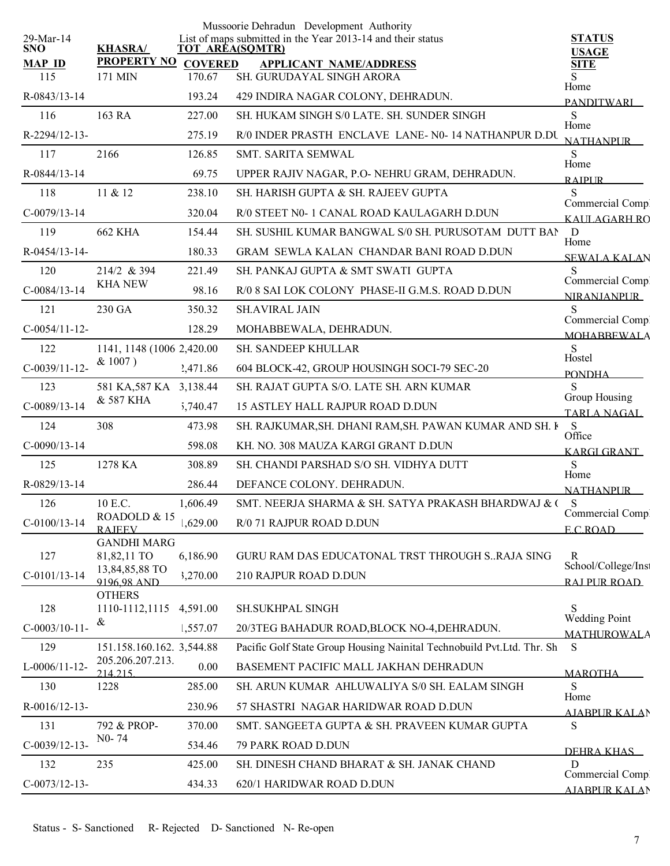|                         |                                     |                | Mussoorie Dehradun Development Authority                                              |                                        |
|-------------------------|-------------------------------------|----------------|---------------------------------------------------------------------------------------|----------------------------------------|
| 29-Mar-14<br><b>SNO</b> | <b>KHASRA/</b>                      |                | List of maps submitted in the Year 2013-14 and their status<br><b>TOT AREA(SQMTR)</b> | <b>STATUS</b><br><b>USAGE</b>          |
| <b>MAP ID</b>           | <b>PROPERTY NO</b>                  | <b>COVERED</b> | <b>APPLICANT NAME/ADDRESS</b>                                                         | <b>SITE</b>                            |
| 115                     | 171 MIN                             | 170.67         | SH. GURUDAYAL SINGH ARORA                                                             | Home                                   |
| R-0843/13-14            |                                     | 193.24         | 429 INDIRA NAGAR COLONY, DEHRADUN.                                                    | <b>PANDITWARI</b>                      |
| 116                     | 163 RA                              | 227.00         | SH. HUKAM SINGH S/0 LATE. SH. SUNDER SINGH                                            | S<br>Home                              |
| R-2294/12-13-           |                                     | 275.19         | R/0 INDER PRASTH ENCLAVE LANE- N0-14 NATHANPUR D.DU                                   | <b>NATHANPUR</b>                       |
| 117                     | 2166                                | 126.85         | <b>SMT. SARITA SEMWAL</b>                                                             | S.<br>Home                             |
| R-0844/13-14            |                                     | 69.75          | UPPER RAJIV NAGAR, P.O- NEHRU GRAM, DEHRADUN.                                         | <b>RAIPUR</b>                          |
| 118                     | 11 & 12                             | 238.10         | SH. HARISH GUPTA & SH. RAJEEV GUPTA                                                   | S<br>Commercial Compl                  |
| $C-0079/13-14$          |                                     | 320.04         | R/0 STEET N0-1 CANAL ROAD KAULAGARH D.DUN                                             | KALILAGARH RO                          |
| 119                     | <b>662 KHA</b>                      | 154.44         | SH. SUSHIL KUMAR BANGWAL S/0 SH. PURUSOTAM DUTT BAN                                   | D<br>Home                              |
| R-0454/13-14-           |                                     | 180.33         | GRAM SEWLA KALAN CHANDAR BANI ROAD D.DUN                                              | <b>SEWALA KALAN</b>                    |
| 120                     | 214/2 & 394                         | 221.49         | SH. PANKAJ GUPTA & SMT SWATI GUPTA                                                    | S                                      |
| $C-0084/13-14$          | <b>KHA NEW</b>                      | 98.16          | R/0 8 SAI LOK COLONY PHASE-II G.M.S. ROAD D.DUN                                       | Commercial Comp.<br><b>NIRANJANPUR</b> |
| 121                     | 230 GA                              | 350.32         | <b>SH.AVIRAL JAIN</b>                                                                 | S                                      |
| $C-0054/11-12-$         |                                     | 128.29         | MOHABBEWALA, DEHRADUN.                                                                | Commercial Comp.<br><b>MOHABBEWALA</b> |
| 122                     | 1141, 1148 (1006 2,420.00           |                | <b>SH. SANDEEP KHULLAR</b>                                                            | S                                      |
| $C-0039/11-12-$         | & 1007)                             | 2,471.86       | 604 BLOCK-42, GROUP HOUSINGH SOCI-79 SEC-20                                           | Hostel                                 |
| 123                     | 581 KA, 587 KA 3, 138.44            |                | SH. RAJAT GUPTA S/O. LATE SH. ARN KUMAR                                               | <b>PONDHA</b><br>S                     |
| $C-0089/13-14$          | & 587 KHA                           | 5,740.47       | <b>15 ASTLEY HALL RAJPUR ROAD D.DUN</b>                                               | Group Housing                          |
| 124                     | 308                                 | 473.98         | SH. RAJKUMAR, SH. DHANI RAM, SH. PAWAN KUMAR AND SH. I                                | <b>TARLA NAGAL</b><br>S                |
| $C-0090/13-14$          |                                     | 598.08         | KH. NO. 308 MAUZA KARGI GRANT D.DUN                                                   | Office                                 |
| 125                     | 1278 KA                             | 308.89         | SH. CHANDI PARSHAD S/O SH. VIDHYA DUTT                                                | <b>KARGI GRANT</b><br>S                |
| R-0829/13-14            |                                     | 286.44         | DEFANCE COLONY. DEHRADUN.                                                             | Home                                   |
| 126                     | 10 E.C.                             | 1,606.49       | SMT. NEERJA SHARMA & SH. SATYA PRAKASH BHARDWAJ & O                                   | <b>NATHANPUR</b><br>S                  |
| $C-0100/13-14$          | ROADOLD & 15                        | .629.00        | R/0 71 RAJPUR ROAD D.DUN                                                              | Commercial Compl                       |
|                         | <b>RAJEEV</b><br><b>GANDHI MARG</b> |                |                                                                                       | E C ROAD                               |
| 127                     | 81,82,11 TO                         | 6,186.90       | GURU RAM DAS EDUCATONAL TRST THROUGH SRAJA SING                                       | R                                      |
| $C-0101/13-14$          | 13,84,85,88 TO                      | 3,270.00       | 210 RAJPUR ROAD D.DUN                                                                 | School/College/Inst                    |
|                         | 9196 98 AND<br><b>OTHERS</b>        |                |                                                                                       | RAJ PUR ROAD                           |
| 128                     | 1110-1112,1115                      | 4,591.00       | SH.SUKHPAL SINGH                                                                      | S<br><b>Wedding Point</b>              |
| $C-0003/10-11-$         | &                                   | 1,557.07       | 20/3TEG BAHADUR ROAD, BLOCK NO-4, DEHRADUN.                                           | <b>MATHUROWALA</b>                     |
| 129                     | 151.158.160.162. 3,544.88           |                | Pacific Golf State Group Housing Nainital Technobuild Pvt.Ltd. Thr. Sh                | S                                      |
| $L-0006/11-12-$         | 205.206.207.213.<br>214 215         | 0.00           | BASEMENT PACIFIC MALL JAKHAN DEHRADUN                                                 | <b>MAROTHA</b>                         |
| 130                     | 1228                                | 285.00         | SH. ARUN KUMAR AHLUWALIYA S/0 SH. EALAM SINGH                                         | S                                      |
| R-0016/12-13-           |                                     | 230.96         | 57 SHASTRI NAGAR HARIDWAR ROAD D.DUN                                                  | Home<br><u>AJABPUR KALA</u> N          |
| 131                     | 792 & PROP-                         | 370.00         | SMT. SANGEETA GUPTA & SH. PRAVEEN KUMAR GUPTA                                         | S                                      |
| $C-0039/12-13-$         | NO-74                               | 534.46         | 79 PARK ROAD D.DUN                                                                    |                                        |
| 132                     | 235                                 | 425.00         | SH. DINESH CHAND BHARAT & SH. JANAK CHAND                                             | DEHRA KHAS<br>D                        |
| $C-0073/12-13-$         |                                     | 434.33         | 620/1 HARIDWAR ROAD D.DUN                                                             | Commercial Comp.                       |
|                         |                                     |                |                                                                                       | <b>AJARPUR KALAN</b>                   |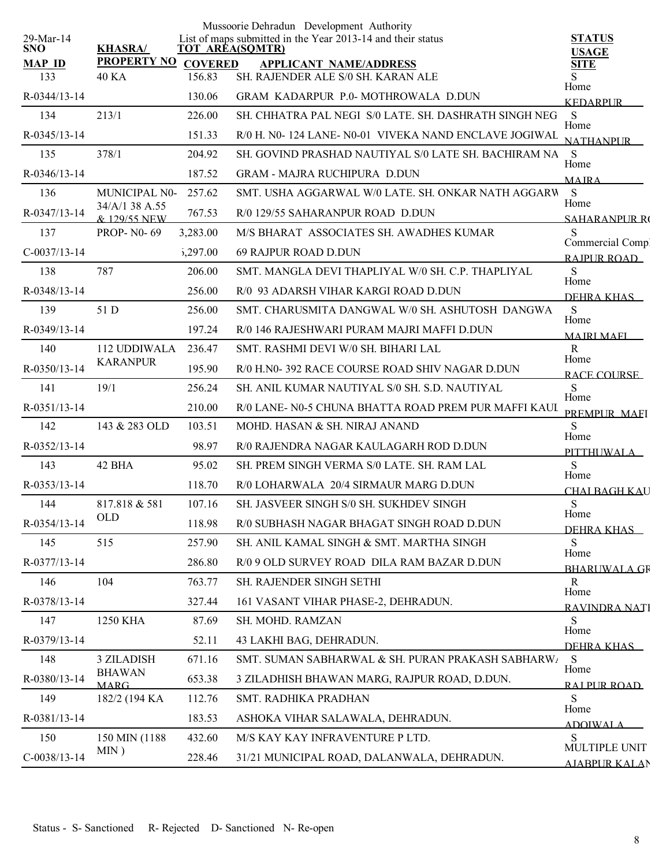|                         |                                |          | Mussoorie Dehradun Development Authority                                       |                               |
|-------------------------|--------------------------------|----------|--------------------------------------------------------------------------------|-------------------------------|
| 29-Mar-14<br><b>SNO</b> | <b>KHASRA/</b>                 |          | List of maps submitted in the Year 2013-14 and their status<br>TOT AREA(SQMTR) | <b>STATUS</b>                 |
| <b>MAP ID</b>           | PROPERTY NO COVERED            |          | <b>APPLICANT NAME/ADDRESS</b>                                                  | <b>USAGE</b><br><b>SITE</b>   |
| 133                     | <b>40 KA</b>                   | 156.83   | SH. RAJENDER ALE S/0 SH. KARAN ALE                                             | S                             |
| R-0344/13-14            |                                | 130.06   | GRAM KADARPUR P.0-MOTHROWALA D.DUN                                             | Home<br><b>KEDARPUR</b>       |
| 134                     | 213/1                          | 226.00   | SH. CHHATRA PAL NEGI S/0 LATE. SH. DASHRATH SINGH NEG                          | S<br>Home                     |
| R-0345/13-14            |                                | 151.33   | R/0 H. N0- 124 LANE- N0-01 VIVEKA NAND ENCLAVE JOGIWAL                         | <b>NATHANPUR</b>              |
| 135                     | 378/1                          | 204.92   | SH. GOVIND PRASHAD NAUTIYAL S/0 LATE SH. BACHIRAM NA                           | S<br>Home                     |
| R-0346/13-14            |                                | 187.52   | <b>GRAM - MAJRA RUCHIPURA D.DUN</b>                                            | <b>MAIRA</b>                  |
| 136                     | MUNICIPAL N0-                  | 257.62   | SMT. USHA AGGARWAL W/0 LATE. SH. ONKAR NATH AGGARW                             | S<br>Home                     |
| R-0347/13-14            | 34/A/1 38 A.55<br>& 129/55 NEW | 767.53   | R/0 129/55 SAHARANPUR ROAD D.DUN                                               | <b>SAHARANPLIR RO</b>         |
| 137                     | <b>PROP-N0-69</b>              | 3,283.00 | M/S BHARAT ASSOCIATES SH. AWADHES KUMAR                                        | S<br>Commercial Compl         |
| $C-0037/13-14$          |                                | 5,297.00 | 69 RAJPUR ROAD D.DUN                                                           | RAIPUR ROAD                   |
| 138                     | 787                            | 206.00   | SMT. MANGLA DEVI THAPLIYAL W/0 SH. C.P. THAPLIYAL                              | S<br>Home                     |
| R-0348/13-14            |                                | 256.00   | R/0 93 ADARSH VIHAR KARGI ROAD D.DUN                                           | DEHRA KHAS                    |
| 139                     | 51 D                           | 256.00   | SMT. CHARUSMITA DANGWAL W/0 SH. ASHUTOSH DANGWA                                | S<br>Home                     |
| R-0349/13-14            |                                | 197.24   | R/0 146 RAJESHWARI PURAM MAJRI MAFFI D.DUN                                     | <b>MAJRI MAFI</b>             |
| 140                     | 112 UDDIWALA                   | 236.47   | SMT. RASHMI DEVI W/0 SH. BIHARI LAL                                            | $\mathbf R$                   |
| R-0350/13-14            | <b>KARANPUR</b>                | 195.90   | R/0 H.N0-392 RACE COURSE ROAD SHIV NAGAR D.DUN                                 | Home<br>RACE COURSE           |
| 141                     | 19/1                           | 256.24   | SH. ANIL KUMAR NAUTIYAL S/0 SH. S.D. NAUTIYAL                                  | S                             |
| R-0351/13-14            |                                | 210.00   | R/0 LANE- N0-5 CHUNA BHATTA ROAD PREM PUR MAFFI KAUI                           | Home<br>PREMPLIR MAEL         |
| 142                     | 143 & 283 OLD                  | 103.51   | MOHD. HASAN & SH. NIRAJ ANAND                                                  | S<br>Home                     |
| R-0352/13-14            |                                | 98.97    | R/0 RAJENDRA NAGAR KAULAGARH ROD D.DUN                                         | <b>PITTHUWALA</b>             |
| 143                     | 42 BHA                         | 95.02    | SH. PREM SINGH VERMA S/0 LATE. SH. RAM LAL                                     | S                             |
| R-0353/13-14            |                                | 118.70   | R/0 LOHARWALA 20/4 SIRMAUR MARG D.DUN                                          | Home<br><b>CHAI BAGH KAU</b>  |
| 144                     | 817.818 & 581                  | 107.16   | SH. JASVEER SINGH S/0 SH. SUKHDEV SINGH                                        | S                             |
| R-0354/13-14            | OLD                            | 118.98   | R/0 SUBHASH NAGAR BHAGAT SINGH ROAD D.DUN                                      | Home<br>DEHRA KHAS            |
| 145                     | 515                            | 257.90   | SH. ANIL KAMAL SINGH & SMT. MARTHA SINGH                                       | S<br>Home                     |
| R-0377/13-14            |                                | 286.80   | R/0 9 OLD SURVEY ROAD DILA RAM BAZAR D.DUN                                     | <b>BHARUWALA GR</b>           |
| 146                     | 104                            | 763.77   | SH. RAJENDER SINGH SETHI                                                       | $\mathbf R$<br>Home           |
| R-0378/13-14            |                                | 327.44   | 161 VASANT VIHAR PHASE-2, DEHRADUN.                                            | RAVINDRA NATI                 |
| 147                     | 1250 KHA                       | 87.69    | SH. MOHD. RAMZAN                                                               | S<br>Home                     |
| R-0379/13-14            |                                | 52.11    | 43 LAKHI BAG, DEHRADUN.                                                        | DEHRA KHAS                    |
| 148                     | 3 ZILADISH                     | 671.16   | SMT. SUMAN SABHARWAL & SH. PURAN PRAKASH SABHARWA                              | S<br>Home                     |
| R-0380/13-14            | <b>BHAWAN</b><br><b>MARG</b>   | 653.38   | 3 ZILADHISH BHAWAN MARG, RAJPUR ROAD, D.DUN.                                   | RAI PUR ROAD                  |
| 149                     | 182/2 (194 KA)                 | 112.76   | SMT. RADHIKA PRADHAN                                                           | S                             |
| R-0381/13-14            |                                | 183.53   | ASHOKA VIHAR SALAWALA, DEHRADUN.                                               | Home<br><b>ADOIWALA</b>       |
| 150                     | 150 MIN (1188)                 | 432.60   | M/S KAY KAY INFRAVENTURE P LTD.                                                | <sub>S</sub><br>MULTIPLE UNIT |
| $C-0038/13-14$          | MIN)                           | 228.46   | 31/21 MUNICIPAL ROAD, DALANWALA, DEHRADUN.                                     | AJARPUR KALAN                 |
|                         |                                |          |                                                                                |                               |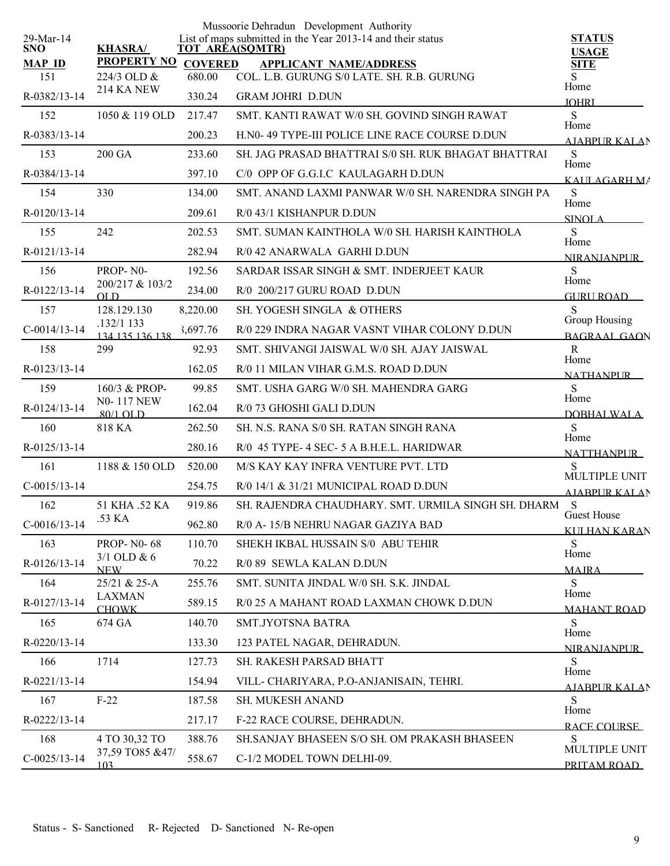|                         |                                 |                | Mussoorie Dehradun Development Authority                                              |                                           |
|-------------------------|---------------------------------|----------------|---------------------------------------------------------------------------------------|-------------------------------------------|
| 29-Mar-14<br><b>SNO</b> | <b>KHASRA/</b>                  |                | List of maps submitted in the Year 2013-14 and their status<br><b>TOT AREA(SQMTR)</b> | <b>STATUS</b>                             |
| <b>MAP ID</b>           | <b>PROPERTY NO</b>              | <b>COVERED</b> | <b>APPLICANT NAME/ADDRESS</b>                                                         | <b>USAGE</b><br><b>SITE</b>               |
| 151                     | 224/3 OLD &                     | 680.00         | COL. L.B. GURUNG S/0 LATE. SH. R.B. GURUNG                                            | Home                                      |
| R-0382/13-14            | 214 KA NEW                      | 330.24         | <b>GRAM JOHRI D.DUN</b>                                                               | <b>JOHRI</b>                              |
| 152                     | 1050 & 119 OLD                  | 217.47         | SMT. KANTI RAWAT W/0 SH. GOVIND SINGH RAWAT                                           | S<br>Home                                 |
| R-0383/13-14            |                                 | 200.23         | H.NO-49 TYPE-III POLICE LINE RACE COURSE D.DUN                                        | AIABPUR KALAN                             |
| 153                     | 200 GA                          | 233.60         | SH. JAG PRASAD BHATTRAI S/0 SH. RUK BHAGAT BHATTRAI                                   | S<br>Home                                 |
| R-0384/13-14            |                                 | 397.10         | C/0 OPP OF G.G.I.C KAULAGARH D.DUN                                                    | KALILAGARH MA                             |
| 154                     | 330                             | 134.00         | SMT. ANAND LAXMI PANWAR W/0 SH. NARENDRA SINGH PA                                     | S<br>Home                                 |
| R-0120/13-14            |                                 | 209.61         | R/0 43/1 KISHANPUR D.DUN                                                              | <b>SINOLA</b>                             |
| 155                     | 242                             | 202.53         | SMT. SUMAN KAINTHOLA W/0 SH. HARISH KAINTHOLA                                         | S                                         |
| R-0121/13-14            |                                 | 282.94         | R/0 42 ANARWALA GARHI D.DUN                                                           | Home<br>NIR ANIANPUR                      |
| 156                     | PROP-N0-                        | 192.56         | SARDAR ISSAR SINGH & SMT. INDERJEET KAUR                                              | S                                         |
| R-0122/13-14            | 200/217 & 103/2<br>OLD          | 234.00         | R/0 200/217 GURU ROAD D.DUN                                                           | Home<br><b>GURU ROAD</b>                  |
| 157                     | 128.129.130                     | 8,220.00       | SH. YOGESH SINGLA & OTHERS                                                            | S                                         |
| $C-0014/13-14$          | .132/1 133<br>134 135 136 138   | 3,697.76       | R/0 229 INDRA NAGAR VASNT VIHAR COLONY D.DUN                                          | Group Housing<br><b>BAGRAAL GAON</b>      |
| 158                     | 299                             | 92.93          | SMT. SHIVANGI JAISWAL W/0 SH. AJAY JAISWAL                                            | $\mathbf R$                               |
| R-0123/13-14            |                                 | 162.05         | R/0 11 MILAN VIHAR G.M.S. ROAD D.DUN                                                  | Home<br><b>NATHANPUR</b>                  |
| 159                     | 160/3 & PROP-                   | 99.85          | SMT. USHA GARG W/0 SH. MAHENDRA GARG                                                  | S                                         |
| R-0124/13-14            | <b>N0-117 NEW</b><br>$80/1$ OLD | 162.04         | R/0 73 GHOSHI GALI D.DUN                                                              | Home<br>DOBHALWALA                        |
| 160                     | 818 KA                          | 262.50         | SH. N.S. RANA S/0 SH. RATAN SINGH RANA                                                | S                                         |
| R-0125/13-14            |                                 | 280.16         | R/0 45 TYPE- 4 SEC- 5 A B.H.E.L. HARIDWAR                                             | Home<br><b>NATTHANPUR</b>                 |
| 161                     | 1188 & 150 OLD                  | 520.00         | M/S KAY KAY INFRA VENTURE PVT. LTD                                                    | S                                         |
| $C-0015/13-14$          |                                 | 254.75         | R/0 14/1 & 31/21 MUNICIPAL ROAD D.DUN                                                 | MULTIPLE UNIT<br><b>AIABPURKALAN</b>      |
| 162                     | 51 KHA .52 KA                   | 919.86         | SH. RAJENDRA CHAUDHARY. SMT. URMILA SINGH SH. DHARM                                   | S                                         |
| $C-0016/13-14$          | .53 KA                          | 962.80         | R/0 A-15/B NEHRU NAGAR GAZIYA BAD                                                     | <b>Guest House</b><br><b>KULHAN KARAN</b> |
| 163                     | <b>PROP-NO-68</b>               | 110.70         | SHEKH IKBAL HUSSAIN S/0 ABU TEHIR                                                     | S                                         |
| R-0126/13-14            | $3/1$ OLD & 6<br><b>NEW</b>     | 70.22          | R/0 89 SEWLA KALAN D.DUN                                                              | Home<br><b>MAJRA</b>                      |
| 164                     | 25/21 & 25-A                    | 255.76         | SMT. SUNITA JINDAL W/0 SH. S.K. JINDAL                                                | S                                         |
| R-0127/13-14            | <b>LAXMAN</b><br><b>CHOWK</b>   | 589.15         | R/0 25 A MAHANT ROAD LAXMAN CHOWK D.DUN                                               | Home<br><b>MAHANT ROAD</b>                |
| 165                     | 674 GA                          | 140.70         | SMT.JYOTSNA BATRA                                                                     | S                                         |
| R-0220/13-14            |                                 | 133.30         | 123 PATEL NAGAR, DEHRADUN.                                                            | Home<br><b>NIRANIANPUR</b>                |
| 166                     | 1714                            | 127.73         | SH. RAKESH PARSAD BHATT                                                               | <sub>S</sub>                              |
| R-0221/13-14            |                                 | 154.94         | VILL- CHARIYARA, P.O-ANJANISAIN, TEHRI.                                               | Home<br><b>AJABPUR KALAN</b>              |
| 167                     | $F-22$                          | 187.58         | SH. MUKESH ANAND                                                                      | S                                         |
| R-0222/13-14            |                                 | 217.17         | F-22 RACE COURSE, DEHRADUN.                                                           | Home<br>RACE COURSE                       |
| 168                     | 4 TO 30,32 TO                   | 388.76         | SH.SANJAY BHASEEN S/O SH. OM PRAKASH BHASEEN                                          | <sub>S</sub>                              |
| $C-0025/13-14$          | 37,59 TO85 &47/<br>103          | 558.67         | C-1/2 MODEL TOWN DELHI-09.                                                            | MULTIPLE UNIT<br>PRITAM ROAD              |
|                         |                                 |                |                                                                                       |                                           |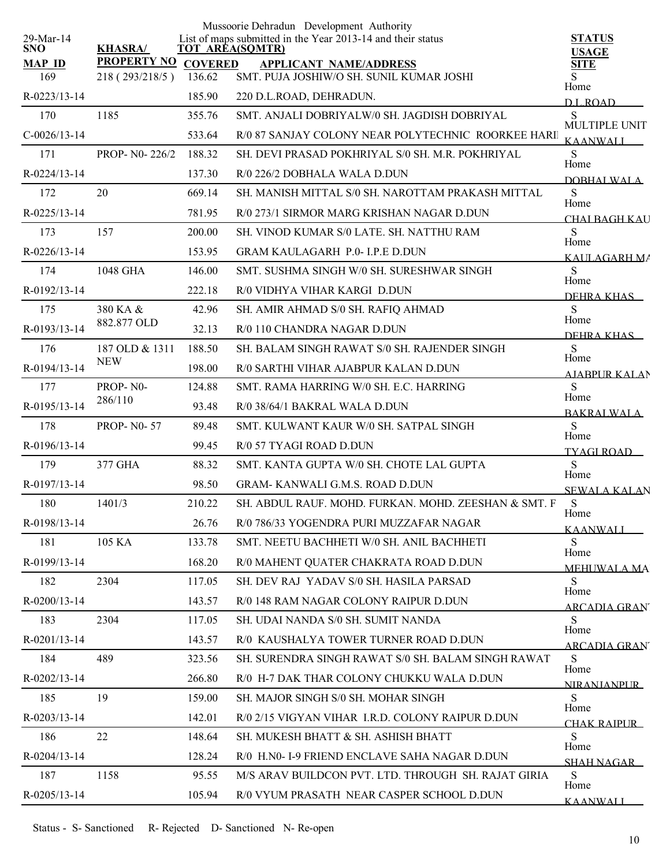|                         |                    |                | Mussoorie Dehradun Development Authority                                              |                             |
|-------------------------|--------------------|----------------|---------------------------------------------------------------------------------------|-----------------------------|
| 29-Mar-14<br><b>SNO</b> | <b>KHASRA/</b>     |                | List of maps submitted in the Year 2013-14 and their status<br><b>TOT AREA(SQMTR)</b> | <b>STATUS</b>               |
| <b>MAP ID</b>           | <b>PROPERTY NO</b> | <b>COVERED</b> | <b>APPLICANT NAME/ADDRESS</b>                                                         | <b>USAGE</b><br><b>SITE</b> |
| 169                     | 218 (293/218/5)    | 136.62         | SMT. PUJA JOSHIW/O SH. SUNIL KUMAR JOSHI                                              | Home                        |
| R-0223/13-14            |                    | 185.90         | 220 D.L.ROAD, DEHRADUN.                                                               | <b>DL ROAD</b>              |
| 170                     | 1185               | 355.76         | SMT. ANJALI DOBRIYALW/0 SH. JAGDISH DOBRIYAL                                          | S<br>MULTIPLE UNIT          |
| $C-0026/13-14$          |                    | 533.64         | R/0 87 SANJAY COLONY NEAR POLYTECHNIC ROORKEE HARI                                    | <b>KAANWALI</b>             |
| 171                     | PROP- N0-226/2     | 188.32         | SH. DEVI PRASAD POKHRIYAL S/0 SH. M.R. POKHRIYAL                                      | S<br>Home                   |
| R-0224/13-14            |                    | 137.30         | R/0 226/2 DOBHALA WALA D.DUN                                                          | DOBHAL WALA                 |
| 172                     | 20                 | 669.14         | SH. MANISH MITTAL S/0 SH. NAROTTAM PRAKASH MITTAL                                     | S<br>Home                   |
| R-0225/13-14            |                    | 781.95         | R/0 273/1 SIRMOR MARG KRISHAN NAGAR D.DUN                                             | CHALBAGH KAU                |
| 173                     | 157                | 200.00         | SH. VINOD KUMAR S/0 LATE. SH. NATTHU RAM                                              | S                           |
| R-0226/13-14            |                    | 153.95         | <b>GRAM KAULAGARH P.0- I.P.E D.DUN</b>                                                | Home<br>KALILAGARH MA       |
| 174                     | 1048 GHA           | 146.00         | SMT. SUSHMA SINGH W/0 SH. SURESHWAR SINGH                                             | S                           |
| R-0192/13-14            |                    | 222.18         | R/0 VIDHYA VIHAR KARGI D.DUN                                                          | Home<br>DEHRA KHAS          |
| 175                     | 380 KA &           | 42.96          | SH. AMIR AHMAD S/0 SH. RAFIQ AHMAD                                                    | S                           |
| R-0193/13-14            | 882.877 OLD        | 32.13          | R/0 110 CHANDRA NAGAR D.DUN                                                           | Home<br>DEHRA KHAS          |
| 176                     | 187 OLD & 1311     | 188.50         | SH. BALAM SINGH RAWAT S/0 SH. RAJENDER SINGH                                          | <sub>S</sub>                |
| R-0194/13-14            | <b>NEW</b>         | 198.00         | R/0 SARTHI VIHAR AJABPUR KALAN D.DUN                                                  | Home<br><b>AIABPURKALAN</b> |
| 177                     | PROP-N0-           | 124.88         | SMT. RAMA HARRING W/0 SH. E.C. HARRING                                                | S                           |
| R-0195/13-14            | 286/110            | 93.48          | R/0 38/64/1 BAKRAL WALA D.DUN                                                         | Home<br><b>BAKRALWALA</b>   |
| 178                     | <b>PROP-N0-57</b>  | 89.48          | SMT. KULWANT KAUR W/0 SH. SATPAL SINGH                                                | S                           |
| R-0196/13-14            |                    | 99.45          | R/0 57 TYAGI ROAD D.DUN                                                               | Home<br><b>TYAGI ROAD</b>   |
| 179                     | 377 GHA            | 88.32          | SMT, KANTA GUPTA W/0 SH, CHOTE LAL GUPTA                                              | S                           |
| R-0197/13-14            |                    | 98.50          | GRAM-KANWALI G.M.S. ROAD D.DUN                                                        | Home<br><b>SEWALA KALAN</b> |
| 180                     | 1401/3             | 210.22         | SH. ABDUL RAUF. MOHD. FURKAN. MOHD. ZEESHAN & SMT. F                                  | S                           |
| R-0198/13-14            |                    | 26.76          | R/0 786/33 YOGENDRA PURI MUZZAFAR NAGAR                                               | Home<br><b>KAANWALI</b>     |
| 181                     | 105 KA             | 133.78         | SMT. NEETU BACHHETI W/0 SH. ANIL BACHHETI                                             | S                           |
| R-0199/13-14            |                    | 168.20         | R/0 MAHENT QUATER CHAKRATA ROAD D.DUN                                                 | Home<br><b>MEHUWALA MA</b>  |
| 182                     | 2304               | 117.05         | SH. DEV RAJ YADAV S/0 SH. HASILA PARSAD                                               | <sub>S</sub>                |
| R-0200/13-14            |                    | 143.57         | R/0 148 RAM NAGAR COLONY RAIPUR D.DUN                                                 | Home<br><b>ARCADIA GRAN</b> |
| 183                     | 2304               | 117.05         | SH. UDAI NANDA S/0 SH. SUMIT NANDA                                                    | S                           |
| R-0201/13-14            |                    | 143.57         | R/0 KAUSHALYA TOWER TURNER ROAD D.DUN                                                 | Home<br>ARCADIA GRAN        |
| 184                     | 489                | 323.56         | SH. SURENDRA SINGH RAWAT S/0 SH. BALAM SINGH RAWAT                                    | S                           |
| R-0202/13-14            |                    | 266.80         | R/0 H-7 DAK THAR COLONY CHUKKU WALA D.DUN                                             | Home<br><b>NIRANIANPUR</b>  |
| 185                     | 19                 | 159.00         | SH. MAJOR SINGH S/0 SH. MOHAR SINGH                                                   | S                           |
| R-0203/13-14            |                    | 142.01         | R/0 2/15 VIGYAN VIHAR I.R.D. COLONY RAIPUR D.DUN                                      | Home<br>CHAK RAIPUR         |
| 186                     | 22                 | 148.64         | SH. MUKESH BHATT & SH. ASHISH BHATT                                                   | S                           |
| R-0204/13-14            |                    | 128.24         | R/0 H.N0- I-9 FRIEND ENCLAVE SAHA NAGAR D.DUN                                         | Home<br><b>SHAH NAGAR</b>   |
| 187                     | 1158               | 95.55          | M/S ARAV BUILDCON PVT. LTD. THROUGH SH. RAJAT GIRIA                                   | S                           |
| R-0205/13-14            |                    | 105.94         | R/0 VYUM PRASATH NEAR CASPER SCHOOL D.DUN                                             | Home<br><b>KAANWALI</b>     |
|                         |                    |                |                                                                                       |                             |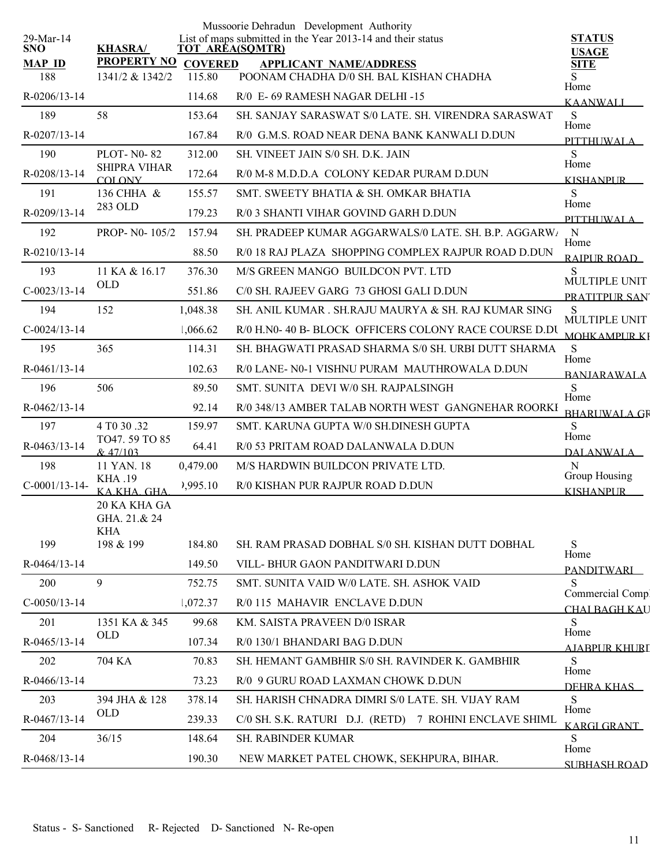|                         |                                      |                | Mussoorie Dehradun Development Authority                                              |                                      |
|-------------------------|--------------------------------------|----------------|---------------------------------------------------------------------------------------|--------------------------------------|
| 29-Mar-14<br><b>SNO</b> | <b>KHASRA/</b>                       |                | List of maps submitted in the Year 2013-14 and their status<br><b>TOT AREA(SQMTR)</b> | <b>STATUS</b><br><b>USAGE</b>        |
| <b>MAP ID</b>           | <b>PROPERTY NO</b>                   | <b>COVERED</b> | <b>APPLICANT NAME/ADDRESS</b>                                                         | <b>SITE</b>                          |
| 188                     | 1341/2 & 1342/2                      | 115.80         | POONAM CHADHA D/0 SH. BAL KISHAN CHADHA                                               | Home                                 |
| R-0206/13-14            |                                      | 114.68         | R/0 E- 69 RAMESH NAGAR DELHI-15                                                       | <b>KAANWALI</b>                      |
| 189                     | 58                                   | 153.64         | SH. SANJAY SARASWAT S/0 LATE. SH. VIRENDRA SARASWAT                                   | S<br>Home                            |
| R-0207/13-14            |                                      | 167.84         | R/0 G.M.S. ROAD NEAR DENA BANK KANWALI D.DUN                                          | PITTHI IWALA                         |
| 190                     | <b>PLOT-N0-82</b>                    | 312.00         | SH. VINEET JAIN S/0 SH. D.K. JAIN                                                     | S<br>Home                            |
| R-0208/13-14            | <b>SHIPRA VIHAR</b><br><b>COLONY</b> | 172.64         | R/0 M-8 M.D.D.A COLONY KEDAR PURAM D.DUN                                              | KISHANPUR                            |
| 191                     | 136 CHHA &                           | 155.57         | SMT. SWEETY BHATIA & SH. OMKAR BHATIA                                                 | S                                    |
| R-0209/13-14            | 283 OLD                              | 179.23         | R/0 3 SHANTI VIHAR GOVIND GARH D.DUN                                                  | Home<br>PITTHUWALA                   |
| 192                     | PROP- N0-105/2                       | 157.94         | SH. PRADEEP KUMAR AGGARWALS/0 LATE. SH. B.P. AGGARW/                                  | $\mathbf N$                          |
| R-0210/13-14            |                                      | 88.50          | R/0 18 RAJ PLAZA SHOPPING COMPLEX RAJPUR ROAD D.DUN                                   | Home<br>RAIPUR ROAD                  |
| 193                     | 11 KA & 16.17                        | 376.30         | M/S GREEN MANGO BUILDCON PVT. LTD                                                     | S                                    |
| $C-0023/13-14$          | <b>OLD</b>                           | 551.86         | C/0 SH. RAJEEV GARG 73 GHOSI GALI D.DUN                                               | MULTIPLE UNIT<br>PRATITPUR SAN       |
| 194                     | 152                                  | 1,048.38       | SH. ANIL KUMAR, SH.RAJU MAURYA & SH. RAJ KUMAR SING                                   | S                                    |
| $C-0024/13-14$          |                                      | 1,066.62       | R/0 H.N0- 40 B- BLOCK OFFICERS COLONY RACE COURSE D.DU                                | MULTIPLE UNIT<br><b>MOHKAMPURKI</b>  |
| 195                     | 365                                  | 114.31         | SH. BHAGWATI PRASAD SHARMA S/0 SH. URBI DUTT SHARMA                                   | <sub>S</sub>                         |
| $R-0461/13-14$          |                                      | 102.63         | R/0 LANE- N0-1 VISHNU PURAM MAUTHROWALA D.DUN                                         | Home<br><b>BANJARAWALA</b>           |
| 196                     | 506                                  | 89.50          | SMT. SUNITA DEVI W/0 SH. RAJPALSINGH                                                  | S                                    |
| R-0462/13-14            |                                      | 92.14          | R/0 348/13 AMBER TALAB NORTH WEST GANGNEHAR ROORKI                                    | Home<br><b>BHARLWALA GR</b>          |
| 197                     | 4 T <sub>0</sub> 30 .32              | 159.97         | SMT. KARUNA GUPTA W/0 SH.DINESH GUPTA                                                 | S                                    |
| R-0463/13-14            | TO47.59 TO 85<br>& 47/103            | 64.41          | R/0 53 PRITAM ROAD DALANWALA D.DUN                                                    | Home<br><b>DALANWALA</b>             |
| 198                     | 11 YAN. 18                           | 0,479.00       | M/S HARDWIN BUILDCON PRIVATE LTD.                                                     | N                                    |
| $C-0001/13-14-$         | <b>KHA .19</b><br>KAKHA GHA          | 2,995.10       | R/0 KISHAN PUR RAJPUR ROAD D.DUN                                                      | Group Housing<br><b>KISHANPUR</b>    |
|                         | 20 KA KHA GA                         |                |                                                                                       |                                      |
|                         | GHA. 21.& 24                         |                |                                                                                       |                                      |
| 199                     | <b>KHA</b><br>198 & 199              | 184.80         | SH. RAM PRASAD DOBHAL S/0 SH. KISHAN DUTT DOBHAL                                      | S                                    |
| $R-0464/13-14$          |                                      | 149.50         | VILL-BHUR GAON PANDITWARI D.DUN                                                       | Home                                 |
| 200                     | 9                                    | 752.75         | SMT. SUNITA VAID W/0 LATE. SH. ASHOK VAID                                             | <b>PANDITWARI</b><br>S               |
| $C-0050/13-14$          |                                      | 1,072.37       | R/0 115 MAHAVIR ENCLAVE D.DUN                                                         | Commercial Comp                      |
| 201                     | 1351 KA & 345                        | 99.68          | KM. SAISTA PRAVEEN D/0 ISRAR                                                          | <b>CHAI BAGH KAU</b><br><sub>S</sub> |
| R-0465/13-14            | <b>OLD</b>                           | 107.34         | R/0 130/1 BHANDARI BAG D.DUN                                                          | Home                                 |
| 202                     | 704 KA                               | 70.83          | SH. HEMANT GAMBHIR S/0 SH. RAVINDER K. GAMBHIR                                        | <b>AJABPUR KHURI</b><br>S            |
| R-0466/13-14            |                                      | 73.23          | R/0 9 GURU ROAD LAXMAN CHOWK D.DUN                                                    | Home                                 |
| 203                     | 394 JHA & 128                        | 378.14         | SH. HARISH CHNADRA DIMRI S/0 LATE. SH. VIJAY RAM                                      | DEHRA KHAS<br>S                      |
| R-0467/13-14            | <b>OLD</b>                           | 239.33         | C/0 SH. S.K. RATURI D.J. (RETD) 7 ROHINI ENCLAVE SHIML                                | Home                                 |
| 204                     | 36/15                                | 148.64         | <b>SH. RABINDER KUMAR</b>                                                             | KARGI GRANT<br>S.                    |
| R-0468/13-14            |                                      | 190.30         | NEW MARKET PATEL CHOWK, SEKHPURA, BIHAR.                                              | Home                                 |
|                         |                                      |                |                                                                                       | <b>SUBHASH ROAD</b>                  |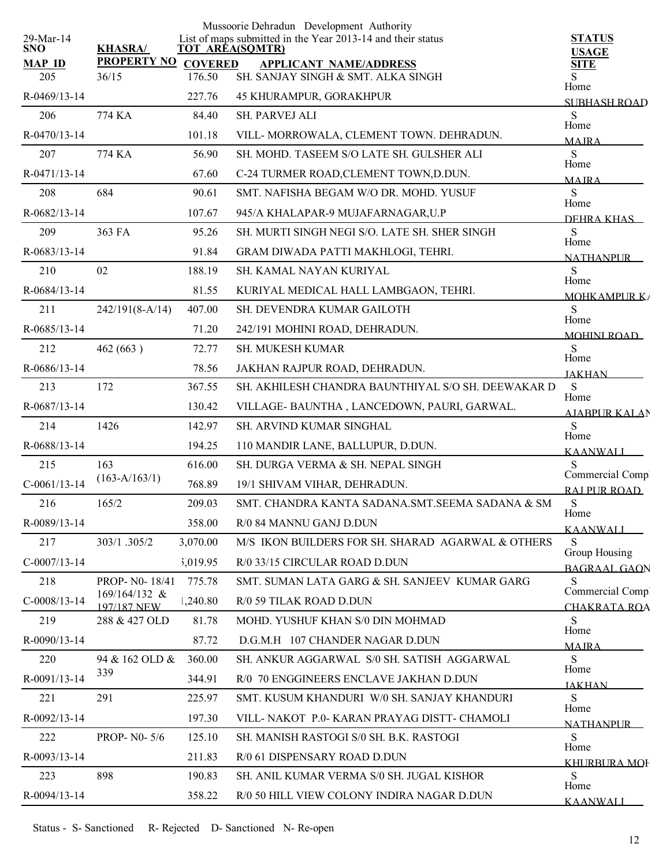|                         |                                |                | Mussoorie Dehradun Development Authority                                              |                                      |
|-------------------------|--------------------------------|----------------|---------------------------------------------------------------------------------------|--------------------------------------|
| 29-Mar-14<br><b>SNO</b> | <b>KHASRA/</b>                 |                | List of maps submitted in the Year 2013-14 and their status<br><b>TOT AREA(SQMTR)</b> | <b>STATUS</b><br><b>USAGE</b>        |
| <b>MAP ID</b>           | <b>PROPERTY NO</b>             | <b>COVERED</b> | <b>APPLICANT NAME/ADDRESS</b>                                                         | <b>SITE</b>                          |
| 205                     | 36/15                          | 176.50         | SH. SANJAY SINGH & SMT. ALKA SINGH                                                    | S<br>Home                            |
| R-0469/13-14            |                                | 227.76         | <b>45 KHURAMPUR, GORAKHPUR</b>                                                        | <b>SUBHASH ROAD</b>                  |
| 206                     | 774 KA                         | 84.40          | <b>SH. PARVEJ ALI</b>                                                                 | S<br>Home                            |
| R-0470/13-14            |                                | 101.18         | VILL-MORROWALA, CLEMENT TOWN. DEHRADUN.                                               | <b>MAIRA</b>                         |
| 207                     | 774 KA                         | 56.90          | SH. MOHD. TASEEM S/O LATE SH. GULSHER ALI                                             | S<br>Home                            |
| R-0471/13-14            |                                | 67.60          | C-24 TURMER ROAD, CLEMENT TOWN, D.DUN.                                                | <b>MAIRA</b>                         |
| 208                     | 684                            | 90.61          | SMT. NAFISHA BEGAM W/O DR. MOHD. YUSUF                                                | S<br>Home                            |
| R-0682/13-14            |                                | 107.67         | 945/A KHALAPAR-9 MUJAFARNAGAR, U.P                                                    | DEHRA KHAS                           |
| 209                     | 363 FA                         | 95.26          | SH. MURTI SINGH NEGI S/O. LATE SH. SHER SINGH                                         | S<br>Home                            |
| R-0683/13-14            |                                | 91.84          | GRAM DIWADA PATTI MAKHLOGI, TEHRI.                                                    | <b>NATHANPUR</b>                     |
| 210                     | 02                             | 188.19         | SH. KAMAL NAYAN KURIYAL                                                               | S                                    |
| R-0684/13-14            |                                | 81.55          | KURIYAL MEDICAL HALL LAMBGAON, TEHRI.                                                 | Home<br><b>MOHKAMPURK/</b>           |
| 211                     | $242/191(8-A/14)$              | 407.00         | SH. DEVENDRA KUMAR GAILOTH                                                            | S                                    |
| R-0685/13-14            |                                | 71.20          | 242/191 MOHINI ROAD, DEHRADUN.                                                        | Home<br><b>MOHINI ROAD</b>           |
| 212                     | 462 (663)                      | 72.77          | SH. MUKESH KUMAR                                                                      | S                                    |
| R-0686/13-14            |                                | 78.56          | JAKHAN RAJPUR ROAD, DEHRADUN.                                                         | Home<br><b>JAKHAN</b>                |
| 213                     | 172                            | 367.55         | SH. AKHILESH CHANDRA BAUNTHIYAL S/O SH. DEEWAKAR D                                    | S                                    |
| R-0687/13-14            |                                | 130.42         | VILLAGE- BAUNTHA, LANCEDOWN, PAURI, GARWAL.                                           | Home<br><b>AJABPUR KALAN</b>         |
| 214                     | 1426                           | 142.97         | SH. ARVIND KUMAR SINGHAL                                                              | S                                    |
| R-0688/13-14            |                                | 194.25         | 110 MANDIR LANE, BALLUPUR, D.DUN.                                                     | Home<br><b>KAANWALL</b>              |
| 215                     | 163                            | 616.00         | SH. DURGA VERMA & SH. NEPAL SINGH                                                     | S                                    |
| $C-0061/13-14$          | $(163-A/163/1)$                | 768.89         | 19/1 SHIVAM VIHAR, DEHRADUN.                                                          | Commercial Comp.<br>RAI PUR ROAD     |
| 216                     | 165/2                          | 209.03         | SMT. CHANDRA KANTA SADANA.SMT. SEEMA SADANA & SM                                      | S                                    |
| R-0089/13-14            |                                | 358.00         | R/0 84 MANNU GANJ D.DUN                                                               | Home<br>KAANWALI                     |
| 217                     | 303/1.305/2                    | 3,070.00       | M/S IKON BUILDERS FOR SH. SHARAD AGARWAL & OTHERS                                     | S                                    |
| $C-0007/13-14$          |                                | 5,019.95       | R/0 33/15 CIRCULAR ROAD D.DUN                                                         | Group Housing<br><b>BAGRAAL GAON</b> |
| 218                     | PROP- N0-18/41                 | 775.78         | SMT. SUMAN LATA GARG & SH. SANJEEV KUMAR GARG                                         | S                                    |
| $C-0008/13-14$          | $169/164/132$ &<br>197/187 NEW | 1,240.80       | R/0 59 TILAK ROAD D.DUN                                                               | Commercial Comp.<br>CHAKRATA ROA     |
| 219                     | 288 & 427 OLD                  | 81.78          | MOHD. YUSHUF KHAN S/0 DIN MOHMAD                                                      | S                                    |
| R-0090/13-14            |                                | 87.72          | D.G.M.H 107 CHANDER NAGAR D.DUN                                                       | Home<br><b>MAIRA</b>                 |
| 220                     | 94 & 162 OLD &                 | 360.00         | SH. ANKUR AGGARWAL S/0 SH. SATISH AGGARWAL                                            | S                                    |
| R-0091/13-14            | 339                            | 344.91         | R/0 70 ENGGINEERS ENCLAVE JAKHAN D.DUN                                                | Home<br><b>JAKHAN</b>                |
| 221                     | 291                            | 225.97         | SMT. KUSUM KHANDURI W/0 SH. SANJAY KHANDURI                                           | S                                    |
| R-0092/13-14            |                                | 197.30         | VILL-NAKOT P.0-KARAN PRAYAG DISTT- CHAMOLI                                            | Home                                 |
| 222                     | PROP- N0-5/6                   | 125.10         | SH. MANISH RASTOGI S/0 SH. B.K. RASTOGI                                               | NATHANPUR –<br>S                     |
| R-0093/13-14            |                                | 211.83         | R/0 61 DISPENSARY ROAD D.DUN                                                          | Home                                 |
| 223                     | 898                            | 190.83         | SH. ANIL KUMAR VERMA S/0 SH. JUGAL KISHOR                                             | KHURBURA MOE<br>S                    |
| R-0094/13-14            |                                | 358.22         | R/0 50 HILL VIEW COLONY INDIRA NAGAR D.DUN                                            | Home                                 |
|                         |                                |                |                                                                                       | <b>KAANWALI</b>                      |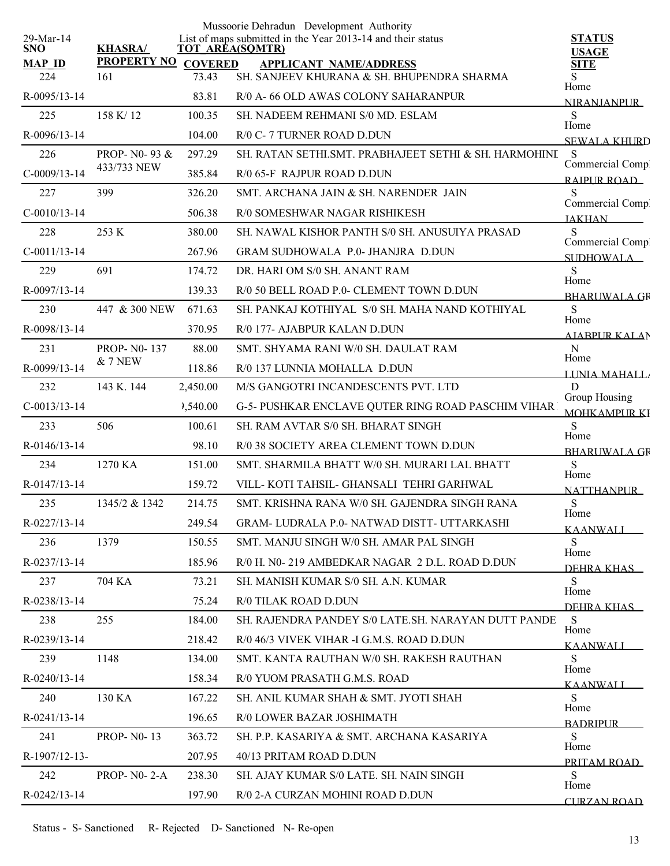| 29-Mar-14            |                           |                         | Mussoorie Dehradun Development Authority<br>List of maps submitted in the Year 2013-14 and their status | <b>STATUS</b>                       |
|----------------------|---------------------------|-------------------------|---------------------------------------------------------------------------------------------------------|-------------------------------------|
| SNO.                 | <b>KHASRA/</b>            |                         | <b>TOT AREA(SQMTR)</b>                                                                                  | <b>USAGE</b>                        |
| <b>MAP ID</b><br>224 | <b>PROPERTY NO</b><br>161 | <b>COVERED</b><br>73.43 | <b>APPLICANT NAME/ADDRESS</b><br>SH. SANJEEV KHURANA & SH. BHUPENDRA SHARMA                             | <b>SITE</b><br>S                    |
| R-0095/13-14         |                           | 83.81                   | R/0 A-66 OLD AWAS COLONY SAHARANPUR                                                                     | Home                                |
| 225                  | 158 K/12                  | 100.35                  | SH. NADEEM REHMANI S/0 MD. ESLAM                                                                        | <b>NIRANIANPUR</b><br>S             |
| R-0096/13-14         |                           | 104.00                  | R/0 C-7 TURNER ROAD D.DUN                                                                               | Home                                |
| 226                  | PROP- N0-93 &             | 297.29                  | SH. RATAN SETHI SMT. PRABHAJEET SETHI & SH. HARMOHINI                                                   | <b>SEWALA KHURD</b><br><sub>S</sub> |
| $C-0009/13-14$       | 433/733 NEW               | 385.84                  | R/0 65-F RAJPUR ROAD D.DUN                                                                              | Commercial Comp.                    |
| 227                  | 399                       | 326.20                  | SMT. ARCHANA JAIN & SH. NARENDER JAIN                                                                   | RAIPUR ROAD<br>S                    |
| $C-0010/13-14$       |                           | 506.38                  | R/0 SOMESHWAR NAGAR RISHIKESH                                                                           | Commercial Comp.                    |
| 228                  | 253 K                     | 380.00                  | SH. NAWAL KISHOR PANTH S/0 SH. ANUSUIYA PRASAD                                                          | <b>JAKHAN</b><br>S                  |
| $C-0011/13-14$       |                           | 267.96                  | <b>GRAM SUDHOWALA P.0- JHANJRA D.DUN</b>                                                                | Commercial Comp.                    |
| 229                  | 691                       | 174.72                  | DR. HARI OM S/0 SH. ANANT RAM                                                                           | SUDHOWALA_<br>S                     |
| R-0097/13-14         |                           | 139.33                  | R/0 50 BELL ROAD P.0- CLEMENT TOWN D.DUN                                                                | Home<br><b>BHARUWALA GR</b>         |
| 230                  | 447 & 300 NEW             | 671.63                  | SH. PANKAJ KOTHIYAL S/0 SH. MAHA NAND KOTHIYAL                                                          | ${\bf S}$                           |
| R-0098/13-14         |                           | 370.95                  | R/0 177- AJABPUR KALAN D.DUN                                                                            | Home<br><b>AIABPUR KALAN</b>        |
| 231                  | <b>PROP-N0-137</b>        | 88.00                   | SMT. SHYAMA RANI W/0 SH. DAULAT RAM                                                                     | N                                   |
| R-0099/13-14         | <b>&amp; 7 NEW</b>        | 118.86                  | R/0 137 LUNNIA MOHALLA D.DUN                                                                            | Home<br>LINIA MAHALL                |
| 232                  | 143 K. 144                | 2,450.00                | M/S GANGOTRI INCANDESCENTS PVT. LTD                                                                     | D                                   |
| $C-0013/13-14$       |                           | 2,540.00                | G-5- PUSHKAR ENCLAVE QUTER RING ROAD PASCHIM VIHAR                                                      | Group Housing<br><b>MOHKAMPURKI</b> |
| 233                  | 506                       | 100.61                  | SH. RAM AVTAR S/0 SH. BHARAT SINGH                                                                      | S                                   |
| $R - 0146/13 - 14$   |                           | 98.10                   | R/0 38 SOCIETY AREA CLEMENT TOWN D.DUN                                                                  | Home<br><b>BHARUWALA GR</b>         |
| 234                  | 1270 KA                   | 151.00                  | SMT. SHARMILA BHATT W/0 SH. MURARI LAL BHATT                                                            | S                                   |
| R-0147/13-14         |                           | 159.72                  | VILL-KOTI TAHSIL- GHANSALI TEHRI GARHWAL                                                                | Home<br><b>NATTHANPUR</b>           |
| 235                  | 1345/2 & 1342             | 214.75                  | SMT. KRISHNA RANA W/0 SH. GAJENDRA SINGH RANA                                                           | ${\bf S}$                           |
| R-0227/13-14         |                           | 249.54                  | GRAM-LUDRALA P.0- NATWAD DISTT- UTTARKASHI                                                              | Home<br><b>KAANWALL</b>             |
| 236                  | 1379                      | 150.55                  | SMT. MANJU SINGH W/0 SH. AMAR PAL SINGH                                                                 | S                                   |
| R-0237/13-14         |                           | 185.96                  | R/0 H. N0-219 AMBEDKAR NAGAR 2 D.L. ROAD D.DUN                                                          | Home<br><b>DEHRA KHAS</b>           |
| 237                  | 704 KA                    | 73.21                   | SH. MANISH KUMAR S/0 SH. A.N. KUMAR                                                                     | S                                   |
| R-0238/13-14         |                           | 75.24                   | R/0 TILAK ROAD D.DUN                                                                                    | Home<br>DEHRA KHAS                  |
| 238                  | 255                       | 184.00                  | SH. RAJENDRA PANDEY S/0 LATE.SH. NARAYAN DUTT PANDE                                                     | S                                   |
| R-0239/13-14         |                           | 218.42                  | R/0 46/3 VIVEK VIHAR -I G.M.S. ROAD D.DUN                                                               | Home<br><b>KAANWALI</b>             |
| 239                  | 1148                      | 134.00                  | SMT. KANTA RAUTHAN W/0 SH. RAKESH RAUTHAN                                                               | S                                   |
| $R - 0240/13 - 14$   |                           | 158.34                  | R/0 YUOM PRASATH G.M.S. ROAD                                                                            | Home<br><b>KAANWALI</b>             |
| 240                  | 130 KA                    | 167.22                  | SH. ANIL KUMAR SHAH & SMT. JYOTI SHAH                                                                   | S                                   |
| $R - 0241/13 - 14$   |                           | 196.65                  | R/0 LOWER BAZAR JOSHIMATH                                                                               | Home<br><b>BADRIPLIR</b>            |
| 241                  | <b>PROP-N0-13</b>         | 363.72                  | SH. P.P. KASARIYA & SMT. ARCHANA KASARIYA                                                               | S                                   |
| R-1907/12-13-        |                           | 207.95                  | 40/13 PRITAM ROAD D.DUN                                                                                 | Home<br>PRITAM ROAD                 |
| 242                  | PROP- $N0-2-A$            | 238.30                  | SH. AJAY KUMAR S/0 LATE. SH. NAIN SINGH                                                                 | S                                   |
| $R - 0242/13 - 14$   |                           | 197.90                  | R/0 2-A CURZAN MOHINI ROAD D.DUN                                                                        | Home<br><b>CURZAN ROAD</b>          |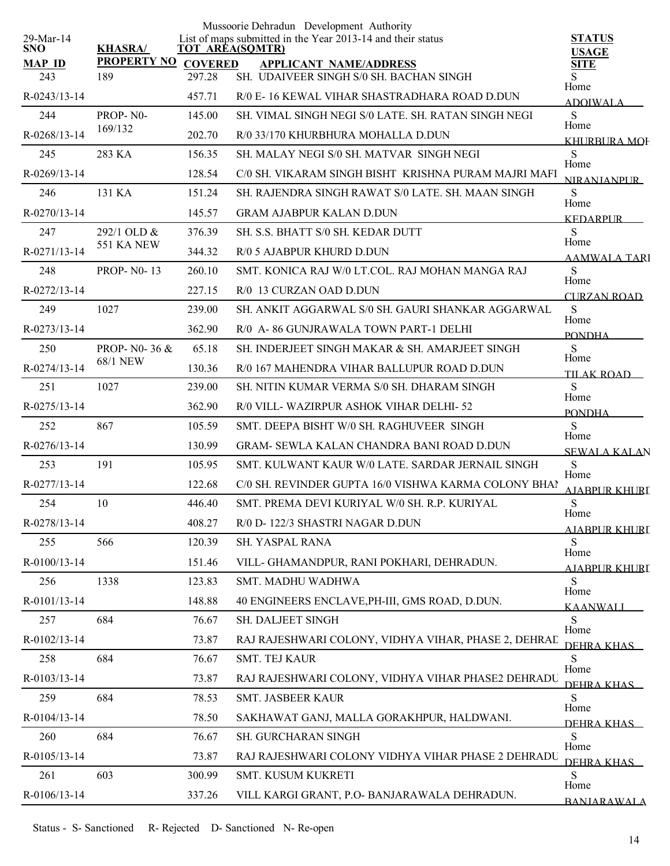| 29-Mar-14            |                           |                          | Mussoorie Dehradun Development Authority<br>List of maps submitted in the Year 2013-14 and their status | <b>STATUS</b>               |
|----------------------|---------------------------|--------------------------|---------------------------------------------------------------------------------------------------------|-----------------------------|
| <b>SNO</b>           | <b>KHASRA/</b>            |                          | TOT AREA(SQMTR)                                                                                         | <b>USAGE</b>                |
| <b>MAP ID</b><br>243 | <b>PROPERTY NO</b><br>189 | <b>COVERED</b><br>297.28 | <b>APPLICANT NAME/ADDRESS</b><br>SH. UDAIVEER SINGH S/0 SH. BACHAN SINGH                                | <b>SITE</b><br>Home         |
| $R - 0243/13 - 14$   |                           | 457.71                   | R/0 E-16 KEWAL VIHAR SHASTRADHARA ROAD D.DUN                                                            | <b>ADOIWALA</b>             |
| 244                  | PROP-N0-                  | 145.00                   | SH. VIMAL SINGH NEGI S/0 LATE. SH. RATAN SINGH NEGI                                                     | S                           |
| R-0268/13-14         | 169/132                   | 202.70                   | R/0 33/170 KHURBHURA MOHALLA D.DUN                                                                      | Home<br><b>KHURBURA MOF</b> |
| 245                  | 283 KA                    | 156.35                   | SH, MALAY NEGI S/0 SH, MATVAR, SINGH NEGI                                                               | S                           |
| R-0269/13-14         |                           | 128.54                   | C/0 SH. VIKARAM SINGH BISHT KRISHNA PURAM MAJRI MAFI                                                    | Home<br><b>NIRANIANPUR</b>  |
| 246                  | 131 KA                    | 151.24                   | SH. RAJENDRA SINGH RAWAT S/0 LATE. SH. MAAN SINGH                                                       | S<br>Home                   |
| R-0270/13-14         |                           | 145.57                   | <b>GRAM AJABPUR KALAN D.DUN</b>                                                                         | <b>KEDARPUR</b>             |
| 247                  | 292/1 OLD &               | 376.39                   | SH. S.S. BHATT S/0 SH. KEDAR DUTT                                                                       | S                           |
| R-0271/13-14         | <b>551 KA NEW</b>         | 344.32                   | R/0 5 AJABPUR KHURD D.DUN                                                                               | Home<br><b>AAMWALA TARI</b> |
| 248                  | <b>PROP-N0-13</b>         | 260.10                   | SMT. KONICA RAJ W/0 LT.COL. RAJ MOHAN MANGA RAJ                                                         | S                           |
| R-0272/13-14         |                           | 227.15                   | R/0 13 CURZAN OAD D.DUN                                                                                 | Home<br><b>CURZAN ROAD</b>  |
| 249                  | 1027                      | 239.00                   | SH. ANKIT AGGARWAL S/0 SH. GAURI SHANKAR AGGARWAL                                                       | S                           |
| R-0273/13-14         |                           | 362.90                   | R/0 A-86 GUNJRAWALA TOWN PART-1 DELHI                                                                   | Home<br><b>PONDHA</b>       |
| 250                  | PROP- N0-36 &             | 65.18                    | SH. INDERJEET SINGH MAKAR & SH. AMARJEET SINGH                                                          | S                           |
| R-0274/13-14         | <b>68/1 NEW</b>           | 130.36                   | R/0 167 MAHENDRA VIHAR BALLUPUR ROAD D.DUN                                                              | Home<br>TILAK ROAD          |
| 251                  | 1027                      | 239.00                   | SH. NITIN KUMAR VERMA S/0 SH. DHARAM SINGH                                                              | S                           |
| R-0275/13-14         |                           | 362.90                   | R/0 VILL-WAZIRPUR ASHOK VIHAR DELHI-52                                                                  | Home<br><b>PONDHA</b>       |
| 252                  | 867                       | 105.59                   | SMT. DEEPA BISHT W/0 SH. RAGHUVEER SINGH                                                                | S                           |
| R-0276/13-14         |                           | 130.99                   | <b>GRAM- SEWLA KALAN CHANDRA BANI ROAD D.DUN</b>                                                        | Home<br><b>SEWALA KALAN</b> |
| 253                  | 191                       | 105.95                   | SMT. KULWANT KAUR W/0 LATE. SARDAR JERNAIL SINGH                                                        | ${\bf S}$                   |
| R-0277/13-14         |                           | 122.68                   | C/0 SH. REVINDER GUPTA 16/0 VISHWA KARMA COLONY BHAI                                                    | Home<br>AJABPUR KHURI       |
| 254                  | 10                        | 446.40                   | SMT. PREMA DEVI KURIYAL W/0 SH. R.P. KURIYAL                                                            | ${\bf S}$                   |
| R-0278/13-14         |                           | 408.27                   | R/0 D-122/3 SHASTRI NAGAR D.DUN                                                                         | Home<br>AJABPUR KHURI       |
| 255                  | 566                       | 120.39                   | SH. YASPAL RANA                                                                                         | S                           |
| R-0100/13-14         |                           | 151.46                   | VILL- GHAMANDPUR, RANI POKHARI, DEHRADUN.                                                               | Home<br>AJABPUR KHURI       |
| 256                  | 1338                      | 123.83                   | SMT. MADHU WADHWA                                                                                       | S                           |
| R-0101/13-14         |                           | 148.88                   | 40 ENGINEERS ENCLAVE, PH-III, GMS ROAD, D.DUN.                                                          | Home<br><b>KAANWALL</b>     |
| 257                  | 684                       | 76.67                    | SH. DALJEET SINGH                                                                                       | S                           |
| R-0102/13-14         |                           | 73.87                    | RAJ RAJESHWARI COLONY, VIDHYA VIHAR, PHASE 2, DEHRAL                                                    | Home<br>DEHRA KHAS          |
| 258                  | 684                       | 76.67                    | SMT. TEJ KAUR                                                                                           | S                           |
| R-0103/13-14         |                           | 73.87                    | RAJ RAJESHWARI COLONY, VIDHYA VIHAR PHASE2 DEHRADU                                                      | Home<br>DEHRA KHAS          |
| 259                  | 684                       | 78.53                    | SMT. JASBEER KAUR                                                                                       | S                           |
| R-0104/13-14         |                           | 78.50                    | SAKHAWAT GANJ, MALLA GORAKHPUR, HALDWANI.                                                               | Home<br>DEHRA KHAS          |
| 260                  | 684                       | 76.67                    | SH. GURCHARAN SINGH                                                                                     | S                           |
| R-0105/13-14         |                           | 73.87                    | RAJ RAJESHWARI COLONY VIDHYA VIHAR PHASE 2 DEHRADU                                                      | Home<br>DEHRA KHAS          |
| 261                  | 603                       | 300.99                   | SMT. KUSUM KUKRETI                                                                                      | S                           |
| R-0106/13-14         |                           | 337.26                   | VILL KARGI GRANT, P.O- BANJARAWALA DEHRADUN.                                                            | Home<br><b>BANJARAWALA</b>  |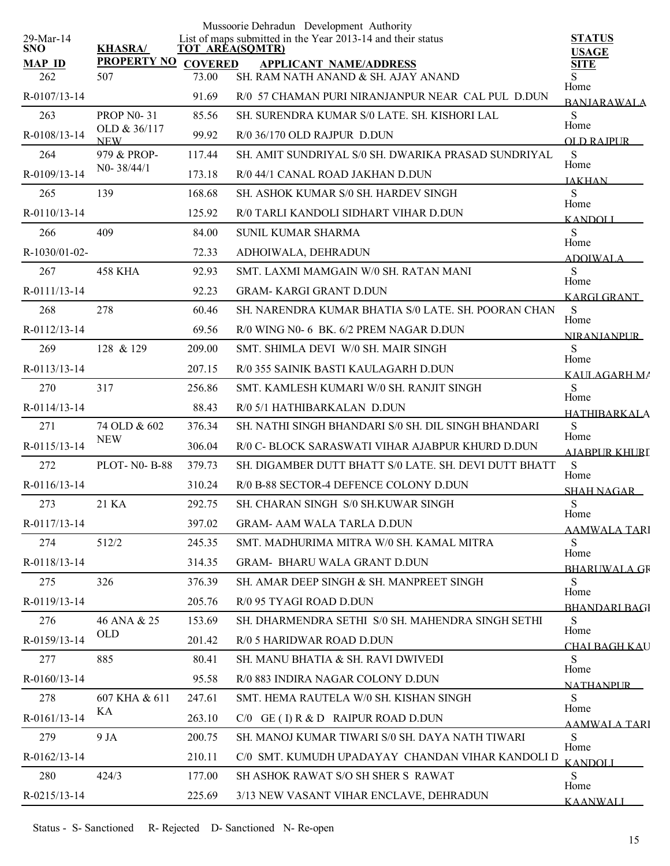| 29-Mar-14            |                                   |                         | Mussoorie Dehradun Development Authority<br>List of maps submitted in the Year 2013-14 and their status | <b>STATUS</b>                |
|----------------------|-----------------------------------|-------------------------|---------------------------------------------------------------------------------------------------------|------------------------------|
| <b>SNO</b>           | <b>KHASRA/</b>                    |                         | <b>TOT AREA(SQMTR)</b>                                                                                  | USAGE                        |
| <b>MAP ID</b><br>262 | <b>PROPERTY NO</b><br>507         | <b>COVERED</b><br>73.00 | <b>APPLICANT NAME/ADDRESS</b><br>SH. RAM NATH ANAND & SH. AJAY ANAND                                    | <b>SITE</b><br>S.            |
|                      |                                   |                         |                                                                                                         | Home                         |
| R-0107/13-14         |                                   | 91.69                   | R/0 57 CHAMAN PURI NIRANJANPUR NEAR CAL PUL D.DUN                                                       | <b>BANJARAWALA</b>           |
| 263                  | <b>PROP N0-31</b><br>OLD & 36/117 | 85.56                   | SH. SURENDRA KUMAR S/0 LATE. SH. KISHORI LAL                                                            | S<br>Home                    |
| R-0108/13-14         | <b>NEW</b>                        | 99.92                   | R/0 36/170 OLD RAJPUR D.DUN                                                                             | <b>OLD RAIPUR</b>            |
| 264                  | 979 & PROP-<br>N0-38/44/1         | 117.44                  | SH. AMIT SUNDRIYAL S/0 SH. DWARIKA PRASAD SUNDRIYAL                                                     | S<br>Home                    |
| R-0109/13-14         |                                   | 173.18                  | R/0 44/1 CANAL ROAD JAKHAN D.DUN                                                                        | <b>JAKHAN</b>                |
| 265                  | 139                               | 168.68                  | SH. ASHOK KUMAR S/0 SH. HARDEV SINGH                                                                    | S<br>Home                    |
| R-0110/13-14         |                                   | 125.92                  | R/0 TARLI KANDOLI SIDHART VIHAR D.DUN                                                                   | <b>KANDOLI</b>               |
| 266                  | 409                               | 84.00                   | <b>SUNIL KUMAR SHARMA</b>                                                                               | S<br>Home                    |
| R-1030/01-02-        |                                   | 72.33                   | ADHOIWALA, DEHRADUN                                                                                     | <b>ADOIWALA</b>              |
| 267                  | <b>458 KHA</b>                    | 92.93                   | SMT. LAXMI MAMGAIN W/0 SH. RATAN MANI                                                                   | S<br>Home                    |
| R-0111/13-14         |                                   | 92.23                   | <b>GRAM- KARGI GRANT D.DUN</b>                                                                          | <b>KARGI GRANT</b>           |
| 268                  | 278                               | 60.46                   | SH. NARENDRA KUMAR BHATIA S/0 LATE, SH. POORAN CHAN                                                     | S<br>Home                    |
| R-0112/13-14         |                                   | 69.56                   | R/0 WING N0- 6 BK, 6/2 PREM NAGAR D.DUN                                                                 | <b>NIRANJANPUR</b>           |
| 269                  | 128 & 129                         | 209.00                  | SMT. SHIMLA DEVI W/0 SH. MAIR SINGH                                                                     | S                            |
| $R - 0113/13 - 14$   |                                   | 207.15                  | R/0 355 SAINIK BASTI KAULAGARH D.DUN                                                                    | Home<br>KAULAGARH MA         |
| 270                  | 317                               | 256.86                  | SMT. KAMLESH KUMARI W/0 SH. RANJIT SINGH                                                                | S                            |
| R-0114/13-14         |                                   | 88.43                   | R/0 5/1 HATHIBARKALAN D.DUN                                                                             | Home<br><b>HATHIRARKALA</b>  |
| 271                  | 74 OLD & 602                      | 376.34                  | SH. NATHI SINGH BHANDARI S/0 SH. DIL SINGH BHANDARI                                                     | S                            |
| R-0115/13-14         | <b>NEW</b>                        | 306.04                  | R/0 C- BLOCK SARASWATI VIHAR AJABPUR KHURD D.DUN                                                        | Home<br><b>AJABPUR KHURL</b> |
| 272                  | <b>PLOT-N0-B-88</b>               | 379.73                  | SH. DIGAMBER DUTT BHATT S/0 LATE. SH. DEVI DUTT BHATT                                                   | S                            |
| $R-0116/13-14$       |                                   | 310.24                  | R/0 B-88 SECTOR-4 DEFENCE COLONY D.DUN                                                                  | Home<br><b>SHAH NAGAR</b>    |
| 273                  | 21 KA                             | 292.75                  | SH. CHARAN SINGH S/0 SH.KUWAR SINGH                                                                     | S                            |
| R-0117/13-14         |                                   | 397.02                  | <b>GRAM- AAM WALA TARLA D.DUN</b>                                                                       | Home<br><b>AAMWALA TARI</b>  |
| 274                  | 512/2                             | 245.35                  | SMT. MADHURIMA MITRA W/0 SH. KAMAL MITRA                                                                | S                            |
| R-0118/13-14         |                                   | 314.35                  | <b>GRAM- BHARU WALA GRANT D.DUN</b>                                                                     | Home                         |
| 275                  | 326                               | 376.39                  | SH. AMAR DEEP SINGH & SH. MANPREET SINGH                                                                | <b>BHARUWALA GR</b><br>S     |
| R-0119/13-14         |                                   | 205.76                  | R/0 95 TYAGI ROAD D.DUN                                                                                 | Home                         |
| 276                  | 46 ANA & 25                       | 153.69                  | SH. DHARMENDRA SETHI S/0 SH. MAHENDRA SINGH SETHI                                                       | <b>BHANDARI BAGI</b><br>S    |
| R-0159/13-14         | OLD                               | 201.42                  | R/0 5 HARIDWAR ROAD D.DUN                                                                               | Home                         |
| 277                  | 885                               | 80.41                   | SH. MANU BHATIA & SH. RAVI DWIVEDI                                                                      | <b>CHAI BAGH KAU</b><br>S    |
| R-0160/13-14         |                                   | 95.58                   | R/0 883 INDIRA NAGAR COLONY D.DUN                                                                       | Home                         |
| 278                  | 607 KHA & 611                     | 247.61                  | SMT. HEMA RAUTELA W/0 SH. KISHAN SINGH                                                                  | <b>NATHANPUR</b><br>S        |
| R-0161/13-14         | KА                                | 263.10                  | $C/0$ GE (I) R & D RAIPUR ROAD D.DUN                                                                    | Home                         |
| 279                  | 9 JA                              | 200.75                  | SH. MANOJ KUMAR TIWARI S/0 SH. DAYA NATH TIWARI                                                         | AAMWALA TARI<br>S            |
| R-0162/13-14         |                                   | 210.11                  | C/0 SMT. KUMUDH UPADAYAY CHANDAN VIHAR KANDOLI D                                                        | Home                         |
| 280                  | 424/3                             | 177.00                  | SH ASHOK RAWAT S/O SH SHER S RAWAT                                                                      | <b>KANDOLI</b><br>S.         |
| R-0215/13-14         |                                   | 225.69                  | 3/13 NEW VASANT VIHAR ENCLAVE, DEHRADUN                                                                 | Home                         |
|                      |                                   |                         |                                                                                                         | <b>KAANWALI</b>              |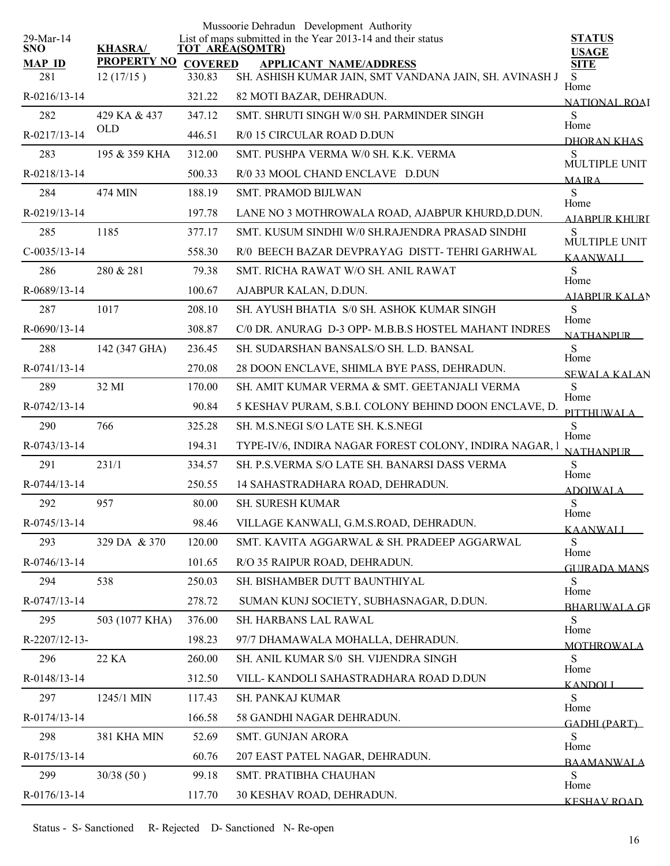| 29-Mar-14            |                                 |                          | Mussoorie Dehradun Development Authority<br>List of maps submitted in the Year 2013-14 and their status | <b>STATUS</b>                |
|----------------------|---------------------------------|--------------------------|---------------------------------------------------------------------------------------------------------|------------------------------|
| <b>SNO</b>           | <b>KHASRA/</b>                  | <b>TOT AREA(SQMTR)</b>   |                                                                                                         | <b>USAGE</b>                 |
| <b>MAP ID</b><br>281 | <b>PROPERTY NO</b><br>12(17/15) | <b>COVERED</b><br>330.83 | <b>APPLICANT NAME/ADDRESS</b><br>SH. ASHISH KUMAR JAIN, SMT VANDANA JAIN, SH. AVINASH J                 | <b>SITE</b><br>S             |
| R-0216/13-14         |                                 | 321.22                   | 82 MOTI BAZAR, DEHRADUN.                                                                                | Home                         |
| 282                  | 429 KA & 437                    | 347.12                   | SMT. SHRUTI SINGH W/0 SH. PARMINDER SINGH                                                               | <b>NATIONAL ROAI</b><br>S    |
| R-0217/13-14         | <b>OLD</b>                      | 446.51                   | R/0 15 CIRCULAR ROAD D.DUN                                                                              | Home                         |
| 283                  | 195 & 359 KHA                   | 312.00                   | SMT. PUSHPA VERMA W/0 SH. K.K. VERMA                                                                    | DHORAN KHAS<br>S             |
| R-0218/13-14         |                                 | 500.33                   | R/0 33 MOOL CHAND ENCLAVE D.DUN                                                                         | MULTIPLE UNIT                |
| 284                  | 474 MIN                         | 188.19                   | <b>SMT. PRAMOD BIJLWAN</b>                                                                              | <b>MAIRA</b><br>S            |
| R-0219/13-14         |                                 | 197.78                   | LANE NO 3 MOTHROWALA ROAD, AJABPUR KHURD, D.DUN.                                                        | Home                         |
| 285                  | 1185                            | 377.17                   | SMT. KUSUM SINDHI W/0 SH.RAJENDRA PRASAD SINDHI                                                         | AIABPUR KHURT<br>S           |
| $C-0035/13-14$       |                                 | 558.30                   | R/0 BEECH BAZAR DEVPRAYAG DISTT-TEHRI GARHWAL                                                           | MULTIPLE UNIT                |
| 286                  | 280 & 281                       | 79.38                    | SMT. RICHA RAWAT W/O SH. ANIL RAWAT                                                                     | <b>KAANWALI</b><br>S         |
| R-0689/13-14         |                                 | 100.67                   | AJABPUR KALAN, D.DUN.                                                                                   | Home                         |
| 287                  | 1017                            | 208.10                   | SH. AYUSH BHATIA S/0 SH. ASHOK KUMAR SINGH                                                              | <b>AJABPUR KALAN</b><br>S    |
| R-0690/13-14         |                                 | 308.87                   | C/0 DR. ANURAG D-3 OPP- M.B.B.S HOSTEL MAHANT INDRES                                                    | Home                         |
| 288                  | 142 (347 GHA)                   | 236.45                   | SH. SUDARSHAN BANSALS/O SH. L.D. BANSAL                                                                 | <b>NATHANPUR</b><br>S        |
| R-0741/13-14         |                                 | 270.08                   | 28 DOON ENCLAVE, SHIMLA BYE PASS, DEHRADUN.                                                             | Home                         |
| 289                  | 32 MI                           | 170.00                   | SH. AMIT KUMAR VERMA & SMT. GEETANJALI VERMA                                                            | <b>SEWALA KALAN</b><br>S     |
| R-0742/13-14         |                                 | 90.84                    | 5 KESHAV PURAM, S.B.I. COLONY BEHIND DOON ENCLAVE, D.                                                   | Home                         |
| 290                  | 766                             | 325.28                   | SH. M.S.NEGI S/O LATE SH. K.S.NEGI                                                                      | PITTHUWALA<br>S              |
| R-0743/13-14         |                                 | 194.31                   | TYPE-IV/6, INDIRA NAGAR FOREST COLONY, INDIRA NAGAR, 1                                                  | Home                         |
| 291                  | 231/1                           | 334.57                   | SH. P.S.VERMA S/O LATE SH. BANARSI DASS VERMA                                                           | <b>NATHANPUR</b><br>S        |
| R-0744/13-14         |                                 | 250.55                   | 14 SAHASTRADHARA ROAD, DEHRADUN.                                                                        | Home                         |
| 292                  | 957                             | 80.00                    | <b>SH. SURESH KUMAR</b>                                                                                 | <b>ADOIWALA</b><br>${\bf S}$ |
| R-0745/13-14         |                                 | 98.46                    | VILLAGE KANWALI, G.M.S.ROAD, DEHRADUN.                                                                  | Home<br><b>KAANWALI</b>      |
| 293                  | 329 DA & 370                    | 120.00                   | SMT. KAVITA AGGARWAL & SH. PRADEEP AGGARWAL                                                             | S                            |
| R-0746/13-14         |                                 | 101.65                   | R/O 35 RAIPUR ROAD, DEHRADUN.                                                                           | Home<br><b>GUIRADA MANS</b>  |
| 294                  | 538                             | 250.03                   | SH. BISHAMBER DUTT BAUNTHIYAL                                                                           | S                            |
| R-0747/13-14         |                                 | 278.72                   | SUMAN KUNJ SOCIETY, SUBHASNAGAR, D.DUN.                                                                 | Home<br><b>BHARLIWALA GR</b> |
| 295                  | 503 (1077 KHA)                  | 376.00                   | SH. HARBANS LAL RAWAL                                                                                   | S                            |
| R-2207/12-13-        |                                 | 198.23                   | 97/7 DHAMAWALA MOHALLA, DEHRADUN.                                                                       | Home<br><b>MOTHROWALA</b>    |
| 296                  | 22 KA                           | 260.00                   | SH. ANIL KUMAR S/0 SH. VIJENDRA SINGH                                                                   | S                            |
| R-0148/13-14         |                                 | 312.50                   | VILL- KANDOLI SAHASTRADHARA ROAD D.DUN                                                                  | Home<br><b>KANDOLI</b>       |
| 297                  | 1245/1 MIN                      | 117.43                   | SH. PANKAJ KUMAR                                                                                        | S                            |
| R-0174/13-14         |                                 | 166.58                   | 58 GANDHI NAGAR DEHRADUN.                                                                               | Home<br><b>GADHI (PART)</b>  |
| 298                  | 381 KHA MIN                     | 52.69                    | <b>SMT. GUNJAN ARORA</b>                                                                                | S                            |
| R-0175/13-14         |                                 | 60.76                    | 207 EAST PATEL NAGAR, DEHRADUN.                                                                         | Home<br><b>BAAMANWALA</b>    |
| 299                  | 30/38(50)                       | 99.18                    | SMT. PRATIBHA CHAUHAN                                                                                   | S                            |
| R-0176/13-14         |                                 | 117.70                   | 30 KESHAV ROAD, DEHRADUN.                                                                               | Home<br><b>KESHAV ROAD</b>   |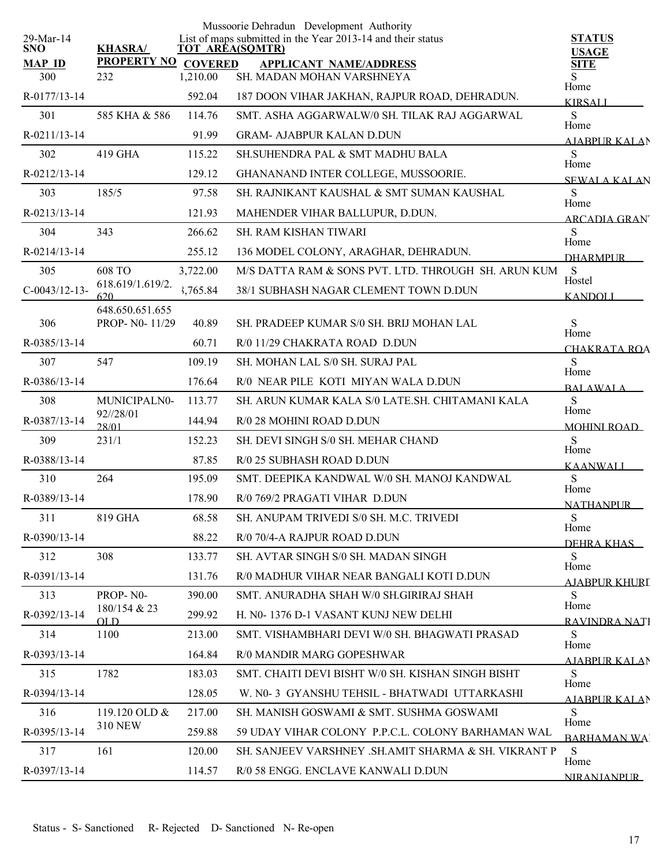|                         |                                          |          | Mussoorie Dehradun Development Authority                                              |                                    |
|-------------------------|------------------------------------------|----------|---------------------------------------------------------------------------------------|------------------------------------|
| 29-Mar-14<br><b>SNO</b> | <b>KHASRA/</b>                           |          | List of maps submitted in the Year 2013-14 and their status<br><b>TOT AREA(SQMTR)</b> | <b>STATUS</b><br><b>USAGE</b>      |
| <b>MAP ID</b>           | PROPERTY NO COVERED                      |          | <b>APPLICANT NAME/ADDRESS</b>                                                         | <b>SITE</b>                        |
| 300                     | 232                                      | 1,210.00 | SH. MADAN MOHAN VARSHNEYA                                                             | Home                               |
| R-0177/13-14            |                                          | 592.04   | 187 DOON VIHAR JAKHAN, RAJPUR ROAD, DEHRADUN.                                         | <b>KIRSALI</b>                     |
| 301                     | 585 KHA & 586                            | 114.76   | SMT. ASHA AGGARWALW/0 SH. TILAK RAJ AGGARWAL                                          | S<br>Home                          |
| R-0211/13-14            |                                          | 91.99    | <b>GRAM- AJABPUR KALAN D.DUN</b>                                                      | AIARPUR KALAN                      |
| 302                     | 419 GHA                                  | 115.22   | SH.SUHENDRA PAL & SMT MADHU BALA                                                      | S<br>Home                          |
| R-0212/13-14            |                                          | 129.12   | GHANANAND INTER COLLEGE, MUSSOORIE.                                                   | <b>SEWALA KALAN</b>                |
| 303                     | 185/5                                    | 97.58    | SH. RAJNIKANT KAUSHAL & SMT SUMAN KAUSHAL                                             | S<br>Home                          |
| R-0213/13-14            |                                          | 121.93   | MAHENDER VIHAR BALLUPUR, D.DUN.                                                       | <b>ARCADIA GRAN</b>                |
| 304                     | 343                                      | 266.62   | <b>SH. RAM KISHAN TIWARI</b>                                                          | S                                  |
| R-0214/13-14            |                                          | 255.12   | 136 MODEL COLONY, ARAGHAR, DEHRADUN.                                                  | Home<br><b>DHARMPLIR</b>           |
| 305                     | <b>608 TO</b>                            | 3,722.00 | M/S DATTA RAM & SONS PVT. LTD. THROUGH SH. ARUN KUM                                   | <sub>S</sub>                       |
| $C-0043/12-13-$         | 618.619/1.619/2.                         | 3,765.84 | 38/1 SUBHASH NAGAR CLEMENT TOWN D.DUN                                                 | Hostel<br><b>KANDOLI</b>           |
| 306                     | 620<br>648.650.651.655<br>PROP- N0-11/29 | 40.89    | SH. PRADEEP KUMAR S/0 SH. BRIJ MOHAN LAL                                              | S                                  |
| R-0385/13-14            |                                          |          | R/0 11/29 CHAKRATA ROAD D.DUN                                                         | Home                               |
|                         |                                          | 60.71    |                                                                                       | CHAKRATA ROA<br>S                  |
| 307                     | 547                                      | 109.19   | SH. MOHAN LAL S/0 SH. SURAJ PAL                                                       | Home                               |
| R-0386/13-14            |                                          | 176.64   | R/0 NEAR PILE KOTI MIYAN WALA D.DUN                                                   | <b>BALAWALA</b>                    |
| 308                     | MUNICIPALN0-<br>92//28/01                | 113.77   | SH. ARUN KUMAR KALA S/0 LATE.SH. CHITAMANI KALA                                       | S<br>Home                          |
| R-0387/13-14            | 28/01                                    | 144.94   | R/0 28 MOHINI ROAD D.DUN                                                              | <b>MOHINI ROAD</b>                 |
| 309                     | 231/1                                    | 152.23   | SH. DEVI SINGH S/0 SH. MEHAR CHAND                                                    | <sub>S</sub><br>Home               |
| R-0388/13-14            |                                          | 87.85    | R/0 25 SUBHASH ROAD D.DUN                                                             | <b>KAANWALI</b>                    |
| 310                     | 264                                      | 195.09   | SMT. DEEPIKA KANDWAL W/0 SH. MANOJ KANDWAL                                            | S<br>Home                          |
| R-0389/13-14            |                                          | 178.90   | R/0 769/2 PRAGATI VIHAR D.DUN                                                         | <b>NATHANPUR</b>                   |
| 311                     | 819 GHA                                  | 68.58    | SH. ANUPAM TRIVEDI S/0 SH. M.C. TRIVEDI                                               | S<br>Home                          |
| R-0390/13-14            |                                          | 88.22    | R/0 70/4-A RAJPUR ROAD D.DUN                                                          | DEHRA KHAS                         |
| 312                     | 308                                      | 133.77   | SH. AVTAR SINGH S/0 SH. MADAN SINGH                                                   | S                                  |
| R-0391/13-14            |                                          | 131.76   | R/0 MADHUR VIHAR NEAR BANGALI KOTI D.DUN                                              | Home<br>AJABPUR KHURI              |
| 313                     | PROP-N0-                                 | 390.00   | SMT. ANURADHA SHAH W/0 SH.GIRIRAJ SHAH                                                | S                                  |
| R-0392/13-14            | 180/154 & 23<br>OLD                      | 299.92   | H. N0-1376 D-1 VASANT KUNJ NEW DELHI                                                  | Home<br>RAVINDRA NATI              |
| 314                     | 1100                                     | 213.00   | SMT. VISHAMBHARI DEVI W/0 SH. BHAGWATI PRASAD                                         | S                                  |
| R-0393/13-14            |                                          | 164.84   | R/0 MANDIR MARG GOPESHWAR                                                             | Home<br><b>AJABPUR KALAN</b>       |
| 315                     | 1782                                     | 183.03   | SMT. CHAITI DEVI BISHT W/0 SH. KISHAN SINGH BISHT                                     | S                                  |
| R-0394/13-14            |                                          | 128.05   | W. N0-3 GYANSHU TEHSIL - BHATWADI UTTARKASHI                                          | Home                               |
| 316                     | 119.120 OLD $&$                          | 217.00   | SH. MANISH GOSWAMI & SMT. SUSHMA GOSWAMI                                              | <b>AJABPUR KALAN</b><br>S.         |
| R-0395/13-14            | <b>310 NEW</b>                           | 259.88   | 59 UDAY VIHAR COLONY P.P.C.L. COLONY BARHAMAN WAL                                     | Home                               |
| 317                     | 161                                      | 120.00   | SH. SANJEEV VARSHNEY .SH.AMIT SHARMA & SH. VIKRANT P                                  | <b>BARHAMAN WA</b><br><sub>S</sub> |
| R-0397/13-14            |                                          | 114.57   | R/0 58 ENGG. ENCLAVE KANWALI D.DUN                                                    | Home                               |
|                         |                                          |          |                                                                                       | <b>NIRANJANPLIR</b>                |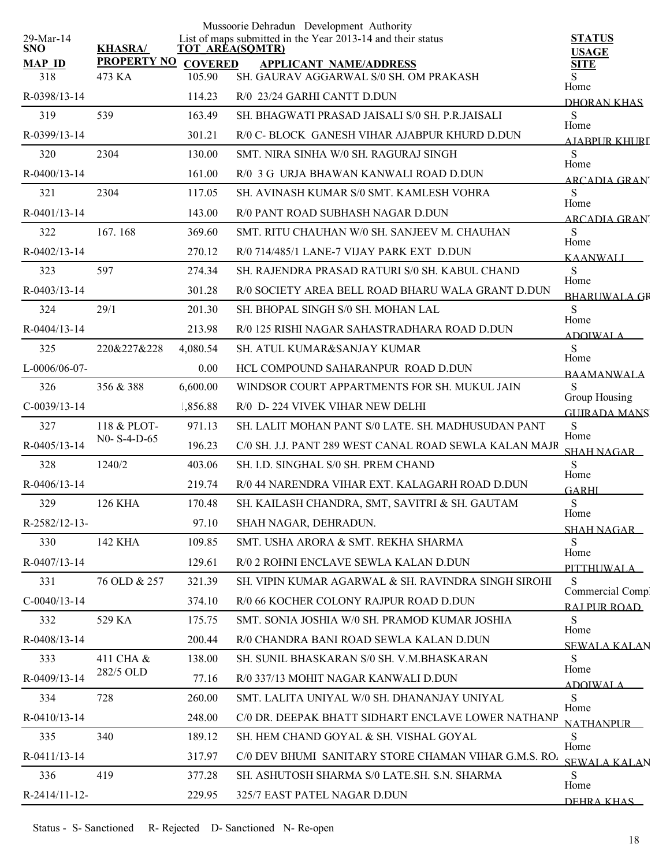| $29$ -Mar-14       |                       |                | Mussoorie Dehradun Development Authority<br>List of maps submitted in the Year 2013-14 and their status | <b>STATUS</b>                        |
|--------------------|-----------------------|----------------|---------------------------------------------------------------------------------------------------------|--------------------------------------|
| <b>SNO</b>         | <b>KHASRA/</b>        |                | <b>TOT AREA(SQMTR)</b>                                                                                  | <b>USAGE</b>                         |
| <b>MAP ID</b>      | <b>PROPERTY NO</b>    | <b>COVERED</b> | <b>APPLICANT NAME/ADDRESS</b>                                                                           | <b>SITE</b>                          |
| 318                | 473 KA                | 105.90         | SH. GAURAV AGGARWAL S/0 SH. OM PRAKASH                                                                  | S<br>Home                            |
| R-0398/13-14       |                       | 114.23         | R/0 23/24 GARHI CANTT D.DUN                                                                             | DHORAN KHAS                          |
| 319                | 539                   | 163.49         | SH. BHAGWATI PRASAD JAISALI S/0 SH. P.R.JAISALI                                                         | S<br>Home                            |
| R-0399/13-14       |                       | 301.21         | R/0 C- BLOCK GANESH VIHAR AJABPUR KHURD D.DUN                                                           | AIABPUR KHURT                        |
| 320                | 2304                  | 130.00         | SMT. NIRA SINHA W/0 SH. RAGURAJ SINGH                                                                   | S<br>Home                            |
| R-0400/13-14       |                       | 161.00         | R/0 3 G URJA BHAWAN KANWALI ROAD D.DUN                                                                  | <b>ARCADIA GRAN</b>                  |
| 321                | 2304                  | 117.05         | SH. AVINASH KUMAR S/0 SMT. KAMLESH VOHRA                                                                | S<br>Home                            |
| R-0401/13-14       |                       | 143.00         | R/0 PANT ROAD SUBHASH NAGAR D.DUN                                                                       | ARCADIA GRAN                         |
| 322                | 167.168               | 369.60         | SMT. RITU CHAUHAN W/0 SH. SANJEEV M. CHAUHAN                                                            | S<br>Home                            |
| R-0402/13-14       |                       | 270.12         | R/0 714/485/1 LANE-7 VIJAY PARK EXT D.DUN                                                               | <b>KAANWALL</b>                      |
| 323                | 597                   | 274.34         | SH. RAJENDRA PRASAD RATURI S/0 SH. KABUL CHAND                                                          | S<br>Home                            |
| R-0403/13-14       |                       | 301.28         | R/0 SOCIETY AREA BELL ROAD BHARU WALA GRANT D.DUN                                                       | <b>BHARUWALA GR</b>                  |
| 324                | 29/1                  | 201.30         | SH. BHOPAL SINGH S/0 SH. MOHAN LAL                                                                      | S<br>Home                            |
| R-0404/13-14       |                       | 213.98         | R/0 125 RISHI NAGAR SAHASTRADHARA ROAD D.DUN                                                            | <b>ADOIWALA</b>                      |
| 325                | 220&227&228           | 4,080.54       | SH. ATUL KUMAR&SANJAY KUMAR                                                                             | S                                    |
| L-0006/06-07-      |                       | 0.00           | HCL COMPOUND SAHARANPUR ROAD D.DUN                                                                      | Home<br><b>BAAMANWALA</b>            |
| 326                | 356 & 388             | 6,600.00       | WINDSOR COURT APPARTMENTS FOR SH. MUKUL JAIN                                                            | S                                    |
| $C-0039/13-14$     |                       | 1,856.88       | R/0 D-224 VIVEK VIHAR NEW DELHI                                                                         | Group Housing<br><b>GUIRADA MANS</b> |
| 327                | 118 & PLOT-           | 971.13         | SH. LALIT MOHAN PANT S/0 LATE. SH. MADHUSUDAN PANT                                                      | S                                    |
| $R - 0405/13 - 14$ | $N0 - S - 4 - D - 65$ | 196.23         | C/0 SH. J.J. PANT 289 WEST CANAL ROAD SEWLA KALAN MAJR                                                  | Home<br>SHAH NAGAR                   |
| 328                | 1240/2                | 403.06         | SH. I.D. SINGHAL S/0 SH. PREM CHAND                                                                     | S                                    |
| $R-0406/13-14$     |                       | 219.74         | R/0 44 NARENDRA VIHAR EXT. KALAGARH ROAD D.DUN                                                          | Home<br><b>GARHI</b>                 |
| 329                | <b>126 KHA</b>        | 170.48         | SH. KAILASH CHANDRA, SMT, SAVITRI & SH. GAUTAM                                                          | ${\bf S}$                            |
| R-2582/12-13-      |                       | 97.10          | SHAH NAGAR, DEHRADUN.                                                                                   | Home                                 |
| 330                | 142 KHA               | 109.85         | SMT. USHA ARORA & SMT. REKHA SHARMA                                                                     | <u>SHAH NAGAR – </u><br>S            |
| R-0407/13-14       |                       | 129.61         | R/0 2 ROHNI ENCLAVE SEWLA KALAN D.DUN                                                                   | Home                                 |
| 331                | 76 OLD & 257          | 321.39         | SH. VIPIN KUMAR AGARWAL & SH. RAVINDRA SINGH SIROHI                                                     | PITTHUWALA<br>S                      |
| $C-0040/13-14$     |                       | 374.10         | R/0 66 KOCHER COLONY RAJPUR ROAD D.DUN                                                                  | Commercial Comp                      |
| 332                | 529 KA                | 175.75         | SMT. SONIA JOSHIA W/0 SH. PRAMOD KUMAR JOSHIA                                                           | RAI PUR ROAD<br>S                    |
| R-0408/13-14       |                       | 200.44         | R/0 CHANDRA BANI ROAD SEWLA KALAN D.DUN                                                                 | Home                                 |
| 333                | 411 CHA &             | 138.00         | SH. SUNIL BHASKARAN S/0 SH. V.M.BHASKARAN                                                               | <b>SEWALA KALAN</b><br>S             |
| R-0409/13-14       | 282/5 OLD             | 77.16          | R/0 337/13 MOHIT NAGAR KANWALI D.DUN                                                                    | Home                                 |
| 334                | 728                   | 260.00         | SMT. LALITA UNIYAL W/0 SH. DHANANJAY UNIYAL                                                             | ADOIWAL A<br>S                       |
| R-0410/13-14       |                       | 248.00         | C/0 DR. DEEPAK BHATT SIDHART ENCLAVE LOWER NATHANP                                                      | Home                                 |
| 335                | 340                   | 189.12         | SH. HEM CHAND GOYAL & SH. VISHAL GOYAL                                                                  | <b>NATHANPLIR</b><br>S               |
| R-0411/13-14       |                       | 317.97         | C/0 DEV BHUMI SANITARY STORE CHAMAN VIHAR G.M.S. RO.                                                    | Home                                 |
| 336                | 419                   | 377.28         | SH. ASHUTOSH SHARMA S/0 LATE.SH. S.N. SHARMA                                                            | <b>SEWALA KALAN</b><br>S             |
|                    |                       |                |                                                                                                         | Home                                 |
| R-2414/11-12-      |                       | 229.95         | 325/7 EAST PATEL NAGAR D.DUN                                                                            | DEHRA KHAS                           |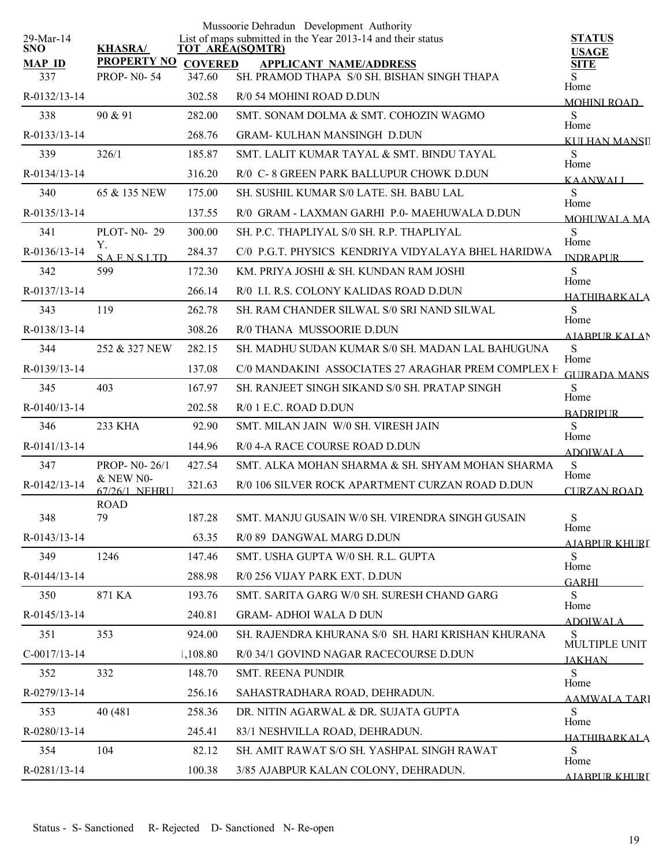| $29$ -Mar-14         |                                      |                          | Mussoorie Dehradun Development Authority<br>List of maps submitted in the Year 2013-14 and their status | <b>STATUS</b>                |
|----------------------|--------------------------------------|--------------------------|---------------------------------------------------------------------------------------------------------|------------------------------|
| <b>SNO</b>           | <b>KHASRA/</b><br><b>PROPERTY NO</b> |                          | <b>TOT AREA(SQMTR)</b>                                                                                  | <b>USAGE</b>                 |
| <b>MAP ID</b><br>337 | <b>PROP-N0-54</b>                    | <b>COVERED</b><br>347.60 | <b>APPLICANT NAME/ADDRESS</b><br>SH. PRAMOD THAPA S/0 SH. BISHAN SINGH THAPA                            | <b>SITE</b><br>S<br>Home     |
| R-0132/13-14         |                                      | 302.58                   | R/0 54 MOHINI ROAD D.DUN                                                                                | <b>MOHINI ROAD</b>           |
| 338                  | 90 & 91                              | 282.00                   | SMT. SONAM DOLMA & SMT. COHOZIN WAGMO                                                                   | S<br>Home                    |
| $R - 0133/13 - 14$   |                                      | 268.76                   | <b>GRAM-KULHAN MANSINGH D.DUN</b>                                                                       | KULHAN MANSII                |
| 339                  | 326/1                                | 185.87                   | SMT. LALIT KUMAR TAYAL & SMT. BINDU TAYAL                                                               | S<br>Home                    |
| $R - 0134/13 - 14$   |                                      | 316.20                   | R/0 C-8 GREEN PARK BALLUPUR CHOWK D.DUN                                                                 | <b>KAANWALI</b>              |
| 340                  | 65 & 135 NEW                         | 175.00                   | SH. SUSHIL KUMAR S/0 LATE. SH. BABU LAL                                                                 | S                            |
| $R - 0135/13 - 14$   |                                      | 137.55                   | R/0 GRAM - LAXMAN GARHI P.0- MAEHUWALA D.DUN                                                            | Home<br>MOHUWALA MA          |
| 341                  | PLOT- $N0-29$                        | 300.00                   | SH. P.C. THAPLIYAL S/0 SH. R.P. THAPLIYAL                                                               | S                            |
| R-0136/13-14         | Υ.<br><b>SAENSITD</b>                | 284.37                   | C/0 P.G.T. PHYSICS KENDRIYA VIDYALAYA BHEL HARIDWA                                                      | Home<br><b>INDRAPLIR</b>     |
| 342                  | 599                                  | 172.30                   | KM. PRIYA JOSHI & SH. KUNDAN RAM JOSHI                                                                  | S                            |
| R-0137/13-14         |                                      | 266.14                   | R/0 I.I. R.S. COLONY KALIDAS ROAD D.DUN                                                                 | Home<br><b>HATHIBARKALA</b>  |
| 343                  | 119                                  | 262.78                   | SH. RAM CHANDER SILWAL S/0 SRI NAND SILWAL                                                              | S                            |
| R-0138/13-14         |                                      | 308.26                   | R/0 THANA MUSSOORIE D.DUN                                                                               | Home<br><b>AJABPUR KALAN</b> |
| 344                  | 252 & 327 NEW                        | 282.15                   | SH. MADHU SUDAN KUMAR S/0 SH. MADAN LAL BAHUGUNA                                                        | S                            |
| R-0139/13-14         |                                      | 137.08                   | C/0 MANDAKINI ASSOCIATES 27 ARAGHAR PREM COMPLEX H                                                      | Home<br><b>GUIRADA MANS</b>  |
| 345                  | 403                                  | 167.97                   | SH. RANJEET SINGH SIKAND S/0 SH. PRATAP SINGH                                                           | S                            |
| $R - 0140/13 - 14$   |                                      | 202.58                   | $R/0$ 1 E.C. ROAD D.DUN                                                                                 | Home<br><b>BADRIPLIR</b>     |
| 346                  | 233 KHA                              | 92.90                    | SMT. MILAN JAIN W/0 SH. VIRESH JAIN                                                                     | S                            |
| R-0141/13-14         |                                      | 144.96                   | R/0 4-A RACE COURSE ROAD D.DUN                                                                          | Home<br><b>ADOIWALA</b>      |
| 347                  | PROP-N0-26/1                         | 427.54                   | SMT. ALKA MOHAN SHARMA & SH. SHYAM MOHAN SHARMA                                                         | S                            |
| R-0142/13-14         | & NEW N0-<br>67/26/1 NEHRU           | 321.63                   | R/0 106 SILVER ROCK APARTMENT CURZAN ROAD D.DUN                                                         | Home<br>CURZAN ROAD          |
|                      | <b>ROAD</b>                          |                          |                                                                                                         |                              |
| 348                  | 79                                   | 187.28                   | SMT. MANJU GUSAIN W/0 SH. VIRENDRA SINGH GUSAIN                                                         | S<br>Home                    |
| R-0143/13-14         |                                      | 63.35                    | R/0 89 DANGWAL MARG D.DUN                                                                               | AJABPUR KHURI                |
| 349                  | 1246                                 | 147.46                   | SMT. USHA GUPTA W/0 SH. R.L. GUPTA                                                                      | S<br>Home                    |
| R-0144/13-14         |                                      | 288.98                   | R/0 256 VIJAY PARK EXT. D.DUN                                                                           | <b>GARHI</b>                 |
| 350                  | 871 KA                               | 193.76                   | SMT. SARITA GARG W/0 SH. SURESH CHAND GARG                                                              | S<br>Home                    |
| R-0145/13-14         |                                      | 240.81                   | <b>GRAM- ADHOI WALA D DUN</b>                                                                           | <b>ADOIWALA</b>              |
| 351                  | 353                                  | 924.00                   | SH. RAJENDRA KHURANA S/0 SH. HARI KRISHAN KHURANA                                                       | S<br>MULTIPLE UNIT           |
| $C-0017/13-14$       |                                      | 1,108.80                 | R/0 34/1 GOVIND NAGAR RACECOURSE D.DUN                                                                  | <b>JAKHAN</b>                |
| 352                  | 332                                  | 148.70                   | <b>SMT. REENA PUNDIR</b>                                                                                | S<br>Home                    |
| R-0279/13-14         |                                      | 256.16                   | SAHASTRADHARA ROAD, DEHRADUN.                                                                           | <u>AAMWALA TARI</u>          |
| 353                  | 40 (481)                             | 258.36                   | DR. NITIN AGARWAL & DR. SUJATA GUPTA                                                                    | S                            |
| R-0280/13-14         |                                      | 245.41                   | 83/1 NESHVILLA ROAD, DEHRADUN.                                                                          | Home<br><b>HATHIRARKALA</b>  |
| 354                  | 104                                  | 82.12                    | SH. AMIT RAWAT S/O SH. YASHPAL SINGH RAWAT                                                              | S                            |
| R-0281/13-14         |                                      | 100.38                   | 3/85 AJABPUR KALAN COLONY, DEHRADUN.                                                                    | Home<br>AJARPUR KHURI        |
|                      |                                      |                          |                                                                                                         |                              |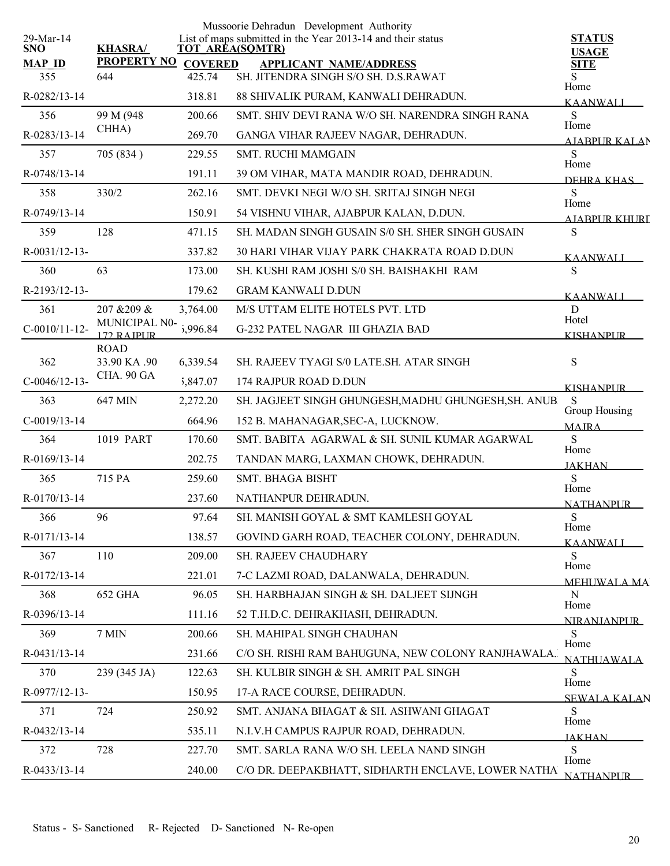|                         |                             |                     | Mussoorie Dehradun Development Authority                                              |                               |
|-------------------------|-----------------------------|---------------------|---------------------------------------------------------------------------------------|-------------------------------|
| 29-Mar-14<br><b>SNO</b> | <b>KHASRA/</b>              |                     | List of maps submitted in the Year 2013-14 and their status<br><b>TOT AREA(SQMTR)</b> | <b>STATUS</b><br><b>USAGE</b> |
| <b>MAP ID</b>           |                             | PROPERTY NO COVERED | <b>APPLICANT NAME/ADDRESS</b>                                                         | <b>SITE</b>                   |
| 355                     | 644                         | 425.74              | SH. JITENDRA SINGH S/O SH. D.S.RAWAT                                                  | Home                          |
| R-0282/13-14            |                             | 318.81              | 88 SHIVALIK PURAM, KANWALI DEHRADUN.                                                  | <b>KAANWALI</b>               |
| 356                     | 99 M (948)                  | 200.66              | SMT. SHIV DEVI RANA W/O SH. NARENDRA SINGH RANA                                       | S<br>Home                     |
| R-0283/13-14            | CHHA)                       | 269.70              | GANGA VIHAR RAJEEV NAGAR, DEHRADUN.                                                   | AIABPUR KALAN                 |
| 357                     | 705 (834)                   | 229.55              | <b>SMT. RUCHI MAMGAIN</b>                                                             | S                             |
| R-0748/13-14            |                             | 191.11              | 39 OM VIHAR, MATA MANDIR ROAD, DEHRADUN.                                              | Home<br>DEHRA KHAS            |
| 358                     | 330/2                       | 262.16              | SMT. DEVKI NEGI W/O SH. SRITAJ SINGH NEGI                                             | S                             |
| R-0749/13-14            |                             | 150.91              | 54 VISHNU VIHAR, AJABPUR KALAN, D.DUN.                                                | Home<br><u>AIARPUR KHURI</u>  |
| 359                     | 128                         | 471.15              | SH. MADAN SINGH GUSAIN S/0 SH. SHER SINGH GUSAIN                                      | S                             |
| R-0031/12-13-           |                             | 337.82              | <b>30 HARI VIHAR VIJAY PARK CHAKRATA ROAD D.DUN</b>                                   | <b>KAANWALI</b>               |
| 360                     | 63                          | 173.00              | SH. KUSHI RAM JOSHI S/0 SH. BAISHAKHI RAM                                             | S                             |
| R-2193/12-13-           |                             | 179.62              | <b>GRAM KANWALI D.DUN</b>                                                             | <b>KAANWALI</b>               |
| 361                     | 207 & 209 &                 | 3,764.00            | M/S UTTAM ELITE HOTELS PVT. LTD                                                       | D                             |
| $C-0010/11-12-$         | MUNICIPAL N0-<br>172 RAIPUR | 5,996.84            | <b>G-232 PATEL NAGAR III GHAZIA BAD</b>                                               | Hotel<br><b>KISHANPUR</b>     |
|                         | <b>ROAD</b>                 |                     |                                                                                       |                               |
| 362                     | 33.90 KA .90                | 6,339.54            | SH. RAJEEV TYAGI S/0 LATE.SH. ATAR SINGH                                              | ${\bf S}$                     |
| $C-0046/12-13-$         | CHA. 90 GA                  | 5,847.07            | 174 RAJPUR ROAD D.DUN                                                                 | <b>KISHANPUR</b>              |
| 363                     | 647 MIN                     | 2,272.20            | SH. JAGJEET SINGH GHUNGESH, MADHU GHUNGESH, SH. ANUB.                                 | S<br>Group Housing            |
| $C-0019/13-14$          |                             | 664.96              | 152 B. MAHANAGAR, SEC-A, LUCKNOW.                                                     | <b>MAIRA</b>                  |
| 364                     | 1019 PART                   | 170.60              | SMT. BABITA AGARWAL & SH. SUNIL KUMAR AGARWAL                                         | S<br>Home                     |
| R-0169/13-14            |                             | 202.75              | TANDAN MARG, LAXMAN CHOWK, DEHRADUN.                                                  | <b>JAKHAN</b>                 |
| 365                     | 715 PA                      | 259.60              | SMT. BHAGA BISHT                                                                      | S<br>Home                     |
| R-0170/13-14            |                             | 237.60              | NATHANPUR DEHRADUN.                                                                   | <b>NATHANPUR</b>              |
| 366                     | 96                          | 97.64               | SH. MANISH GOYAL & SMT KAMLESH GOYAL                                                  | S                             |
| R-0171/13-14            |                             | 138.57              | GOVIND GARH ROAD, TEACHER COLONY, DEHRADUN.                                           | Home<br><b>KAANWALI</b>       |
| 367                     | 110                         | 209.00              | SH. RAJEEV CHAUDHARY                                                                  | S                             |
| R-0172/13-14            |                             | 221.01              | 7-C LAZMI ROAD, DALANWALA, DEHRADUN.                                                  | Home<br><b>MEHUWALA MA</b>    |
| 368                     | 652 GHA                     | 96.05               | SH. HARBHAJAN SINGH & SH. DALJEET SIJNGH                                              | N                             |
| R-0396/13-14            |                             | 111.16              | 52 T.H.D.C. DEHRAKHASH, DEHRADUN.                                                     | Home<br><b>NIRANJANPUR</b>    |
| 369                     | 7 MIN                       | 200.66              | SH. MAHIPAL SINGH CHAUHAN                                                             | S                             |
| R-0431/13-14            |                             | 231.66              | C/O SH. RISHI RAM BAHUGUNA, NEW COLONY RANJHAWALA.                                    | Home<br><b>NATHUAWALA</b>     |
| 370                     | 239 (345 JA)                | 122.63              | SH. KULBIR SINGH & SH. AMRIT PAL SINGH                                                | S                             |
| R-0977/12-13-           |                             | 150.95              | 17-A RACE COURSE, DEHRADUN.                                                           | Home<br>SEWALA KALAN          |
| 371                     | 724                         | 250.92              | SMT. ANJANA BHAGAT & SH. ASHWANI GHAGAT                                               | S                             |
| R-0432/13-14            |                             | 535.11              | N.I.V.H CAMPUS RAJPUR ROAD, DEHRADUN.                                                 | Home                          |
| 372                     | 728                         | 227.70              | SMT. SARLA RANA W/O SH. LEELA NAND SINGH                                              | <b>JAKHAN</b><br>S            |
| R-0433/13-14            |                             | 240.00              | C/O DR. DEEPAKBHATT, SIDHARTH ENCLAVE, LOWER NATHA                                    | Home                          |
|                         |                             |                     |                                                                                       | NATHANPUR                     |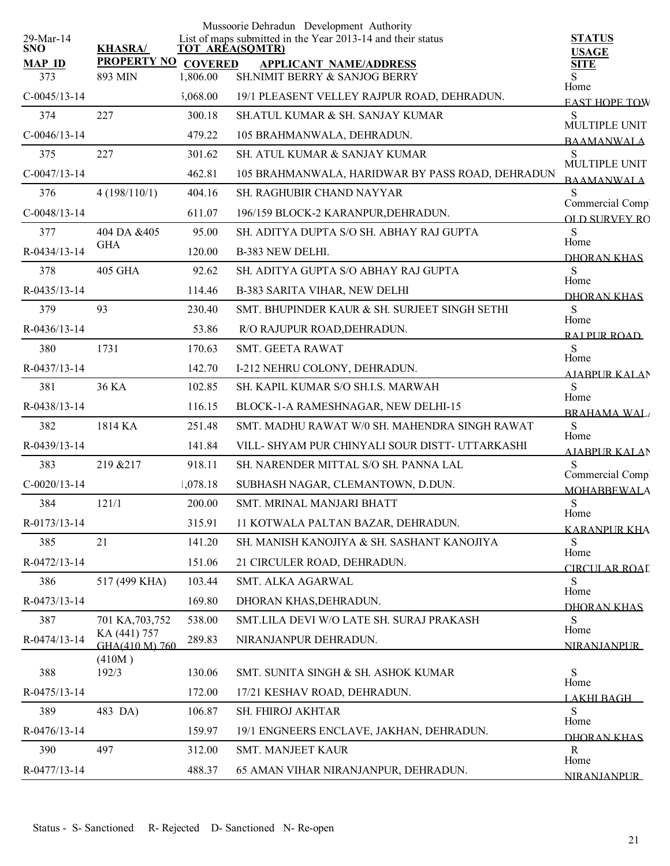|                         |                                  |                | Mussoorie Dehradun Development Authority                                              |                                          |
|-------------------------|----------------------------------|----------------|---------------------------------------------------------------------------------------|------------------------------------------|
| 29-Mar-14<br><b>SNO</b> | <b>KHASRA/</b>                   |                | List of maps submitted in the Year 2013-14 and their status<br><b>TOT AREA(SQMTR)</b> | <b>STATUS</b>                            |
| <b>MAP ID</b>           | <b>PROPERTY NO</b>               | <b>COVERED</b> | <b>APPLICANT NAME/ADDRESS</b>                                                         | <b>USAGE</b><br><b>SITE</b>              |
| 373                     | 893 MIN                          | 1,806.00       | SH.NIMIT BERRY & SANJOG BERRY                                                         | Home                                     |
| $C-0045/13-14$          |                                  | ,068.00        | 19/1 PLEASENT VELLEY RAJPUR ROAD, DEHRADUN.                                           | <b>EAST HOPE TOW</b>                     |
| 374                     | 227                              | 300.18         | <b>SH.ATUL KUMAR &amp; SH. SANJAY KUMAR</b>                                           | S<br>MULTIPLE UNIT                       |
| $C-0046/13-14$          |                                  | 479.22         | 105 BRAHMANWALA, DEHRADUN.                                                            | <b>BAAMANWALA</b>                        |
| 375                     | 227                              | 301.62         | SH. ATUL KUMAR & SANJAY KUMAR                                                         | S                                        |
| $C-0047/13-14$          |                                  | 462.81         | 105 BRAHMANWALA, HARIDWAR BY PASS ROAD, DEHRADUN                                      | MULTIPLE UNIT<br><b>BAAMANWALA</b>       |
| 376                     | 4(198/110/1)                     | 404.16         | <b>SH. RAGHUBIR CHAND NAYYAR</b>                                                      | S                                        |
| $C-0048/13-14$          |                                  | 611.07         | 196/159 BLOCK-2 KARANPUR, DEHRADUN.                                                   | Commercial Comp.<br><b>OLD SHRVEY RO</b> |
| 377                     | 404 DA &405                      | 95.00          | SH. ADITYA DUPTA S/O SH. ABHAY RAJ GUPTA                                              | S                                        |
| R-0434/13-14            | <b>GHA</b>                       | 120.00         | B-383 NEW DELHI.                                                                      | Home<br>DHORAN KHAS                      |
| 378                     | 405 GHA                          | 92.62          | SH. ADITYA GUPTA S/O ABHAY RAJ GUPTA                                                  | S                                        |
| R-0435/13-14            |                                  | 114.46         | <b>B-383 SARITA VIHAR, NEW DELHI</b>                                                  | Home                                     |
| 379                     | 93                               | 230.40         | SMT. BHUPINDER KAUR & SH. SURJEET SINGH SETHI                                         | <b>DHORAN KHAS</b><br>S                  |
| R-0436/13-14            |                                  | 53.86          | R/O RAJUPUR ROAD, DEHRADUN.                                                           | Home                                     |
| 380                     | 1731                             | 170.63         | SMT. GEETA RAWAT                                                                      | RAI PUR ROAD<br>S                        |
| R-0437/13-14            |                                  | 142.70         | I-212 NEHRU COLONY, DEHRADUN.                                                         | Home                                     |
| 381                     | 36 KA                            | 102.85         | SH. KAPIL KUMAR S/O SH.I.S. MARWAH                                                    | <b>AIARPUR KALAN</b><br>S                |
| R-0438/13-14            |                                  | 116.15         | BLOCK-1-A RAMESHNAGAR, NEW DELHI-15                                                   | Home                                     |
| 382                     | 1814 KA                          | 251.48         | SMT. MADHU RAWAT W/0 SH. MAHENDRA SINGH RAWAT                                         | <b>BRAHAMA WAL</b><br>S                  |
| R-0439/13-14            |                                  | 141.84         | VILL- SHYAM PUR CHINYALI SOUR DISTT- UTTARKASHI                                       | Home                                     |
| 383                     | 219 & 217                        | 918.11         | SH. NARENDER MITTAL S/O SH. PANNA LAL                                                 | AJABPUR KALAN<br>S                       |
|                         |                                  |                |                                                                                       | Commercial Comp.                         |
| $C-0020/13-14$          |                                  | 1,078.18       | SUBHASH NAGAR, CLEMANTOWN, D.DUN.                                                     | <b>MOHABBEWALA</b>                       |
| 384                     | 121/1                            | 200.00         | SMT. MRINAL MANJARI BHATT                                                             | S<br>Home                                |
| R-0173/13-14            |                                  | 315.91         | 11 KOTWALA PALTAN BAZAR, DEHRADUN.                                                    | <b>KARANPUR KHA</b>                      |
| 385                     | 21                               | 141.20         | SH. MANISH KANOJIYA & SH. SASHANT KANOJIYA                                            | S<br>Home                                |
| R-0472/13-14            |                                  | 151.06         | 21 CIRCULER ROAD, DEHRADUN.                                                           | CIRCULAR ROAL                            |
| 386                     | 517 (499 KHA)                    | 103.44         | SMT. ALKA AGARWAL                                                                     | S<br>Home                                |
| R-0473/13-14            |                                  | 169.80         | DHORAN KHAS, DEHRADUN.                                                                | DHORAN KHAS                              |
| 387                     | 701 KA, 703, 752<br>KA (441) 757 | 538.00         | SMT.LILA DEVI W/O LATE SH. SURAJ PRAKASH                                              | S<br>Home                                |
| R-0474/13-14            | GHA(410 M) 760                   | 289.83         | NIRANJANPUR DEHRADUN.                                                                 | <b>NIRANIANPUR</b>                       |
|                         | (410M)                           |                |                                                                                       |                                          |
| 388                     | 192/3                            | 130.06         | SMT. SUNITA SINGH & SH. ASHOK KUMAR                                                   | S<br>Home                                |
| R-0475/13-14            |                                  | 172.00         | 17/21 KESHAV ROAD, DEHRADUN.                                                          | <u>LAKHI RAGH —</u>                      |
| 389                     | 483 DA)                          | 106.87         | SH. FHIROJ AKHTAR                                                                     | S<br>Home                                |
| R-0476/13-14            |                                  | 159.97         | 19/1 ENGNEERS ENCLAVE, JAKHAN, DEHRADUN.                                              | DHORAN KHAS                              |
| 390                     | 497                              | 312.00         | SMT. MANJEET KAUR                                                                     | R<br>Home                                |
| R-0477/13-14            |                                  | 488.37         | 65 AMAN VIHAR NIRANJANPUR, DEHRADUN.                                                  | <b>NIRANJANPUR</b>                       |
|                         |                                  |                |                                                                                       |                                          |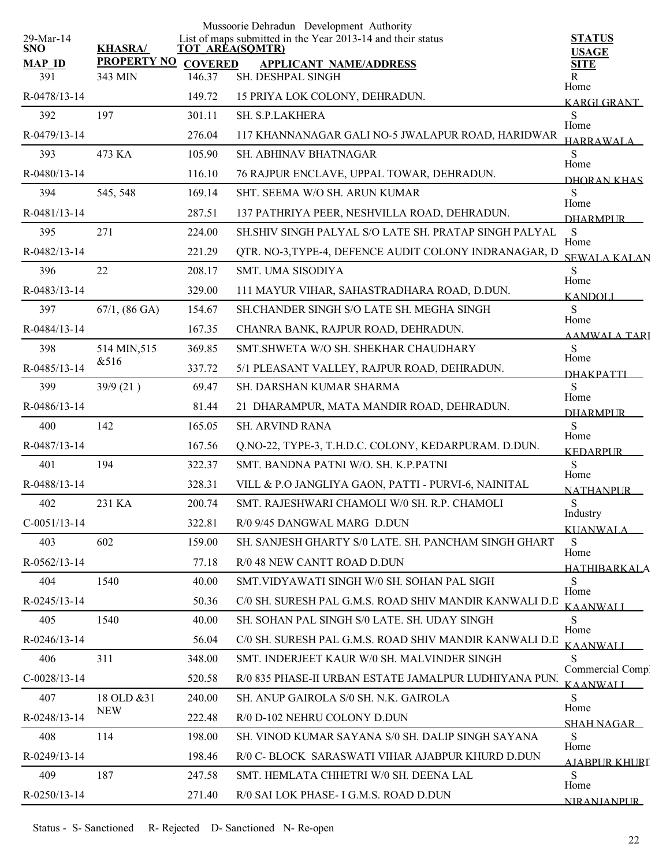|                         |                         |                        | Mussoorie Dehradun Development Authority                    |                               |
|-------------------------|-------------------------|------------------------|-------------------------------------------------------------|-------------------------------|
| 29-Mar-14<br><b>SNO</b> | <b>KHASRA/</b>          | <b>TOT AREA(SQMTR)</b> | List of maps submitted in the Year 2013-14 and their status | <b>STATUS</b><br><b>USAGE</b> |
| <b>MAP ID</b>           | <b>PROPERTY NO</b>      | <b>COVERED</b>         | <b>APPLICANT NAME/ADDRESS</b>                               | <b>SITE</b>                   |
| 391                     | 343 MIN                 | 146.37                 | SH. DESHPAL SINGH                                           | R<br>Home                     |
| R-0478/13-14            |                         | 149.72                 | 15 PRIYA LOK COLONY, DEHRADUN.                              | KARGI GRANT                   |
| 392                     | 197                     | 301.11                 | SH. S.P.LAKHERA                                             | S<br>Home                     |
| R-0479/13-14            |                         | 276.04                 | 117 KHANNANAGAR GALI NO-5 JWALAPUR ROAD, HARIDWAR           | <b>HARRAWALA</b>              |
| 393                     | 473 KA                  | 105.90                 | <b>SH. ABHINAV BHATNAGAR</b>                                | S<br>Home                     |
| R-0480/13-14            |                         | 116.10                 | 76 RAJPUR ENCLAVE, UPPAL TOWAR, DEHRADUN.                   | DHORAN KHAS                   |
| 394                     | 545, 548                | 169.14                 | SHT. SEEMA W/O SH. ARUN KUMAR                               | S.<br>Home                    |
| R-0481/13-14            |                         | 287.51                 | 137 PATHRIYA PEER, NESHVILLA ROAD, DEHRADUN.                | <b>DHARMPLIR</b>              |
| 395                     | 271                     | 224.00                 | SH.SHIV SINGH PALYAL S/O LATE SH. PRATAP SINGH PALYAL       | S<br>Home                     |
| R-0482/13-14            |                         | 221.29                 | QTR. NO-3, TYPE-4, DEFENCE AUDIT COLONY INDRANAGAR, D       | <b>SEWALA KALAN</b>           |
| 396                     | 22                      | 208.17                 | <b>SMT. UMA SISODIYA</b>                                    | S                             |
| R-0483/13-14            |                         | 329.00                 | 111 MAYUR VIHAR, SAHASTRADHARA ROAD, D.DUN.                 | Home<br><b>KANDOLI</b>        |
| 397                     | $67/1, (86 \text{ GA})$ | 154.67                 | SH.CHANDER SINGH S/O LATE SH. MEGHA SINGH                   | S                             |
| R-0484/13-14            |                         | 167.35                 | CHANRA BANK, RAJPUR ROAD, DEHRADUN.                         | Home<br>AAMWALA TARI          |
| 398                     | 514 MIN, 515            | 369.85                 | SMT. SHWETA W/O SH. SHEKHAR CHAUDHARY                       | S                             |
| R-0485/13-14            | &516                    | 337.72                 | 5/1 PLEASANT VALLEY, RAJPUR ROAD, DEHRADUN.                 | Home<br><b>DHAKPATTI</b>      |
| 399                     | 39/9(21)                | 69.47                  | SH. DARSHAN KUMAR SHARMA                                    | S                             |
| R-0486/13-14            |                         | 81.44                  | 21 DHARAMPUR, MATA MANDIR ROAD, DEHRADUN.                   | Home<br><b>DHARMPUR</b>       |
| 400                     | 142                     | 165.05                 | <b>SH. ARVIND RANA</b>                                      | S                             |
| R-0487/13-14            |                         | 167.56                 | Q.NO-22, TYPE-3, T.H.D.C. COLONY, KEDARPURAM. D.DUN.        | Home<br><b>KEDARPUR</b>       |
| 401                     | 194                     | 322.37                 | SMT. BANDNA PATNI W/O. SH. K.P.PATNI                        | S                             |
| R-0488/13-14            |                         | 328.31                 | VILL & P.O JANGLIYA GAON, PATTI - PURVI-6, NAINITAL         | Home<br><b>NATHANPUR</b>      |
| 402                     | 231 KA                  | 200.74                 | SMT. RAJESHWARI CHAMOLI W/0 SH. R.P. CHAMOLI                | S                             |
| $C-0051/13-14$          |                         | 322.81                 | R/0 9/45 DANGWAL MARG D.DUN                                 | Industry<br><b>KUANWALA</b>   |
| 403                     | 602                     | 159.00                 | SH. SANJESH GHARTY S/0 LATE. SH. PANCHAM SINGH GHART        | S                             |
| R-0562/13-14            |                         | 77.18                  | R/0 48 NEW CANTT ROAD D.DUN                                 | Home                          |
| 404                     | 1540                    | 40.00                  | SMT VIDYAWATI SINGH W/0 SH. SOHAN PAL SIGH                  | <b>HATHIBARKALA</b><br>S      |
| R-0245/13-14            |                         | 50.36                  | C/0 SH. SURESH PAL G.M.S. ROAD SHIV MANDIR KANWALI D.D      | Home                          |
| 405                     | 1540                    | 40.00                  | SH. SOHAN PAL SINGH S/0 LATE. SH. UDAY SINGH                | <b>KAANWALI</b><br>S          |
| R-0246/13-14            |                         | 56.04                  | C/0 SH. SURESH PAL G.M.S. ROAD SHIV MANDIR KANWALI D.D      | Home                          |
| 406                     | 311                     | 348.00                 | SMT. INDERJEET KAUR W/0 SH. MALVINDER SINGH                 | <b>KAANWALI</b><br>S          |
| $C-0028/13-14$          |                         | 520.58                 | R/0 835 PHASE-II URBAN ESTATE JAMALPUR LUDHIYANA PUN.       | Commercial Comp               |
| 407                     | 18 OLD & 31             | 240.00                 | SH. ANUP GAIROLA S/0 SH. N.K. GAIROLA                       | <b>KAANWALI</b><br>S          |
| R-0248/13-14            | <b>NEW</b>              | 222.48                 | R/0 D-102 NEHRU COLONY D.DUN                                | Home                          |
| 408                     | 114                     | 198.00                 | SH. VINOD KUMAR SAYANA S/0 SH. DALIP SINGH SAYANA           | SHAH NAGAR<br>S               |
| R-0249/13-14            |                         | 198.46                 | R/0 C- BLOCK SARASWATI VIHAR AJABPUR KHURD D.DUN            | Home                          |
| 409                     | 187                     | 247.58                 | SMT. HEMLATA CHHETRI W/0 SH. DEENA LAL                      | <b>AJABPUR KHURI</b><br>S     |
|                         |                         |                        |                                                             | Home                          |
| R-0250/13-14            |                         | 271.40                 | R/0 SAI LOK PHASE- I G.M.S. ROAD D.DUN                      | NIRANJANPUR                   |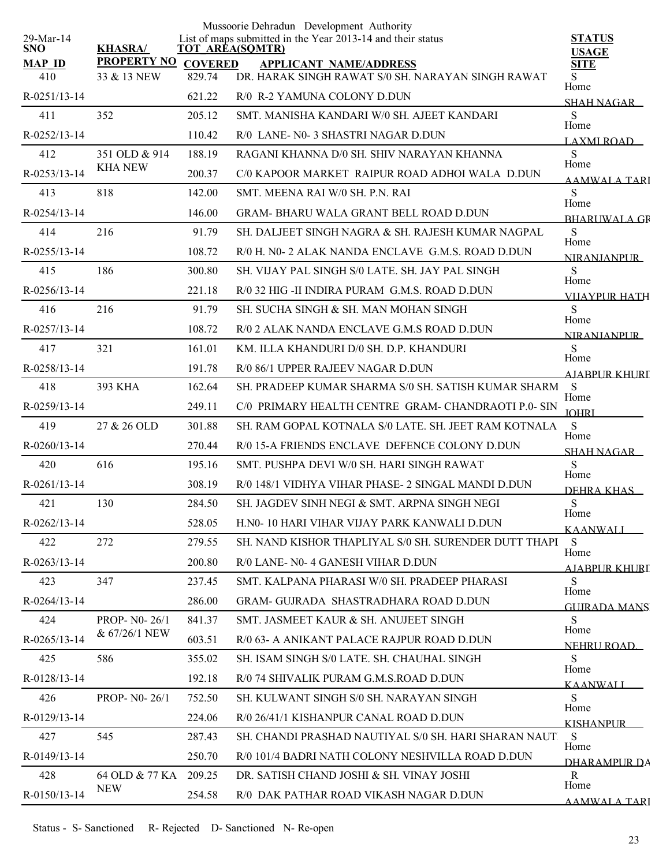|                         |                              |                | Mussoorie Dehradun Development Authority                                                       |                               |
|-------------------------|------------------------------|----------------|------------------------------------------------------------------------------------------------|-------------------------------|
| 29-Mar-14<br><b>SNO</b> | <b>KHASRA/</b>               |                | List of maps submitted in the Year 2013-14 and their status<br>TOT AREA(SQMTR)                 | <b>STATUS</b><br><b>USAGE</b> |
| <b>MAP ID</b>           | <b>PROPERTY NO</b>           | <b>COVERED</b> | <b>APPLICANT NAME/ADDRESS</b>                                                                  | <b>SITE</b>                   |
| 410                     | 33 & 13 NEW                  | 829.74         | DR. HARAK SINGH RAWAT S/0 SH. NARAYAN SINGH RAWAT                                              | S<br>Home                     |
| $R - 0251/13 - 14$      |                              | 621.22         | R/0 R-2 YAMUNA COLONY D.DUN                                                                    | SHAH NAGAR                    |
| 411                     | 352                          | 205.12         | SMT, MANISHA KANDARI W/0 SH. AJEET KANDARI                                                     | S<br>Home                     |
| R-0252/13-14            |                              | 110.42         | R/0 LANE- N0-3 SHASTRI NAGAR D.DUN                                                             | LAXMI ROAD                    |
| 412                     | 351 OLD & 914                | 188.19         | RAGANI KHANNA D/0 SH. SHIV NARAYAN KHANNA                                                      | S<br>Home                     |
| R-0253/13-14            | <b>KHA NEW</b>               | 200.37         | C/0 KAPOOR MARKET RAIPUR ROAD ADHOI WALA D.DUN                                                 | AAMWALA TARI                  |
| 413                     | 818                          | 142.00         | SMT. MEENA RAI W/0 SH. P.N. RAI                                                                | S                             |
| R-0254/13-14            |                              | 146.00         | <b>GRAM- BHARU WALA GRANT BELL ROAD D.DUN</b>                                                  | Home<br><b>BHARLIWAL A GR</b> |
| 414                     | 216                          | 91.79          | SH. DALJEET SINGH NAGRA & SH. RAJESH KUMAR NAGPAL                                              | S                             |
| $R - 0255/13 - 14$      |                              | 108.72         | R/0 H, N0-2 ALAK NANDA ENCLAVE G.M.S. ROAD D.DUN                                               | Home<br><b>NIRANIANPLIR</b>   |
| 415                     | 186                          | 300.80         | SH. VIJAY PAL SINGH S/0 LATE, SH. JAY PAL SINGH                                                | S                             |
| R-0256/13-14            |                              | 221.18         | R/0 32 HIG -II INDIRA PURAM G.M.S. ROAD D.DUN                                                  | Home<br>VIJAYPUR HATH         |
| 416                     | 216                          | 91.79          | SH. SUCHA SINGH & SH. MAN MOHAN SINGH                                                          | S                             |
| R-0257/13-14            |                              | 108.72         | R/0 2 ALAK NANDA ENCLAVE G.M.S ROAD D.DUN                                                      | Home<br><b>NIRANIANPUR</b>    |
| 417                     | 321                          | 161.01         | KM. ILLA KHANDURI D/0 SH. D.P. KHANDURI                                                        | S                             |
| R-0258/13-14            |                              | 191.78         | R/0 86/1 UPPER RAJEEV NAGAR D.DUN                                                              | Home<br><b>AIABPUR KHURT</b>  |
| 418                     | 393 KHA                      | 162.64         | SH. PRADEEP KUMAR SHARMA S/0 SH. SATISH KUMAR SHARM                                            | <sub>S</sub>                  |
| R-0259/13-14            |                              | 249.11         | C/0 PRIMARY HEALTH CENTRE GRAM- CHANDRAOTI P.0- SIN                                            | Home                          |
| 419                     | 27 & 26 OLD                  | 301.88         | SH. RAM GOPAL KOTNALA S/0 LATE. SH. JEET RAM KOTNALA                                           | <b>JOHRI</b><br>S             |
| $R - 0260/13 - 14$      |                              | 270.44         | R/0 15-A FRIENDS ENCLAVE DEFENCE COLONY D.DUN                                                  | Home                          |
| 420                     | 616                          | 195.16         | SMT. PUSHPA DEVI W/0 SH. HARI SINGH RAWAT                                                      | SHAH NAGAR<br>S               |
| $R - 0261/13 - 14$      |                              | 308.19         | R/0 148/1 VIDHYA VIHAR PHASE-2 SINGAL MANDI D.DUN                                              | Home                          |
| 421                     | 130                          | 284.50         | SH. JAGDEV SINH NEGI & SMT. ARPNA SINGH NEGI                                                   | DEHRA KHAS<br>S               |
| $R - 0262/13 - 14$      |                              | 528.05         | H.N0-10 HARI VIHAR VIJAY PARK KANWALI D.DUN                                                    | Home                          |
| 422                     | 272                          | 279.55         | SH. NAND KISHOR THAPLIYAL S/0 SH. SURENDER DUTT THAPI                                          | KAANWALI<br>S                 |
| $R - 0263/13 - 14$      |                              | 200.80         | R/0 LANE- N0-4 GANESH VIHAR D.DUN                                                              | Home                          |
| 423                     | 347                          | 237.45         | SMT. KALPANA PHARASI W/0 SH. PRADEEP PHARASI                                                   | <u>AJABPUR KHURI</u><br>S     |
| $R - 0264/13 - 14$      |                              | 286.00         | <b>GRAM- GUJRADA SHASTRADHARA ROAD D.DUN</b>                                                   | Home                          |
| 424                     | <b>PROP-N0-26/1</b>          | 841.37         | SMT. JASMEET KAUR & SH. ANUJEET SINGH                                                          | <b>GUIRADA MANS</b><br>S      |
| R-0265/13-14            | & 67/26/1 NEW                | 603.51         | R/0 63- A ANIKANT PALACE RAJPUR ROAD D.DUN                                                     | Home                          |
| 425                     | 586                          | 355.02         | SH. ISAM SINGH S/0 LATE. SH. CHAUHAL SINGH                                                     | NEHRU ROAD<br>S               |
| R-0128/13-14            |                              | 192.18         | R/0 74 SHIVALIK PURAM G.M.S.ROAD D.DUN                                                         | Home                          |
| 426                     | PROP- N0-26/1                | 752.50         | SH. KULWANT SINGH S/0 SH. NARAYAN SINGH                                                        | <b>KAANWALI</b><br>S          |
|                         |                              |                |                                                                                                | Home                          |
| R-0129/13-14<br>427     | 545                          | 224.06         | R/0 26/41/1 KISHANPUR CANAL ROAD D.DUN<br>SH. CHANDI PRASHAD NAUTIYAL S/0 SH. HARI SHARAN NAUT | <b>KISHANPUR</b><br>S         |
|                         |                              | 287.43         |                                                                                                | Home                          |
| R-0149/13-14            |                              | 250.70         | R/0 101/4 BADRI NATH COLONY NESHVILLA ROAD D.DUN                                               | DHARAMPUR DA                  |
| 428                     | 64 OLD & 77 KA<br><b>NEW</b> | 209.25         | DR. SATISH CHAND JOSHI & SH. VINAY JOSHI                                                       | R<br>Home                     |
| R-0150/13-14            |                              | 254.58         | R/0 DAK PATHAR ROAD VIKASH NAGAR D.DUN                                                         | <b>AAMWALA TARI</b>           |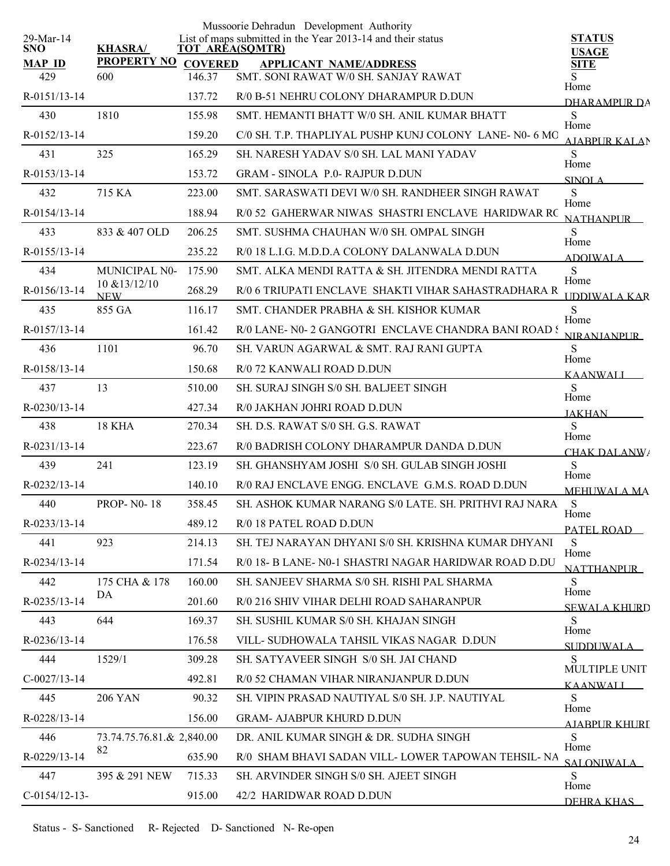|                            |                             |                | Mussoorie Dehradun Development Authority                                              |                                  |
|----------------------------|-----------------------------|----------------|---------------------------------------------------------------------------------------|----------------------------------|
| $29$ -Mar-14<br><b>SNO</b> | <b>KHASRA/</b>              |                | List of maps submitted in the Year 2013-14 and their status<br><b>TOT AREA(SQMTR)</b> | <b>STATUS</b><br><b>USAGE</b>    |
| <b>MAP ID</b>              | <b>PROPERTY NO</b>          | <b>COVERED</b> | <b>APPLICANT NAME/ADDRESS</b>                                                         | <b>SITE</b>                      |
| 429                        | 600                         | 146.37         | SMT. SONI RAWAT W/0 SH. SANJAY RAWAT                                                  | S<br>Home                        |
| R-0151/13-14               |                             | 137.72         | R/0 B-51 NEHRU COLONY DHARAMPUR D.DUN                                                 | <b>DHARAMPUR DA</b>              |
| 430                        | 1810                        | 155.98         | SMT. HEMANTI BHATT W/0 SH. ANIL KUMAR BHATT                                           | ${\bf S}$<br>Home                |
| R-0152/13-14               |                             | 159.20         | C/0 SH. T.P. THAPLIYAL PUSHP KUNJ COLONY LANE- N0- 6 MO                               | <b>AIABPURKALAN</b>              |
| 431                        | 325                         | 165.29         | SH. NARESH YADAV S/0 SH. LAL MANI YADAV                                               | S<br>Home                        |
| R-0153/13-14               |                             | 153.72         | <b>GRAM - SINOLA P.0- RAJPUR D.DUN</b>                                                | <b>SINOLA</b>                    |
| 432                        | 715 KA                      | 223.00         | SMT. SARASWATI DEVI W/0 SH. RANDHEER SINGH RAWAT                                      | ${\bf S}$<br>Home                |
| R-0154/13-14               |                             | 188.94         | R/0 52 GAHERWAR NIWAS SHASTRI ENCLAVE HARIDWAR RC                                     | <b>NATHANPUR</b>                 |
| 433                        | 833 & 407 OLD               | 206.25         | SMT. SUSHMA CHAUHAN W/0 SH. OMPAL SINGH                                               | S<br>Home                        |
| R-0155/13-14               |                             | 235.22         | R/0 18 L.I.G. M.D.D.A COLONY DALANWALA D.DUN                                          | <b>ADOIWALA</b>                  |
| 434                        | MUNICIPAL N0-               | 175.90         | SMT. ALKA MENDI RATTA & SH. JITENDRA MENDI RATTA                                      | S<br>Home                        |
| R-0156/13-14               | 10 & 13/12/10<br><b>NEW</b> | 268.29         | R/0 6 TRIUPATI ENCLAVE SHAKTI VIHAR SAHASTRADHARA R                                   | UDDIWALA KAR                     |
| 435                        | 855 GA                      | 116.17         | SMT. CHANDER PRABHA & SH. KISHOR KUMAR                                                | S                                |
| R-0157/13-14               |                             | 161.42         | R/0 LANE- N0-2 GANGOTRI ENCLAVE CHANDRA BANI ROAD!                                    | Home<br><b>NIRANJANPUR</b>       |
| 436                        | 1101                        | 96.70          | SH. VARUN AGARWAL & SMT. RAJ RANI GUPTA                                               | S                                |
| R-0158/13-14               |                             | 150.68         | R/0 72 KANWALI ROAD D.DUN                                                             | Home<br><b>KAANWALI</b>          |
| 437                        | 13                          | 510.00         | SH. SURAJ SINGH S/0 SH. BALJEET SINGH                                                 | S                                |
| R-0230/13-14               |                             | 427.34         | R/0 JAKHAN JOHRI ROAD D.DUN                                                           | Home<br><b>JAKHAN</b>            |
| 438                        | 18 KHA                      | 270.34         | SH. D.S. RAWAT S/0 SH. G.S. RAWAT                                                     | S                                |
| R-0231/13-14               |                             | 223.67         | R/0 BADRISH COLONY DHARAMPUR DANDA D.DUN                                              | Home<br><b>CHAK DALANW/</b>      |
| 439                        | 241                         | 123.19         | SH. GHANSHYAM JOSHI S/0 SH. GULAB SINGH JOSHI                                         | ${\bf S}$                        |
| R-0232/13-14               |                             | 140.10         | R/0 RAJ ENCLAVE ENGG. ENCLAVE G.M.S. ROAD D.DUN                                       | Home<br><b>MEHUWALA MA</b>       |
| 440                        | <b>PROP-N0-18</b>           | 358.45         | SH. ASHOK KUMAR NARANG S/0 LATE. SH. PRITHVI RAJ NARA                                 | S                                |
| R-0233/13-14               |                             | 489.12         | R/0 18 PATEL ROAD D.DUN                                                               | Home<br>PATEL ROAD               |
| 441                        | 923                         | 214.13         | SH. TEJ NARAYAN DHYANI S/0 SH. KRISHNA KUMAR DHYANI                                   | S                                |
| $R - 0234/13 - 14$         |                             | 171.54         | R/0 18- B LANE- N0-1 SHASTRI NAGAR HARIDWAR ROAD D.DU                                 | Home<br><b>NATTHANPUR</b>        |
| 442                        | 175 CHA & 178               | 160.00         | SH. SANJEEV SHARMA S/0 SH. RISHI PAL SHARMA                                           | S                                |
| R-0235/13-14               | DA                          | 201.60         | R/0 216 SHIV VIHAR DELHI ROAD SAHARANPUR                                              | Home<br><b>SEWALA KHURD</b>      |
| 443                        | 644                         | 169.37         | SH. SUSHIL KUMAR S/0 SH. KHAJAN SINGH                                                 | S                                |
| R-0236/13-14               |                             | 176.58         | VILL- SUDHOWALA TAHSIL VIKAS NAGAR D.DUN                                              | Home<br>SUDDUWALA                |
| 444                        | 1529/1                      | 309.28         | SH. SATYAVEER SINGH S/0 SH. JAI CHAND                                                 | S                                |
| $C-0027/13-14$             |                             | 492.81         | R/0 52 CHAMAN VIHAR NIRANJANPUR D.DUN                                                 | MULTIPLE UNIT<br><b>KAANWALI</b> |
| 445                        | <b>206 YAN</b>              | 90.32          | SH. VIPIN PRASAD NAUTIYAL S/0 SH. J.P. NAUTIYAL                                       | S                                |
| R-0228/13-14               |                             | 156.00         | <b>GRAM- AJABPUR KHURD D.DUN</b>                                                      | Home                             |
| 446                        | 73.74.75.76.81.& 2,840.00   |                | DR. ANIL KUMAR SINGH & DR. SUDHA SINGH                                                | AIARPUR KHURI<br>S               |
| R-0229/13-14               | 82                          | 635.90         | R/0 SHAM BHAVI SADAN VILL-LOWER TAPOWAN TEHSIL- NA                                    | Home                             |
| 447                        | 395 & 291 NEW               | 715.33         | SH. ARVINDER SINGH S/0 SH. AJEET SINGH                                                | SALONIWALA<br>S                  |
| $C-0154/12-13-$            |                             | 915.00         | 42/2 HARIDWAR ROAD D.DUN                                                              | Home                             |
|                            |                             |                |                                                                                       | DEHRA KHAS                       |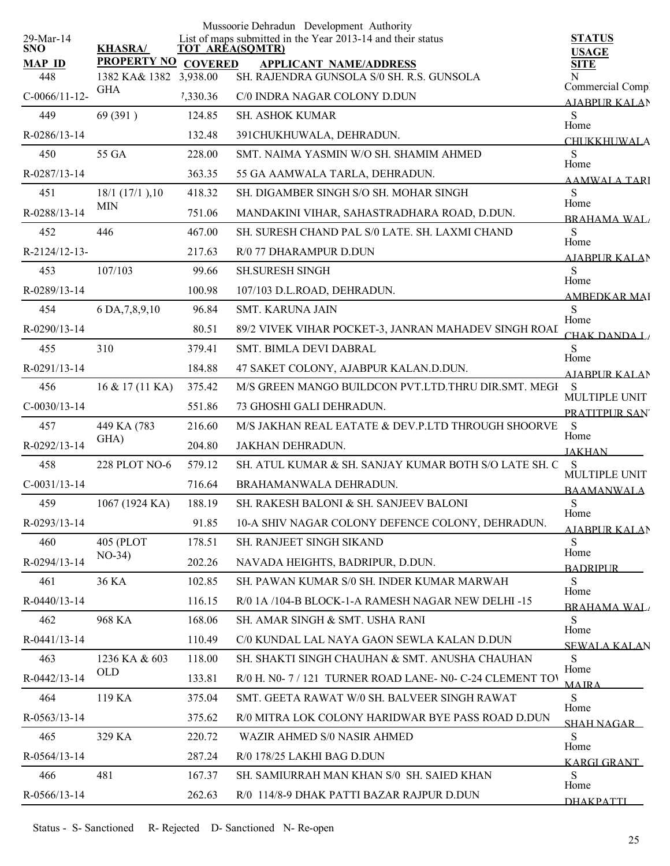| 29-Mar-14            |                                               |          | Mussoorie Dehradun Development Authority<br>List of maps submitted in the Year 2013-14 and their status | <b>STATUS</b>                |
|----------------------|-----------------------------------------------|----------|---------------------------------------------------------------------------------------------------------|------------------------------|
| <b>SNO</b>           | <b>KHASRA/</b>                                |          | <b>TOT AREA(SQMTR)</b>                                                                                  | <b>USAGE</b>                 |
| <b>MAP ID</b><br>448 | PROPERTY NO COVERED<br>1382 KA& 1382 3,938.00 |          | <b>APPLICANT NAME/ADDRESS</b><br>SH. RAJENDRA GUNSOLA S/0 SH. R.S. GUNSOLA                              | <b>SITE</b><br>N             |
| $C-0066/11-12-$      | <b>GHA</b>                                    | 7,330.36 | C/0 INDRA NAGAR COLONY D.DUN                                                                            | Commercial Comp.             |
| 449                  | 69 (391)                                      | 124.85   | <b>SH. ASHOK KUMAR</b>                                                                                  | AJABPUR KALAN<br>S           |
| R-0286/13-14         |                                               | 132.48   | 391CHUKHUWALA, DEHRADUN.                                                                                | Home                         |
| 450                  | 55 GA                                         | 228.00   | SMT. NAIMA YASMIN W/O SH. SHAMIM AHMED                                                                  | <b>CHUKKHUWALA</b><br>S      |
| R-0287/13-14         |                                               | 363.35   | 55 GA AAMWALA TARLA, DEHRADUN.                                                                          | Home                         |
|                      |                                               |          |                                                                                                         | AAMWALA TARI<br>S            |
| 451                  | $18/1$ (17/1), 10<br><b>MIN</b>               | 418.32   | SH. DIGAMBER SINGH S/O SH. MOHAR SINGH                                                                  | Home                         |
| R-0288/13-14         |                                               | 751.06   | MANDAKINI VIHAR, SAHASTRADHARA ROAD, D.DUN.                                                             | <b>BRAHAMA WAL</b>           |
| 452                  | 446                                           | 467.00   | SH. SURESH CHAND PAL S/0 LATE. SH. LAXMI CHAND                                                          | S<br>Home                    |
| R-2124/12-13-        |                                               | 217.63   | R/0 77 DHARAMPUR D.DUN                                                                                  | <b>AIABPUR KALAN</b>         |
| 453                  | 107/103                                       | 99.66    | <b>SH.SURESH SINGH</b>                                                                                  | S<br>Home                    |
| R-0289/13-14         |                                               | 100.98   | 107/103 D.L.ROAD, DEHRADUN.                                                                             | <b>AMBEDKAR MAI</b>          |
| 454                  | 6 DA, 7, 8, 9, 10                             | 96.84    | SMT. KARUNA JAIN                                                                                        | S<br>Home                    |
| R-0290/13-14         |                                               | 80.51    | 89/2 VIVEK VIHAR POCKET-3, JANRAN MAHADEV SINGH ROAI                                                    | CHAK DANDA L/                |
| 455                  | 310                                           | 379.41   | SMT. BIMLA DEVI DABRAL                                                                                  | S<br>Home                    |
| R-0291/13-14         |                                               | 184.88   | 47 SAKET COLONY, AJABPUR KALAN.D.DUN.                                                                   | <b>AIABPUR KALAN</b>         |
| 456                  | 16 & 17 (11 KA)                               | 375.42   | M/S GREEN MANGO BUILDCON PVT.LTD.THRU DIR.SMT. MEGI                                                     | S<br>MULTIPLE UNIT           |
| $C-0030/13-14$       |                                               | 551.86   | 73 GHOSHI GALI DEHRADUN.                                                                                | PRATITPUR SAN                |
| 457                  | 449 KA (783                                   | 216.60   | M/S JAKHAN REAL EATATE & DEV.P.LTD THROUGH SHOORVE                                                      | S<br>Home                    |
| R-0292/13-14         | GHA)                                          | 204.80   | JAKHAN DEHRADUN.                                                                                        | <b>JAKHAN</b>                |
| 458                  | 228 PLOT NO-6                                 | 579.12   | SH. ATUL KUMAR & SH. SANJAY KUMAR BOTH S/O LATE SH. C                                                   | S<br>MULTIPLE UNIT           |
| $C-0031/13-14$       |                                               | 716.64   | BRAHAMANWALA DEHRADUN.                                                                                  | <b>BAAMANWALA</b>            |
| 459                  | 1067 (1924 KA)                                | 188.19   | SH. RAKESH BALONI & SH. SANJEEV BALONI                                                                  | ${\bf S}$                    |
| R-0293/13-14         |                                               | 91.85    | 10-A SHIV NAGAR COLONY DEFENCE COLONY, DEHRADUN.                                                        | Home<br>AJABPUR KALAN        |
| 460                  | 405 (PLOT                                     | 178.51   | SH. RANJEET SINGH SIKAND                                                                                | S                            |
| R-0294/13-14         | $NO-34)$                                      | 202.26   | NAVADA HEIGHTS, BADRIPUR, D.DUN.                                                                        | Home<br><b>BADRIPUR</b>      |
| 461                  | 36 KA                                         | 102.85   | SH. PAWAN KUMAR S/0 SH. INDER KUMAR MARWAH                                                              | S.                           |
| R-0440/13-14         |                                               | 116.15   | R/0 1A /104-B BLOCK-1-A RAMESH NAGAR NEW DELHI-15                                                       | Home                         |
| 462                  | 968 KA                                        | 168.06   | SH. AMAR SINGH & SMT. USHA RANI                                                                         | <b>BRAHAMA WAL</b><br>S      |
| R-0441/13-14         |                                               | 110.49   | C/0 KUNDAL LAL NAYA GAON SEWLA KALAN D.DUN                                                              | Home                         |
| 463                  | 1236 KA & 603                                 | 118.00   | SH. SHAKTI SINGH CHAUHAN & SMT. ANUSHA CHAUHAN                                                          | <b>SEWALA KALAN</b><br>S.    |
| R-0442/13-14         | OLD                                           | 133.81   | R/0 H. N0-7/121 TURNER ROAD LANE-N0-C-24 CLEMENT TOV                                                    | Home                         |
| 464                  | 119 KA                                        | 375.04   | SMT. GEETA RAWAT W/0 SH. BALVEER SINGH RAWAT                                                            | <b>MAIRA</b><br><sub>S</sub> |
| R-0563/13-14         |                                               | 375.62   | R/0 MITRA LOK COLONY HARIDWAR BYE PASS ROAD D.DUN                                                       | Home                         |
| 465                  | 329 KA                                        | 220.72   | WAZIR AHMED S/0 NASIR AHMED                                                                             | <b>SHAH NAGAR</b><br>S       |
| R-0564/13-14         |                                               | 287.24   | R/0 178/25 LAKHI BAG D.DUN                                                                              | Home                         |
| 466                  | 481                                           | 167.37   | SH. SAMIURRAH MAN KHAN S/0 SH. SAIED KHAN                                                               | <b>KARGI GRANT</b><br>S      |
|                      |                                               |          |                                                                                                         | Home                         |
| R-0566/13-14         |                                               | 262.63   | R/0 114/8-9 DHAK PATTI BAZAR RAJPUR D.DUN                                                               | <b>DHAKPATTI</b>             |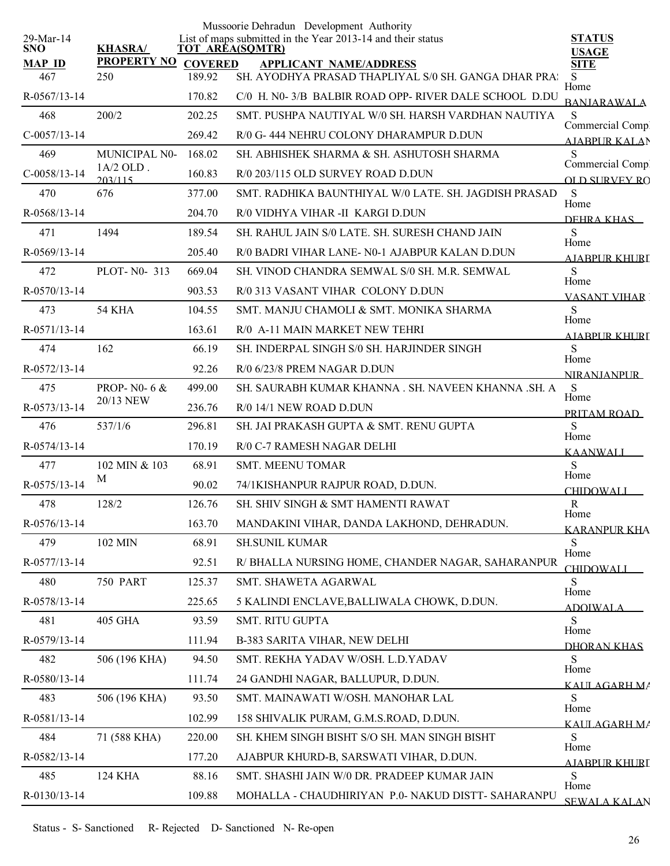| 29-Mar-14<br><b>SNO</b> | <b>KHASRA/</b>            |                          | Mussoorie Dehradun Development Authority<br>List of maps submitted in the Year 2013-14 and their status<br>TOT AREA(SQMTR) | <b>STATUS</b><br><b>USAGE</b>     |
|-------------------------|---------------------------|--------------------------|----------------------------------------------------------------------------------------------------------------------------|-----------------------------------|
| <b>MAP ID</b><br>467    | <b>PROPERTY NO</b><br>250 | <b>COVERED</b><br>189.92 | <b>APPLICANT NAME/ADDRESS</b><br>SH. AYODHYA PRASAD THAPLIYAL S/0 SH. GANGA DHAR PRA:                                      | <b>SITE</b><br>S.                 |
| R-0567/13-14            |                           | 170.82                   | C/0 H. N0-3/B BALBIR ROAD OPP-RIVER DALE SCHOOL D.DU                                                                       | Home                              |
| 468                     | 200/2                     | 202.25                   | SMT. PUSHPA NAUTIYAL W/0 SH. HARSH VARDHAN NAUTIYA                                                                         | <b>BANJARAWALA</b><br>S           |
| $C-0057/13-14$          |                           | 269.42                   | R/0 G-444 NEHRU COLONY DHARAMPUR D.DUN                                                                                     | Commercial Compl                  |
| 469                     | <b>MUNICIPAL N0-</b>      | 168.02                   | SH. ABHISHEK SHARMA & SH. ASHUTOSH SHARMA                                                                                  | <b>AIABPUR KALAN</b><br>S         |
| $C-0058/13-14$          | $1A/2$ OLD.<br>203/115    | 160.83                   | R/0 203/115 OLD SURVEY ROAD D.DUN                                                                                          | Commercial Compl<br>OLD SURVEY RO |
| 470                     | 676                       | 377.00                   | SMT. RADHIKA BAUNTHIYAL W/0 LATE. SH. JAGDISH PRASAD                                                                       | S                                 |
| R-0568/13-14            |                           | 204.70                   | R/0 VIDHYA VIHAR -II KARGI D.DUN                                                                                           | Home                              |
| 471                     | 1494                      | 189.54                   | SH. RAHUL JAIN S/0 LATE. SH. SURESH CHAND JAIN                                                                             | DEHRA KHAS<br><sub>S</sub>        |
| $R-0.569/13-14$         |                           | 205.40                   | R/0 BADRI VIHAR LANE- N0-1 AJABPUR KALAN D.DUN                                                                             | Home                              |
| 472                     | PLOT-N0-313               | 669.04                   | SH. VINOD CHANDRA SEMWAL S/0 SH. M.R. SEMWAL                                                                               | AIABPUR KHURT<br>S                |
| $R - 0570/13 - 14$      |                           | 903.53                   | R/0 313 VASANT VIHAR COLONY D.DUN                                                                                          | Home<br><b>VASANT VIHAR</b>       |
| 473                     | 54 KHA                    | 104.55                   | SMT. MANJU CHAMOLI & SMT. MONIKA SHARMA                                                                                    | <sub>S</sub>                      |
| R-0571/13-14            |                           | 163.61                   | R/0 A-11 MAIN MARKET NEW TEHRI                                                                                             | Home<br>AJABPUR KHURL             |
| 474                     | 162                       | 66.19                    | SH. INDERPAL SINGH S/0 SH. HARJINDER SINGH                                                                                 | S                                 |
| R-0572/13-14            |                           | 92.26                    | R/0 6/23/8 PREM NAGAR D.DUN                                                                                                | Home<br><b>NIRANIANPUR</b>        |
| 475                     | PROP-N0-6 &               | 499.00                   | SH. SAURABH KUMAR KHANNA . SH. NAVEEN KHANNA .SH. A                                                                        | S                                 |
| R-0573/13-14            | 20/13 NEW                 | 236.76                   | R/0 14/1 NEW ROAD D.DUN                                                                                                    | Home<br>PRITAM ROAD               |
| 476                     | 537/1/6                   | 296.81                   | SH. JAI PRAKASH GUPTA & SMT. RENU GUPTA                                                                                    | S                                 |
| R-0574/13-14            |                           | 170.19                   | R/0 C-7 RAMESH NAGAR DELHI                                                                                                 | Home<br>KAANWALI                  |
| 477                     | 102 MIN & 103             | 68.91                    | <b>SMT. MEENU TOMAR</b>                                                                                                    | S                                 |
| R-0575/13-14            | M                         | 90.02                    | 74/1KISHANPUR RAJPUR ROAD, D.DUN.                                                                                          | Home<br><b>CHIDOWALI</b>          |
| 478                     | 128/2                     | 126.76                   | SH. SHIV SINGH & SMT HAMENTI RAWAT                                                                                         | $\mathbf{R}$                      |
| R-0576/13-14            |                           | 163.70                   | MANDAKINI VIHAR, DANDA LAKHOND, DEHRADUN.                                                                                  | Home<br><b>KARANPUR KHA</b>       |
| 479                     | 102 MIN                   | 68.91                    | <b>SH.SUNIL KUMAR</b>                                                                                                      | <sub>S</sub><br>Home              |
| R-0577/13-14            |                           | 92.51                    | R/ BHALLA NURSING HOME, CHANDER NAGAR, SAHARANPUR                                                                          | <b>CHIDOWALI</b>                  |
| 480                     | <b>750 PART</b>           | 125.37                   | SMT. SHAWETA AGARWAL                                                                                                       | <sub>S</sub><br>Home              |
| R-0578/13-14            |                           | 225.65                   | 5 KALINDI ENCLAVE, BALLIWALA CHOWK, D.DUN.                                                                                 | ADOIWALA                          |
| 481                     | <b>405 GHA</b>            | 93.59                    | SMT. RITU GUPTA                                                                                                            | S.<br>Home                        |
| R-0579/13-14            |                           | 111.94                   | B-383 SARITA VIHAR, NEW DELHI                                                                                              | DHORAN KHAS                       |
| 482                     | 506 (196 KHA)             | 94.50                    | SMT. REKHA YADAV W/OSH. L.D.YADAV                                                                                          | S<br>Home                         |
| R-0580/13-14            |                           | 111.74                   | 24 GANDHI NAGAR, BALLUPUR, D.DUN.                                                                                          | KALILAGARH MA                     |
| 483                     | 506 (196 KHA)             | 93.50                    | SMT. MAINAWATI W/OSH. MANOHAR LAL                                                                                          | S.<br>Home                        |
| R-0581/13-14            |                           | 102.99                   | 158 SHIVALIK PURAM, G.M.S.ROAD, D.DUN.                                                                                     | KALILAGARH MA                     |
| 484                     | 71 (588 KHA)              | 220.00                   | SH. KHEM SINGH BISHT S/O SH. MAN SINGH BISHT                                                                               | <sub>S</sub><br>Home              |
| R-0582/13-14            |                           | 177.20                   | AJABPUR KHURD-B, SARSWATI VIHAR, D.DUN.                                                                                    | <b>AJARPUR KHURI</b>              |
| 485                     | 124 KHA                   | 88.16                    | SMT. SHASHI JAIN W/0 DR. PRADEEP KUMAR JAIN                                                                                | S<br>Home                         |
| R-0130/13-14            |                           | 109.88                   | MOHALLA - CHAUDHIRIYAN P.0- NAKUD DISTT- SAHARANPU                                                                         | <b>SEWALA KALAN</b>               |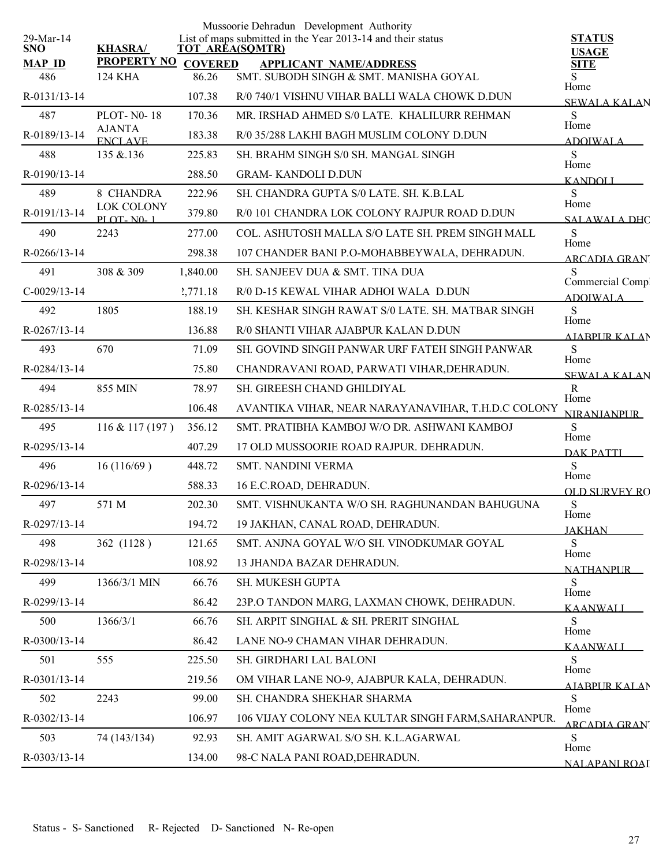|                         |                                 |                | Mussoorie Dehradun Development Authority                                              |                              |
|-------------------------|---------------------------------|----------------|---------------------------------------------------------------------------------------|------------------------------|
| 29-Mar-14<br><b>SNO</b> | <b>KHASRA/</b>                  |                | List of maps submitted in the Year 2013-14 and their status<br><b>TOT AREA(SQMTR)</b> | <b>STATUS</b>                |
| <b>MAP ID</b>           | <b>PROPERTY NO</b>              | <b>COVERED</b> | <b>APPLICANT NAME/ADDRESS</b>                                                         | <b>USAGE</b><br><b>SITE</b>  |
| 486                     | <b>124 KHA</b>                  | 86.26          | SMT. SUBODH SINGH & SMT. MANISHA GOYAL                                                | S<br>Home                    |
| R-0131/13-14            |                                 | 107.38         | R/0 740/1 VISHNU VIHAR BALLI WALA CHOWK D.DUN                                         | <b>SEWALA KALAN</b>          |
| 487                     | <b>PLOT-N0-18</b>               | 170.36         | MR. IRSHAD AHMED S/0 LATE. KHALILURR REHMAN                                           | S<br>Home                    |
| R-0189/13-14            | <b>AJANTA</b><br><b>ENCLAVE</b> | 183.38         | R/0 35/288 LAKHI BAGH MUSLIM COLONY D.DUN                                             | <b>ADOIWALA</b>              |
| 488                     | 135 & 136                       | 225.83         | SH. BRAHM SINGH S/0 SH. MANGAL SINGH                                                  | S<br>Home                    |
| R-0190/13-14            |                                 | 288.50         | <b>GRAM-KANDOLI D.DUN</b>                                                             | <b>KANDOLL</b>               |
| 489                     | 8 CHANDRA                       | 222.96         | SH. CHANDRA GUPTA S/0 LATE. SH. K.B.LAL                                               | S<br>Home                    |
| R-0191/13-14            | LOK COLONY<br><b>PLOT-N0-1</b>  | 379.80         | R/0 101 CHANDRA LOK COLONY RAJPUR ROAD D.DUN                                          | <b>SALAWALA DHC</b>          |
| 490                     | 2243                            | 277.00         | COL. ASHUTOSH MALLA S/O LATE SH. PREM SINGH MALL                                      | S<br>Home                    |
| $R - 0266/13 - 14$      |                                 | 298.38         | 107 CHANDER BANI P.O-MOHABBEYWALA, DEHRADUN.                                          | <b>ARCADIA GRAN</b>          |
| 491                     | 308 & 309                       | 1,840.00       | SH. SANJEEV DUA & SMT. TINA DUA                                                       | S<br>Commercial Compl        |
| $C-0029/13-14$          |                                 | 2,771.18       | R/0 D-15 KEWAL VIHAR ADHOI WALA D.DUN                                                 | ADOIWALA                     |
| 492                     | 1805                            | 188.19         | SH. KESHAR SINGH RAWAT S/0 LATE. SH. MATBAR SINGH                                     | S<br>Home                    |
| R-0267/13-14            |                                 | 136.88         | R/0 SHANTI VIHAR AJABPUR KALAN D.DUN                                                  | <b>AIABPURKALAN</b>          |
| 493                     | 670                             | 71.09          | SH. GOVIND SINGH PANWAR URF FATEH SINGH PANWAR                                        | S<br>Home                    |
| R-0284/13-14            |                                 | 75.80          | CHANDRAVANI ROAD, PARWATI VIHAR, DEHRADUN.                                            | <b>SEWALA KALAN</b>          |
| 494                     | 855 MIN                         | 78.97          | SH. GIREESH CHAND GHILDIYAL                                                           | $\mathbf R$<br>Home          |
| R-0285/13-14            |                                 | 106.48         | AVANTIKA VIHAR, NEAR NARAYANAVIHAR, T.H.D.C COLONY                                    | <b>NIRANIANPUR</b>           |
| 495                     | $116 \& 117(197)$               | 356.12         | SMT. PRATIBHA KAMBOJ W/O DR. ASHWANI KAMBOJ                                           | S<br>Home                    |
| R-0295/13-14            |                                 | 407.29         | 17 OLD MUSSOORIE ROAD RAJPUR. DEHRADUN.                                               | DAK PATTI                    |
| 496                     | 16(116/69)                      | 448.72         | <b>SMT. NANDINI VERMA</b>                                                             | S<br>Home                    |
| R-0296/13-14            |                                 | 588.33         | 16 E.C.ROAD, DEHRADUN.                                                                | <b>OLD SURVEY RO</b>         |
| 497                     | 571 M                           | 202.30         | SMT. VISHNUKANTA W/O SH. RAGHUNANDAN BAHUGUNA                                         | ${\bf S}$<br>Home            |
| R-0297/13-14            |                                 | 194.72         | 19 JAKHAN, CANAL ROAD, DEHRADUN.                                                      | <b>JAKHAN</b>                |
| 498                     | 362 (1128)                      | 121.65         | SMT. ANJNA GOYAL W/O SH. VINODKUMAR GOYAL                                             | S<br>Home                    |
| R-0298/13-14            |                                 | 108.92         | 13 JHANDA BAZAR DEHRADUN.                                                             | <b>NATHANPUR</b>             |
| 499                     | 1366/3/1 MIN                    | 66.76          | SH. MUKESH GUPTA                                                                      | S<br>Home                    |
| R-0299/13-14            |                                 | 86.42          | 23P.O TANDON MARG, LAXMAN CHOWK, DEHRADUN.                                            | KAANWALI                     |
| 500                     | 1366/3/1                        | 66.76          | SH. ARPIT SINGHAL & SH. PRERIT SINGHAL                                                | S<br>Home                    |
| R-0300/13-14            |                                 | 86.42          | LANE NO-9 CHAMAN VIHAR DEHRADUN.                                                      | KAANWALI                     |
| 501                     | 555                             | 225.50         | SH. GIRDHARI LAL BALONI                                                               | S<br>Home                    |
| R-0301/13-14            |                                 | 219.56         | OM VIHAR LANE NO-9, AJABPUR KALA, DEHRADUN.                                           | <b>AIABPUR KALAN</b>         |
| 502                     | 2243                            | 99.00          | SH. CHANDRA SHEKHAR SHARMA                                                            | S<br>Home                    |
| R-0302/13-14            |                                 | 106.97         | 106 VIJAY COLONY NEA KULTAR SINGH FARM, SAHARANPUR.                                   | ARCADIA GRAN'                |
| 503                     | 74 (143/134)                    | 92.93          | SH. AMIT AGARWAL S/O SH. K.L.AGARWAL                                                  | S                            |
| R-0303/13-14            |                                 | 134.00         | 98-C NALA PANI ROAD, DEHRADUN.                                                        | Home<br><b>NALAPANI ROAI</b> |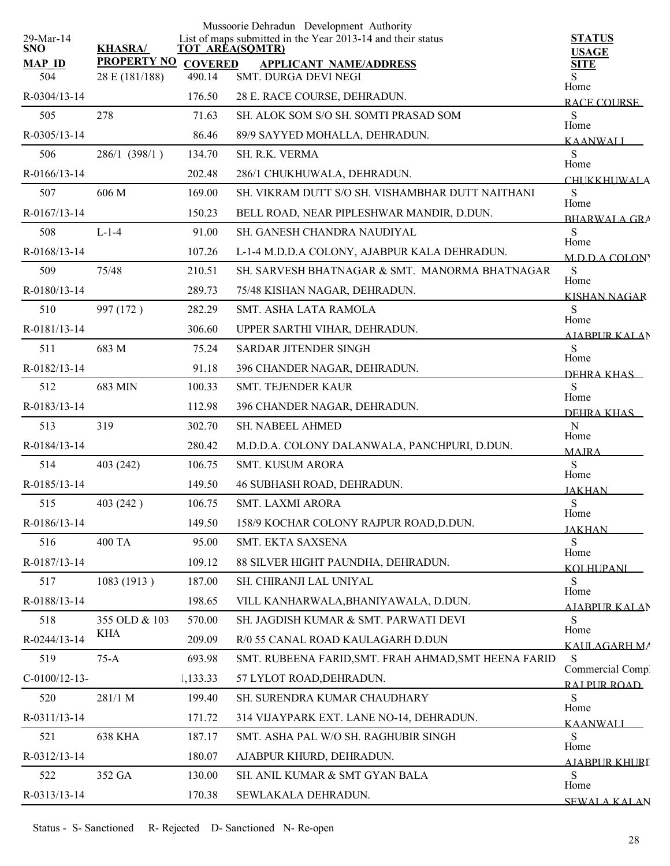|                         |                    |                | Mussoorie Dehradun Development Authority                                              |                               |
|-------------------------|--------------------|----------------|---------------------------------------------------------------------------------------|-------------------------------|
| 29-Mar-14<br><b>SNO</b> | <b>KHASRA/</b>     |                | List of maps submitted in the Year 2013-14 and their status<br><b>TOT AREA(SQMTR)</b> | <b>STATUS</b><br><b>USAGE</b> |
| <b>MAP ID</b>           | <b>PROPERTY NO</b> | <b>COVERED</b> | <b>APPLICANT NAME/ADDRESS</b>                                                         | <b>SITE</b>                   |
| 504                     | 28 E (181/188)     | 490.14         | SMT. DURGA DEVI NEGI                                                                  | S<br>Home                     |
| R-0304/13-14            |                    | 176.50         | 28 E. RACE COURSE, DEHRADUN.                                                          | <b>RACE COURSE</b>            |
| 505                     | 278                | 71.63          | SH. ALOK SOM S/O SH. SOMTI PRASAD SOM                                                 | S<br>Home                     |
| R-0305/13-14            |                    | 86.46          | 89/9 SAYYED MOHALLA, DEHRADUN.                                                        | <b>KAANWALI</b>               |
| 506                     | 286/1 (398/1)      | 134.70         | SH. R.K. VERMA                                                                        | S<br>Home                     |
| R-0166/13-14            |                    | 202.48         | 286/1 CHUKHUWALA, DEHRADUN.                                                           | <b>CHUKKHUWALA</b>            |
| 507                     | 606 M              | 169.00         | SH. VIKRAM DUTT S/O SH. VISHAMBHAR DUTT NAITHANI                                      | S<br>Home                     |
| R-0167/13-14            |                    | 150.23         | BELL ROAD, NEAR PIPLESHWAR MANDIR, D.DUN.                                             | <b>BHARWALA GRA</b>           |
| 508                     | $L-1-4$            | 91.00          | SH. GANESH CHANDRA NAUDIYAL                                                           | S<br>Home                     |
| R-0168/13-14            |                    | 107.26         | L-1-4 M.D.D.A COLONY, AJABPUR KALA DEHRADUN.                                          | MDDACOLON                     |
| 509                     | 75/48              | 210.51         | SH. SARVESH BHATNAGAR & SMT. MANORMA BHATNAGAR                                        | S                             |
| R-0180/13-14            |                    | 289.73         | 75/48 KISHAN NAGAR, DEHRADUN.                                                         | Home<br><b>KISHAN NAGAR</b>   |
| 510                     | 997 (172)          | 282.29         | SMT. ASHA LATA RAMOLA                                                                 | S                             |
| R-0181/13-14            |                    | 306.60         | UPPER SARTHI VIHAR, DEHRADUN.                                                         | Home<br><b>AIABPUR KALAN</b>  |
| 511                     | 683 M              | 75.24          | SARDAR JITENDER SINGH                                                                 | S                             |
| R-0182/13-14            |                    | 91.18          | 396 CHANDER NAGAR, DEHRADUN.                                                          | Home<br>DEHRA KHAS            |
| 512                     | 683 MIN            | 100.33         | SMT. TEJENDER KAUR                                                                    | S                             |
| R-0183/13-14            |                    | 112.98         | 396 CHANDER NAGAR, DEHRADUN.                                                          | Home<br>DEHRA KHAS            |
| 513                     | 319                | 302.70         | SH. NABEEL AHMED                                                                      | $\mathbf N$                   |
| R-0184/13-14            |                    | 280.42         | M.D.D.A. COLONY DALANWALA, PANCHPURI, D.DUN.                                          | Home<br><b>MAJRA</b>          |
| 514                     | 403 (242)          | 106.75         | SMT. KUSUM ARORA                                                                      | S                             |
| R-0185/13-14            |                    | 149.50         | 46 SUBHASH ROAD, DEHRADUN.                                                            | Home<br><b>JAKHAN</b>         |
| 515                     | 403 (242)          | 106.75         | <b>SMT. LAXMI ARORA</b>                                                               | ${\bf S}$                     |
| R-0186/13-14            |                    | 149.50         | 158/9 KOCHAR COLONY RAJPUR ROAD, D.DUN.                                               | Home<br><b>JAKHAN</b>         |
| 516                     | <b>400 TA</b>      | 95.00          | SMT. EKTA SAXSENA                                                                     | S                             |
| R-0187/13-14            |                    | 109.12         | 88 SILVER HIGHT PAUNDHA, DEHRADUN.                                                    | Home<br><b>KOLHUPANI</b>      |
| 517                     | 1083 (1913)        | 187.00         | SH. CHIRANJI LAL UNIYAL                                                               | S.                            |
| R-0188/13-14            |                    | 198.65         | VILL KANHARWALA, BHANIYAWALA, D.DUN.                                                  | Home                          |
| 518                     | 355 OLD & 103      | 570.00         | SH. JAGDISH KUMAR & SMT. PARWATI DEVI                                                 | AIARPUR KALAN<br>S            |
| R-0244/13-14            | KHA                | 209.09         | R/0 55 CANAL ROAD KAULAGARH D.DUN                                                     | Home                          |
| 519                     | $75-A$             | 693.98         | SMT. RUBEENA FARID, SMT. FRAH AHMAD, SMT HEENA FARID                                  | KALILAGARH MA<br>S            |
| $C-0100/12-13-$         |                    | 1,133.33       | 57 LYLOT ROAD, DEHRADUN.                                                              | Commercial Comp.              |
| 520                     | 281/1 M            | 199.40         | SH. SURENDRA KUMAR CHAUDHARY                                                          | RAI PUR ROAD<br>S             |
| R-0311/13-14            |                    | 171.72         | 314 VIJAYPARK EXT. LANE NO-14, DEHRADUN.                                              | Home                          |
| 521                     | <b>638 KHA</b>     | 187.17         | SMT. ASHA PAL W/O SH. RAGHUBIR SINGH                                                  | <b>KAANWALI</b><br>S          |
| R-0312/13-14            |                    | 180.07         | AJABPUR KHURD, DEHRADUN.                                                              | Home                          |
| 522                     | 352 GA             | 130.00         | SH. ANIL KUMAR & SMT GYAN BALA                                                        | AJABPUR KHURI<br>S            |
| R-0313/13-14            |                    | 170.38         | SEWLAKALA DEHRADUN.                                                                   | Home                          |
|                         |                    |                |                                                                                       | <b>SEWALA KALAN</b>           |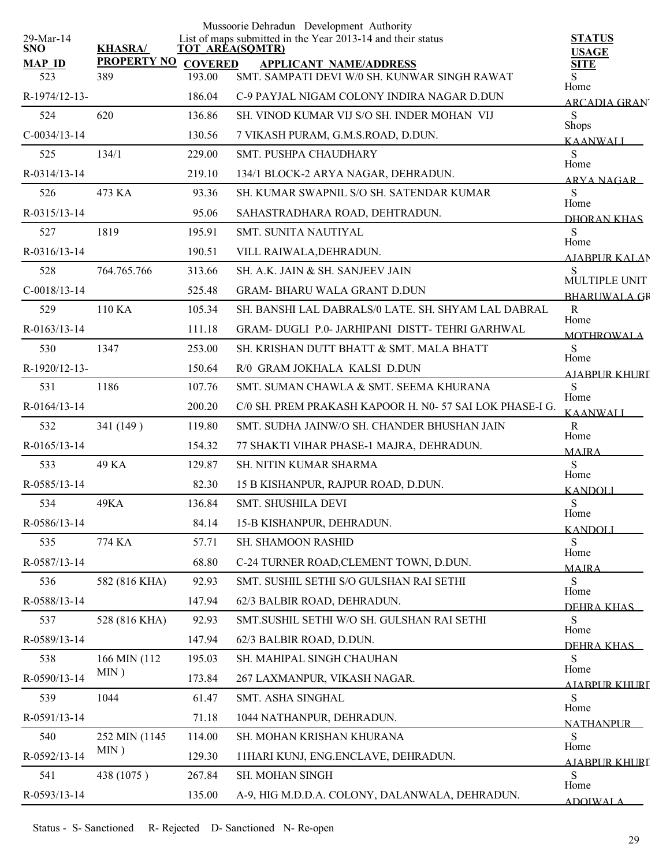|                         |                    |                | Mussoorie Dehradun Development Authority                                              |                                      |
|-------------------------|--------------------|----------------|---------------------------------------------------------------------------------------|--------------------------------------|
| 29-Mar-14<br><b>SNO</b> | <b>KHASRA/</b>     |                | List of maps submitted in the Year 2013-14 and their status<br><b>TOT AREA(SQMTR)</b> | <b>STATUS</b><br><b>USAGE</b>        |
| <b>MAP ID</b>           | <b>PROPERTY NO</b> | <b>COVERED</b> | <b>APPLICANT NAME/ADDRESS</b>                                                         | <b>SITE</b>                          |
| 523                     | 389                | 193.00         | SMT. SAMPATI DEVI W/0 SH. KUNWAR SINGH RAWAT                                          | S<br>Home                            |
| R-1974/12-13-           |                    | 186.04         | C-9 PAYJAL NIGAM COLONY INDIRA NAGAR D.DUN                                            | <b>ARCADIA GRAN</b>                  |
| 524                     | 620                | 136.86         | SH. VINOD KUMAR VIJ S/O SH. INDER MOHAN VIJ                                           | S<br><b>Shops</b>                    |
| $C-0034/13-14$          |                    | 130.56         | 7 VIKASH PURAM, G.M.S.ROAD, D.DUN.                                                    | <b>KAANWALI</b>                      |
| 525                     | 134/1              | 229.00         | <b>SMT. PUSHPA CHAUDHARY</b>                                                          | S<br>Home                            |
| R-0314/13-14            |                    | 219.10         | 134/1 BLOCK-2 ARYA NAGAR, DEHRADUN.                                                   | ARYA NAGAR                           |
| 526                     | 473 KA             | 93.36          | SH. KUMAR SWAPNIL S/O SH. SATENDAR KUMAR                                              | ${\bf S}$<br>Home                    |
| R-0315/13-14            |                    | 95.06          | SAHASTRADHARA ROAD, DEHTRADUN.                                                        | DHORAN KHAS                          |
| 527                     | 1819               | 195.91         | <b>SMT. SUNITA NAUTIYAL</b>                                                           | S<br>Home                            |
| $R - 0316/13 - 14$      |                    | 190.51         | VILL RAIWALA, DEHRADUN.                                                               | <b>AIARPUR KALAN</b>                 |
| 528                     | 764.765.766        | 313.66         | SH. A.K. JAIN & SH. SANJEEV JAIN                                                      | S                                    |
| $C-0018/13-14$          |                    | 525.48         | <b>GRAM- BHARU WALA GRANT D.DUN</b>                                                   | MULTIPLE UNIT<br><b>BHARUWALA GR</b> |
| 529                     | 110 KA             | 105.34         | SH. BANSHI LAL DABRALS/0 LATE. SH. SHYAM LAL DABRAL                                   | $\mathbf R$                          |
| $R - 0163/13 - 14$      |                    | 111.18         | GRAM- DUGLI P.0- JARHIPANI DISTT-TEHRI GARHWAL                                        | Home<br><b>MOTHROWALA</b>            |
| 530                     | 1347               | 253.00         | SH. KRISHAN DUTT BHATT & SMT. MALA BHATT                                              | S                                    |
| R-1920/12-13-           |                    | 150.64         | R/0 GRAM JOKHALA KALSI D.DUN                                                          | Home<br>AIARPUR KHURI                |
| 531                     | 1186               | 107.76         | SMT. SUMAN CHAWLA & SMT. SEEMA KHURANA                                                | S                                    |
| R-0164/13-14            |                    | 200.20         | C/0 SH. PREM PRAKASH KAPOOR H. N0- 57 SAI LOK PHASE-I G.                              | Home<br><b>KAANWALL</b>              |
| 532                     | 341 (149)          | 119.80         | SMT. SUDHA JAINW/O SH. CHANDER BHUSHAN JAIN                                           | $\mathbf R$                          |
| $R - 0165/13 - 14$      |                    | 154.32         | 77 SHAKTI VIHAR PHASE-1 MAJRA, DEHRADUN.                                              | Home<br><b>MAJRA</b>                 |
| 533                     | 49 KA              | 129.87         | <b>SH. NITIN KUMAR SHARMA</b>                                                         | S                                    |
| R-0585/13-14            |                    | 82.30          | 15 B KISHANPUR, RAJPUR ROAD, D.DUN.                                                   | Home<br><b>KANDOLI</b>               |
| 534                     | 49KA               | 136.84         | SMT. SHUSHILA DEVI                                                                    | S                                    |
| R-0586/13-14            |                    | 84.14          | 15-B KISHANPUR, DEHRADUN.                                                             | Home                                 |
| 535                     | 774 KA             | 57.71          | SH. SHAMOON RASHID                                                                    | <b>KANDOLI</b><br>S                  |
| R-0587/13-14            |                    | 68.80          | C-24 TURNER ROAD, CLEMENT TOWN, D.DUN.                                                | Home                                 |
| 536                     | 582 (816 KHA)      | 92.93          | SMT. SUSHIL SETHI S/O GULSHAN RAI SETHI                                               | <b>MAJRA</b><br>S                    |
| R-0588/13-14            |                    | 147.94         | 62/3 BALBIR ROAD, DEHRADUN.                                                           | Home                                 |
| 537                     | 528 (816 KHA)      | 92.93          | SMT.SUSHIL SETHI W/O SH. GULSHAN RAI SETHI                                            | DEHRA KHAS<br>S                      |
| R-0589/13-14            |                    | 147.94         | 62/3 BALBIR ROAD, D.DUN.                                                              | Home                                 |
| 538                     | 166 MIN (112       | 195.03         | SH. MAHIPAL SINGH CHAUHAN                                                             | DEHRA KHAS<br>S                      |
| R-0590/13-14            | MIN)               | 173.84         | 267 LAXMANPUR, VIKASH NAGAR.                                                          | Home                                 |
| 539                     | 1044               | 61.47          | SMT. ASHA SINGHAL                                                                     | A LABPUR KHURI<br>S                  |
| R-0591/13-14            |                    | 71.18          | 1044 NATHANPUR, DEHRADUN.                                                             | Home                                 |
| 540                     | 252 MIN (1145      | 114.00         | SH. MOHAN KRISHAN KHURANA                                                             | <b>NATHANPLIR</b><br>S               |
| R-0592/13-14            | MIN)               | 129.30         | 11HARI KUNJ, ENG.ENCLAVE, DEHRADUN.                                                   | Home                                 |
| 541                     | 438 (1075)         | 267.84         | SH. MOHAN SINGH                                                                       | AJABPUR KHURI<br>${\bf S}$           |
| R-0593/13-14            |                    | 135.00         | A-9, HIG M.D.D.A. COLONY, DALANWALA, DEHRADUN.                                        | Home                                 |
|                         |                    |                |                                                                                       | <b>ADOIWALA</b>                      |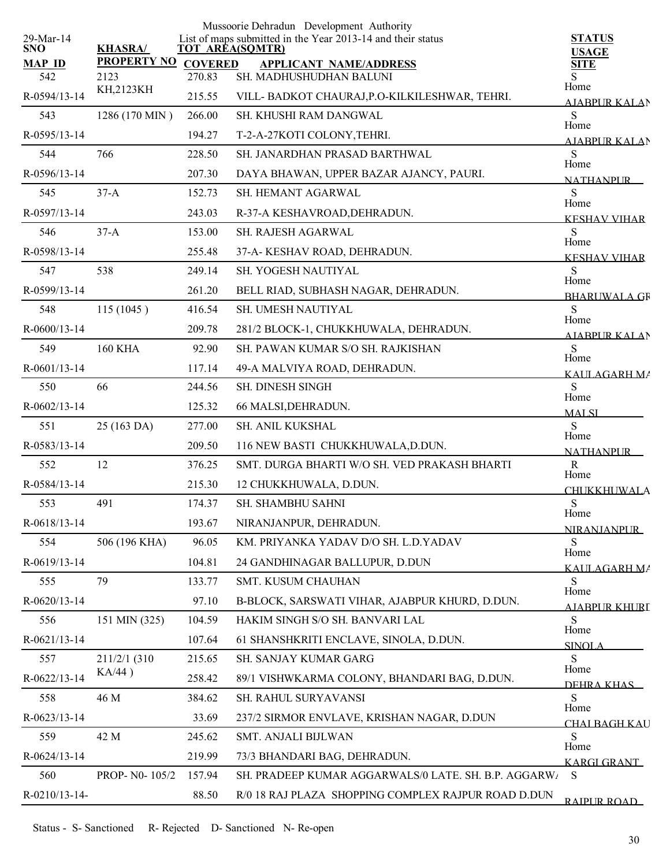|                         |                    |                | Mussoorie Dehradun Development Authority                                              |                                 |
|-------------------------|--------------------|----------------|---------------------------------------------------------------------------------------|---------------------------------|
| 29-Mar-14<br><b>SNO</b> | <b>KHASRA/</b>     |                | List of maps submitted in the Year 2013-14 and their status<br><b>TOT AREA(SQMTR)</b> | <b>STATUS</b><br><b>USAGE</b>   |
| <b>MAP ID</b>           | <b>PROPERTY NO</b> | <b>COVERED</b> | <b>APPLICANT NAME/ADDRESS</b>                                                         | <b>SITE</b>                     |
| 542                     | 2123<br>KH,2123KH  | 270.83         | SH. MADHUSHUDHAN BALUNI                                                               | Home                            |
| R-0594/13-14            |                    | 215.55         | VILL- BADKOT CHAURAJ, P.O-KILKILESHWAR, TEHRI.                                        | AJABPUR KALAN                   |
| 543                     | 1286 (170 MIN)     | 266.00         | SH. KHUSHI RAM DANGWAL                                                                | S<br>Home                       |
| R-0595/13-14            |                    | 194.27         | T-2-A-27KOTI COLONY, TEHRI.                                                           | AIARPUR KALAN                   |
| 544                     | 766                | 228.50         | <b>SH. JANARDHAN PRASAD BARTHWAL</b>                                                  | <sub>S</sub><br>Home            |
| R-0596/13-14            |                    | 207.30         | DAYA BHAWAN, UPPER BAZAR AJANCY, PAURI.                                               | <b>NATHANPUR</b>                |
| 545                     | $37-A$             | 152.73         | SH. HEMANT AGARWAL                                                                    | S<br>Home                       |
| R-0597/13-14            |                    | 243.03         | R-37-A KESHAVROAD, DEHRADUN.                                                          | <b>KESHAV VIHAR</b>             |
| 546                     | $37-A$             | 153.00         | <b>SH. RAJESH AGARWAL</b>                                                             | S                               |
| R-0598/13-14            |                    | 255.48         | 37-A- KESHAV ROAD, DEHRADUN.                                                          | Home<br><b>KESHAV VIHAR</b>     |
| 547                     | 538                | 249.14         | SH. YOGESH NAUTIYAL                                                                   | S                               |
| R-0599/13-14            |                    | 261.20         | BELL RIAD, SUBHASH NAGAR, DEHRADUN.                                                   | Home<br><b>BHARUWALA GR</b>     |
| 548                     | 115(1045)          | 416.54         | SH. UMESH NAUTIYAL                                                                    | <sub>S</sub>                    |
| R-0600/13-14            |                    | 209.78         | 281/2 BLOCK-1, CHUKKHUWALA, DEHRADUN.                                                 | Home<br><b>AIARPUR KALAN</b>    |
| 549                     | <b>160 KHA</b>     | 92.90          | SH. PAWAN KUMAR S/O SH. RAJKISHAN                                                     | S                               |
| R-0601/13-14            |                    | 117.14         | 49-A MALVIYA ROAD, DEHRADUN.                                                          | Home<br>KALILAGARH MA           |
| 550                     | 66                 | 244.56         | SH. DINESH SINGH                                                                      | S                               |
| R-0602/13-14            |                    | 125.32         | 66 MALSI, DEHRADUN.                                                                   | Home<br><b>MALSI</b>            |
| 551                     | 25 (163 DA)        | 277.00         | SH. ANIL KUKSHAL                                                                      | S                               |
| R-0583/13-14            |                    | 209.50         | 116 NEW BASTI CHUKKHUWALA, D.DUN.                                                     | Home<br><b>NATHANPUR</b>        |
| 552                     | 12                 | 376.25         | SMT. DURGA BHARTI W/O SH. VED PRAKASH BHARTI                                          | $\mathbf R$                     |
| R-0584/13-14            |                    | 215.30         | 12 CHUKKHUWALA, D.DUN.                                                                | Home                            |
| 553                     | 491                | 174.37         | <b>SH. SHAMBHU SAHNI</b>                                                              | <b>CHUKKHUWALA</b><br>${\bf S}$ |
| R-0618/13-14            |                    | 193.67         | NIRANJANPUR, DEHRADUN.                                                                | Home                            |
| 554                     | 506 (196 KHA)      | 96.05          | KM. PRIYANKA YADAV D/O SH. L.D.YADAV                                                  | <b>NIRANIANPUR</b><br>S         |
| R-0619/13-14            |                    | 104.81         | 24 GANDHINAGAR BALLUPUR, D.DUN                                                        | Home                            |
| 555                     | 79                 | 133.77         | SMT. KUSUM CHAUHAN                                                                    | KAULAGARH MA<br>S               |
| R-0620/13-14            |                    | 97.10          | B-BLOCK, SARSWATI VIHAR, AJABPUR KHURD, D.DUN.                                        | Home                            |
| 556                     | 151 MIN (325)      | 104.59         | HAKIM SINGH S/O SH. BANVARI LAL                                                       | AJARPUR KHURI<br>S              |
| R-0621/13-14            |                    | 107.64         | 61 SHANSHKRITI ENCLAVE, SINOLA, D.DUN.                                                | Home                            |
| 557                     | 211/2/1 (310)      | 215.65         | SH. SANJAY KUMAR GARG                                                                 | <b>SINOLA</b><br>S              |
| R-0622/13-14            | KA/44)             | 258.42         | 89/1 VISHWKARMA COLONY, BHANDARI BAG, D.DUN.                                          | Home                            |
| 558                     | 46 M               | 384.62         | SH. RAHUL SURYAVANSI                                                                  | DEHRA KHAS<br>S                 |
| R-0623/13-14            |                    | 33.69          | 237/2 SIRMOR ENVLAVE, KRISHAN NAGAR, D.DUN                                            | Home                            |
| 559                     | 42 M               | 245.62         | SMT. ANJALI BIJLWAN                                                                   | CHAI BAGH KAU<br>S              |
| R-0624/13-14            |                    | 219.99         | 73/3 BHANDARI BAG, DEHRADUN.                                                          | Home                            |
| 560                     | PROP- N0-105/2     | 157.94         | SH. PRADEEP KUMAR AGGARWALS/0 LATE. SH. B.P. AGGARW/                                  | <b>KARGI GRANT</b><br>S         |
| R-0210/13-14-           |                    | 88.50          | R/0 18 RAJ PLAZA SHOPPING COMPLEX RAJPUR ROAD D.DUN                                   |                                 |
|                         |                    |                |                                                                                       | RAIPUR ROAD                     |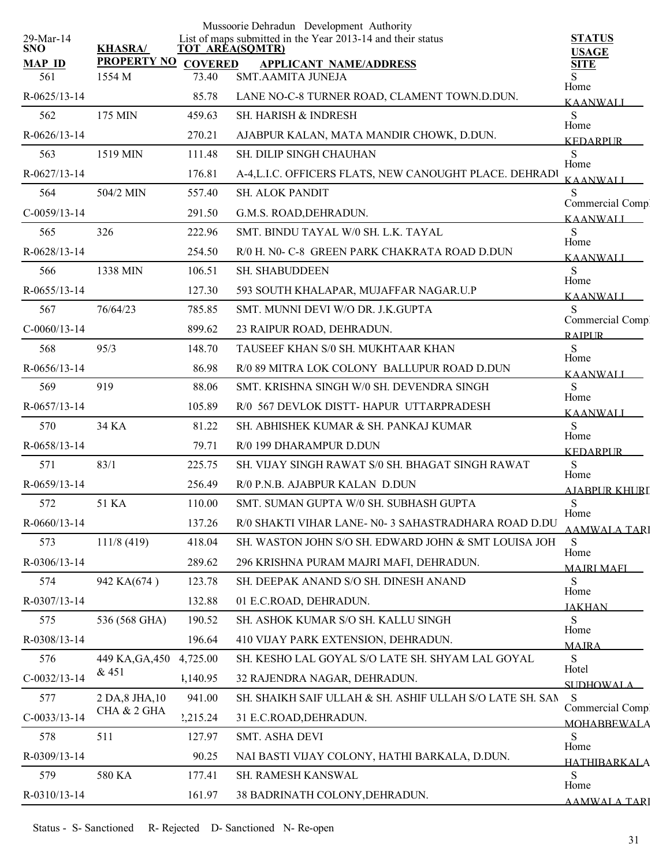|                         |                    |                | Mussoorie Dehradun Development Authority                                              |                                    |
|-------------------------|--------------------|----------------|---------------------------------------------------------------------------------------|------------------------------------|
| 29-Mar-14<br><b>SNO</b> | <b>KHASRA/</b>     |                | List of maps submitted in the Year 2013-14 and their status<br><b>TOT AREA(SQMTR)</b> | <b>STATUS</b><br><b>USAGE</b>      |
| <b>MAP ID</b>           | <b>PROPERTY NO</b> | <b>COVERED</b> | <b>APPLICANT NAME/ADDRESS</b>                                                         | <b>SITE</b>                        |
| 561                     | 1554 M             | 73.40          | <b>SMT.AAMITA JUNEJA</b>                                                              | Home                               |
| $R-0625/13-14$          |                    | 85.78          | LANE NO-C-8 TURNER ROAD, CLAMENT TOWN.D.DUN.                                          | <b>KAANWALI</b>                    |
| 562                     | 175 MIN            | 459.63         | <b>SH. HARISH &amp; INDRESH</b>                                                       | S<br>Home                          |
| $R-0626/13-14$          |                    | 270.21         | AJABPUR KALAN, MATA MANDIR CHOWK, D.DUN.                                              | <b>KEDARPUR</b>                    |
| 563                     | 1519 MIN           | 111.48         | <b>SH. DILIP SINGH CHAUHAN</b>                                                        | ${\bf S}$<br>Home                  |
| R-0627/13-14            |                    | 176.81         | A-4, L.I.C. OFFICERS FLATS, NEW CANOUGHT PLACE. DEHRADI                               | <b>KAANWALI</b>                    |
| 564                     | 504/2 MIN          | 557.40         | <b>SH. ALOK PANDIT</b>                                                                | S<br>Commercial Comp.              |
| $C-0059/13-14$          |                    | 291.50         | G.M.S. ROAD, DEHRADUN.                                                                | <b>KAANWALI</b>                    |
| 565                     | 326                | 222.96         | SMT. BINDU TAYAL W/0 SH. L.K. TAYAL                                                   | S<br>Home                          |
| R-0628/13-14            |                    | 254.50         | R/0 H. N0- C-8 GREEN PARK CHAKRATA ROAD D.DUN                                         | <b>KAANWALI</b>                    |
| 566                     | 1338 MIN           | 106.51         | <b>SH. SHABUDDEEN</b>                                                                 | S<br>Home                          |
| $R-0655/13-14$          |                    | 127.30         | 593 SOUTH KHALAPAR, MUJAFFAR NAGAR.U.P                                                | KAANWALI                           |
| 567                     | 76/64/23           | 785.85         | SMT. MUNNI DEVI W/O DR. J.K.GUPTA                                                     | S                                  |
| $C-0060/13-14$          |                    | 899.62         | 23 RAIPUR ROAD, DEHRADUN.                                                             | Commercial Comp.<br><b>RAIPLIR</b> |
| 568                     | 95/3               | 148.70         | TAUSEEF KHAN S/0 SH. MUKHTAAR KHAN                                                    | S                                  |
| $R-0656/13-14$          |                    | 86.98          | R/0 89 MITRA LOK COLONY BALLUPUR ROAD D.DUN                                           | Home<br><b>KAANWALL</b>            |
| 569                     | 919                | 88.06          | SMT. KRISHNA SINGH W/0 SH. DEVENDRA SINGH                                             | S                                  |
| R-0657/13-14            |                    | 105.89         | R/0 567 DEVLOK DISTT-HAPUR UTTARPRADESH                                               | Home<br><b>KAANWALI</b>            |
| 570                     | 34 KA              | 81.22          | SH. ABHISHEK KUMAR & SH. PANKAJ KUMAR                                                 | S                                  |
| R-0658/13-14            |                    | 79.71          | R/0 199 DHARAMPUR D.DUN                                                               | Home                               |
| 571                     | 83/1               | 225.75         | SH. VIJAY SINGH RAWAT S/0 SH. BHAGAT SINGH RAWAT                                      | <b>KEDARPUR</b><br>${\bf S}$       |
| R-0659/13-14            |                    | 256.49         | R/0 P.N.B. AJABPUR KALAN D.DUN                                                        | Home                               |
| 572                     | 51 KA              | 110.00         | SMT. SUMAN GUPTA W/0 SH. SUBHASH GUPTA                                                | <b>AJABPUR KHURI</b><br>${\bf S}$  |
| R-0660/13-14            |                    | 137.26         | R/0 SHAKTI VIHAR LANE- N0-3 SAHASTRADHARA ROAD D.DU                                   | Home                               |
| 573                     | 111/8(419)         | 418.04         | SH. WASTON JOHN S/O SH. EDWARD JOHN & SMT LOUISA JOH                                  | <b>AAMWALA TARI</b><br>S           |
| R-0306/13-14            |                    | 289.62         | 296 KRISHNA PURAM MAJRI MAFI, DEHRADUN.                                               | Home                               |
| 574                     | 942 KA(674)        | 123.78         | SH. DEEPAK ANAND S/O SH. DINESH ANAND                                                 | <b>MAJRI MAFI</b><br>S             |
| R-0307/13-14            |                    | 132.88         | 01 E.C.ROAD, DEHRADUN.                                                                | Home                               |
| 575                     | 536 (568 GHA)      | 190.52         | SH. ASHOK KUMAR S/O SH. KALLU SINGH                                                   | <b>JAKHAN</b><br>S                 |
| R-0308/13-14            |                    | 196.64         | 410 VIJAY PARK EXTENSION, DEHRADUN.                                                   | Home                               |
| 576                     | 449 KA, GA, 450    | 4,725.00       | SH. KESHO LAL GOYAL S/O LATE SH. SHYAM LAL GOYAL                                      | <b>MAIRA</b><br>${\bf S}$          |
| $C-0032/13-14$          | & 451              | 1,140.95       | 32 RAJENDRA NAGAR, DEHRADUN.                                                          | Hotel                              |
| 577                     | 2 DA, 8 JHA, 10    | 941.00         | SH. SHAIKH SAIF ULLAH & SH. ASHIF ULLAH S/O LATE SH. SAN                              | SUDHOWALA<br>-S                    |
|                         | CHA & 2 GHA        |                |                                                                                       | Commercial Comp.                   |
| $C-0033/13-14$          | 511                | 2,215.24       | 31 E.C.ROAD, DEHRADUN.                                                                | <b>MOHARREWALA</b><br>S            |
| 578                     |                    | 127.97         | SMT. ASHA DEVI                                                                        | Home                               |
| R-0309/13-14            |                    | 90.25          | NAI BASTI VIJAY COLONY, HATHI BARKALA, D.DUN.                                         | <b>HATHIBARKALA</b>                |
| 579                     | 580 KA             | 177.41         | SH. RAMESH KANSWAL                                                                    | S<br>Home                          |
| R-0310/13-14            |                    | 161.97         | 38 BADRINATH COLONY, DEHRADUN.                                                        | <b>AAMWALA TARI</b>                |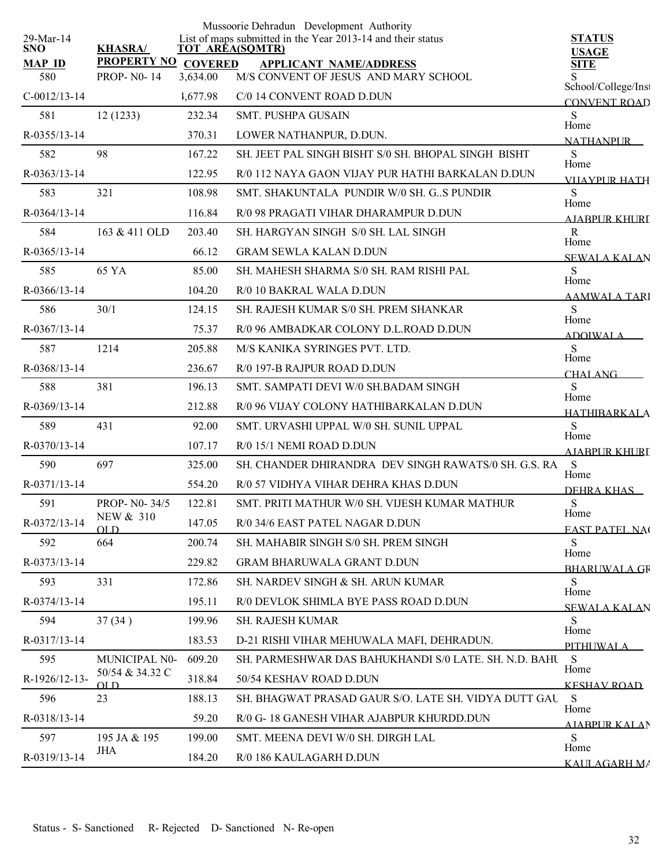| 29-Mar-14            |                                          |          | Mussoorie Dehradun Development Authority<br>List of maps submitted in the Year 2013-14 and their status | <b>STATUS</b>                |
|----------------------|------------------------------------------|----------|---------------------------------------------------------------------------------------------------------|------------------------------|
| <b>SNO</b>           | <b>KHASRA/</b>                           |          | <b>TOT AREA(SQMTR)</b>                                                                                  | <b>USAGE</b>                 |
| <b>MAP ID</b><br>580 | PROPERTY NO COVERED<br><b>PROP-N0-14</b> | 3,634.00 | <b>APPLICANT NAME/ADDRESS</b><br>M/S CONVENT OF JESUS AND MARY SCHOOL                                   | <b>SITE</b>                  |
| $C-0012/13-14$       |                                          | 1,677.98 | C/0 14 CONVENT ROAD D.DUN                                                                               | School/College/Inst          |
| 581                  | 12(1233)                                 | 232.34   | SMT. PUSHPA GUSAIN                                                                                      | <b>CONVENT ROAD</b><br>S     |
| R-0355/13-14         |                                          | 370.31   | LOWER NATHANPUR, D.DUN.                                                                                 | Home                         |
| 582                  | 98                                       | 167.22   | SH. JEET PAL SINGH BISHT S/0 SH. BHOPAL SINGH BISHT                                                     | <b>NATHANPLIR</b><br>S       |
| R-0363/13-14         |                                          | 122.95   | R/0 112 NAYA GAON VIJAY PUR HATHI BARKALAN D.DUN                                                        | Home<br><b>VIIAYPUR HATH</b> |
| 583                  | 321                                      | 108.98   | SMT. SHAKUNTALA PUNDIR W/0 SH. G. S PUNDIR                                                              | S                            |
| R-0364/13-14         |                                          | 116.84   | R/0 98 PRAGATI VIHAR DHARAMPUR D.DUN                                                                    | Home<br>AIARPUR KHURI        |
| 584                  | 163 & 411 OLD                            | 203.40   | SH. HARGYAN SINGH S/0 SH. LAL SINGH                                                                     | $\mathbb{R}$                 |
| R-0365/13-14         |                                          | 66.12    | <b>GRAM SEWLA KALAN D.DUN</b>                                                                           | Home<br><b>SEWALA KALAN</b>  |
| 585                  | 65 YA                                    | 85.00    | SH. MAHESH SHARMA S/0 SH. RAM RISHI PAL                                                                 | <sub>S</sub>                 |
| $R-0366/13-14$       |                                          | 104.20   | R/0 10 BAKRAL WALA D.DUN                                                                                | Home<br><b>AAMWALA TARI</b>  |
| 586                  | 30/1                                     | 124.15   | SH. RAJESH KUMAR S/0 SH. PREM SHANKAR                                                                   | S                            |
| $R-0367/13-14$       |                                          | 75.37    | R/0 96 AMBADKAR COLONY D.L.ROAD D.DUN                                                                   | Home<br><b>ADOIWALA</b>      |
| 587                  | 1214                                     | 205.88   | M/S KANIKA SYRINGES PVT. LTD.                                                                           | S                            |
| R-0368/13-14         |                                          | 236.67   | R/0 197-B RAJPUR ROAD D.DUN                                                                             | Home<br><b>CHALANG</b>       |
| 588                  | 381                                      | 196.13   | SMT. SAMPATI DEVI W/0 SH.BADAM SINGH                                                                    | S<br>Home                    |
| R-0369/13-14         |                                          | 212.88   | R/0 96 VIJAY COLONY HATHIBARKALAN D.DUN                                                                 | HATHIBARKALA                 |
| 589                  | 431                                      | 92.00    | SMT. URVASHI UPPAL W/0 SH. SUNIL UPPAL                                                                  | S<br>Home                    |
| R-0370/13-14         |                                          | 107.17   | R/0 15/1 NEMI ROAD D.DUN                                                                                | <b>AJABPUR KHURI</b>         |
| 590                  | 697                                      | 325.00   | SH. CHANDER DHIRANDRA DEV SINGH RAWATS/0 SH. G.S. RA                                                    | S<br>Home                    |
| R-0371/13-14         |                                          | 554.20   | R/0 57 VIDHYA VIHAR DEHRA KHAS D.DUN                                                                    | DEHRA KHAS                   |
| 591                  | PROP- N0-34/5                            | 122.81   | SMT. PRITI MATHUR W/0 SH. VIJESH KUMAR MATHUR                                                           | S<br>Home                    |
| R-0372/13-14         | NEW & 310<br>$\Omega$ TO                 | 147.05   | R/0 34/6 EAST PATEL NAGAR D.DUN                                                                         | <b>EAST PATEL NAC</b>        |
| 592                  | 664                                      | 200.74   | SH. MAHABIR SINGH S/0 SH. PREM SINGH                                                                    | S<br>Home                    |
| R-0373/13-14         |                                          | 229.82   | <b>GRAM BHARUWALA GRANT D.DUN</b>                                                                       | <b>BHARUWALA GR</b>          |
| 593                  | 331                                      | 172.86   | SH. NARDEV SINGH & SH. ARUN KUMAR                                                                       | S<br>Home                    |
| R-0374/13-14         |                                          | 195.11   | R/0 DEVLOK SHIMLA BYE PASS ROAD D.DUN                                                                   | <b>SEWALA KALAN</b>          |
| 594                  | 37(34)                                   | 199.96   | <b>SH. RAJESH KUMAR</b>                                                                                 | S<br>Home                    |
| R-0317/13-14         |                                          | 183.53   | D-21 RISHI VIHAR MEHUWALA MAFI, DEHRADUN.                                                               | PITHUWALA                    |
| 595                  | MUNICIPAL N0-                            | 609.20   | SH. PARMESHWAR DAS BAHUKHANDI S/0 LATE. SH. N.D. BAHU                                                   | S<br>Home                    |
| R-1926/12-13-        | 50/54 & 34.32 C<br>OL D                  | 318.84   | 50/54 KESHAV ROAD D.DUN                                                                                 | <b>KESHAV ROAD</b>           |
| 596                  | 23                                       | 188.13   | SH. BHAGWAT PRASAD GAUR S/O. LATE SH. VIDYA DUTT GAU                                                    | S<br>Home                    |
| R-0318/13-14         |                                          | 59.20    | R/0 G- 18 GANESH VIHAR AJABPUR KHURDD.DUN                                                               | <b>AIABPUR KALAN</b>         |
| 597                  | 195 JA & 195<br>JHA                      | 199.00   | SMT. MEENA DEVI W/0 SH. DIRGH LAL                                                                       | S.<br>Home                   |
| R-0319/13-14         |                                          | 184.20   | R/0 186 KAULAGARH D.DUN                                                                                 | KALILAGARH MA                |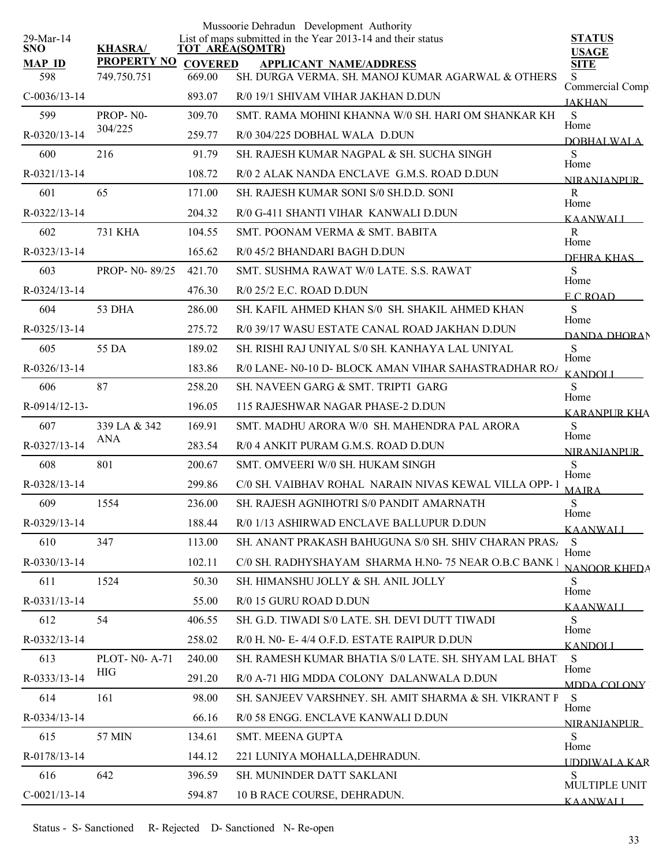|                         |                     |                | Mussoorie Dehradun Development Authority                                              |                                |
|-------------------------|---------------------|----------------|---------------------------------------------------------------------------------------|--------------------------------|
| 29-Mar-14<br><b>SNO</b> | <b>KHASRA/</b>      |                | List of maps submitted in the Year 2013-14 and their status<br><b>TOT AREA(SQMTR)</b> | <b>STATUS</b><br><b>USAGE</b>  |
| <b>MAP ID</b>           | <b>PROPERTY NO</b>  | <b>COVERED</b> | <b>APPLICANT NAME/ADDRESS</b>                                                         | <b>SITE</b>                    |
| 598                     | 749.750.751         | 669.00         | SH. DURGA VERMA. SH. MANOJ KUMAR AGARWAL & OTHERS                                     | S.<br>Commercial Comp          |
| $C-0036/13-14$          |                     | 893.07         | R/0 19/1 SHIVAM VIHAR JAKHAN D.DUN                                                    | <b>JAKHAN</b>                  |
| 599                     | PROP-N0-<br>304/225 | 309.70         | SMT. RAMA MOHINI KHANNA W/0 SH. HARI OM SHANKAR KH                                    | ${\bf S}$<br>Home              |
| R-0320/13-14            |                     | 259.77         | R/0 304/225 DOBHAL WALA D.DUN                                                         | DOBHALWALA                     |
| 600                     | 216                 | 91.79          | SH. RAJESH KUMAR NAGPAL & SH. SUCHA SINGH                                             | S<br>Home                      |
| R-0321/13-14            |                     | 108.72         | R/0 2 ALAK NANDA ENCLAVE G.M.S. ROAD D.DUN                                            | NIR ANIANPUR                   |
| 601                     | 65                  | 171.00         | SH. RAJESH KUMAR SONI S/0 SH.D.D. SONI                                                | $\mathbf R$<br>Home            |
| R-0322/13-14            |                     | 204.32         | R/0 G-411 SHANTI VIHAR KANWALI D.DUN                                                  | <b>KAANWALI</b>                |
| 602                     | <b>731 KHA</b>      | 104.55         | SMT. POONAM VERMA & SMT. BABITA                                                       | $\mathbf R$<br>Home            |
| R-0323/13-14            |                     | 165.62         | R/0 45/2 BHANDARI BAGH D.DUN                                                          | DEHRA KHAS                     |
| 603                     | PROP- N0-89/25      | 421.70         | SMT. SUSHMA RAWAT W/0 LATE, S.S. RAWAT                                                | S                              |
| R-0324/13-14            |                     | 476.30         | $R/0$ 25/2 E.C. ROAD D.DUN                                                            | Home<br>E C ROAD               |
| 604                     | 53 DHA              | 286.00         | SH. KAFIL AHMED KHAN S/0 SH. SHAKIL AHMED KHAN                                        | S                              |
| R-0325/13-14            |                     | 275.72         | R/0 39/17 WASU ESTATE CANAL ROAD JAKHAN D.DUN                                         | Home<br><b>DANDA DHORAN</b>    |
| 605                     | 55 DA               | 189.02         | SH. RISHI RAJ UNIYAL S/0 SH. KANHAYA LAL UNIYAL                                       | ${\bf S}$                      |
| $R - 0326/13 - 14$      |                     | 183.86         | R/0 LANE- N0-10 D- BLOCK AMAN VIHAR SAHASTRADHAR ROA                                  | Home<br><b>KANDOLI</b>         |
| 606                     | 87                  | 258.20         | SH. NAVEEN GARG & SMT. TRIPTI GARG                                                    | S                              |
| R-0914/12-13-           |                     | 196.05         | 115 RAJESHWAR NAGAR PHASE-2 D.DUN                                                     | Home<br><b>KARANPUR KHA</b>    |
| 607                     | 339 LA & 342        | 169.91         | SMT. MADHU ARORA W/0 SH. MAHENDRA PAL ARORA                                           | ${\bf S}$                      |
| R-0327/13-14            | <b>ANA</b>          | 283.54         | R/0 4 ANKIT PURAM G.M.S. ROAD D.DUN                                                   | Home<br><b>NIRANJANPUR</b>     |
| 608                     | 801                 | 200.67         | SMT. OMVEERI W/0 SH. HUKAM SINGH                                                      | S                              |
| R-0328/13-14            |                     | 299.86         | C/0 SH. VAIBHAV ROHAL NARAIN NIVAS KEWAL VILLA OPP-1                                  | Home<br><b>MAJRA</b>           |
| 609                     | 1554                | 236.00         | SH. RAJESH AGNIHOTRI S/0 PANDIT AMARNATH                                              | ${\bf S}$                      |
| R-0329/13-14            |                     | 188.44         | R/0 1/13 ASHIRWAD ENCLAVE BALLUPUR D.DUN                                              | Home<br><b>KAANWALI</b>        |
| 610                     | 347                 | 113.00         | SH. ANANT PRAKASH BAHUGUNA S/0 SH. SHIV CHARAN PRASA                                  | S                              |
| R-0330/13-14            |                     | 102.11         | C/0 SH. RADHYSHAYAM SHARMA H.N0-75 NEAR O.B.C BANK I                                  | Home                           |
| 611                     | 1524                | 50.30          | SH. HIMANSHU JOLLY & SH. ANIL JOLLY                                                   | <b>NANOOR KHEDA</b><br>S       |
| R-0331/13-14            |                     | 55.00          | R/0 15 GURU ROAD D.DUN                                                                | Home                           |
| 612                     | 54                  | 406.55         | SH. G.D. TIWADI S/0 LATE. SH. DEVI DUTT TIWADI                                        | <b>KAANWALI</b><br>S           |
| R-0332/13-14            |                     | 258.02         | R/0 H. N0- E-4/4 O.F.D. ESTATE RAIPUR D.DUN                                           | Home                           |
| 613                     | PLOT- N0- A-71      | 240.00         | SH. RAMESH KUMAR BHATIA S/0 LATE. SH. SHYAM LAL BHAT.                                 | <b>KANDOLI</b><br><sub>S</sub> |
| R-0333/13-14            | HIG                 | 291.20         | R/0 A-71 HIG MDDA COLONY DALANWALA D.DUN                                              | Home                           |
| 614                     | 161                 | 98.00          | SH. SANJEEV VARSHNEY. SH. AMIT SHARMA & SH. VIKRANT P                                 | MDDA COLONY<br>S               |
| R-0334/13-14            |                     | 66.16          | R/0 58 ENGG. ENCLAVE KANWALI D.DUN                                                    | Home                           |
| 615                     | 57 MIN              | 134.61         | SMT. MEENA GUPTA                                                                      | NIRANIANPUR<br>S               |
| R-0178/13-14            |                     | 144.12         | 221 LUNIYA MOHALLA, DEHRADUN.                                                         | Home                           |
| 616                     | 642                 | 396.59         | SH. MUNINDER DATT SAKLANI                                                             | <b>UDDIWALA KAR</b><br>S       |
| $C-0021/13-14$          |                     |                |                                                                                       | MULTIPLE UNIT                  |
|                         |                     | 594.87         | 10 B RACE COURSE, DEHRADUN.                                                           | <b>KAANWALI</b>                |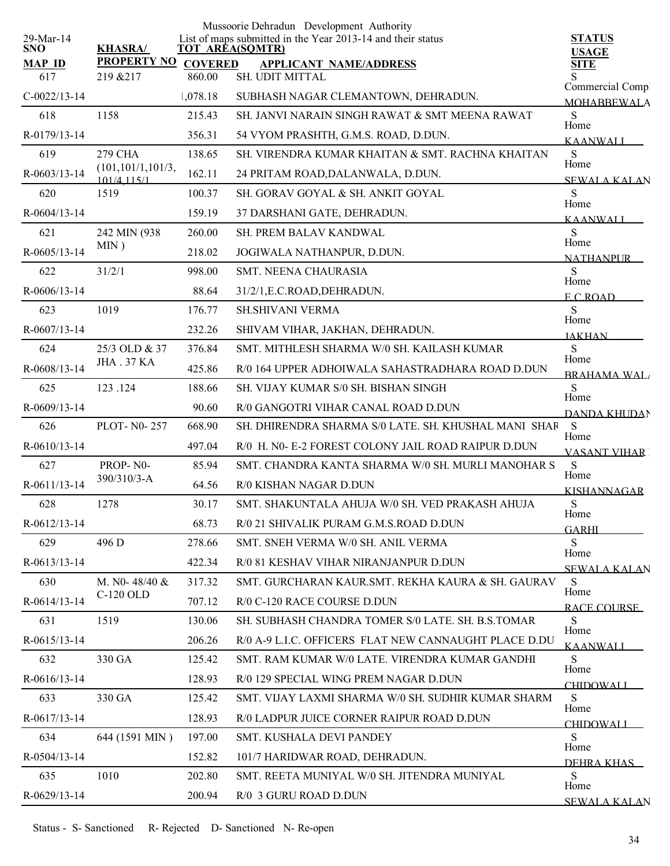| 29-Mar-14            |                                       |                          | Mussoorie Dehradun Development Authority<br>List of maps submitted in the Year 2013-14 and their status | <b>STATUS</b>            |
|----------------------|---------------------------------------|--------------------------|---------------------------------------------------------------------------------------------------------|--------------------------|
| <b>SNO</b>           | <b>KHASRA/</b>                        |                          | <b>TOT AREA(SQMTR)</b>                                                                                  | <b>USAGE</b>             |
| <b>MAP ID</b><br>617 | <b>PROPERTY NO</b><br>219 & 217       | <b>COVERED</b><br>860.00 | <b>APPLICANT NAME/ADDRESS</b><br>SH. UDIT MITTAL                                                        | <b>SITE</b>              |
|                      |                                       |                          |                                                                                                         | Commercial Comp.         |
| $C-0022/13-14$       |                                       | 1,078.18                 | SUBHASH NAGAR CLEMANTOWN, DEHRADUN.                                                                     | <b>MOHABBEWALA</b>       |
| 618                  | 1158                                  | 215.43                   | SH, JANVI NARAIN SINGH RAWAT & SMT MEENA RAWAT                                                          | S<br>Home                |
| R-0179/13-14         |                                       | 356.31                   | 54 VYOM PRASHTH, G.M.S. ROAD, D.DUN.                                                                    | <b>KAANWALI</b>          |
| 619                  | <b>279 CHA</b><br>(101, 101/1, 101/3, | 138.65                   | SH VIRENDRA KUMAR KHAITAN & SMT RACHNA KHAITAN                                                          | S<br>Home                |
| R-0603/13-14         | 101/4 115/1                           | 162.11                   | 24 PRITAM ROAD, DALANWALA, D.DUN.                                                                       | <b>SEWALA KALAN</b>      |
| 620                  | 1519                                  | 100.37                   | SH. GORAV GOYAL & SH. ANKIT GOYAL                                                                       | S<br>Home                |
| R-0604/13-14         |                                       | 159.19                   | 37 DARSHANI GATE, DEHRADUN.                                                                             | <b>KAANWALI</b>          |
| 621                  | 242 MIN (938)                         | 260.00                   | SH. PREM BALAV KANDWAL                                                                                  | S                        |
| R-0605/13-14         | MIN)                                  | 218.02                   | JOGIWALA NATHANPUR, D.DUN.                                                                              | Home<br><b>NATHANPUR</b> |
| 622                  | 31/2/1                                | 998.00                   | <b>SMT. NEENA CHAURASIA</b>                                                                             | S                        |
| R-0606/13-14         |                                       | 88.64                    | 31/2/1, E.C. ROAD, DEHRADUN.                                                                            | Home<br>ECROAD           |
| 623                  | 1019                                  | 176.77                   | <b>SH.SHIVANI VERMA</b>                                                                                 | S                        |
| R-0607/13-14         |                                       | 232.26                   | SHIVAM VIHAR, JAKHAN, DEHRADUN.                                                                         | Home                     |
| 624                  | 25/3 OLD & 37                         | 376.84                   | SMT. MITHLESH SHARMA W/0 SH. KAILASH KUMAR                                                              | <b>JAKHAN</b><br>S       |
| R-0608/13-14         | <b>JHA . 37 KA</b>                    | 425.86                   | R/0 164 UPPER ADHOIWALA SAHASTRADHARA ROAD D.DUN                                                        | Home                     |
| 625                  | 123.124                               | 188.66                   | SH. VIJAY KUMAR S/0 SH. BISHAN SINGH                                                                    | <b>BRAHAMA WAL</b><br>S  |
| R-0609/13-14         |                                       | 90.60                    | R/0 GANGOTRI VIHAR CANAL ROAD D.DUN                                                                     | Home                     |
| 626                  | <b>PLOT-N0-257</b>                    | 668.90                   | SH. DHIRENDRA SHARMA S/0 LATE. SH. KHUSHAL MANI SHAR                                                    | DANDA KHUDAN<br>S        |
| $R-0610/13-14$       |                                       | 497.04                   | R/0 H. N0- E-2 FOREST COLONY JAIL ROAD RAIPUR D.DUN                                                     | Home                     |
|                      | PROP-N0-                              |                          |                                                                                                         | <b>VASANT VIHAR</b>      |
| 627                  | 390/310/3-A                           | 85.94                    | SMT. CHANDRA KANTA SHARMA W/0 SH. MURLI MANOHAR S                                                       | S<br>Home                |
| R-0611/13-14         |                                       | 64.56                    | R/0 KISHAN NAGAR D.DUN                                                                                  | <b>KISHANNAGAR</b>       |
| 628                  | 1278                                  | 30.17                    | SMT. SHAKUNTALA AHUJA W/0 SH. VED PRAKASH AHUJA                                                         | ${\bf S}$<br>Home        |
| $R-0612/13-14$       |                                       | 68.73                    | R/0 21 SHIVALIK PURAM G.M.S.ROAD D.DUN                                                                  | GARHI                    |
| 629                  | 496 D                                 | 278.66                   | SMT. SNEH VERMA W/0 SH. ANIL VERMA                                                                      | S<br>Home                |
| R-0613/13-14         |                                       | 422.34                   | R/0 81 KESHAV VIHAR NIRANJANPUR D.DUN                                                                   | <b>SEWALA KALAN</b>      |
| 630                  | M. No- $48/40 \&$                     | 317.32                   | SMT. GURCHARAN KAUR SMT. REKHA KAURA & SH. GAURAV                                                       | S<br>Home                |
| R-0614/13-14         | C-120 OLD                             | 707.12                   | R/0 C-120 RACE COURSE D.DUN                                                                             | RACE COURSE              |
| 631                  | 1519                                  | 130.06                   | SH. SUBHASH CHANDRA TOMER S/0 LATE, SH. B.S.TOMAR                                                       | S                        |
| R-0615/13-14         |                                       | 206.26                   | R/0 A-9 L.I.C. OFFICERS FLAT NEW CANNAUGHT PLACE D.DU                                                   | Home<br><b>KAANWALL</b>  |
| 632                  | 330 GA                                | 125.42                   | SMT. RAM KUMAR W/0 LATE. VIRENDRA KUMAR GANDHI                                                          | S                        |
| R-0616/13-14         |                                       | 128.93                   | R/0 129 SPECIAL WING PREM NAGAR D.DUN                                                                   | Home<br><b>CHIDOWALI</b> |
| 633                  | 330 GA                                | 125.42                   | SMT. VIJAY LAXMI SHARMA W/0 SH. SUDHIR KUMAR SHARM                                                      | S                        |
| R-0617/13-14         |                                       | 128.93                   | R/0 LADPUR JUICE CORNER RAIPUR ROAD D.DUN                                                               | Home                     |
| 634                  | 644 (1591 MIN)                        | 197.00                   | SMT. KUSHALA DEVI PANDEY                                                                                | <b>CHIDOWALI</b><br>S    |
| R-0504/13-14         |                                       | 152.82                   | 101/7 HARIDWAR ROAD, DEHRADUN.                                                                          | Home                     |
| 635                  | 1010                                  | 202.80                   | SMT. REETA MUNIYAL W/0 SH. JITENDRA MUNIYAL                                                             | DEHRA KHAS<br>S          |
| R-0629/13-14         |                                       | 200.94                   | R/0 3 GURU ROAD D.DUN                                                                                   | Home                     |
|                      |                                       |                          |                                                                                                         | <b>SEWALA KALAN</b>      |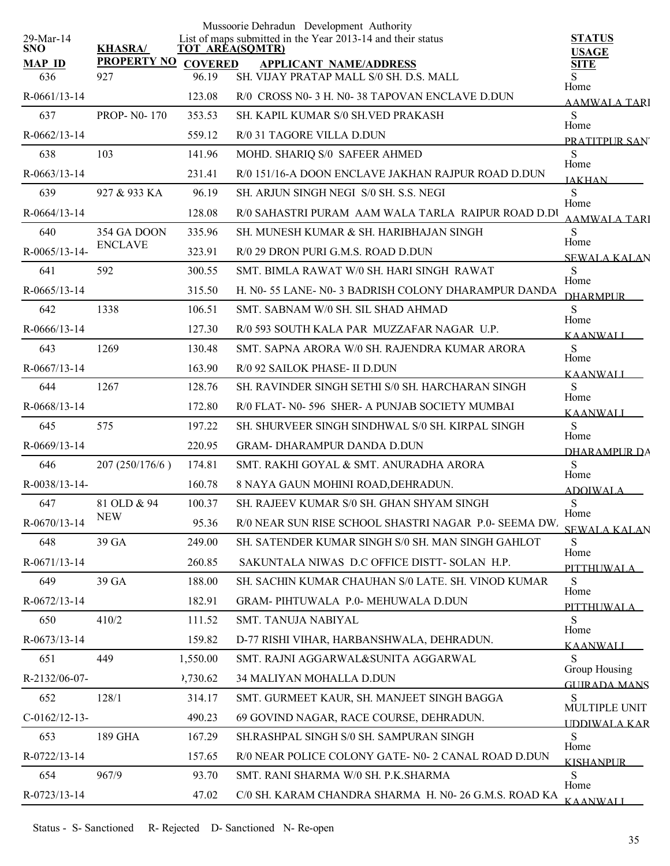|                         |                    |                | Mussoorie Dehradun Development Authority                                              |                                      |
|-------------------------|--------------------|----------------|---------------------------------------------------------------------------------------|--------------------------------------|
| 29-Mar-14<br><b>SNO</b> | <b>KHASRA/</b>     |                | List of maps submitted in the Year 2013-14 and their status<br><b>TOT AREA(SQMTR)</b> | <b>STATUS</b><br><b>USAGE</b>        |
| <b>MAP ID</b>           | <b>PROPERTY NO</b> | <b>COVERED</b> | <b>APPLICANT NAME/ADDRESS</b>                                                         | <b>SITE</b>                          |
| 636                     | 927                | 96.19          | SH. VIJAY PRATAP MALL S/0 SH. D.S. MALL                                               | S<br>Home                            |
| R-0661/13-14            |                    | 123.08         | R/0 CROSS N0-3 H. N0-38 TAPOVAN ENCLAVE D.DUN                                         | AAMWALA TARI                         |
| 637                     | <b>PROP-N0-170</b> | 353.53         | SH. KAPIL KUMAR S/0 SH.VED PRAKASH                                                    | S<br>Home                            |
| R-0662/13-14            |                    | 559.12         | R/0 31 TAGORE VILLA D.DUN                                                             | PRATITPUR SAN                        |
| 638                     | 103                | 141.96         | MOHD. SHARIQ S/0 SAFEER AHMED                                                         | ${\bf S}$<br>Home                    |
| R-0663/13-14            |                    | 231.41         | R/0 151/16-A DOON ENCLAVE JAKHAN RAJPUR ROAD D.DUN                                    | <b>JAKHAN</b>                        |
| 639                     | 927 & 933 KA       | 96.19          | SH. ARJUN SINGH NEGI S/0 SH. S.S. NEGI                                                | ${\bf S}$<br>Home                    |
| R-0664/13-14            |                    | 128.08         | R/0 SAHASTRI PURAM AAM WALA TARLA RAIPUR ROAD D.DU                                    | <b>AAMWALA TARI</b>                  |
| 640                     | 354 GA DOON        | 335.96         | SH. MUNESH KUMAR & SH. HARIBHAJAN SINGH                                               | S                                    |
| R-0065/13-14-           | <b>ENCLAVE</b>     | 323.91         | R/0 29 DRON PURI G.M.S. ROAD D.DUN                                                    | Home<br>SEWALA KALAN                 |
| 641                     | 592                | 300.55         | SMT. BIMLA RAWAT W/0 SH. HARI SINGH RAWAT                                             | S                                    |
| R-0665/13-14            |                    | 315.50         | H. N0-55 LANE-N0-3 BADRISH COLONY DHARAMPUR DANDA                                     | Home<br><b>DHARMPUR</b>              |
| 642                     | 1338               | 106.51         | SMT. SABNAM W/0 SH. SIL SHAD AHMAD                                                    | S                                    |
| R-0666/13-14            |                    | 127.30         | R/0 593 SOUTH KALA PAR MUZZAFAR NAGAR U.P.                                            | Home<br><b>KAANWALI</b>              |
| 643                     | 1269               | 130.48         | SMT. SAPNA ARORA W/0 SH. RAJENDRA KUMAR ARORA                                         | ${\bf S}$                            |
| R-0667/13-14            |                    | 163.90         | R/0 92 SAILOK PHASE- II D.DUN                                                         | Home<br><b>KAANWALI</b>              |
| 644                     | 1267               | 128.76         | SH. RAVINDER SINGH SETHI S/0 SH. HARCHARAN SINGH                                      | S                                    |
| R-0668/13-14            |                    | 172.80         | R/0 FLAT- N0-596 SHER- A PUNJAB SOCIETY MUMBAI                                        | Home<br><b>KAANWALI</b>              |
| 645                     | 575                | 197.22         | SH. SHURVEER SINGH SINDHWAL S/0 SH. KIRPAL SINGH                                      | S                                    |
| R-0669/13-14            |                    | 220.95         | <b>GRAM- DHARAMPUR DANDA D.DUN</b>                                                    | Home<br>DHARAMPUR DA                 |
| 646                     | 207 (250/176/6)    | 174.81         | SMT. RAKHI GOYAL & SMT. ANURADHA ARORA                                                | S                                    |
| R-0038/13-14-           |                    | 160.78         | 8 NAYA GAUN MOHINI ROAD, DEHRADUN.                                                    | Home<br><b>ADOIWALA</b>              |
| 647                     | 81 OLD & 94        | 100.37         | SH. RAJEEV KUMAR S/0 SH. GHAN SHYAM SINGH                                             | ${\bf S}$                            |
| R-0670/13-14            | <b>NEW</b>         | 95.36          | R/0 NEAR SUN RISE SCHOOL SHASTRI NAGAR P.0- SEEMA DW.                                 | Home<br><b>SEWALA KALAN</b>          |
| 648                     | 39 GA              | 249.00         | SH. SATENDER KUMAR SINGH S/0 SH. MAN SINGH GAHLOT                                     | S                                    |
| R-0671/13-14            |                    | 260.85         | SAKUNTALA NIWAS D.C OFFICE DISTT- SOLAN H.P.                                          | Home<br><b>PITTHUWALA</b>            |
| 649                     | 39 GA              | 188.00         | SH. SACHIN KUMAR CHAUHAN S/0 LATE. SH. VINOD KUMAR                                    | S                                    |
| R-0672/13-14            |                    | 182.91         | GRAM- PIHTUWALA P.0- MEHUWALA D.DUN                                                   | Home<br>PITTHUWALA                   |
| 650                     | 410/2              | 111.52         | SMT. TANUJA NABIYAL                                                                   | S                                    |
| R-0673/13-14            |                    | 159.82         | D-77 RISHI VIHAR, HARBANSHWALA, DEHRADUN.                                             | Home<br><b>KAANWALI</b>              |
| 651                     | 449                | 1,550.00       | SMT. RAJNI AGGARWAL&SUNITA AGGARWAL                                                   | S                                    |
| R-2132/06-07-           |                    | 2,730.62       | 34 MALIYAN MOHALLA D.DUN                                                              | Group Housing<br><b>GUIRADA MANS</b> |
| 652                     | 128/1              | 314.17         | SMT. GURMEET KAUR, SH. MANJEET SINGH BAGGA                                            | S                                    |
| $C-0162/12-13-$         |                    | 490.23         | 69 GOVIND NAGAR, RACE COURSE, DEHRADUN.                                               | MULTIPLE UNIT<br><b>IDDIWALA KAR</b> |
| 653                     | 189 GHA            | 167.29         | SH.RASHPAL SINGH S/0 SH. SAMPURAN SINGH                                               | S                                    |
| R-0722/13-14            |                    | 157.65         | R/0 NEAR POLICE COLONY GATE- N0- 2 CANAL ROAD D.DUN                                   | Home<br><b>KISHANPUR</b>             |
| 654                     | 967/9              | 93.70          | SMT. RANI SHARMA W/0 SH. P.K.SHARMA                                                   | S                                    |
| R-0723/13-14            |                    | 47.02          | C/0 SH. KARAM CHANDRA SHARMA H. N0-26 G.M.S. ROAD KA                                  | Home<br><b>KAANWALI</b>              |
|                         |                    |                |                                                                                       |                                      |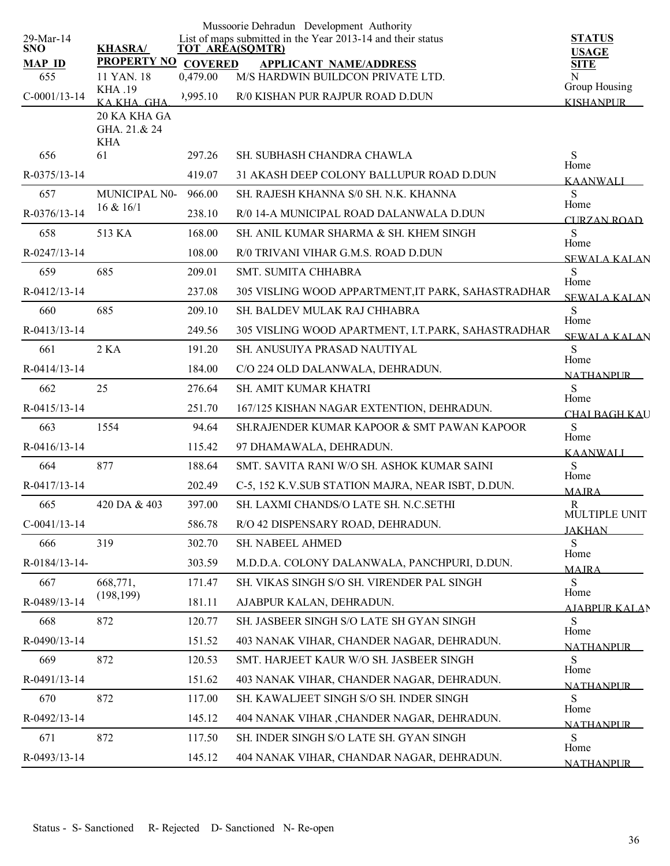| 29-Mar-14<br>SNO.<br><b>MAP ID</b> | <b>KHASRA/</b><br>PROPERTY NO COVERED |          | Mussoorie Dehradun Development Authority<br>List of maps submitted in the Year 2013-14 and their status<br>TOT AREA(SQMTR)<br><b>APPLICANT NAME/ADDRESS</b> | <b>STATUS</b><br><b>USAGE</b><br><b>SITE</b> |
|------------------------------------|---------------------------------------|----------|-------------------------------------------------------------------------------------------------------------------------------------------------------------|----------------------------------------------|
| 655                                | 11 YAN. 18<br><b>KHA .19</b>          | 0,479.00 | M/S HARDWIN BUILDCON PRIVATE LTD.                                                                                                                           | N<br>Group Housing                           |
| $C-0001/13-14$                     | KAKHA GHA                             | 2,995.10 | R/0 KISHAN PUR RAJPUR ROAD D.DUN                                                                                                                            | <b>KISHANPUR</b>                             |
|                                    | 20 KA KHA GA<br>GHA. 21.& 24<br>KHA   |          |                                                                                                                                                             |                                              |
| 656                                | 61                                    | 297.26   | SH. SUBHASH CHANDRA CHAWLA                                                                                                                                  | S<br>Home                                    |
| R-0375/13-14                       |                                       | 419.07   | 31 AKASH DEEP COLONY BALLUPUR ROAD D.DUN                                                                                                                    | <b>KAANWALI</b>                              |
| 657                                | MUNICIPAL N0-                         | 966.00   | SH. RAJESH KHANNA S/0 SH. N.K. KHANNA                                                                                                                       | S.<br>Home                                   |
| R-0376/13-14                       | 16 & 16/1                             | 238.10   | R/0 14-A MUNICIPAL ROAD DALANWALA D.DUN                                                                                                                     | <b>CURZAN ROAD</b>                           |
| 658                                | 513 KA                                | 168.00   | SH. ANIL KUMAR SHARMA & SH. KHEM SINGH                                                                                                                      | S                                            |
| R-0247/13-14                       |                                       | 108.00   | R/0 TRIVANI VIHAR G.M.S. ROAD D.DUN                                                                                                                         | Home<br><b>SEWALA KALAN</b>                  |
| 659                                | 685                                   | 209.01   | SMT. SUMITA CHHABRA                                                                                                                                         | S                                            |
| R-0412/13-14                       |                                       | 237.08   | 305 VISLING WOOD APPARTMENT, IT PARK, SAHASTRADHAR                                                                                                          | Home<br><b>SEWALA KALAN</b>                  |
| 660                                | 685                                   | 209.10   | SH. BALDEV MULAK RAJ CHHABRA                                                                                                                                | S                                            |
| R-0413/13-14                       |                                       | 249.56   | 305 VISLING WOOD APARTMENT, I.T.PARK, SAHASTRADHAR                                                                                                          | Home<br><b>SEWALA KALAN</b>                  |
| 661                                | 2 K <sub>A</sub>                      | 191.20   | SH. ANUSUIYA PRASAD NAUTIYAL                                                                                                                                | S                                            |
| R-0414/13-14                       |                                       | 184.00   | C/O 224 OLD DALANWALA, DEHRADUN.                                                                                                                            | Home<br><b>NATHANPUR</b>                     |
| 662                                | 25                                    | 276.64   | SH. AMIT KUMAR KHATRI                                                                                                                                       | S                                            |
| R-0415/13-14                       |                                       | 251.70   | 167/125 KISHAN NAGAR EXTENTION, DEHRADUN.                                                                                                                   | Home<br><b>CHAI BAGH KAU</b>                 |
| 663                                | 1554                                  | 94.64    | SH.RAJENDER KUMAR KAPOOR & SMT PAWAN KAPOOR                                                                                                                 | S                                            |
| R-0416/13-14                       |                                       | 115.42   | 97 DHAMAWALA, DEHRADUN.                                                                                                                                     | Home<br><b>KAANWALI</b>                      |
| 664                                | 877                                   | 188.64   | SMT. SAVITA RANI W/O SH. ASHOK KUMAR SAINI                                                                                                                  | S                                            |
| R-0417/13-14                       |                                       | 202.49   | C-5, 152 K.V.SUB STATION MAJRA, NEAR ISBT, D.DUN.                                                                                                           | Home<br><b>MAJRA</b>                         |
| 665                                | 420 DA & 403                          | 397.00   | SH. LAXMI CHANDS/O LATE SH. N.C.SETHI                                                                                                                       | R                                            |
| $C-0041/13-14$                     |                                       | 586.78   | R/O 42 DISPENSARY ROAD, DEHRADUN.                                                                                                                           | MULTIPLE UNIT<br><b>JAKHAN</b>               |
| 666                                | 319                                   | 302.70   | SH. NABEEL AHMED                                                                                                                                            | S.                                           |
| R-0184/13-14-                      |                                       | 303.59   | M.D.D.A. COLONY DALANWALA, PANCHPURI, D.DUN.                                                                                                                | Home<br><b>MAJRA</b>                         |
| 667                                | 668,771,                              | 171.47   | SH. VIKAS SINGH S/O SH. VIRENDER PAL SINGH                                                                                                                  | S.                                           |
| R-0489/13-14                       | (198, 199)                            | 181.11   | AJABPUR KALAN, DEHRADUN.                                                                                                                                    | Home<br>AJABPUR KALAN                        |
| 668                                | 872                                   | 120.77   | SH. JASBEER SINGH S/O LATE SH GYAN SINGH                                                                                                                    | S.                                           |
| R-0490/13-14                       |                                       | 151.52   | 403 NANAK VIHAR, CHANDER NAGAR, DEHRADUN.                                                                                                                   | Home                                         |
| 669                                | 872                                   | 120.53   | SMT. HARJEET KAUR W/O SH. JASBEER SINGH                                                                                                                     | <b>NATHANPUR</b><br>S.                       |
| R-0491/13-14                       |                                       | 151.62   | 403 NANAK VIHAR, CHANDER NAGAR, DEHRADUN.                                                                                                                   | Home                                         |
| 670                                | 872                                   | 117.00   | SH. KAWALJEET SINGH S/O SH. INDER SINGH                                                                                                                     | <b>NATHANPLIR</b><br>S                       |
| R-0492/13-14                       |                                       | 145.12   | 404 NANAK VIHAR ,CHANDER NAGAR, DEHRADUN.                                                                                                                   | Home                                         |
| 671                                | 872                                   | 117.50   | SH. INDER SINGH S/O LATE SH. GYAN SINGH                                                                                                                     | <b>NATHANPUR</b><br>S                        |
| R-0493/13-14                       |                                       | 145.12   | 404 NANAK VIHAR, CHANDAR NAGAR, DEHRADUN.                                                                                                                   | Home                                         |
|                                    |                                       |          |                                                                                                                                                             | <b>NATHANPUR</b>                             |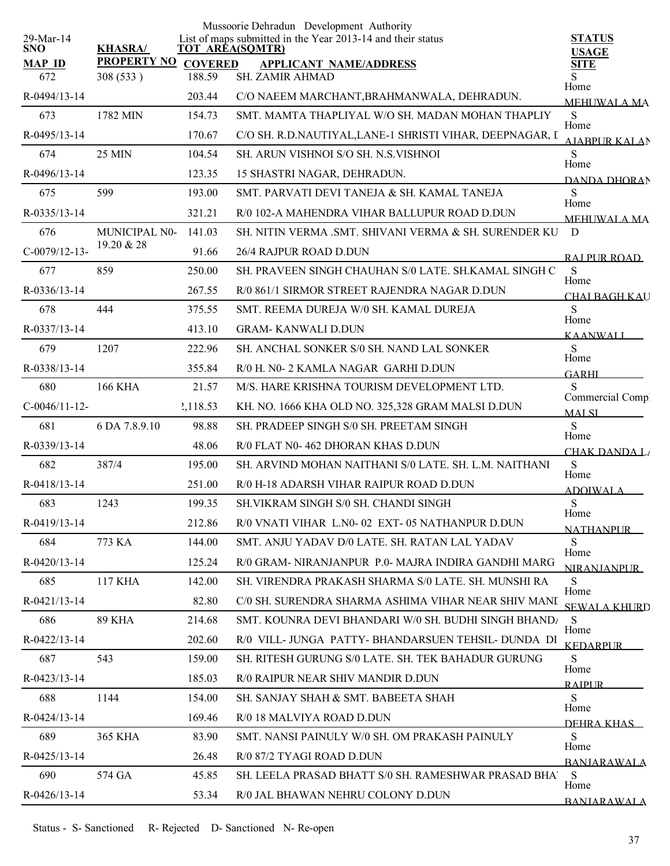|                   |                    |                | Mussoorie Dehradun Development Authority                                       |                                  |
|-------------------|--------------------|----------------|--------------------------------------------------------------------------------|----------------------------------|
| 29-Mar-14<br>SNO. | <b>KHASRA/</b>     |                | List of maps submitted in the Year 2013-14 and their status<br>TOT AREA(SQMTR) | <b>STATUS</b><br><b>USAGE</b>    |
| <b>MAP ID</b>     | <b>PROPERTY NO</b> | <b>COVERED</b> | <b>APPLICANT NAME/ADDRESS</b>                                                  | <b>SITE</b>                      |
| 672               | 308 (533)          | 188.59         | <b>SH. ZAMIR AHMAD</b>                                                         | Home                             |
| R-0494/13-14      |                    | 203.44         | C/O NAEEM MARCHANT, BRAHMANWALA, DEHRADUN.                                     | <b>MEHUWALA MA</b>               |
| 673               | 1782 MIN           | 154.73         | SMT. MAMTA THAPLIYAL W/O SH, MADAN MOHAN THAPLIY                               | S<br>Home                        |
| R-0495/13-14      |                    | 170.67         | C/O SH. R.D.NAUTIYAL,LANE-1 SHRISTI VIHAR, DEEPNAGAR, I                        | <b>AIABPUR KALAN</b>             |
| 674               | 25 MIN             | 104.54         | SH. ARUN VISHNOI S/O SH. N.S.VISHNOI                                           | S<br>Home                        |
| R-0496/13-14      |                    | 123.35         | 15 SHASTRI NAGAR, DEHRADUN.                                                    | DANDA DHORAN                     |
| 675               | 599                | 193.00         | SMT, PARVATI DEVI TANEJA & SH, KAMAL TANEJA                                    | S<br>Home                        |
| R-0335/13-14      |                    | 321.21         | R/0 102-A MAHENDRA VIHAR BALLUPUR ROAD D.DUN                                   | <b>MEHUWALA MA</b>               |
| 676               | MUNICIPAL N0-      | 141.03         | SH. NITIN VERMA .SMT. SHIVANI VERMA & SH. SURENDER KU                          | D                                |
| $C-0079/12-13-$   | 19.20 & 28         | 91.66          | 26/4 RAJPUR ROAD D.DUN                                                         | RAI PUR ROAD                     |
| 677               | 859                | 250.00         | SH. PRAVEEN SINGH CHAUHAN S/0 LATE. SH.KAMAL SINGH C                           | S                                |
| R-0336/13-14      |                    | 267.55         | R/0 861/1 SIRMOR STREET RAJENDRA NAGAR D.DUN                                   | Home<br><b>CHAI BAGH KAU</b>     |
| 678               | 444                | 375.55         | SMT. REEMA DUREJA W/0 SH. KAMAL DUREJA                                         | S                                |
| R-0337/13-14      |                    | 413.10         | <b>GRAM- KANWALI D.DUN</b>                                                     | Home<br><u>KAANWALI</u>          |
| 679               | 1207               | 222.96         | SH. ANCHAL SONKER S/0 SH. NAND LAL SONKER                                      | S                                |
| R-0338/13-14      |                    | 355.84         | R/0 H. N0- 2 KAMLA NAGAR GARHI D.DUN                                           | Home<br><b>GARHI</b>             |
| 680               | <b>166 KHA</b>     | 21.57          | M/S. HARE KRISHNA TOURISM DEVELOPMENT LTD.                                     | S                                |
| $C-0046/11-12-$   |                    | 2,118.53       | KH. NO. 1666 KHA OLD NO. 325,328 GRAM MALSI D.DUN                              | Commercial Compl<br><b>MALSI</b> |
| 681               | 6 DA 7.8.9.10      | 98.88          | SH. PRADEEP SINGH S/0 SH. PREETAM SINGH                                        | S                                |
| R-0339/13-14      |                    | 48.06          | R/0 FLAT N0-462 DHORAN KHAS D.DUN                                              | Home<br><b>CHAK DANDA LA</b>     |
| 682               | 387/4              | 195.00         | SH. ARVIND MOHAN NAITHANI S/0 LATE. SH. L.M. NAITHANI                          | S                                |
| R-0418/13-14      |                    | 251.00         | R/0 H-18 ADARSH VIHAR RAIPUR ROAD D.DUN                                        | Home<br><b>ADOIWALA</b>          |
| 683               | 1243               | 199.35         | SH.VIKRAM SINGH S/0 SH. CHANDI SINGH                                           | ${\bf S}$                        |
| R-0419/13-14      |                    | 212.86         | R/0 VNATI VIHAR L.N0-02 EXT-05 NATHANPUR D.DUN                                 | Home<br><b>NATHANPUR</b>         |
| 684               | 773 KA             | 144.00         | SMT. ANJU YADAV D/0 LATE. SH. RATAN LAL YADAV                                  | S                                |
| R-0420/13-14      |                    | 125.24         | R/0 GRAM- NIRANJANPUR P.0- MAJRA INDIRA GANDHI MARG                            | Home<br><b>NIRANIANPUR</b>       |
| 685               | 117 KHA            | 142.00         | SH. VIRENDRA PRAKASH SHARMA S/0 LATE. SH. MUNSHI RA                            | S                                |
| $R-0421/13-14$    |                    | 82.80          | C/0 SH. SURENDRA SHARMA ASHIMA VIHAR NEAR SHIV MANI                            | Home<br><b>SEWALA KHURD</b>      |
| 686               | <b>89 KHA</b>      | 214.68         | SMT. KOUNRA DEVI BHANDARI W/0 SH. BUDHI SINGH BHAND <sub>I</sub>               | S                                |
| R-0422/13-14      |                    | 202.60         | R/0 VILL- JUNGA PATTY- BHANDARSUEN TEHSIL- DUNDA DI                            | Home<br><b>KEDARPUR</b>          |
| 687               | 543                | 159.00         | SH. RITESH GURUNG S/0 LATE. SH. TEK BAHADUR GURUNG                             | S                                |
| R-0423/13-14      |                    | 185.03         | R/0 RAIPUR NEAR SHIV MANDIR D.DUN                                              | Home                             |
| 688               | 1144               | 154.00         | SH. SANJAY SHAH & SMT. BABEETA SHAH                                            | <b>RAIPUR</b><br>S               |
| R-0424/13-14      |                    | 169.46         | R/0 18 MALVIYA ROAD D.DUN                                                      | Home                             |
| 689               | <b>365 KHA</b>     | 83.90          | SMT. NANSI PAINULY W/0 SH. OM PRAKASH PAINULY                                  | DEHRA KHAS<br>S                  |
| R-0425/13-14      |                    | 26.48          | R/0 87/2 TYAGI ROAD D.DUN                                                      | Home                             |
| 690               | 574 GA             | 45.85          | SH. LEELA PRASAD BHATT S/0 SH. RAMESHWAR PRASAD BHA'                           | <b>BANJARAWALA</b><br>S          |
| R-0426/13-14      |                    | 53.34          | R/0 JAL BHAWAN NEHRU COLONY D.DUN                                              | Home                             |
|                   |                    |                |                                                                                | <b>BANIARAWALA</b>               |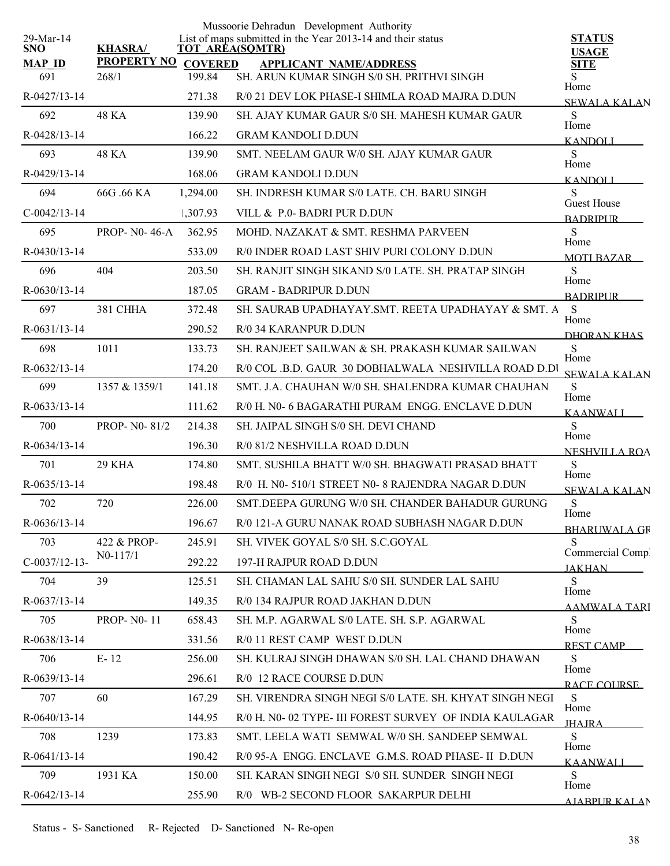|                         |                     |                | Mussoorie Dehradun Development Authority                                              |                                   |
|-------------------------|---------------------|----------------|---------------------------------------------------------------------------------------|-----------------------------------|
| 29-Mar-14<br><b>SNO</b> | <b>KHASRA/</b>      |                | List of maps submitted in the Year 2013-14 and their status<br><b>TOT AREA(SQMTR)</b> | <b>STATUS</b><br><b>USAGE</b>     |
| <b>MAP ID</b>           | <b>PROPERTY NO</b>  | <b>COVERED</b> | <b>APPLICANT NAME/ADDRESS</b>                                                         | <b>SITE</b>                       |
| 691                     | 268/1               | 199.84         | SH. ARUN KUMAR SINGH S/0 SH. PRITHVI SINGH                                            | S<br>Home                         |
| R-0427/13-14            |                     | 271.38         | R/0 21 DEV LOK PHASE-I SHIMLA ROAD MAJRA D.DUN                                        | <b>SEWALA KALAN</b>               |
| 692                     | 48 KA               | 139.90         | SH. AJAY KUMAR GAUR S/0 SH. MAHESH KUMAR GAUR                                         | S<br>Home                         |
| R-0428/13-14            |                     | 166.22         | <b>GRAM KANDOLI D.DUN</b>                                                             | <b>KANDOLI</b>                    |
| 693                     | <b>48 KA</b>        | 139.90         | SMT. NEELAM GAUR W/0 SH. AJAY KUMAR GAUR                                              | S<br>Home                         |
| R-0429/13-14            |                     | 168.06         | <b>GRAM KANDOLI D.DUN</b>                                                             | <b>KANDOLI</b>                    |
| 694                     | 66G .66 KA          | 1,294.00       | SH. INDRESH KUMAR S/0 LATE. CH. BARU SINGH                                            | S<br>Guest House                  |
| $C-0042/13-14$          |                     | 1,307.93       | VILL & P.0- BADRI PUR D.DUN                                                           | <b>BADRIPLIR</b>                  |
| 695                     | <b>PROP-NO-46-A</b> | 362.95         | MOHD. NAZAKAT & SMT. RESHMA PARVEEN                                                   | S<br>Home                         |
| R-0430/13-14            |                     | 533.09         | R/0 INDER ROAD LAST SHIV PURI COLONY D.DUN                                            | <b>MOTI BAZAR</b>                 |
| 696                     | 404                 | 203.50         | SH. RANJIT SINGH SIKAND S/0 LATE. SH. PRATAP SINGH                                    | S                                 |
| $R-0630/13-14$          |                     | 187.05         | <b>GRAM - BADRIPUR D.DUN</b>                                                          | Home<br><b>BADRIPUR</b>           |
| 697                     | 381 CHHA            | 372.48         | SH. SAURAB UPADHAYAY.SMT. REETA UPADHAYAY & SMT. A                                    | <sub>S</sub>                      |
| $R-0631/13-14$          |                     | 290.52         | R/0 34 KARANPUR D.DUN                                                                 | Home<br>DHORAN KHAS               |
| 698                     | 1011                | 133.73         | SH. RANJEET SAILWAN & SH. PRAKASH KUMAR SAILWAN                                       | S                                 |
| $R-0632/13-14$          |                     | 174.20         | R/0 COL .B.D. GAUR 30 DOBHALWALA NESHVILLA ROAD D.DI                                  | Home<br><b>SEWALA KALAN</b>       |
| 699                     | 1357 & 1359/1       | 141.18         | SMT. J.A. CHAUHAN W/0 SH. SHALENDRA KUMAR CHAUHAN                                     | S                                 |
| $R-0633/13-14$          |                     | 111.62         | R/0 H. N0- 6 BAGARATHI PURAM ENGG. ENCLAVE D.DUN                                      | Home<br><b>KAANWALI</b>           |
| 700                     | PROP- N0-81/2       | 214.38         | SH. JAIPAL SINGH S/0 SH. DEVI CHAND                                                   | S                                 |
| $R-0634/13-14$          |                     | 196.30         | R/0 81/2 NESHVILLA ROAD D.DUN                                                         | Home<br>NESHVILLA ROA             |
| 701                     | 29 KHA              | 174.80         | SMT. SUSHILA BHATT W/0 SH. BHAGWATI PRASAD BHATT                                      | S                                 |
| $R-0635/13-14$          |                     | 198.48         | R/0 H. N0-510/1 STREET N0-8 RAJENDRA NAGAR D.DUN                                      | Home<br><b>SEWALA KALAN</b>       |
| 702                     | 720                 | 226.00         | SMT.DEEPA GURUNG W/0 SH. CHANDER BAHADUR GURUNG                                       | S                                 |
| R-0636/13-14            |                     | 196.67         | R/0 121-A GURU NANAK ROAD SUBHASH NAGAR D.DUN                                         | Home<br><b>BHARLIWALA GR</b>      |
| 703                     | 422 & PROP-         | 245.91         | SH. VIVEK GOYAL S/0 SH. S.C.GOYAL                                                     | S                                 |
| $C-0037/12-13-$         | $N0-117/1$          | 292.22         | 197-H RAJPUR ROAD D.DUN                                                               | Commercial Compl<br><b>JAKHAN</b> |
| 704                     | 39                  | 125.51         | SH. CHAMAN LAL SAHU S/0 SH. SUNDER LAL SAHU                                           | S.                                |
| R-0637/13-14            |                     | 149.35         | R/0 134 RAJPUR ROAD JAKHAN D.DUN                                                      | Home<br><b>AAMWALA TARI</b>       |
| 705                     | <b>PROP-N0-11</b>   | 658.43         | SH. M.P. AGARWAL S/0 LATE. SH. S.P. AGARWAL                                           | S                                 |
| R-0638/13-14            |                     | 331.56         | R/0 11 REST CAMP WEST D.DUN                                                           | Home<br><b>REST CAMP</b>          |
| 706                     | $E-12$              | 256.00         | SH. KULRAJ SINGH DHAWAN S/0 SH. LAL CHAND DHAWAN                                      | S                                 |
| R-0639/13-14            |                     | 296.61         | R/0 12 RACE COURSE D.DUN                                                              | Home<br>RACE COURSE               |
| 707                     | 60                  | 167.29         | SH. VIRENDRA SINGH NEGI S/0 LATE. SH. KHYAT SINGH NEGI                                | S                                 |
| R-0640/13-14            |                     | 144.95         | R/0 H. N0-02 TYPE- III FOREST SURVEY OF INDIA KAULAGAR                                | Home<br><b>IHA IRA</b>            |
| 708                     | 1239                | 173.83         | SMT. LEELA WATI SEMWAL W/0 SH. SANDEEP SEMWAL                                         | S                                 |
| R-0641/13-14            |                     | 190.42         | R/0 95-A ENGG. ENCLAVE G.M.S. ROAD PHASE- II D.DUN                                    | Home                              |
| 709                     | 1931 KA             | 150.00         | SH. KARAN SINGH NEGI S/0 SH. SUNDER SINGH NEGI                                        | <b>KAANWALI</b><br>S              |
| R-0642/13-14            |                     | 255.90         | R/0 WB-2 SECOND FLOOR SAKARPUR DELHI                                                  | Home<br>AJARPUR KALAN             |
|                         |                     |                |                                                                                       |                                   |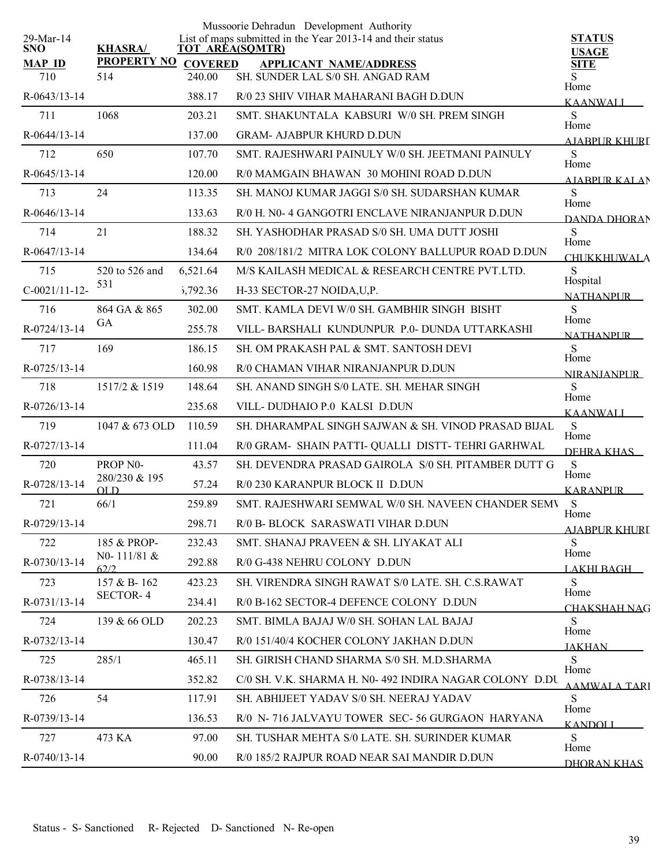|                         |                      |                | Mussoorie Dehradun Development Authority                                              |                              |
|-------------------------|----------------------|----------------|---------------------------------------------------------------------------------------|------------------------------|
| 29-Mar-14<br><b>SNO</b> | <b>KHASRA/</b>       |                | List of maps submitted in the Year 2013-14 and their status<br><b>TOT AREA(SQMTR)</b> | <b>STATUS</b>                |
| <b>MAP ID</b>           | <b>PROPERTY NO</b>   | <b>COVERED</b> | <b>APPLICANT NAME/ADDRESS</b>                                                         | <b>USAGE</b><br><b>SITE</b>  |
| 710                     | 514                  | 240.00         | SH. SUNDER LAL S/0 SH. ANGAD RAM                                                      | S                            |
| R-0643/13-14            |                      | 388.17         | R/0 23 SHIV VIHAR MAHARANI BAGH D.DUN                                                 | Home<br><b>KAANWALI</b>      |
| 711                     | 1068                 | 203.21         | SMT. SHAKUNTALA KABSURI W/0 SH. PREM SINGH                                            | S<br>Home                    |
| R-0644/13-14            |                      | 137.00         | <b>GRAM- AJABPUR KHURD D.DUN</b>                                                      | <b>ATABPUR KHURL</b>         |
| 712                     | 650                  | 107.70         | SMT. RAJESHWARI PAINULY W/0 SH. JEETMANI PAINULY                                      | S<br>Home                    |
| $R-0645/13-14$          |                      | 120.00         | R/0 MAMGAIN BHAWAN 30 MOHINI ROAD D.DUN                                               | <b>AIABPUR KALAN</b>         |
| 713                     | 24                   | 113.35         | SH. MANOJ KUMAR JAGGI S/0 SH. SUDARSHAN KUMAR                                         | S<br>Home                    |
| R-0646/13-14            |                      | 133.63         | R/0 H. N0- 4 GANGOTRI ENCLAVE NIRANJANPUR D.DUN                                       | DANDA DHORAN                 |
| 714                     | 21                   | 188.32         | SH. YASHODHAR PRASAD S/0 SH. UMA DUTT JOSHI                                           | S<br>Home                    |
| R-0647/13-14            |                      | 134.64         | R/0 208/181/2 MITRA LOK COLONY BALLUPUR ROAD D.DUN                                    | <b>CHUKKHUWALA</b>           |
| 715                     | 520 to 526 and       | 6,521.64       | M/S KAILASH MEDICAL & RESEARCH CENTRE PVT.LTD.                                        | S<br>Hospital                |
| $C-0021/11-12-$         | 531                  | 5,792.36       | H-33 SECTOR-27 NOIDA, U, P.                                                           | <b>NATHANPUR</b>             |
| 716                     | 864 GA & 865         | 302.00         | SMT. KAMLA DEVI W/0 SH. GAMBHIR SINGH BISHT                                           | S<br>Home                    |
| R-0724/13-14            | <b>GA</b>            | 255.78         | VILL-BARSHALI KUNDUNPUR P.0-DUNDA UTTARKASHI                                          | NATHANPUR                    |
| 717                     | 169                  | 186.15         | SH. OM PRAKASH PAL & SMT. SANTOSH DEVI                                                | S<br>Home                    |
| R-0725/13-14            |                      | 160.98         | R/0 CHAMAN VIHAR NIRANJANPUR D.DUN                                                    | <b>NIRANIANPUR</b>           |
| 718                     | 1517/2 & 1519        | 148.64         | SH. ANAND SINGH S/0 LATE. SH. MEHAR SINGH                                             | S<br>Home                    |
| R-0726/13-14            |                      | 235.68         | VILL-DUDHAIO P.0 KALSI D.DUN                                                          | <b>KAANWALI</b>              |
| 719                     | 1047 & 673 OLD       | 110.59         | SH. DHARAMPAL SINGH SAJWAN & SH. VINOD PRASAD BIJAL                                   | S<br>Home                    |
| R-0727/13-14            |                      | 111.04         | R/0 GRAM- SHAIN PATTI- QUALLI DISTT- TEHRI GARHWAL                                    | DEHRA KHAS                   |
| 720                     | PROP <sub>N0</sub> - | 43.57          | SH. DEVENDRA PRASAD GAIROLA S/0 SH. PITAMBER DUTT G                                   | S                            |
| R-0728/13-14            | 280/230 & 195<br>OLD | 57.24          | R/0 230 KARANPUR BLOCK II D.DUN                                                       | Home<br><b>KARANPUR</b>      |
| 721                     | 66/1                 | 259.89         | SMT. RAJESHWARI SEMWAL W/0 SH. NAVEEN CHANDER SEMV                                    | S                            |
| R-0729/13-14            |                      | 298.71         | R/0 B- BLOCK SARASWATI VIHAR D.DUN                                                    | Home<br><b>AJABPUR KHURL</b> |
| 722                     | 185 & PROP-          | 232.43         | SMT. SHANAJ PRAVEEN & SH. LIYAKAT ALI                                                 | S<br>Home                    |
| R-0730/13-14            | N0-111/81 &<br>62/2  | 292.88         | R/0 G-438 NEHRU COLONY D.DUN                                                          | <b>LAKHI BAGH</b>            |
| 723                     | 157 & B-162          | 423.23         | SH. VIRENDRA SINGH RAWAT S/0 LATE. SH. C.S.RAWAT                                      | S                            |
| R-0731/13-14            | <b>SECTOR-4</b>      | 234.41         | R/0 B-162 SECTOR-4 DEFENCE COLONY D.DUN                                               | Home<br><b>CHAKSHAH NAG</b>  |
| 724                     | 139 & 66 OLD         | 202.23         | SMT. BIMLA BAJAJ W/0 SH. SOHAN LAL BAJAJ                                              | S                            |
| R-0732/13-14            |                      | 130.47         | R/0 151/40/4 KOCHER COLONY JAKHAN D.DUN                                               | Home<br><b>JAKHAN</b>        |
| 725                     | 285/1                | 465.11         | SH. GIRISH CHAND SHARMA S/0 SH. M.D.SHARMA                                            | S                            |
| R-0738/13-14            |                      | 352.82         | C/0 SH. V.K. SHARMA H. N0-492 INDIRA NAGAR COLONY D.DU                                | Home<br><b>AAMWALA TARI</b>  |
| 726                     | 54                   | 117.91         | SH. ABHIJEET YADAV S/0 SH. NEERAJ YADAV                                               | S                            |
| R-0739/13-14            |                      | 136.53         | R/0 N-716 JALVAYU TOWER SEC-56 GURGAON HARYANA                                        | Home<br><b>KANDOLI</b>       |
| 727                     | 473 KA               | 97.00          | SH. TUSHAR MEHTA S/0 LATE. SH. SURINDER KUMAR                                         | S.                           |
| R-0740/13-14            |                      | 90.00          | R/0 185/2 RAJPUR ROAD NEAR SAI MANDIR D.DUN                                           | Home<br>DHORAN KHAS          |
|                         |                      |                |                                                                                       |                              |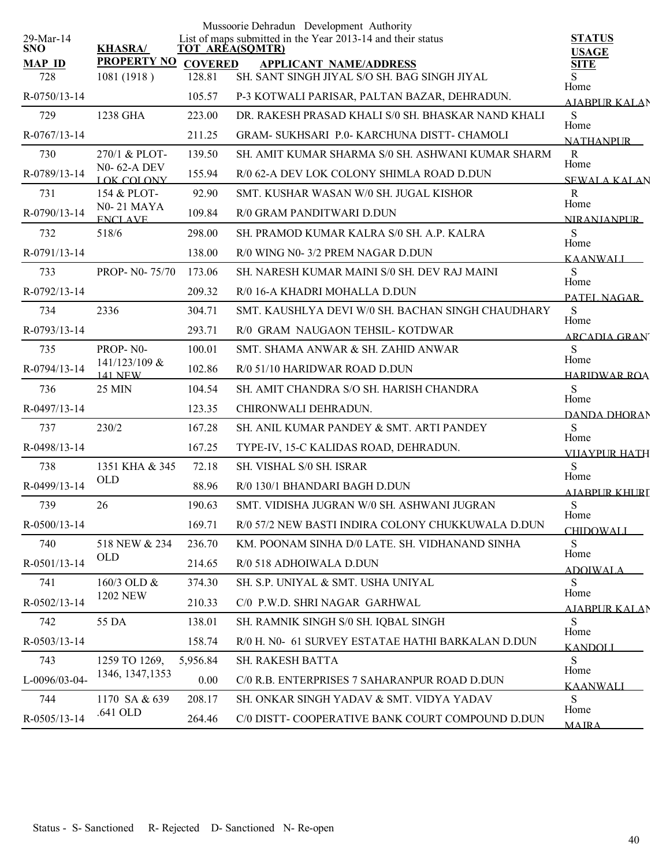|                         |                                     |          | Mussoorie Dehradun Development Authority                                              |                               |
|-------------------------|-------------------------------------|----------|---------------------------------------------------------------------------------------|-------------------------------|
| 29-Mar-14<br><b>SNO</b> | <b>KHASRA/</b>                      |          | List of maps submitted in the Year 2013-14 and their status<br><b>TOT AREA(SQMTR)</b> | <b>STATUS</b><br><b>USAGE</b> |
| <b>MAP ID</b>           | PROPERTY NO COVERED                 |          | <b>APPLICANT NAME/ADDRESS</b>                                                         | <b>SITE</b>                   |
| 728                     | 1081 (1918)                         | 128.81   | SH. SANT SINGH JIYAL S/O SH. BAG SINGH JIYAL                                          | S<br>Home                     |
| R-0750/13-14            |                                     | 105.57   | P-3 KOTWALI PARISAR, PALTAN BAZAR, DEHRADUN.                                          | <b>AJABPUR KALAN</b>          |
| 729                     | 1238 GHA                            | 223.00   | DR. RAKESH PRASAD KHALI S/0 SH. BHASKAR NAND KHALI                                    | S<br>Home                     |
| R-0767/13-14            |                                     | 211.25   | GRAM- SUKHSARI P.0- KARCHUNA DISTT- CHAMOLI                                           | <b>NATHANPUR</b>              |
| 730                     | 270/1 & PLOT-                       | 139.50   | SH. AMIT KUMAR SHARMA S/0 SH. ASHWANI KUMAR SHARM                                     | $\mathbf R$<br>Home           |
| R-0789/13-14            | <b>N0-62-A DEV</b><br>LOK COLONY    | 155.94   | R/0 62-A DEV LOK COLONY SHIMLA ROAD D.DUN                                             | <b>SEWALA KALAN</b>           |
| 731                     | 154 & PLOT-                         | 92.90    | SMT. KUSHAR WASAN W/0 SH. JUGAL KISHOR                                                | $\mathbb{R}$                  |
| R-0790/13-14            | <b>N0-21 MAYA</b><br><b>ENCLAVE</b> | 109.84   | R/0 GRAM PANDITWARI D.DUN                                                             | Home<br><b>NIRANIANPUR</b>    |
| 732                     | 518/6                               | 298.00   | SH. PRAMOD KUMAR KALRA S/0 SH. A.P. KALRA                                             | S                             |
| R-0791/13-14            |                                     | 138.00   | R/0 WING N0-3/2 PREM NAGAR D.DUN                                                      | Home<br><b>KAANWALI</b>       |
| 733                     | PROP- N0-75/70                      | 173.06   | SH. NARESH KUMAR MAINI S/0 SH. DEV RAJ MAINI                                          | <sub>S</sub>                  |
| R-0792/13-14            |                                     | 209.32   | R/0 16-A KHADRI MOHALLA D.DUN                                                         | Home<br>PATEL NAGAR           |
| 734                     | 2336                                | 304.71   | SMT. KAUSHLYA DEVI W/0 SH. BACHAN SINGH CHAUDHARY                                     | S                             |
| R-0793/13-14            |                                     | 293.71   | R/0 GRAM NAUGAON TEHSIL-KOTDWAR                                                       | Home<br><b>ARCADIA GRAN</b>   |
| 735                     | PROP-N0-                            | 100.01   | SMT. SHAMA ANWAR & SH. ZAHID ANWAR                                                    | S                             |
| R-0794/13-14            | 141/123/109 &<br><b>141 NEW</b>     | 102.86   | R/0 51/10 HARIDWAR ROAD D.DUN                                                         | Home<br><b>HARIDWAR ROA</b>   |
| 736                     | 25 MIN                              | 104.54   | SH. AMIT CHANDRA S/O SH. HARISH CHANDRA                                               | S                             |
| R-0497/13-14            |                                     | 123.35   | CHIRONWALI DEHRADUN.                                                                  | Home<br>DANDA DHORAN          |
| 737                     | 230/2                               | 167.28   | SH. ANIL KUMAR PANDEY & SMT. ARTI PANDEY                                              | S                             |
| R-0498/13-14            |                                     | 167.25   | TYPE-IV, 15-C KALIDAS ROAD, DEHRADUN.                                                 | Home<br><b>VIIAYPUR HATH</b>  |
| 738                     | 1351 KHA & 345                      | 72.18    | SH. VISHAL S/0 SH. ISRAR                                                              | S                             |
| R-0499/13-14            | <b>OLD</b>                          | 88.96    | R/0 130/1 BHANDARI BAGH D.DUN                                                         | Home<br>A JABPUR KHURI        |
| 739                     | 26                                  | 190.63   | SMT. VIDISHA JUGRAN W/0 SH. ASHWANI JUGRAN                                            | ${\bf S}$                     |
| $R-0500/13-14$          |                                     | 169.71   | R/0 57/2 NEW BASTI INDIRA COLONY CHUKKUWALA D.DUN                                     | Home<br><b>CHIDOWALI</b>      |
| 740                     | 518 NEW & 234                       | 236.70   | KM. POONAM SINHA D/0 LATE. SH. VIDHANAND SINHA                                        | S.                            |
| R-0501/13-14            | <b>OLD</b>                          | 214.65   | R/0 518 ADHOIWALA D.DUN                                                               | Home<br><b>ADOIWALA</b>       |
| 741                     | 160/3 OLD &                         | 374.30   | SH. S.P. UNIYAL & SMT. USHA UNIYAL                                                    | S                             |
| R-0502/13-14            | <b>1202 NEW</b>                     | 210.33   | C/0 P.W.D. SHRI NAGAR GARHWAL                                                         | Home<br>AJABPUR KALAN         |
| 742                     | 55 DA                               | 138.01   | SH. RAMNIK SINGH S/0 SH. IQBAL SINGH                                                  | S                             |
| R-0503/13-14            |                                     | 158.74   | R/0 H. N0- 61 SURVEY ESTATAE HATHI BARKALAN D.DUN                                     | Home<br><b>KANDOLI</b>        |
| 743                     | 1259 TO 1269,                       | 5,956.84 | SH. RAKESH BATTA                                                                      | S                             |
| L-0096/03-04-           | 1346, 1347, 1353                    | 0.00     | C/0 R.B. ENTERPRISES 7 SAHARANPUR ROAD D.DUN                                          | Home<br><b>KAANWALL</b>       |
| 744                     | 1170 SA & 639                       | 208.17   | SH. ONKAR SINGH YADAV & SMT. VIDYA YADAV                                              | S                             |
| R-0505/13-14            | .641 OLD                            | 264.46   | C/0 DISTT- COOPERATIVE BANK COURT COMPOUND D.DUN                                      | Home<br><b>MAIRA</b>          |
|                         |                                     |          |                                                                                       |                               |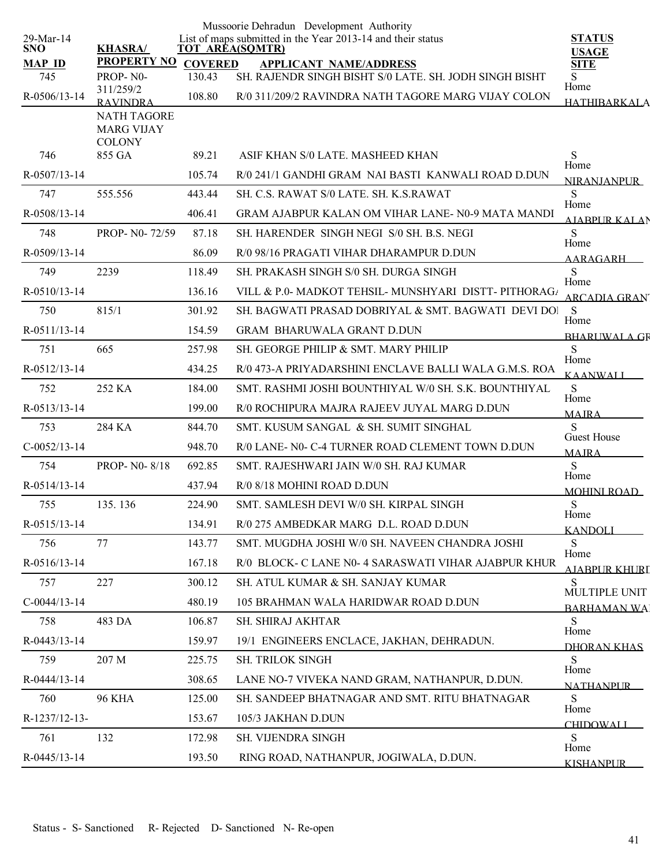|                         |                                         |                | Mussoorie Dehradun Development Authority                                              |                               |
|-------------------------|-----------------------------------------|----------------|---------------------------------------------------------------------------------------|-------------------------------|
| 29-Mar-14<br><b>SNO</b> | <b>KHASRA/</b>                          |                | List of maps submitted in the Year 2013-14 and their status<br><b>TOT AREA(SQMTR)</b> | <b>STATUS</b><br><b>USAGE</b> |
| <b>MAP ID</b>           | <b>PROPERTY NO</b>                      | <b>COVERED</b> | <b>APPLICANT NAME/ADDRESS</b>                                                         | <b>SITE</b>                   |
| 745                     | PROP-N0-<br>311/259/2                   | 130.43         | SH. RAJENDR SINGH BISHT S/0 LATE. SH. JODH SINGH BISHT                                | S<br>Home                     |
| R-0506/13-14            | <b>RAVINDRA</b>                         | 108.80         | R/0 311/209/2 RAVINDRA NATH TAGORE MARG VIJAY COLON                                   | <b>HATHIBARKALA</b>           |
|                         | <b>NATH TAGORE</b><br><b>MARG VIJAY</b> |                |                                                                                       |                               |
|                         | <b>COLONY</b>                           |                |                                                                                       |                               |
| 746                     | 855 GA                                  | 89.21          | ASIF KHAN S/0 LATE, MASHEED KHAN                                                      | S<br>Home                     |
| R-0507/13-14            |                                         | 105.74         | R/0 241/1 GANDHI GRAM NAI BASTI KANWALI ROAD D.DUN                                    | <b>NIRANJANPUR</b>            |
| 747                     | 555.556                                 | 443.44         | SH. C.S. RAWAT S/0 LATE. SH. K.S.RAWAT                                                | S<br>Home                     |
| R-0508/13-14            |                                         | 406.41         | GRAM AJABPUR KALAN OM VIHAR LANE-N0-9 MATA MANDI                                      | <b>AIABPUR KALAN</b>          |
| 748                     | PROP- N0-72/59                          | 87.18          | SH. HARENDER SINGH NEGI S/0 SH. B.S. NEGI                                             | S<br>Home                     |
| R-0509/13-14            |                                         | 86.09          | R/0 98/16 PRAGATI VIHAR DHARAMPUR D.DUN                                               | AARAGARH                      |
| 749                     | 2239                                    | 118.49         | SH. PRAKASH SINGH S/0 SH. DURGA SINGH                                                 | S<br>Home                     |
| R-0510/13-14            |                                         | 136.16         | VILL & P.O- MADKOT TEHSIL- MUNSHYARI DISTT- PITHORAG/                                 | ARCADIA GRAN                  |
| 750                     | 815/1                                   | 301.92         | SH. BAGWATI PRASAD DOBRIYAL & SMT. BAGWATI DEVI DOI                                   | S<br>Home                     |
| R-0511/13-14            |                                         | 154.59         | <b>GRAM BHARUWALA GRANT D.DUN</b>                                                     | <b>BHARLIWAL A GR</b>         |
| 751                     | 665                                     | 257.98         | SH. GEORGE PHILIP & SMT. MARY PHILIP                                                  | S<br>Home                     |
| R-0512/13-14            |                                         | 434.25         | R/0 473-A PRIYADARSHINI ENCLAVE BALLI WALA G.M.S. ROA                                 | <b>KAANWALI</b>               |
| 752                     | 252 KA                                  | 184.00         | SMT. RASHMI JOSHI BOUNTHIYAL W/0 SH. S.K. BOUNTHIYAL                                  | S                             |
| R-0513/13-14            |                                         | 199.00         | R/0 ROCHIPURA MAJRA RAJEEV JUYAL MARG D.DUN                                           | Home<br><b>MAIRA</b>          |
| 753                     | 284 KA                                  | 844.70         | SMT. KUSUM SANGAL & SH. SUMIT SINGHAL                                                 | S                             |
| $C-0052/13-14$          |                                         | 948.70         | R/0 LANE- N0- C-4 TURNER ROAD CLEMENT TOWN D.DUN                                      | Guest House<br><b>MAIRA</b>   |
| 754                     | PROP-N0-8/18                            | 692.85         | SMT. RAJESHWARI JAIN W/0 SH. RAJ KUMAR                                                | S                             |
| R-0514/13-14            |                                         | 437.94         | R/0 8/18 MOHINI ROAD D.DUN                                                            | Home<br><b>MOHINI ROAD</b>    |
| 755                     | 135.136                                 | 224.90         | SMT. SAMLESH DEVI W/0 SH. KIRPAL SINGH                                                | ${\bf S}$                     |
| R-0515/13-14            |                                         | 134.91         | R/0 275 AMBEDKAR MARG D.L. ROAD D.DUN                                                 | Home<br><b>KANDOLI</b>        |
| 756                     | 77                                      | 143.77         | SMT. MUGDHA JOSHI W/0 SH. NAVEEN CHANDRA JOSHI                                        | S                             |
| R-0516/13-14            |                                         | 167.18         | R/0 BLOCK- C LANE N0- 4 SARASWATI VIHAR AJABPUR KHUR                                  | Home<br><b>AJABPUR KHURL</b>  |
| 757                     | 227                                     | 300.12         | SH. ATUL KUMAR & SH. SANJAY KUMAR                                                     | S                             |
| $C-0044/13-14$          |                                         | 480.19         | 105 BRAHMAN WALA HARIDWAR ROAD D.DUN                                                  | MULTIPLE UNIT                 |
| 758                     | 483 DA                                  | 106.87         | <b>SH. SHIRAJ AKHTAR</b>                                                              | <b>BARHAMAN WA</b><br>S       |
| R-0443/13-14            |                                         | 159.97         | 19/1 ENGINEERS ENCLACE, JAKHAN, DEHRADUN.                                             | Home                          |
| 759                     | 207 M                                   | 225.75         | SH. TRILOK SINGH                                                                      | DHORAN KHAS<br>S              |
| R-0444/13-14            |                                         | 308.65         | LANE NO-7 VIVEKA NAND GRAM, NATHANPUR, D.DUN.                                         | Home                          |
| 760                     | <b>96 KHA</b>                           | 125.00         | SH. SANDEEP BHATNAGAR AND SMT. RITU BHATNAGAR                                         | <b>NATHANPLIR</b><br>S        |
| R-1237/12-13-           |                                         | 153.67         | 105/3 JAKHAN D.DUN                                                                    | Home                          |
| 761                     | 132                                     | 172.98         | SH. VIJENDRA SINGH                                                                    | <b>CHIDOWALI</b><br>S         |
|                         |                                         |                |                                                                                       | Home                          |
| R-0445/13-14            |                                         | 193.50         | RING ROAD, NATHANPUR, JOGIWALA, D.DUN.                                                | <b>KISHANPUR</b>              |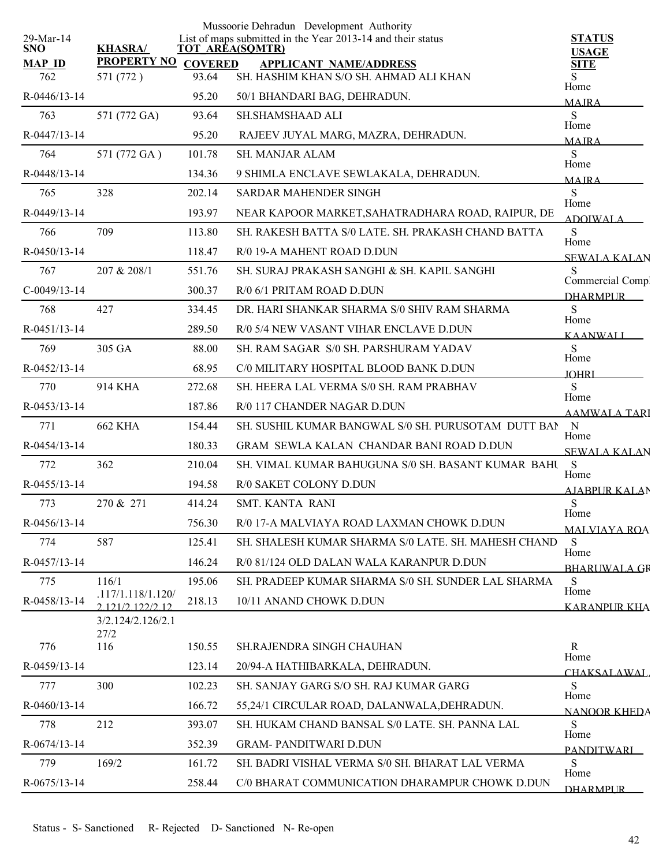| 29-Mar-14            |                                       |        | Mussoorie Dehradun Development Authority<br>List of maps submitted in the Year 2013-14 and their status | <b>STATUS</b>                      |
|----------------------|---------------------------------------|--------|---------------------------------------------------------------------------------------------------------|------------------------------------|
| <b>SNO</b>           | <b>KHASRA/</b>                        |        | <b>TOT AREA(SQMTR)</b>                                                                                  | <b>USAGE</b>                       |
| <b>MAP ID</b><br>762 | PROPERTY NO COVERED<br>571 (772)      | 93.64  | <b>APPLICANT NAME/ADDRESS</b><br>SH. HASHIM KHAN S/O SH. AHMAD ALI KHAN                                 | <b>SITE</b><br>S                   |
| R-0446/13-14         |                                       | 95.20  | 50/1 BHANDARI BAG, DEHRADUN.                                                                            | Home<br><b>MAJRA</b>               |
| 763                  | 571 (772 GA)                          | 93.64  | <b>SH.SHAMSHAAD ALI</b>                                                                                 | S                                  |
| R-0447/13-14         |                                       | 95.20  | RAJEEV JUYAL MARG, MAZRA, DEHRADUN.                                                                     | Home<br><b>MAIRA</b>               |
| 764                  | 571 (772 GA)                          | 101.78 | <b>SH. MANJAR ALAM</b>                                                                                  | S                                  |
| R-0448/13-14         |                                       | 134.36 | 9 SHIMLA ENCLAVE SEWLAKALA, DEHRADUN.                                                                   | Home<br><b>MAIRA</b>               |
| 765                  | 328                                   | 202.14 | <b>SARDAR MAHENDER SINGH</b>                                                                            | S                                  |
| R-0449/13-14         |                                       | 193.97 | NEAR KAPOOR MARKET, SAHATRADHARA ROAD, RAIPUR, DE                                                       | Home<br><b>ADOIWALA</b>            |
| 766                  | 709                                   | 113.80 | SH. RAKESH BATTA S/0 LATE. SH. PRAKASH CHAND BATTA                                                      | S                                  |
| R-0450/13-14         |                                       | 118.47 | R/0 19-A MAHENT ROAD D.DUN                                                                              | Home<br><b>SEWALA KALAN</b>        |
| 767                  | 207 & 208/1                           | 551.76 | SH. SURAJ PRAKASH SANGHI & SH. KAPIL SANGHI                                                             | S                                  |
| $C-0049/13-14$       |                                       | 300.37 | R/0 6/1 PRITAM ROAD D.DUN                                                                               | Commercial Comp<br><b>DHARMPUR</b> |
| 768                  | 427                                   | 334.45 | DR. HARI SHANKAR SHARMA S/0 SHIV RAM SHARMA                                                             | S                                  |
| $R-0451/13-14$       |                                       | 289.50 | R/0 5/4 NEW VASANT VIHAR ENCLAVE D.DUN                                                                  | Home<br><b>KAANWALI</b>            |
| 769                  | 305 GA                                | 88.00  | SH. RAM SAGAR S/0 SH. PARSHURAM YADAV                                                                   | S                                  |
| $R - 0452/13 - 14$   |                                       | 68.95  | C/0 MILITARY HOSPITAL BLOOD BANK D.DUN                                                                  | Home<br><b>IOHRI</b>               |
| 770                  | 914 KHA                               | 272.68 | SH. HEERA LAL VERMA S/0 SH. RAM PRABHAV                                                                 | S<br>Home                          |
| R-0453/13-14         |                                       | 187.86 | R/0 117 CHANDER NAGAR D.DUN                                                                             | <b>AAMWALA TARI</b>                |
| 771                  | <b>662 KHA</b>                        | 154.44 | SH. SUSHIL KUMAR BANGWAL S/0 SH. PURUSOTAM DUTT BAN                                                     | N                                  |
| R-0454/13-14         |                                       | 180.33 | <b>GRAM SEWLA KALAN CHANDAR BANI ROAD D.DUN</b>                                                         | Home<br><b>SEWALA KALAN</b>        |
| 772                  | 362                                   | 210.04 | SH. VIMAL KUMAR BAHUGUNA S/0 SH. BASANT KUMAR BAHU                                                      | S<br>Home                          |
| R-0455/13-14         |                                       | 194.58 | R/0 SAKET COLONY D.DUN                                                                                  | <b>AIABPUR KALAN</b>               |
| 773                  | 270 & 271                             | 414.24 | <b>SMT. KANTA RANI</b>                                                                                  | S                                  |
| R-0456/13-14         |                                       | 756.30 | R/0 17-A MALVIAYA ROAD LAXMAN CHOWK D.DUN                                                               | Home<br><b>MALVIAYA ROA</b>        |
| 774                  | 587                                   | 125.41 | SH. SHALESH KUMAR SHARMA S/0 LATE. SH. MAHESH CHAND                                                     | S                                  |
| R-0457/13-14         |                                       | 146.24 | R/0 81/124 OLD DALAN WALA KARANPUR D.DUN                                                                | Home<br><b>BHARUWALA GF</b>        |
| 775                  | 116/1                                 | 195.06 | SH. PRADEEP KUMAR SHARMA S/0 SH. SUNDER LAL SHARMA                                                      | S                                  |
| R-0458/13-14         | .117/1.118/1.120/<br>2 121/2 122/2 12 | 218.13 | 10/11 ANAND CHOWK D.DUN                                                                                 | Home<br>KARANPUR KHA               |
|                      | 3/2.124/2.126/2.1<br>27/2             |        |                                                                                                         |                                    |
| 776                  | 116                                   | 150.55 | SH.RAJENDRA SINGH CHAUHAN                                                                               | R<br>Home                          |
| R-0459/13-14         |                                       | 123.14 | 20/94-A HATHIBARKALA, DEHRADUN.                                                                         | <b>CHAKSALAWAL</b>                 |
| 777                  | 300                                   | 102.23 | SH. SANJAY GARG S/O SH. RAJ KUMAR GARG                                                                  | S                                  |
| R-0460/13-14         |                                       | 166.72 | 55,24/1 CIRCULAR ROAD, DALANWALA, DEHRADUN.                                                             | Home<br>NANOOR KHEDA               |
| 778                  | 212                                   | 393.07 | SH. HUKAM CHAND BANSAL S/0 LATE. SH. PANNA LAL                                                          | S                                  |
| R-0674/13-14         |                                       | 352.39 | <b>GRAM-PANDITWARI D.DUN</b>                                                                            | Home<br><b>PANDITWARL</b>          |
| 779                  | 169/2                                 | 161.72 | SH. BADRI VISHAL VERMA S/0 SH. BHARAT LAL VERMA                                                         | S                                  |
| $R-0675/13-14$       |                                       | 258.44 | C/0 BHARAT COMMUNICATION DHARAMPUR CHOWK D.DUN                                                          | Home<br><b>DHARMPUR</b>            |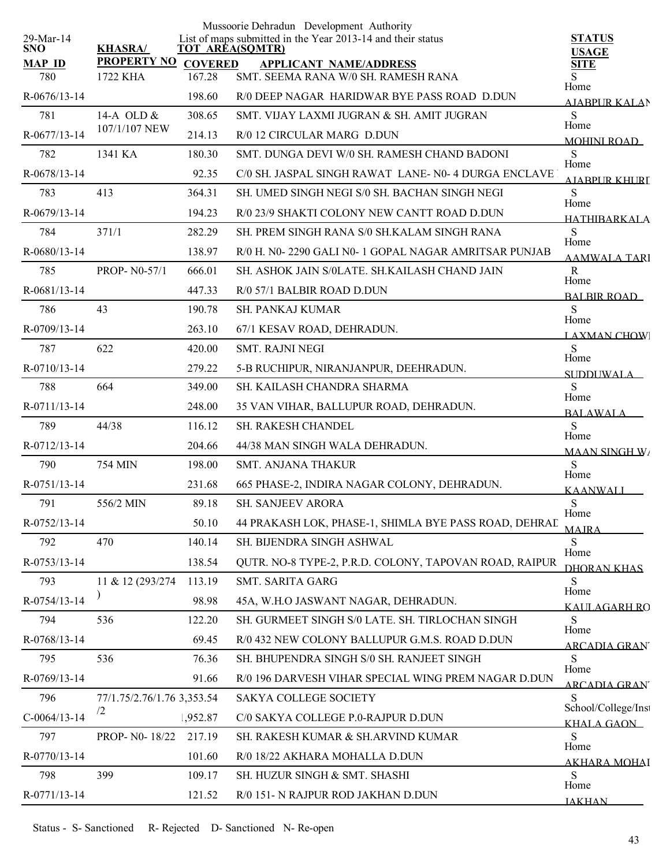|                         |                                |                          | Mussoorie Dehradun Development Authority<br>List of maps submitted in the Year 2013-14 and their status | <b>STATUS</b>                     |
|-------------------------|--------------------------------|--------------------------|---------------------------------------------------------------------------------------------------------|-----------------------------------|
| 29-Mar-14<br><b>SNO</b> | <b>KHASRA/</b>                 |                          | <b>TOT AREA(SQMTR)</b>                                                                                  | <b>USAGE</b>                      |
| <b>MAP ID</b><br>780    | <b>PROPERTY NO</b><br>1722 KHA | <b>COVERED</b><br>167.28 | <b>APPLICANT NAME/ADDRESS</b><br>SMT. SEEMA RANA W/0 SH. RAMESH RANA                                    | <b>SITE</b><br>S                  |
| $R-0676/13-14$          |                                | 198.60                   | R/0 DEEP NAGAR HARIDWAR BYE PASS ROAD D.DUN                                                             | Home<br>AJABPUR KALAN             |
| 781                     | 14-A OLD &                     | 308.65                   | SMT. VIJAY LAXMI JUGRAN & SH. AMIT JUGRAN                                                               | S                                 |
| R-0677/13-14            | 107/1/107 NEW                  | 214.13                   | R/0 12 CIRCULAR MARG D.DUN                                                                              | Home<br><b>MOHINI ROAD</b>        |
| 782                     | 1341 KA                        | 180.30                   | SMT. DUNGA DEVI W/0 SH. RAMESH CHAND BADONI                                                             | S                                 |
| R-0678/13-14            |                                | 92.35                    | C/0 SH. JASPAL SINGH RAWAT LANE- N0-4 DURGA ENCLAVE                                                     | Home<br>AIARPUR KHURI             |
| 783                     | 413                            | 364.31                   | SH. UMED SINGH NEGI S/0 SH. BACHAN SINGH NEGI                                                           | S                                 |
| R-0679/13-14            |                                | 194.23                   | R/0 23/9 SHAKTI COLONY NEW CANTT ROAD D.DUN                                                             | Home<br><b>HATHIRARKALA</b>       |
| 784                     | 371/1                          | 282.29                   | SH. PREM SINGH RANA S/0 SH.KALAM SINGH RANA                                                             | S                                 |
| R-0680/13-14            |                                | 138.97                   | R/0 H. N0-2290 GALI N0-1 GOPAL NAGAR AMRITSAR PUNJAB                                                    | Home<br><b>AAMWALA TARI</b>       |
| 785                     | <b>PROP-N0-57/1</b>            | 666.01                   | SH. ASHOK JAIN S/0LATE. SH.KAILASH CHAND JAIN                                                           | $\mathbf R$                       |
| $R-0681/13-14$          |                                | 447.33                   | R/0 57/1 BALBIR ROAD D.DUN                                                                              | Home<br><b>BALBIR ROAD</b>        |
| 786                     | 43                             | 190.78                   | <b>SH. PANKAJ KUMAR</b>                                                                                 | S                                 |
| R-0709/13-14            |                                | 263.10                   | 67/1 KESAV ROAD, DEHRADUN.                                                                              | Home<br><b>LAXMAN CHOW</b>        |
| 787                     | 622                            | 420.00                   | <b>SMT. RAJNI NEGI</b>                                                                                  | S                                 |
| R-0710/13-14            |                                | 279.22                   | 5-B RUCHIPUR, NIRANJANPUR, DEEHRADUN.                                                                   | Home<br>SUDDUWALA                 |
| 788                     | 664                            | 349.00                   | SH. KAILASH CHANDRA SHARMA                                                                              | S                                 |
| R-0711/13-14            |                                | 248.00                   | 35 VAN VIHAR, BALLUPUR ROAD, DEHRADUN.                                                                  | Home<br><b>BALAWALA</b>           |
| 789                     | 44/38                          | 116.12                   | SH. RAKESH CHANDEL                                                                                      | S<br>Home                         |
| R-0712/13-14            |                                | 204.66                   | 44/38 MAN SINGH WALA DEHRADUN.                                                                          | <b>MAAN SINGH W/</b>              |
| 790                     | <b>754 MIN</b>                 | 198.00                   | <b>SMT. ANJANA THAKUR</b>                                                                               | S<br>Home                         |
| R-0751/13-14            |                                | 231.68                   | 665 PHASE-2, INDIRA NAGAR COLONY, DEHRADUN.                                                             | KAANWALI                          |
| 791                     | 556/2 MIN                      | 89.18                    | <b>SH. SANJEEV ARORA</b>                                                                                | ${\bf S}$<br>Home                 |
| R-0752/13-14            |                                | 50.10                    | 44 PRAKASH LOK, PHASE-1, SHIMLA BYE PASS ROAD, DEHRAL                                                   | <b>MAJRA</b>                      |
| 792                     | 470                            | 140.14                   | SH. BIJENDRA SINGH ASHWAL                                                                               | S                                 |
| R-0753/13-14            |                                | 138.54                   | QUTR. NO-8 TYPE-2, P.R.D. COLONY, TAPOVAN ROAD, RAIPUR                                                  | Home<br>DHORAN KHAS               |
| 793                     | 11 & 12 (293/274)              | 113.19                   | SMT. SARITA GARG                                                                                        | S                                 |
| R-0754/13-14            |                                | 98.98                    | 45A, W.H.O JASWANT NAGAR, DEHRADUN.                                                                     | Home<br><u>KALILAGARH RO</u>      |
| 794                     | 536                            | 122.20                   | SH. GURMEET SINGH S/0 LATE. SH. TIRLOCHAN SINGH                                                         | S                                 |
| R-0768/13-14            |                                | 69.45                    | R/0 432 NEW COLONY BALLUPUR G.M.S. ROAD D.DUN                                                           | Home<br>ARCADIA GRAN              |
| 795                     | 536                            | 76.36                    | SH. BHUPENDRA SINGH S/0 SH. RANJEET SINGH                                                               | S                                 |
| R-0769/13-14            |                                | 91.66                    | R/0 196 DARVESH VIHAR SPECIAL WING PREM NAGAR D.DUN                                                     | Home<br><u>ARCADIA GRAN'</u>      |
| 796                     | 77/1.75/2.76/1.76 3,353.54     |                          | SAKYA COLLEGE SOCIETY                                                                                   | S                                 |
| $C-0064/13-14$          | $\sqrt{2}$                     | 1,952.87                 | C/0 SAKYA COLLEGE P.0-RAJPUR D.DUN                                                                      | School/College/Inst<br>KHALA GAON |
| 797                     | PROP- N0-18/22                 | 217.19                   | SH. RAKESH KUMAR & SH.ARVIND KUMAR                                                                      | S                                 |
| R-0770/13-14            |                                | 101.60                   | R/0 18/22 AKHARA MOHALLA D.DUN                                                                          | Home<br><u>AKHARA MOHAI</u>       |
| 798                     | 399                            | 109.17                   | SH. HUZUR SINGH & SMT. SHASHI                                                                           | S                                 |
| R-0771/13-14            |                                | 121.52                   | R/0 151- N RAJPUR ROD JAKHAN D.DUN                                                                      | Home<br><b>JAKHAN</b>             |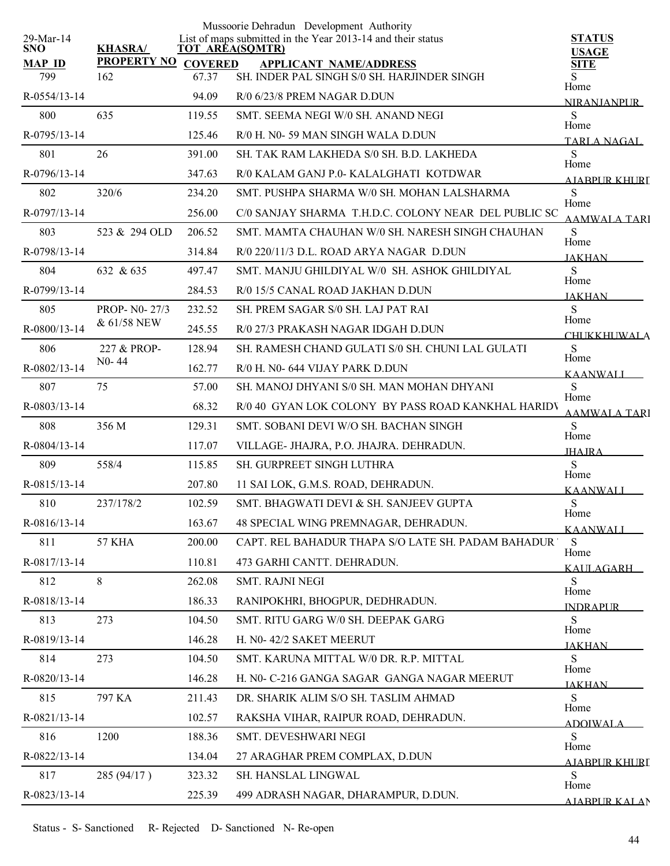| 29-Mar-14            |                            |                        | Mussoorie Dehradun Development Authority<br>List of maps submitted in the Year 2013-14 and their status | <b>STATUS</b>                |
|----------------------|----------------------------|------------------------|---------------------------------------------------------------------------------------------------------|------------------------------|
| <b>SNO</b>           | <b>KHASRA/</b>             | <b>TOT AREA(SQMTR)</b> |                                                                                                         | <b>USAGE</b>                 |
| <b>MAP ID</b><br>799 | PROPERTY NO COVERED<br>162 | 67.37                  | <b>APPLICANT NAME/ADDRESS</b><br>SH. INDER PAL SINGH S/0 SH. HARJINDER SINGH                            | <b>SITE</b><br>Home          |
| R-0554/13-14         |                            | 94.09                  | R/0 6/23/8 PREM NAGAR D.DUN                                                                             | <b>NIRANJANPUR</b>           |
| 800                  | 635                        | 119.55                 | SMT. SEEMA NEGI W/0 SH. ANAND NEGI                                                                      | S                            |
| R-0795/13-14         |                            | 125.46                 | R/0 H. N0-59 MAN SINGH WALA D.DUN                                                                       | Home<br>TARLA NAGAL          |
| 801                  | 26                         | 391.00                 | SH. TAK RAM LAKHEDA S/0 SH. B.D. LAKHEDA                                                                | S                            |
| R-0796/13-14         |                            | 347.63                 | R/0 KALAM GANJ P.0- KALALGHATI KOTDWAR                                                                  | Home<br>AIABPUR KHURT        |
| 802                  | 320/6                      | 234.20                 | SMT. PUSHPA SHARMA W/0 SH. MOHAN LALSHARMA                                                              | S                            |
| R-0797/13-14         |                            | 256.00                 | C/0 SANJAY SHARMA T.H.D.C. COLONY NEAR DEL PUBLIC SC                                                    | Home<br><b>AAMWALA TARI</b>  |
| 803                  | 523 & 294 OLD              | 206.52                 | SMT. MAMTA CHAUHAN W/0 SH. NARESH SINGH CHAUHAN                                                         | S                            |
| R-0798/13-14         |                            | 314.84                 | R/0 220/11/3 D.L. ROAD ARYA NAGAR D.DUN                                                                 | Home<br><b>JAKHAN</b>        |
| 804                  | 632 & 635                  | 497.47                 | SMT. MANJU GHILDIYAL W/0 SH. ASHOK GHILDIYAL                                                            | S                            |
| R-0799/13-14         |                            | 284.53                 | R/0 15/5 CANAL ROAD JAKHAN D.DUN                                                                        | Home<br><b>JAKHAN</b>        |
| 805                  | PROP- N0-27/3              | 232.52                 | SH. PREM SAGAR S/0 SH. LAJ PAT RAI                                                                      | S                            |
| R-0800/13-14         | & 61/58 NEW                | 245.55                 | R/0 27/3 PRAKASH NAGAR IDGAH D.DUN                                                                      | Home<br><b>CHUKKHUWALA</b>   |
| 806                  | 227 & PROP-                | 128.94                 | SH. RAMESH CHAND GULATI S/0 SH. CHUNI LAL GULATI                                                        | S                            |
| R-0802/13-14         | $N0 - 44$                  | 162.77                 | R/0 H. N0- 644 VIJAY PARK D.DUN                                                                         | Home<br><b>KAANWALI</b>      |
| 807                  | 75                         | 57.00                  | SH. MANOJ DHYANI S/0 SH. MAN MOHAN DHYANI                                                               | S                            |
| R-0803/13-14         |                            | 68.32                  | R/0 40 GYAN LOK COLONY BY PASS ROAD KANKHAL HARIDV                                                      | Home<br><b>AAMWALA TARI</b>  |
| 808                  | 356 M                      | 129.31                 | SMT. SOBANI DEVI W/O SH. BACHAN SINGH                                                                   | S                            |
| R-0804/13-14         |                            | 117.07                 | VILLAGE- JHAJRA, P.O. JHAJRA. DEHRADUN.                                                                 | Home<br><b>JHAJRA</b>        |
| 809                  | 558/4                      | 115.85                 | SH. GURPREET SINGH LUTHRA                                                                               | S                            |
| R-0815/13-14         |                            | 207.80                 | 11 SAI LOK, G.M.S. ROAD, DEHRADUN.                                                                      | Home<br>KAANWALI             |
| 810                  | 237/178/2                  | 102.59                 | SMT. BHAGWATI DEVI & SH. SANJEEV GUPTA                                                                  | S                            |
| R-0816/13-14         |                            | 163.67                 | 48 SPECIAL WING PREMNAGAR, DEHRADUN.                                                                    | Home<br>KAANWALI             |
| 811                  | 57 KHA                     | 200.00                 | CAPT. REL BAHADUR THAPA S/O LATE SH. PADAM BAHADUR '                                                    | S                            |
| R-0817/13-14         |                            | 110.81                 | 473 GARHI CANTT. DEHRADUN.                                                                              | Home<br>KAULAGARH            |
| 812                  | 8                          | 262.08                 | <b>SMT. RAJNI NEGI</b>                                                                                  | S                            |
| R-0818/13-14         |                            | 186.33                 | RANIPOKHRI, BHOGPUR, DEDHRADUN.                                                                         | Home<br><b>INDRAPLIR</b>     |
| 813                  | 273                        | 104.50                 | SMT. RITU GARG W/0 SH. DEEPAK GARG                                                                      | S                            |
| R-0819/13-14         |                            | 146.28                 | H. N0-42/2 SAKET MEERUT                                                                                 | Home<br><b>JAKHAN</b>        |
| 814                  | 273                        | 104.50                 | SMT. KARUNA MITTAL W/0 DR. R.P. MITTAL                                                                  | S                            |
| R-0820/13-14         |                            | 146.28                 | H. N0- C-216 GANGA SAGAR GANGA NAGAR MEERUT                                                             | Home<br><b>JAKHAN</b>        |
| 815                  | 797 KA                     | 211.43                 | DR. SHARIK ALIM S/O SH. TASLIM AHMAD                                                                    | S                            |
| R-0821/13-14         |                            | 102.57                 | RAKSHA VIHAR, RAIPUR ROAD, DEHRADUN.                                                                    | Home<br><b>ADOIWALA</b>      |
| 816                  | 1200                       | 188.36                 | SMT. DEVESHWARI NEGI                                                                                    | S                            |
| R-0822/13-14         |                            | 134.04                 | 27 ARAGHAR PREM COMPLAX, D.DUN                                                                          | Home<br>AJABPUR KHURI        |
| 817                  | 285 (94/17)                | 323.32                 | SH. HANSLAL LINGWAL                                                                                     | S                            |
| R-0823/13-14         |                            | 225.39                 | 499 ADRASH NAGAR, DHARAMPUR, D.DUN.                                                                     | Home<br><b>AJARPUR KALAN</b> |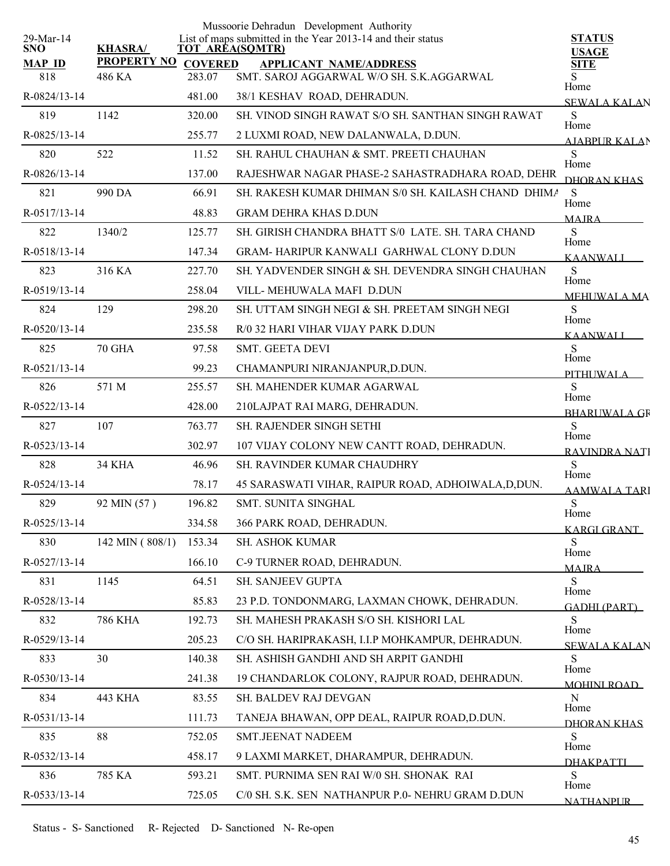|                         |                     |        | Mussoorie Dehradun Development Authority                                              |                               |
|-------------------------|---------------------|--------|---------------------------------------------------------------------------------------|-------------------------------|
| 29-Mar-14<br><b>SNO</b> | <b>KHASRA/</b>      |        | List of maps submitted in the Year 2013-14 and their status<br><b>TOT AREA(SQMTR)</b> | <b>STATUS</b><br><b>USAGE</b> |
| <b>MAP ID</b>           | PROPERTY NO COVERED |        | <b>APPLICANT NAME/ADDRESS</b>                                                         | <b>SITE</b>                   |
| 818                     | 486 KA              | 283.07 | SMT. SAROJ AGGARWAL W/O SH. S.K.AGGARWAL                                              | Home                          |
| R-0824/13-14            |                     | 481.00 | 38/1 KESHAV ROAD, DEHRADUN.                                                           | <b>SEWALA KALAN</b>           |
| 819                     | 1142                | 320.00 | SH. VINOD SINGH RAWAT S/O SH. SANTHAN SINGH RAWAT                                     | S<br>Home                     |
| R-0825/13-14            |                     | 255.77 | 2 LUXMI ROAD, NEW DALANWALA, D.DUN.                                                   | AIABPUR KALAN                 |
| 820                     | 522                 | 11.52  | SH. RAHUL CHAUHAN & SMT. PREETI CHAUHAN                                               | S<br>Home                     |
| R-0826/13-14            |                     | 137.00 | RAJESHWAR NAGAR PHASE-2 SAHASTRADHARA ROAD, DEHR                                      | DHORAN KHAS                   |
| 821                     | 990 DA              | 66.91  | SH. RAKESH KUMAR DHIMAN S/0 SH. KAILASH CHAND DHIMA                                   | S<br>Home                     |
| R-0517/13-14            |                     | 48.83  | <b>GRAM DEHRA KHAS D.DUN</b>                                                          | <b>MAIRA</b>                  |
| 822                     | 1340/2              | 125.77 | SH. GIRISH CHANDRA BHATT S/0 LATE. SH. TARA CHAND                                     | S                             |
| R-0518/13-14            |                     | 147.34 | <b>GRAM-HARIPUR KANWALI GARHWAL CLONY D.DUN</b>                                       | Home<br><b>KAANWALI</b>       |
| 823                     | 316 KA              | 227.70 | SH. YADVENDER SINGH & SH. DEVENDRA SINGH CHAUHAN                                      | S                             |
| R-0519/13-14            |                     | 258.04 | VILL- MEHUWALA MAFI D.DUN                                                             | Home<br><b>MEHUWALA MA</b>    |
| 824                     | 129                 | 298.20 | SH. UTTAM SINGH NEGI & SH. PREETAM SINGH NEGI                                         | S                             |
| R-0520/13-14            |                     | 235.58 | R/0 32 HARI VIHAR VIJAY PARK D.DUN                                                    | Home<br><b>KAANWALI</b>       |
| 825                     | <b>70 GHA</b>       | 97.58  | SMT. GEETA DEVI                                                                       | S                             |
| R-0521/13-14            |                     | 99.23  | CHAMANPURI NIRANJANPUR, D.DUN.                                                        | Home<br>PITHI IWALA           |
| 826                     | 571 M               | 255.57 | SH. MAHENDER KUMAR AGARWAL                                                            | S                             |
| R-0522/13-14            |                     | 428.00 | 210LAJPAT RAI MARG, DEHRADUN.                                                         | Home<br><b>BHARUWALA GR</b>   |
| 827                     | 107                 | 763.77 | SH. RAJENDER SINGH SETHI                                                              | S                             |
| R-0523/13-14            |                     | 302.97 | 107 VIJAY COLONY NEW CANTT ROAD, DEHRADUN.                                            | Home<br>RAVINDRA NATI         |
| 828                     | 34 KHA              | 46.96  | SH. RAVINDER KUMAR CHAUDHRY                                                           | S                             |
| R-0524/13-14            |                     | 78.17  | 45 SARASWATI VIHAR, RAIPUR ROAD, ADHOIWALA, D, DUN.                                   | Home<br><b>AAMWALA TARI</b>   |
| 829                     | 92 MIN (57)         | 196.82 | <b>SMT. SUNITA SINGHAL</b>                                                            | ${\bf S}$                     |
| R-0525/13-14            |                     | 334.58 | 366 PARK ROAD, DEHRADUN.                                                              | Home<br><b>KARGI GRANT</b>    |
| 830                     | 142 MIN (808/1)     | 153.34 | <b>SH. ASHOK KUMAR</b>                                                                | S                             |
| R-0527/13-14            |                     | 166.10 | C-9 TURNER ROAD, DEHRADUN.                                                            | Home<br><b>MAJRA</b>          |
| 831                     | 1145                | 64.51  | SH. SANJEEV GUPTA                                                                     | S                             |
| R-0528/13-14            |                     | 85.83  | 23 P.D. TONDONMARG, LAXMAN CHOWK, DEHRADUN.                                           | Home<br>GADHI (PART)          |
| 832                     | <b>786 KHA</b>      | 192.73 | SH. MAHESH PRAKASH S/O SH. KISHORI LAL                                                | S                             |
| R-0529/13-14            |                     | 205.23 | C/O SH. HARIPRAKASH, I.I.P MOHKAMPUR, DEHRADUN.                                       | Home<br><b>SEWALA KALAN</b>   |
| 833                     | 30                  | 140.38 | SH. ASHISH GANDHI AND SH ARPIT GANDHI                                                 | S                             |
| R-0530/13-14            |                     | 241.38 | 19 CHANDARLOK COLONY, RAJPUR ROAD, DEHRADUN.                                          | Home<br><b>MOHINI ROAD</b>    |
| 834                     | 443 KHA             | 83.55  | SH. BALDEV RAJ DEVGAN                                                                 | $\mathbf N$                   |
| R-0531/13-14            |                     | 111.73 | TANEJA BHAWAN, OPP DEAL, RAIPUR ROAD, D.DUN.                                          | Home<br>DHORAN KHAS           |
| 835                     | 88                  | 752.05 | SMT.JEENAT NADEEM                                                                     | S                             |
| R-0532/13-14            |                     | 458.17 | 9 LAXMI MARKET, DHARAMPUR, DEHRADUN.                                                  | Home                          |
| 836                     | 785 KA              | 593.21 | SMT. PURNIMA SEN RAI W/0 SH. SHONAK RAI                                               | <b>DHAKPATTI</b><br>S         |
| R-0533/13-14            |                     | 725.05 | C/0 SH. S.K. SEN NATHANPUR P.0- NEHRU GRAM D.DUN                                      | Home                          |
|                         |                     |        |                                                                                       | <b>NATHANPUR</b>              |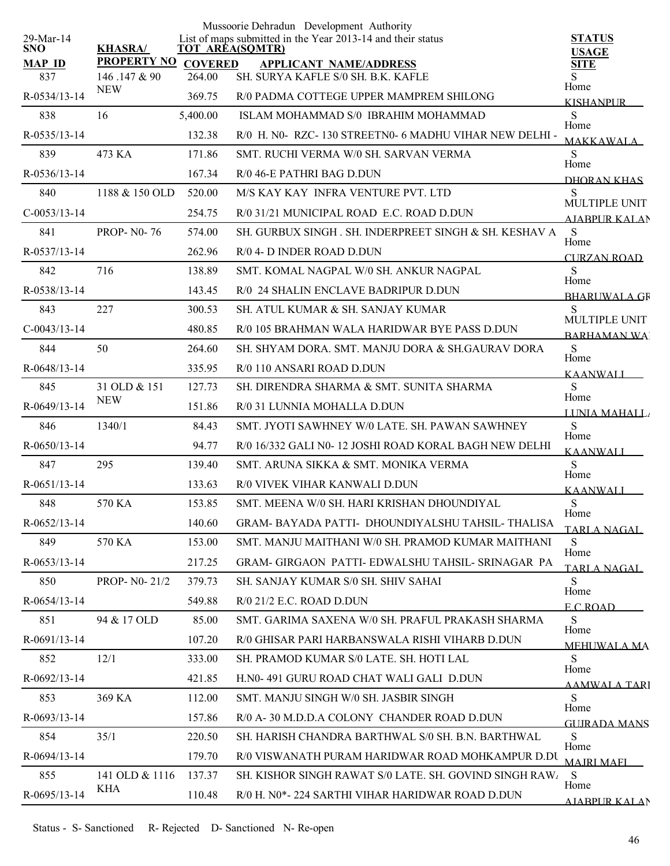| 29-Mar-14          |                            |                | Mussoorie Dehradun Development Authority                                              |                               |
|--------------------|----------------------------|----------------|---------------------------------------------------------------------------------------|-------------------------------|
| <b>SNO</b>         | <b>KHASRA/</b>             |                | List of maps submitted in the Year 2013-14 and their status<br><b>TOT AREA(SQMTR)</b> | <b>STATUS</b><br><b>USAGE</b> |
| <b>MAP ID</b>      | <b>PROPERTY NO</b>         | <b>COVERED</b> | <b>APPLICANT NAME/ADDRESS</b>                                                         | <b>SITE</b>                   |
| 837                | 146.147 & 90<br><b>NEW</b> | 264.00         | SH. SURYA KAFLE S/0 SH. B.K. KAFLE                                                    | S<br>Home                     |
| R-0534/13-14       |                            | 369.75         | R/0 PADMA COTTEGE UPPER MAMPREM SHILONG                                               | <b>KISHANPUR</b>              |
| 838                | 16                         | 5,400.00       | ISLAM MOHAMMAD S/0 IBRAHIM MOHAMMAD                                                   | S<br>Home                     |
| R-0535/13-14       |                            | 132.38         | R/0 H. N0- RZC-130 STREETN0-6 MADHU VIHAR NEW DELHI -                                 | <b>MAKKAWALA</b>              |
| 839                | 473 KA                     | 171.86         | SMT. RUCHI VERMA W/0 SH. SARVAN VERMA                                                 | S<br>Home                     |
| $R - 0536/13 - 14$ |                            | 167.34         | R/0 46-E PATHRI BAG D.DUN                                                             | DHORAN KHAS                   |
| 840                | 1188 & 150 OLD             | 520.00         | M/S KAY KAY INFRA VENTURE PVT. LTD                                                    | S<br>MULTIPLE UNIT            |
| $C-0053/13-14$     |                            | 254.75         | R/0 31/21 MUNICIPAL ROAD E.C. ROAD D.DUN                                              | <b>AIABPUR KALAN</b>          |
| 841                | <b>PROP-N0-76</b>          | 574.00         | SH. GURBUX SINGH. SH. INDERPREET SINGH & SH. KESHAV A                                 | S<br>Home                     |
| $R - 0537/13 - 14$ |                            | 262.96         | R/0 4- D INDER ROAD D.DUN                                                             | CURZAN ROAD                   |
| 842                | 716                        | 138.89         | SMT. KOMAL NAGPAL W/0 SH. ANKUR NAGPAL                                                | S<br>Home                     |
| R-0538/13-14       |                            | 143.45         | R/0 24 SHALIN ENCLAVE BADRIPUR D.DUN                                                  | <b>BHARUWALA GR</b>           |
| 843                | 227                        | 300.53         | SH. ATUL KUMAR & SH. SANJAY KUMAR                                                     | S<br>MULTIPLE UNIT            |
| $C-0043/13-14$     |                            | 480.85         | R/0 105 BRAHMAN WALA HARIDWAR BYE PASS D.DUN                                          | <b>BARHAMAN WA</b>            |
| 844                | 50                         | 264.60         | SH. SHYAM DORA. SMT. MANJU DORA & SH.GAURAV DORA                                      | S                             |
| R-0648/13-14       |                            | 335.95         | R/0 110 ANSARI ROAD D.DUN                                                             | Home<br><b>KAANWALI</b>       |
| 845                | 31 OLD & 151               | 127.73         | SH. DIRENDRA SHARMA & SMT. SUNITA SHARMA                                              | S                             |
| R-0649/13-14       | <b>NEW</b>                 | 151.86         | R/0 31 LUNNIA MOHALLA D.DUN                                                           | Home<br>LUNIA MAHALL          |
| 846                | 1340/1                     | 84.43          | SMT. JYOTI SAWHNEY W/0 LATE. SH. PAWAN SAWHNEY                                        | S                             |
| $R-0650/13-14$     |                            | 94.77          | R/0 16/332 GALI N0-12 JOSHI ROAD KORAL BAGH NEW DELHI                                 | Home<br><b>KAANWALI</b>       |
| 847                | 295                        | 139.40         | SMT. ARUNA SIKKA & SMT. MONIKA VERMA                                                  | S                             |
| $R-0651/13-14$     |                            | 133.63         | R/0 VIVEK VIHAR KANWALI D.DUN                                                         | Home<br><b>KAANWALI</b>       |
| 848                | 570 KA                     | 153.85         | SMT. MEENA W/0 SH. HARI KRISHAN DHOUNDIYAL                                            | S                             |
| R-0652/13-14       |                            | 140.60         | GRAM-BAYADA PATTI- DHOUNDIYALSHU TAHSIL-THALISA                                       | Home<br>TARLA NAGAL           |
| 849                | 570 KA                     | 153.00         | SMT. MANJU MAITHANI W/0 SH. PRAMOD KUMAR MAITHANI                                     | S                             |
| $R-0653/13-14$     |                            | 217.25         | GRAM- GIRGAON PATTI- EDWALSHU TAHSIL- SRINAGAR PA                                     | Home<br><b>TARLA NAGAL</b>    |
| 850                | PROP- NO- 21/2             | 379.73         | SH. SANJAY KUMAR S/0 SH. SHIV SAHAI                                                   | S                             |
| $R-0654/13-14$     |                            | 549.88         | $R/0$ 21/2 E.C. ROAD D.DUN                                                            | Home<br><b>ECROAD</b>         |
| 851                | 94 & 17 OLD                | 85.00          | SMT. GARIMA SAXENA W/0 SH. PRAFUL PRAKASH SHARMA                                      | S                             |
| R-0691/13-14       |                            | 107.20         | R/0 GHISAR PARI HARBANSWALA RISHI VIHARB D.DUN                                        | Home<br><b>MEHUWALA MA</b>    |
| 852                | 12/1                       | 333.00         | SH. PRAMOD KUMAR S/0 LATE. SH. HOTI LAL                                               | S                             |
| R-0692/13-14       |                            | 421.85         | H.N0-491 GURU ROAD CHAT WALI GALI D.DUN                                               | Home<br><b>AAMWALA TARI</b>   |
| 853                | 369 KA                     | 112.00         | SMT. MANJU SINGH W/0 SH. JASBIR SINGH                                                 | S                             |
| R-0693/13-14       |                            | 157.86         | R/0 A-30 M.D.D.A COLONY CHANDER ROAD D.DUN                                            | Home<br>GUIRADA MANS          |
| 854                | 35/1                       | 220.50         | SH. HARISH CHANDRA BARTHWAL S/0 SH. B.N. BARTHWAL                                     | S                             |
| $R-0694/13-14$     |                            | 179.70         | R/0 VISWANATH PURAM HARIDWAR ROAD MOHKAMPUR D.DU                                      | Home<br><b>MAJRI MAFI</b>     |
| 855                | 141 OLD & 1116             | 137.37         | SH. KISHOR SINGH RAWAT S/0 LATE. SH. GOVIND SINGH RAW                                 | -S                            |
| R-0695/13-14       | KHA                        | 110.48         | R/0 H. N0*-224 SARTHI VIHAR HARIDWAR ROAD D.DUN                                       | Home                          |
|                    |                            |                |                                                                                       | AJARPUR KALAN                 |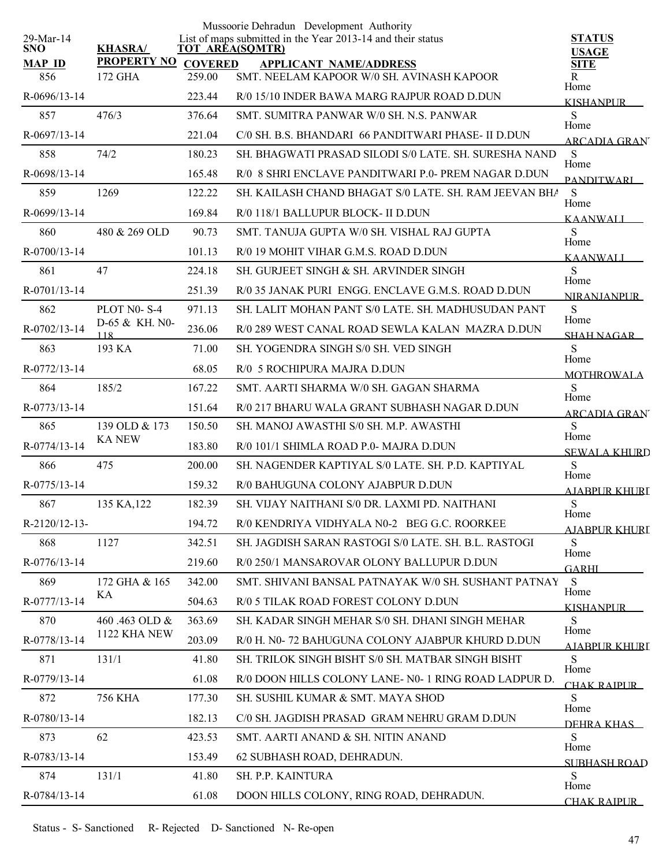|                         |                               |                          | Mussoorie Dehradun Development Authority                                       |                               |
|-------------------------|-------------------------------|--------------------------|--------------------------------------------------------------------------------|-------------------------------|
| 29-Mar-14<br><b>SNO</b> | <b>KHASRA/</b>                |                          | List of maps submitted in the Year 2013-14 and their status<br>TOT AREA(SQMTR) | <b>STATUS</b><br><b>USAGE</b> |
| <b>MAP ID</b><br>856    | <b>PROPERTY NO</b><br>172 GHA | <b>COVERED</b><br>259.00 | <b>APPLICANT NAME/ADDRESS</b><br>SMT. NEELAM KAPOOR W/0 SH. AVINASH KAPOOR     | <b>SITE</b><br>R              |
| $R-0696/13-14$          |                               | 223.44                   | R/0 15/10 INDER BAWA MARG RAJPUR ROAD D.DUN                                    | Home                          |
| 857                     | 476/3                         | 376.64                   | SMT. SUMITRA PANWAR W/0 SH. N.S. PANWAR                                        | <b>KISHANPUR</b><br>S         |
| R-0697/13-14            |                               | 221.04                   | C/0 SH. B.S. BHANDARI 66 PANDITWARI PHASE- II D.DUN                            | Home<br><b>ARCADIA GRAN</b>   |
| 858                     | 74/2                          | 180.23                   | SH. BHAGWATI PRASAD SILODI S/0 LATE. SH. SURESHA NAND                          | S                             |
| R-0698/13-14            |                               | 165.48                   | R/0 8 SHRI ENCLAVE PANDITWARI P.0- PREM NAGAR D.DUN                            | Home<br><b>PANDITWARI</b>     |
| 859                     | 1269                          | 122.22                   | SH. KAILASH CHAND BHAGAT S/0 LATE. SH. RAM JEEVAN BHA                          | S                             |
| R-0699/13-14            |                               | 169.84                   | R/0 118/1 BALLUPUR BLOCK- II D.DUN                                             | Home<br><b>KAANWALI</b>       |
| 860                     | 480 & 269 OLD                 | 90.73                    | SMT. TANUJA GUPTA W/0 SH. VISHAL RAJ GUPTA                                     | S                             |
| R-0700/13-14            |                               | 101.13                   | R/0 19 MOHIT VIHAR G.M.S. ROAD D.DUN                                           | Home<br><b>KAANWALI</b>       |
| 861                     | 47                            | 224.18                   | SH. GURJEET SINGH & SH. ARVINDER SINGH                                         | S                             |
| R-0701/13-14            |                               | 251.39                   | R/0 35 JANAK PURI ENGG. ENCLAVE G.M.S. ROAD D.DUN                              | Home<br><b>NIRANJANPUR</b>    |
| 862                     | PLOT N0-S-4                   | 971.13                   | SH. LALIT MOHAN PANT S/0 LATE. SH. MADHUSUDAN PANT                             | S<br>Home                     |
| R-0702/13-14            | D-65 & KH. N0-<br>118         | 236.06                   | R/0 289 WEST CANAL ROAD SEWLA KALAN MAZRA D.DUN                                | <b>SHAH NAGAR</b>             |
| 863                     | 193 KA                        | 71.00                    | SH. YOGENDRA SINGH S/0 SH. VED SINGH                                           | S<br>Home                     |
| R-0772/13-14            |                               | 68.05                    | R/0 5 ROCHIPURA MAJRA D.DUN                                                    | <b>MOTHROWALA</b>             |
| 864                     | 185/2                         | 167.22                   | SMT. AARTI SHARMA W/0 SH. GAGAN SHARMA                                         | S<br>Home                     |
| R-0773/13-14            |                               | 151.64                   | R/0 217 BHARU WALA GRANT SUBHASH NAGAR D.DUN                                   | <b>ARCADIA GRAN</b>           |
| 865                     | 139 OLD & 173                 | 150.50                   | SH. MANOJ AWASTHI S/0 SH. M.P. AWASTHI                                         | S<br>Home                     |
| R-0774/13-14            | <b>KA NEW</b>                 | 183.80                   | R/0 101/1 SHIMLA ROAD P.0- MAJRA D.DUN                                         | <b>SEWALA KHURD</b>           |
| 866                     | 475                           | 200.00                   | SH. NAGENDER KAPTIYAL S/0 LATE, SH. P.D. KAPTIYAL                              | S<br>Home                     |
| R-0775/13-14            |                               | 159.32                   | R/0 BAHUGUNA COLONY AJABPUR D.DUN                                              | <b>AJABPUR KHURI</b>          |
| 867                     | 135 KA, 122                   | 182.39                   | SH. VIJAY NAITHANI S/0 DR. LAXMI PD. NAITHANI                                  | S<br>Home                     |
| R-2120/12-13-           |                               | 194.72                   | R/0 KENDRIYA VIDHYALA N0-2 BEG G.C. ROORKEE                                    | AJABPUR KHURT                 |
| 868                     | 1127                          | 342.51                   | SH. JAGDISH SARAN RASTOGI S/0 LATE. SH. B.L. RASTOGI                           | S<br>Home                     |
| R-0776/13-14            |                               | 219.60                   | R/0 250/1 MANSAROVAR OLONY BALLUPUR D.DUN                                      | <b>GARHI</b>                  |
| 869                     | 172 GHA & 165                 | 342.00                   | SMT. SHIVANI BANSAL PATNAYAK W/0 SH. SUSHANT PATNAY                            | S<br>Home                     |
| R-0777/13-14            | KA                            | 504.63                   | R/0 5 TILAK ROAD FOREST COLONY D.DUN                                           | <b>KISHANPUR</b>              |
| 870                     | 460.463 OLD &                 | 363.69                   | SH. KADAR SINGH MEHAR S/0 SH. DHANI SINGH MEHAR                                | S<br>Home                     |
| R-0778/13-14            | 1122 KHA NEW                  | 203.09                   | R/0 H. N0-72 BAHUGUNA COLONY AJABPUR KHURD D.DUN                               | AJARPUR KHURI                 |
| 871                     | 131/1                         | 41.80                    | SH. TRILOK SINGH BISHT S/0 SH. MATBAR SINGH BISHT                              | S<br>Home                     |
| R-0779/13-14            |                               | 61.08                    | R/0 DOON HILLS COLONY LANE- N0- 1 RING ROAD LADPUR D.                          | CHAK RAIPUR                   |
| 872                     | 756 KHA                       | 177.30                   | SH. SUSHIL KUMAR & SMT. MAYA SHOD                                              | S<br>Home                     |
| R-0780/13-14            |                               | 182.13                   | C/0 SH. JAGDISH PRASAD GRAM NEHRU GRAM D.DUN                                   | DEHRA KHAS                    |
| 873                     | 62                            | 423.53                   | SMT. AARTI ANAND & SH. NITIN ANAND                                             | S<br>Home                     |
| R-0783/13-14            |                               | 153.49                   | 62 SUBHASH ROAD, DEHRADUN.                                                     | SUBHASH ROAD                  |
| 874                     | 131/1                         | 41.80                    | SH. P.P. KAINTURA                                                              | S<br>Home                     |
| R-0784/13-14            |                               | 61.08                    | DOON HILLS COLONY, RING ROAD, DEHRADUN.                                        | CHAK RAIPUR                   |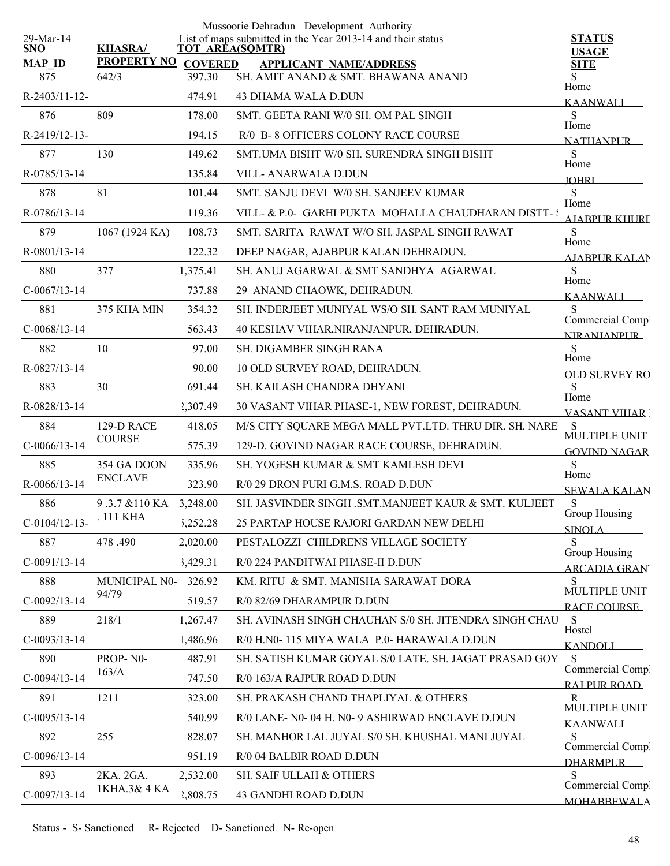| 29-Mar-14            |                             |                          | Mussoorie Dehradun Development Authority<br>List of maps submitted in the Year 2013-14 and their status | <b>STATUS</b>                          |
|----------------------|-----------------------------|--------------------------|---------------------------------------------------------------------------------------------------------|----------------------------------------|
| <b>SNO</b>           | <b>KHASRA/</b>              |                          | <b>TOT AREA(SQMTR)</b>                                                                                  | <b>USAGE</b>                           |
| <b>MAP ID</b><br>875 | <b>PROPERTY NO</b><br>642/3 | <b>COVERED</b><br>397.30 | <b>APPLICANT NAME/ADDRESS</b><br>SH. AMIT ANAND & SMT. BHAWANA ANAND                                    | <b>SITE</b>                            |
| R-2403/11-12-        |                             | 474.91                   | <b>43 DHAMA WALA D.DUN</b>                                                                              | Home<br><b>KAANWALI</b>                |
| 876                  | 809                         | 178.00                   | SMT. GEETA RANI W/0 SH. OM PAL SINGH                                                                    | ${\bf S}$                              |
| R-2419/12-13-        |                             | 194.15                   | R/0 B-8 OFFICERS COLONY RACE COURSE                                                                     | Home<br><b>NATHANPUR</b>               |
| 877                  | 130                         | 149.62                   | SMT.UMA BISHT W/0 SH. SURENDRA SINGH BISHT                                                              | S                                      |
| R-0785/13-14         |                             | 135.84                   | VILL- ANARWALA D.DUN                                                                                    | Home<br><b>IOHRI</b>                   |
| 878                  | 81                          | 101.44                   | SMT. SANJU DEVI W/0 SH. SANJEEV KUMAR                                                                   | S                                      |
| R-0786/13-14         |                             | 119.36                   | VILL- & P.0- GARHI PUKTA MOHALLA CHAUDHARAN DISTT- :                                                    | Home<br>A JARPUR KHURI                 |
| 879                  | 1067 (1924 KA)              | 108.73                   | SMT. SARITA RAWAT W/O SH. JASPAL SINGH RAWAT                                                            | <sub>S</sub>                           |
| R-0801/13-14         |                             | 122.32                   | DEEP NAGAR, AJABPUR KALAN DEHRADUN.                                                                     | Home<br><b>AIARPUR KALAN</b>           |
| 880                  | 377                         | 1,375.41                 | SH. ANUJ AGARWAL & SMT SANDHYA AGARWAL                                                                  | S                                      |
| $C-0067/13-14$       |                             | 737.88                   | 29 ANAND CHAOWK, DEHRADUN.                                                                              | Home<br><b>KAANWALI</b>                |
| 881                  | 375 KHA MIN                 | 354.32                   | SH. INDERJEET MUNIYAL WS/O SH. SANT RAM MUNIYAL                                                         | S                                      |
| $C-0068/13-14$       |                             | 563.43                   | 40 KESHAV VIHAR, NIRANJANPUR, DEHRADUN.                                                                 | Commercial Comp.<br><b>NIRANIANPUR</b> |
| 882                  | 10                          | 97.00                    | SH. DIGAMBER SINGH RANA                                                                                 | S                                      |
| R-0827/13-14         |                             | 90.00                    | 10 OLD SURVEY ROAD, DEHRADUN.                                                                           | Home<br><b>OLD SHRVEY RO</b>           |
| 883                  | 30                          | 691.44                   | SH. KAILASH CHANDRA DHYANI                                                                              | S                                      |
| R-0828/13-14         |                             | 2,307.49                 | 30 VASANT VIHAR PHASE-1, NEW FOREST, DEHRADUN.                                                          | Home<br><b>VASANT VIHAR 1</b>          |
| 884                  | 129-D RACE                  | 418.05                   | M/S CITY SQUARE MEGA MALL PVT.LTD. THRU DIR. SH. NARE                                                   | S                                      |
| $C-0066/13-14$       | <b>COURSE</b>               | 575.39                   | 129-D. GOVIND NAGAR RACE COURSE, DEHRADUN.                                                              | MULTIPLE UNIT<br><b>GOVIND NAGAR</b>   |
| 885                  | 354 GA DOON                 | 335.96                   | SH. YOGESH KUMAR & SMT KAMLESH DEVI                                                                     | S                                      |
| R-0066/13-14         | <b>ENCLAVE</b>              | 323.90                   | R/0 29 DRON PURI G.M.S. ROAD D.DUN                                                                      | Home<br><b>SEWALA KALAN</b>            |
| 886                  | 9.3.7 & 110 KA 3,248.00     |                          | SH. JASVINDER SINGH .SMT.MANJEET KAUR & SMT. KULJEET                                                    | S                                      |
| $C-0104/12-13-$      | . 111 KHA                   | 5,252.28                 | 25 PARTAP HOUSE RAJORI GARDAN NEW DELHI                                                                 | Group Housing<br><b>SINOLA</b>         |
| 887                  | 478.490                     | 2,020.00                 | PESTALOZZI CHILDRENS VILLAGE SOCIETY                                                                    | S                                      |
| $C-0091/13-14$       |                             | 3,429.31                 | R/0 224 PANDITWAI PHASE-II D.DUN                                                                        | Group Housing<br><b>ARCADIA GRANT</b>  |
| 888                  | MUNICIPAL N0-               | 326.92                   | KM. RITU & SMT. MANISHA SARAWAT DORA                                                                    | S                                      |
| $C-0092/13-14$       | 94/79                       | 519.57                   | R/0 82/69 DHARAMPUR D.DUN                                                                               | MULTIPLE UNIT<br>RACE COURSE           |
| 889                  | 218/1                       | 1,267.47                 | SH. AVINASH SINGH CHAUHAN S/0 SH. JITENDRA SINGH CHAU                                                   | <sub>S</sub>                           |
| $C-0093/13-14$       |                             | 1,486.96                 | R/0 H.N0-115 MIYA WALA P.0-HARAWALA D.DUN                                                               | Hostel<br><b>KANDOLI</b>               |
| 890                  | PROP-N0-                    | 487.91                   | SH. SATISH KUMAR GOYAL S/0 LATE. SH. JAGAT PRASAD GOY                                                   | S                                      |
| $C-0094/13-14$       | 163/A                       | 747.50                   | R/0 163/A RAJPUR ROAD D.DUN                                                                             | Commercial Compl<br>RAI PUR ROAD       |
| 891                  | 1211                        | 323.00                   | SH. PRAKASH CHAND THAPLIYAL & OTHERS                                                                    | R                                      |
| $C-0095/13-14$       |                             | 540.99                   | R/0 LANE- N0-04 H. N0-9 ASHIRWAD ENCLAVE D.DUN                                                          | MULTIPLE UNIT                          |
| 892                  | 255                         | 828.07                   | SH. MANHOR LAL JUYAL S/0 SH. KHUSHAL MANI JUYAL                                                         | <b>KAANWALI</b><br>S                   |
| $C-0096/13-14$       |                             | 951.19                   | R/0 04 BALBIR ROAD D.DUN                                                                                | Commercial Comp.                       |
| 893                  | 2KA. 2GA.                   | 2,532.00                 | SH. SAIF ULLAH & OTHERS                                                                                 | <b>DHARMPLIR</b><br>S                  |
| $C-0097/13-14$       | 1KHA.3& 4 KA                | 2,808.75                 | 43 GANDHI ROAD D.DUN                                                                                    | Commercial Comp.                       |
|                      |                             |                          |                                                                                                         | <b>MOHABBEWALA</b>                     |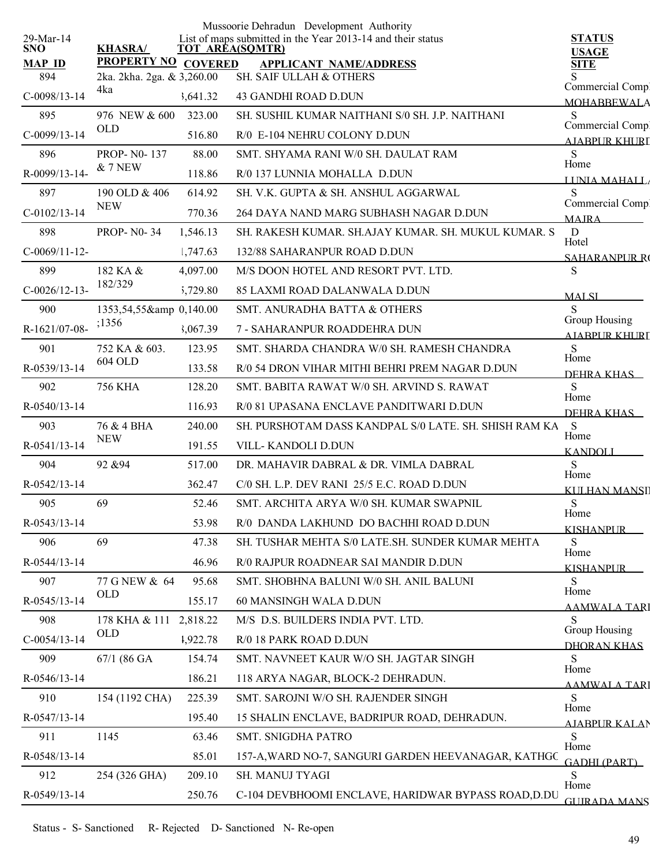|                         |                                                   |          | Mussoorie Dehradun Development Authority                                       |                                       |
|-------------------------|---------------------------------------------------|----------|--------------------------------------------------------------------------------|---------------------------------------|
| 29-Mar-14<br><b>SNO</b> | <b>KHASRA/</b>                                    |          | List of maps submitted in the Year 2013-14 and their status<br>TOT AREA(SQMTR) | <b>STATUS</b><br><b>USAGE</b>         |
| <b>MAP ID</b><br>894    | PROPERTY NO COVERED<br>2ka. 2kha. 2ga. & 3,260.00 |          | <b>APPLICANT NAME/ADDRESS</b><br>SH. SAIF ULLAH & OTHERS                       | <b>SITE</b>                           |
| $C-0098/13-14$          | 4ka                                               | 3,641.32 | <b>43 GANDHI ROAD D.DUN</b>                                                    | Commercial Comp.                      |
| 895                     | 976 NEW & 600                                     | 323.00   | SH. SUSHIL KUMAR NAITHANI S/0 SH. J.P. NAITHANI                                | <b>MOHABBEWALA</b><br>S               |
| $C-0099/13-14$          | <b>OLD</b>                                        | 516.80   | R/0 E-104 NEHRU COLONY D.DUN                                                   | Commercial Comp.<br>AIABPUR KHURI     |
| 896                     | PROP-N0-137                                       | 88.00    | SMT. SHYAMA RANI W/0 SH. DAULAT RAM                                            | S                                     |
| R-0099/13-14-           | $&7$ NEW                                          | 118.86   | R/0 137 LUNNIA MOHALLA D.DUN                                                   | Home<br>LINIA MAHALL                  |
| 897                     | 190 OLD & 406                                     | 614.92   | SH. V.K. GUPTA & SH. ANSHUL AGGARWAL                                           | S                                     |
| $C-0102/13-14$          | <b>NEW</b>                                        | 770.36   | 264 DAYA NAND MARG SUBHASH NAGAR D.DUN                                         | Commercial Comp.<br><b>MAIRA</b>      |
| 898                     | <b>PROP-N0-34</b>                                 | 1,546.13 | SH. RAKESH KUMAR. SH.AJAY KUMAR. SH. MUKUL KUMAR. S                            | $\mathbf D$                           |
| $C-0069/11-12-$         |                                                   | 1,747.63 | 132/88 SAHARANPUR ROAD D.DUN                                                   | Hotel<br><b>SAHARANPLIR RO</b>        |
| 899                     | 182 KA &                                          | 4,097.00 | M/S DOON HOTEL AND RESORT PVT. LTD.                                            | S                                     |
| $C-0026/12-13-$         | 182/329                                           | 5,729.80 | 85 LAXMI ROAD DALANWALA D.DUN                                                  | <b>MALSI</b>                          |
| 900                     | 1353,54,55& 0,140.00                              |          | SMT. ANURADHA BATTA & OTHERS                                                   | S                                     |
| R-1621/07-08-           | ;1356                                             | 3,067.39 | 7 - SAHARANPUR ROADDEHRA DUN                                                   | Group Housing<br><b>AIARPUR KHURL</b> |
| 901                     | 752 KA & 603.                                     | 123.95   | SMT. SHARDA CHANDRA W/0 SH. RAMESH CHANDRA                                     | S                                     |
| R-0539/13-14            | 604 OLD                                           | 133.58   | R/0 54 DRON VIHAR MITHI BEHRI PREM NAGAR D.DUN                                 | Home<br>DEHRA KHAS                    |
| 902                     | <b>756 KHA</b>                                    | 128.20   | SMT. BABITA RAWAT W/0 SH. ARVIND S. RAWAT                                      | S                                     |
| R-0540/13-14            |                                                   | 116.93   | R/0 81 UPASANA ENCLAVE PANDITWARI D.DUN                                        | Home<br>DEHRA KHAS                    |
| 903                     | 76 & 4 BHA                                        | 240.00   | SH. PURSHOTAM DASS KANDPAL S/0 LATE. SH. SHISH RAM KA                          | S                                     |
| R-0541/13-14            | <b>NEW</b>                                        | 191.55   | <b>VILL-KANDOLI D.DUN</b>                                                      | Home<br><b>KANDOLI</b>                |
| 904                     | 92 & 94                                           | 517.00   | DR. MAHAVIR DABRAL & DR. VIMLA DABRAL                                          | S                                     |
| R-0542/13-14            |                                                   | 362.47   | C/0 SH. L.P. DEV RANI 25/5 E.C. ROAD D.DUN                                     | Home<br><b>KULHAN MANSI</b>           |
| 905                     | 69                                                | 52.46    | SMT. ARCHITA ARYA W/0 SH. KUMAR SWAPNIL                                        | ${\bf S}$                             |
| R-0543/13-14            |                                                   | 53.98    | R/0 DANDA LAKHUND DO BACHHI ROAD D.DUN                                         | Home<br><b>KISHANPUR</b>              |
| 906                     | 69                                                | 47.38    | SH. TUSHAR MEHTA S/0 LATE.SH. SUNDER KUMAR MEHTA                               | S                                     |
| R-0544/13-14            |                                                   | 46.96    | R/0 RAJPUR ROADNEAR SAI MANDIR D.DUN                                           | Home<br><b>KISHANPUR</b>              |
| 907                     | 77 G NEW & 64                                     | 95.68    | SMT. SHOBHNA BALUNI W/0 SH. ANIL BALUNI                                        | S                                     |
| R-0545/13-14            | <b>OLD</b>                                        | 155.17   | 60 MANSINGH WALA D.DUN                                                         | Home<br><u>AAMWALA TARI</u>           |
| 908                     | 178 KHA & 111                                     | 2,818.22 | M/S D.S. BUILDERS INDIA PVT. LTD.                                              | S                                     |
| $C-0054/13-14$          | <b>OLD</b>                                        | 1,922.78 | R/0 18 PARK ROAD D.DUN                                                         | Group Housing<br>DHORAN KHAS          |
| 909                     | $67/1$ (86 GA                                     | 154.74   | SMT. NAVNEET KAUR W/O SH. JAGTAR SINGH                                         | S.                                    |
| R-0546/13-14            |                                                   | 186.21   | 118 ARYA NAGAR, BLOCK-2 DEHRADUN.                                              | Home<br><b>AAMWALA TARI</b>           |
| 910                     | 154 (1192 CHA)                                    | 225.39   | SMT. SAROJNI W/O SH. RAJENDER SINGH                                            | S                                     |
| R-0547/13-14            |                                                   | 195.40   | 15 SHALIN ENCLAVE, BADRIPUR ROAD, DEHRADUN.                                    | Home<br>AIABPUR KALAN                 |
| 911                     | 1145                                              | 63.46    | SMT. SNIGDHA PATRO                                                             | S                                     |
| R-0548/13-14            |                                                   | 85.01    | 157-A, WARD NO-7, SANGURI GARDEN HEEVANAGAR, KATHGC                            | Home<br><b>GADHI (PART)</b>           |
| 912                     | 254 (326 GHA)                                     | 209.10   | SH. MANUJ TYAGI                                                                | S                                     |
| R-0549/13-14            |                                                   | 250.76   | C-104 DEVBHOOMI ENCLAVE, HARIDWAR BYPASS ROAD, D.DU                            | Home<br><b>GUIRADA MANS</b>           |
|                         |                                                   |          |                                                                                |                                       |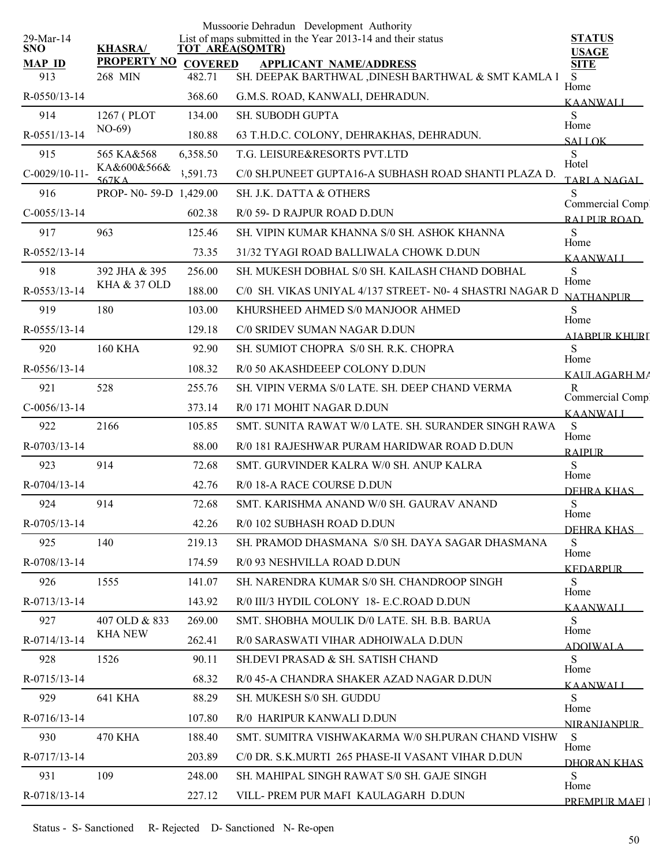|                         |                         |                | Mussoorie Dehradun Development Authority                                              |                                     |
|-------------------------|-------------------------|----------------|---------------------------------------------------------------------------------------|-------------------------------------|
| 29-Mar-14<br><b>SNO</b> | <b>KHASRA/</b>          |                | List of maps submitted in the Year 2013-14 and their status<br><b>TOT AREA(SQMTR)</b> | <b>STATUS</b><br><b>USAGE</b>       |
| <b>MAP ID</b>           | <b>PROPERTY NO</b>      | <b>COVERED</b> | <b>APPLICANT NAME/ADDRESS</b>                                                         | <b>SITE</b>                         |
| 913                     | 268 MIN                 | 482.71         | SH. DEEPAK BARTHWAL , DINESH BARTHWAL & SMT KAMLA I                                   | S.<br>Home                          |
| $R - 0550/13 - 14$      |                         | 368.60         | G.M.S. ROAD, KANWALI, DEHRADUN.                                                       | <b>KAANWALI</b>                     |
| 914                     | 1267 (PLOT              | 134.00         | <b>SH. SUBODH GUPTA</b>                                                               | S<br>Home                           |
| R-0551/13-14            | $NO-69$                 | 180.88         | 63 T.H.D.C. COLONY, DEHRAKHAS, DEHRADUN.                                              | <b>SALLOK</b>                       |
| 915                     | 565 KA&568              | 6,358.50       | T.G. LEISURE&RESORTS PVT.LTD                                                          | S<br>Hotel                          |
| $C-0029/10-11-$         | KA&600&566&<br>567K A   | 3,591.73       | C/0 SH.PUNEET GUPTA16-A SUBHASH ROAD SHANTI PLAZA D.                                  | TARLA NAGAL                         |
| 916                     | PROP-N0-59-D 1,429.00   |                | <b>SH. J.K. DATTA &amp; OTHERS</b>                                                    | S                                   |
| $C-0055/13-14$          |                         | 602.38         | R/0 59- D RAJPUR ROAD D.DUN                                                           | Commercial Comp<br>RAI PUR ROAD     |
| 917                     | 963                     | 125.46         | SH. VIPIN KUMAR KHANNA S/0 SH. ASHOK KHANNA                                           | S                                   |
| R-0552/13-14            |                         | 73.35          | 31/32 TYAGI ROAD BALLIWALA CHOWK D.DUN                                                | Home<br><b>KAANWALI</b>             |
| 918                     | 392 JHA & 395           | 256.00         | SH. MUKESH DOBHAL S/0 SH. KAILASH CHAND DOBHAL                                        | S                                   |
| R-0553/13-14            | <b>KHA &amp; 37 OLD</b> | 188.00         | C/0 SH. VIKAS UNIYAL 4/137 STREET- N0- 4 SHASTRI NAGAR D                              | Home<br><b>NATHANPUR</b>            |
| 919                     | 180                     | 103.00         | KHURSHEED AHMED S/0 MANJOOR AHMED                                                     | S                                   |
| R-0555/13-14            |                         | 129.18         | C/0 SRIDEV SUMAN NAGAR D.DUN                                                          | Home<br>AJABPUR KHURI               |
| 920                     | <b>160 KHA</b>          | 92.90          | SH. SUMIOT CHOPRA S/0 SH. R.K. CHOPRA                                                 | S                                   |
| R-0556/13-14            |                         | 108.32         | R/0 50 AKASHDEEEP COLONY D.DUN                                                        | Home<br>KALILAGARH MA               |
| 921                     | 528                     | 255.76         | SH. VIPIN VERMA S/0 LATE. SH. DEEP CHAND VERMA                                        | $\mathbf{R}$                        |
| $C-0056/13-14$          |                         | 373.14         | R/0 171 MOHIT NAGAR D.DUN                                                             | Commercial Compl<br><b>KAANWALI</b> |
| 922                     | 2166                    | 105.85         | SMT. SUNITA RAWAT W/0 LATE. SH. SURANDER SINGH RAWA                                   | ${\bf S}$                           |
| R-0703/13-14            |                         | 88.00          | R/0 181 RAJESHWAR PURAM HARIDWAR ROAD D.DUN                                           | Home<br><b>RAIPUR</b>               |
| 923                     | 914                     | 72.68          | SMT. GURVINDER KALRA W/0 SH. ANUP KALRA                                               | S                                   |
| R-0704/13-14            |                         | 42.76          | R/0 18-A RACE COURSE D.DUN                                                            | Home                                |
| 924                     | 914                     | 72.68          | SMT. KARISHMA ANAND W/0 SH. GAURAV ANAND                                              | DEHRA KHAS<br>S                     |
| R-0705/13-14            |                         | 42.26          | R/0 102 SUBHASH ROAD D.DUN                                                            | Home                                |
| 925                     | 140                     | 219.13         | SH. PRAMOD DHASMANA S/0 SH. DAYA SAGAR DHASMANA                                       | <u>DEHRA KHAS – </u><br>S           |
| R-0708/13-14            |                         | 174.59         | R/0 93 NESHVILLA ROAD D.DUN                                                           | Home                                |
| 926                     | 1555                    | 141.07         | SH. NARENDRA KUMAR S/0 SH. CHANDROOP SINGH                                            | <b>KEDARPUR</b><br>S                |
| R-0713/13-14            |                         | 143.92         | R/0 III/3 HYDIL COLONY 18- E.C.ROAD D.DUN                                             | Home                                |
| 927                     | 407 OLD & 833           | 269.00         | SMT. SHOBHA MOULIK D/0 LATE, SH. B.B. BARUA                                           | KAANWALI<br>S                       |
| R-0714/13-14            | <b>KHA NEW</b>          | 262.41         | R/0 SARASWATI VIHAR ADHOIWALA D.DUN                                                   | Home                                |
| 928                     | 1526                    | 90.11          | SH.DEVI PRASAD & SH. SATISH CHAND                                                     | <u>ADOIWAL A</u><br>S               |
| R-0715/13-14            |                         | 68.32          | R/0 45-A CHANDRA SHAKER AZAD NAGAR D.DUN                                              | Home                                |
| 929                     | <b>641 KHA</b>          | 88.29          | SH. MUKESH S/0 SH. GUDDU                                                              | KAANWALI<br>S                       |
| R-0716/13-14            |                         | 107.80         | R/0 HARIPUR KANWALI D.DUN                                                             | Home                                |
| 930                     | 470 KHA                 | 188.40         | SMT. SUMITRA VISHWAKARMA W/0 SH.PURAN CHAND VISHW                                     | <b>NIRANIANPLIR</b><br><sub>S</sub> |
| R-0717/13-14            |                         | 203.89         | C/0 DR. S.K.MURTI 265 PHASE-II VASANT VIHAR D.DUN                                     | Home                                |
| 931                     | 109                     | 248.00         | SH. MAHIPAL SINGH RAWAT S/0 SH. GAJE SINGH                                            | DHORAN KHAS<br>S                    |
| R-0718/13-14            |                         | 227.12         | VILL-PREM PUR MAFI KAULAGARH D.DUN                                                    | Home                                |
|                         |                         |                |                                                                                       | PREMPUR MAEJ J                      |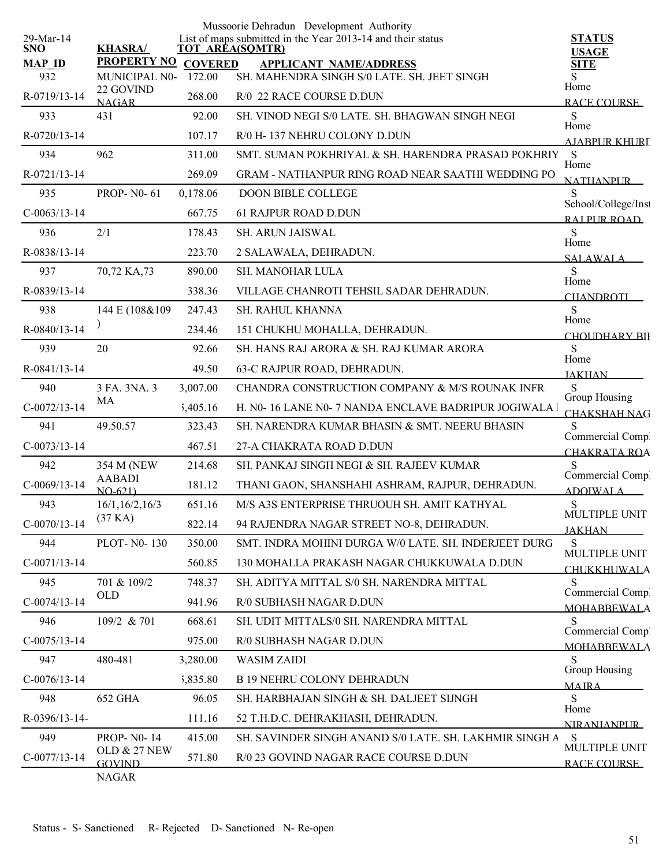|                         |                               |                | Mussoorie Dehradun Development Authority                                              |                                     |
|-------------------------|-------------------------------|----------------|---------------------------------------------------------------------------------------|-------------------------------------|
| 29-Mar-14<br><b>SNO</b> | <b>KHASRA/</b>                |                | List of maps submitted in the Year 2013-14 and their status<br><b>TOT AREA(SQMTR)</b> | <b>STATUS</b>                       |
| <b>MAP ID</b>           | <b>PROPERTY NO</b>            | <b>COVERED</b> | <b>APPLICANT NAME/ADDRESS</b>                                                         | <b>USAGE</b><br><b>SITE</b>         |
| 932                     | MUNICIPAL N0-                 | 172.00         | SH. MAHENDRA SINGH S/0 LATE. SH. JEET SINGH                                           | S<br>Home                           |
| R-0719/13-14            | 22 GOVIND<br><b>NAGAR</b>     | 268.00         | R/0 22 RACE COURSE D.DUN                                                              | RACE COURSE                         |
| 933                     | 431                           | 92.00          | SH. VINOD NEGI S/0 LATE. SH. BHAGWAN SINGH NEGI                                       | S                                   |
| R-0720/13-14            |                               | 107.17         | R/0 H-137 NEHRU COLONY D.DUN                                                          | Home<br><u>AJABPUR KHURI</u>        |
| 934                     | 962                           | 311.00         | SMT. SUMAN POKHRIYAL & SH. HARENDRA PRASAD POKHRIY                                    | S                                   |
| R-0721/13-14            |                               | 269.09         | <b>GRAM - NATHANPUR RING ROAD NEAR SAATHI WEDDING PO</b>                              | Home<br><b>NATHANPUR</b>            |
| 935                     | <b>PROP-N0-61</b>             | 0,178.06       | <b>DOON BIBLE COLLEGE</b>                                                             | S                                   |
| $C-0063/13-14$          |                               | 667.75         | <b>61 RAJPUR ROAD D.DUN</b>                                                           | School/College/Inst<br>RAI PUR ROAD |
| 936                     | 2/1                           | 178.43         | SH. ARUN JAISWAL                                                                      | ${\bf S}$                           |
| R-0838/13-14            |                               | 223.70         | 2 SALAWALA, DEHRADUN.                                                                 | Home<br><b>SALAWALA</b>             |
| 937                     | 70,72 KA,73                   | 890.00         | SH. MANOHAR LULA                                                                      | S                                   |
| R-0839/13-14            |                               | 338.36         | VILLAGE CHANROTI TEHSIL SADAR DEHRADUN.                                               | Home<br><b>CHANDROTI</b>            |
| 938                     | 144 E (108&109)               | 247.43         | SH. RAHUL KHANNA                                                                      | S                                   |
| R-0840/13-14            |                               | 234.46         | 151 CHUKHU MOHALLA, DEHRADUN.                                                         | Home<br><b>CHOUDHARY BII</b>        |
| 939                     | 20                            | 92.66          | SH. HANS RAJ ARORA & SH. RAJ KUMAR ARORA                                              | S                                   |
| R-0841/13-14            |                               | 49.50          | 63-C RAJPUR ROAD, DEHRADUN.                                                           | Home<br><b>JAKHAN</b>               |
| 940                     | 3 FA. 3NA. 3                  | 3,007.00       | CHANDRA CONSTRUCTION COMPANY & M/S ROUNAK INFR                                        | S                                   |
| $C-0072/13-14$          | MA                            | 5,405.16       | H. N0-16 LANE N0-7 NANDA ENCLAVE BADRIPUR JOGIWALA I                                  | Group Housing                       |
| 941                     | 49.50.57                      | 323.43         | SH. NARENDRA KUMAR BHASIN & SMT. NEERU BHASIN                                         | <b>CHAKSHAH NAG</b><br>S            |
| $C-0073/13-14$          |                               | 467.51         | 27-A CHAKRATA ROAD D.DUN                                                              | Commercial Comp.                    |
| 942                     | 354 M (NEW                    | 214.68         | SH. PANKAJ SINGH NEGI & SH. RAJEEV KUMAR                                              | CHAKRATA ROA<br>S                   |
| $C-0069/13-14$          | <b>AABADI</b>                 | 181.12         | THANI GAON, SHANSHAHI ASHRAM, RAJPUR, DEHRADUN.                                       | Commercial Comp.                    |
| 943                     | $NO-621$<br>16/1, 16/2, 16/3  | 651.16         | M/S A3S ENTERPRISE THRUOUH SH. AMIT KATHYAL                                           | <b>ADOIWALA</b><br>S                |
| $C-0070/13-14$          | (37 KA)                       | 822.14         | 94 RAJENDRA NAGAR STREET NO-8, DEHRADUN.                                              | MULTIPLE UNIT                       |
| 944                     | PLOT-N0-130                   | 350.00         | SMT. INDRA MOHINI DURGA W/0 LATE. SH. INDERJEET DURG                                  | <b>JAKHAN</b><br>${\bf S}$          |
| $C-0071/13-14$          |                               | 560.85         | 130 MOHALLA PRAKASH NAGAR CHUKKUWALA D.DUN                                            | MULTIPLE UNIT                       |
| 945                     | 701 & 109/2                   | 748.37         | SH. ADITYA MITTAL S/0 SH. NARENDRA MITTAL                                             | <b>CHUKKHUWALA</b><br>S             |
| $C-0074/13-14$          | <b>OLD</b>                    | 941.96         | R/0 SUBHASH NAGAR D.DUN                                                               | Commercial Comp.                    |
| 946                     | 109/2 & 701                   | 668.61         | SH. UDIT MITTALS/0 SH. NARENDRA MITTAL                                                | <b>MOHABBEWALA</b><br>S             |
| $C-0075/13-14$          |                               | 975.00         | R/0 SUBHASH NAGAR D.DUN                                                               | Commercial Comp.                    |
| 947                     | 480-481                       | 3,280.00       | <b>WASIM ZAIDI</b>                                                                    | <b>MOHABBEWALA</b><br>S             |
| $C-0076/13-14$          |                               | 5,835.80       | <b>B 19 NEHRU COLONY DEHRADUN</b>                                                     | Group Housing                       |
| 948                     | 652 GHA                       | 96.05          | SH. HARBHAJAN SINGH & SH. DALJEET SIJNGH                                              | <b>MAIRA</b><br>S                   |
| R-0396/13-14-           |                               | 111.16         | 52 T.H.D.C. DEHRAKHASH, DEHRADUN.                                                     | Home                                |
| 949                     | <b>PROP-N0-14</b>             | 415.00         | SH. SAVINDER SINGH ANAND S/0 LATE. SH. LAKHMIR SINGH A                                | <b>NIRANIANPUR</b><br>S             |
| $C-0077/13-14$          | <b>OLD &amp; 27 NEW</b>       | 571.80         | R/0 23 GOVIND NAGAR RACE COURSE D.DUN                                                 | MULTIPLE UNIT                       |
|                         | <b>GOVIND</b><br><b>NAGAR</b> |                |                                                                                       | RACE COURSE                         |
|                         |                               |                |                                                                                       |                                     |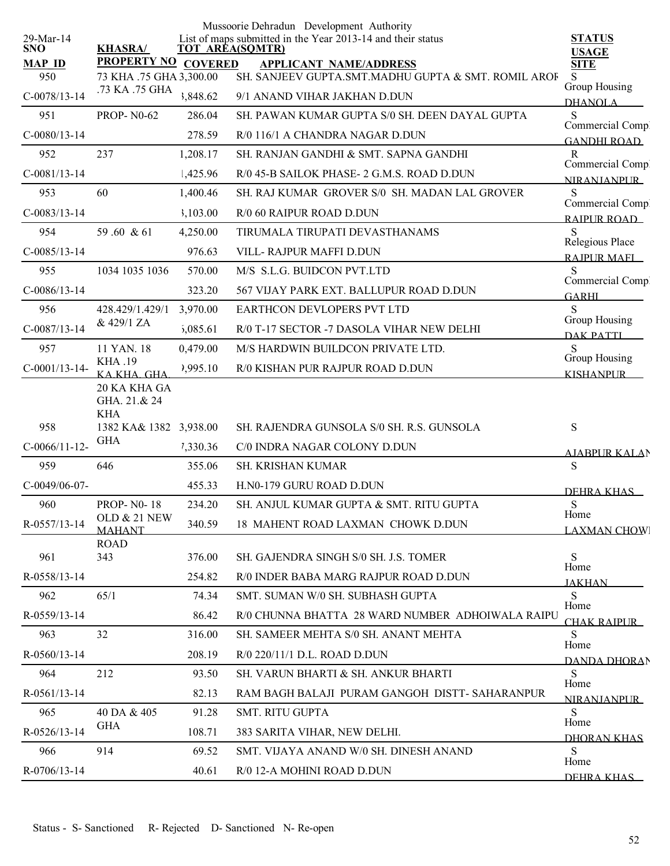|                         |                                               |                | Mussoorie Dehradun Development Authority                                              |                                        |
|-------------------------|-----------------------------------------------|----------------|---------------------------------------------------------------------------------------|----------------------------------------|
| 29-Mar-14<br><b>SNO</b> | <b>KHASRA/</b>                                |                | List of maps submitted in the Year 2013-14 and their status<br><b>TOT AREA(SQMTR)</b> | <b>STATUS</b><br><b>USAGE</b>          |
| <b>MAP ID</b><br>950    | <b>PROPERTY NO</b><br>73 KHA .75 GHA 3,300.00 | <b>COVERED</b> | <b>APPLICANT NAME/ADDRESS</b><br>SH. SANJEEV GUPTA.SMT.MADHU GUPTA & SMT. ROMIL AROF  | <b>SITE</b><br>S                       |
| $C-0078/13-14$          | .73 KA .75 GHA                                | 3,848.62       | 9/1 ANAND VIHAR JAKHAN D.DUN                                                          | Group Housing                          |
| 951                     | <b>PROP-N0-62</b>                             | 286.04         | SH. PAWAN KUMAR GUPTA S/0 SH. DEEN DAYAL GUPTA                                        | <b>DHANOLA</b><br>S                    |
| $C-0080/13-14$          |                                               | 278.59         | R/0 116/1 A CHANDRA NAGAR D.DUN                                                       | Commercial Comp.<br><b>GANDHI ROAD</b> |
| 952                     | 237                                           | 1,208.17       | SH. RANJAN GANDHI & SMT. SAPNA GANDHI                                                 | R                                      |
| $C-0081/13-14$          |                                               | 1,425.96       | R/0 45-B SAILOK PHASE- 2 G.M.S. ROAD D.DUN                                            | Commercial Comp.<br><b>NIRANIANPUR</b> |
| 953                     | 60                                            | 1,400.46       | SH. RAJ KUMAR GROVER S/0 SH. MADAN LAL GROVER                                         | S                                      |
| $C-0083/13-14$          |                                               | 3,103.00       | R/0 60 RAIPUR ROAD D.DUN                                                              | Commercial Comp.<br>RAIPUR ROAD        |
| 954                     | 59.60 & 61                                    | 4,250.00       | TIRUMALA TIRUPATI DEVASTHANAMS                                                        | S                                      |
| $C-0085/13-14$          |                                               | 976.63         | VILL-RAJPUR MAFFI D.DUN                                                               | Relegious Place<br><b>RAIPUR MAFL</b>  |
| 955                     | 1034 1035 1036                                | 570.00         | M/S S.L.G. BUIDCON PVT.LTD                                                            | S                                      |
| $C-0086/13-14$          |                                               | 323.20         | 567 VIJAY PARK EXT. BALLUPUR ROAD D.DUN                                               | Commercial Compl<br><b>GARHI</b>       |
| 956                     | 428.429/1.429/1                               | 3,970.00       | EARTHCON DEVLOPERS PVT LTD                                                            | S                                      |
| $C-0087/13-14$          | & 429/1 ZA                                    | 5,085.61       | R/0 T-17 SECTOR -7 DASOLA VIHAR NEW DELHI                                             | Group Housing<br><b>DAK PATTI</b>      |
| 957                     | 11 YAN. 18                                    | 0,479.00       | M/S HARDWIN BUILDCON PRIVATE LTD.                                                     | S                                      |
| $C-0001/13-14-$         | KHA .19<br>KAKHA GHA                          | 2,995.10       | R/0 KISHAN PUR RAJPUR ROAD D.DUN                                                      | Group Housing<br><b>KISHANPUR</b>      |
|                         | 20 KA KHA GA<br>GHA. 21.& 24<br><b>KHA</b>    |                |                                                                                       |                                        |
| 958                     | 1382 KA& 1382 3,938.00                        |                | SH. RAJENDRA GUNSOLA S/0 SH. R.S. GUNSOLA                                             | ${\bf S}$                              |
| $C-0066/11-12$ -        | <b>GHA</b>                                    | 7,330.36       | C/0 INDRA NAGAR COLONY D.DUN                                                          | <u>AIARPUR KALA</u> N                  |
| 959                     | 646                                           | 355.06         | SH. KRISHAN KUMAR                                                                     | S                                      |
| $C-0049/06-07$ -        |                                               | 455.33         | H.N0-179 GURU ROAD D.DUN                                                              | DEHRA KHAS                             |
| 960                     | <b>PROP-N0-18</b>                             | 234.20         | SH. ANJUL KUMAR GUPTA & SMT. RITU GUPTA                                               | S                                      |
| R-0557/13-14            | <b>OLD &amp; 21 NEW</b><br><b>MAHANT</b>      | 340.59         | 18 MAHENT ROAD LAXMAN CHOWK D.DUN                                                     | Home<br><b>LAXMAN CHOWI</b>            |
| 961                     | <b>ROAD</b><br>343                            | 376.00         | SH. GAJENDRA SINGH S/0 SH. J.S. TOMER                                                 | S<br>Home                              |
| R-0558/13-14            |                                               | 254.82         | R/0 INDER BABA MARG RAJPUR ROAD D.DUN                                                 | <b>JAKHAN</b>                          |
| 962                     | 65/1                                          | 74.34          | SMT. SUMAN W/0 SH. SUBHASH GUPTA                                                      | <sub>S</sub><br>Home                   |
| R-0559/13-14            |                                               | 86.42          | R/0 CHUNNA BHATTA 28 WARD NUMBER ADHOIWALA RAIPU                                      | CHAK RAIPUR-                           |
| 963                     | 32                                            | 316.00         | SH. SAMEER MEHTA S/0 SH. ANANT MEHTA                                                  | S.<br>Home                             |
| R-0560/13-14            |                                               | 208.19         | R/0 220/11/1 D.L. ROAD D.DUN                                                          | DANDA DHORAN                           |
| 964                     | 212                                           | 93.50          | SH. VARUN BHARTI & SH. ANKUR BHARTI                                                   | S<br>Home                              |
| R-0561/13-14            |                                               | 82.13          | RAM BAGH BALAJI PURAM GANGOH DISTT- SAHARANPUR                                        | <b>NIRANJANPUR</b>                     |
| 965                     | 40 DA & 405                                   | 91.28          | <b>SMT. RITU GUPTA</b>                                                                | S<br>Home                              |
| R-0526/13-14            | <b>GHA</b>                                    | 108.71         | 383 SARITA VIHAR, NEW DELHI.                                                          | DHORAN KHAS                            |
| 966                     | 914                                           | 69.52          | SMT. VIJAYA ANAND W/0 SH. DINESH ANAND                                                | S<br>Home                              |
| R-0706/13-14            |                                               | 40.61          | R/0 12-A MOHINI ROAD D.DUN                                                            | DEHRA KHAS                             |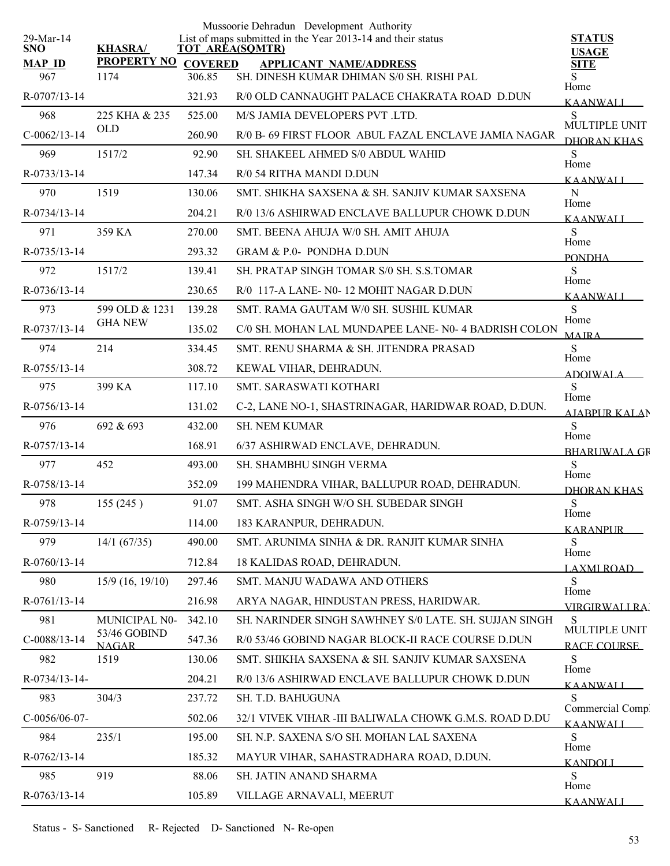|                         |                              |        | Mussoorie Dehradun Development Authority                                              |                                    |
|-------------------------|------------------------------|--------|---------------------------------------------------------------------------------------|------------------------------------|
| 29-Mar-14<br><b>SNO</b> | <b>KHASRA/</b>               |        | List of maps submitted in the Year 2013-14 and their status<br><b>TOT AREA(SQMTR)</b> | <b>STATUS</b><br><b>USAGE</b>      |
| <b>MAP ID</b>           | PROPERTY NO COVERED          |        | <b>APPLICANT NAME/ADDRESS</b>                                                         | <b>SITE</b>                        |
| 967                     | 1174                         | 306.85 | SH. DINESH KUMAR DHIMAN S/0 SH. RISHI PAL                                             | S<br>Home                          |
| R-0707/13-14            |                              | 321.93 | R/0 OLD CANNAUGHT PALACE CHAKRATA ROAD D.DUN                                          | <b>KAANWALI</b>                    |
| 968                     | 225 KHA & 235                | 525.00 | M/S JAMIA DEVELOPERS PVT .LTD.                                                        | S<br>MULTIPLE UNIT                 |
| $C-0062/13-14$          | <b>OLD</b>                   | 260.90 | R/0 B- 69 FIRST FLOOR ABUL FAZAL ENCLAVE JAMIA NAGAR                                  | DHORAN KHAS                        |
| 969                     | 1517/2                       | 92.90  | SH. SHAKEEL AHMED S/0 ABDUL WAHID                                                     | S<br>Home                          |
| R-0733/13-14            |                              | 147.34 | R/0 54 RITHA MANDI D.DUN                                                              | <b>KAANWALI</b>                    |
| 970                     | 1519                         | 130.06 | SMT. SHIKHA SAXSENA & SH. SANJIV KUMAR SAXSENA                                        | ${\bf N}$<br>Home                  |
| R-0734/13-14            |                              | 204.21 | R/0 13/6 ASHIRWAD ENCLAVE BALLUPUR CHOWK D.DUN                                        | <b>KAANWALI</b>                    |
| 971                     | 359 KA                       | 270.00 | SMT. BEENA AHUJA W/0 SH. AMIT AHUJA                                                   | S<br>Home                          |
| R-0735/13-14            |                              | 293.32 | <b>GRAM &amp; P.0- PONDHA D.DUN</b>                                                   | <b>PONDHA</b>                      |
| 972                     | 1517/2                       | 139.41 | SH. PRATAP SINGH TOMAR S/0 SH. S.S.TOMAR                                              | S                                  |
| $R-0736/13-14$          |                              | 230.65 | R/0 117-A LANE- N0-12 MOHIT NAGAR D.DUN                                               | Home<br><b>KAANWALI</b>            |
| 973                     | 599 OLD & 1231               | 139.28 | SMT. RAMA GAUTAM W/0 SH. SUSHIL KUMAR                                                 | S                                  |
| R-0737/13-14            | <b>GHA NEW</b>               | 135.02 | C/0 SH. MOHAN LAL MUNDAPEE LANE- N0- 4 BADRISH COLON                                  | Home<br><b>MAIRA</b>               |
| 974                     | 214                          | 334.45 | SMT. RENU SHARMA & SH. JITENDRA PRASAD                                                | S                                  |
| R-0755/13-14            |                              | 308.72 | KEWAL VIHAR, DEHRADUN.                                                                | Home<br><b>ADOIWALA</b>            |
| 975                     | 399 KA                       | 117.10 | SMT. SARASWATI KOTHARI                                                                | S                                  |
| $R-0756/13-14$          |                              | 131.02 | C-2, LANE NO-1, SHASTRINAGAR, HARIDWAR ROAD, D.DUN.                                   | Home<br><b>AJABPUR KALAN</b>       |
| 976                     | 692 & 693                    | 432.00 | <b>SH. NEM KUMAR</b>                                                                  | S<br>Home                          |
| R-0757/13-14            |                              | 168.91 | 6/37 ASHIRWAD ENCLAVE, DEHRADUN.                                                      | <b>BHARUWALA GR</b>                |
| 977                     | 452                          | 493.00 | <b>SH. SHAMBHU SINGH VERMA</b>                                                        | S                                  |
| R-0758/13-14            |                              | 352.09 | 199 MAHENDRA VIHAR, BALLUPUR ROAD, DEHRADUN.                                          | Home<br><b>DHORAN KHAS</b>         |
| 978                     | 155 (245)                    | 91.07  | SMT. ASHA SINGH W/O SH. SUBEDAR SINGH                                                 | ${\bf S}$                          |
| R-0759/13-14            |                              | 114.00 | 183 KARANPUR, DEHRADUN.                                                               | Home<br><b>KARANPUR</b>            |
| 979                     | 14/1 (67/35)                 | 490.00 | SMT. ARUNIMA SINHA & DR. RANJIT KUMAR SINHA                                           | S                                  |
| R-0760/13-14            |                              | 712.84 | 18 KALIDAS ROAD, DEHRADUN.                                                            | Home<br><b>LAXMI ROAD_</b>         |
| 980                     | $15/9$ (16, 19/10)           | 297.46 | SMT. MANJU WADAWA AND OTHERS                                                          | S                                  |
| R-0761/13-14            |                              | 216.98 | ARYA NAGAR, HINDUSTAN PRESS, HARIDWAR.                                                | Home<br>VIRGIRWALI RA.             |
| 981                     | MUNICIPAL N0-                | 342.10 | SH. NARINDER SINGH SAWHNEY S/0 LATE, SH. SUJJAN SINGH                                 | S                                  |
| $C-0088/13-14$          | 53/46 GOBIND<br><b>NAGAR</b> | 547.36 | R/0 53/46 GOBIND NAGAR BLOCK-II RACE COURSE D.DUN                                     | MULTIPLE UNIT<br>RACE COURSE       |
| 982                     | 1519                         | 130.06 | SMT. SHIKHA SAXSENA & SH. SANJIV KUMAR SAXSENA                                        | S                                  |
| R-0734/13-14-           |                              | 204.21 | R/0 13/6 ASHIRWAD ENCLAVE BALLUPUR CHOWK D.DUN                                        | Home<br><b>KAANWALI</b>            |
| 983                     | 304/3                        | 237.72 | SH. T.D. BAHUGUNA                                                                     | S                                  |
| C-0056/06-07-           |                              | 502.06 | 32/1 VIVEK VIHAR -III BALIWALA CHOWK G.M.S. ROAD D.DU                                 | Commercial Comp<br><b>KAANWALI</b> |
| 984                     | 235/1                        | 195.00 | SH. N.P. SAXENA S/O SH. MOHAN LAL SAXENA                                              | S                                  |
| R-0762/13-14            |                              | 185.32 | MAYUR VIHAR, SAHASTRADHARA ROAD, D.DUN.                                               | Home<br><u>KANDOLI</u>             |
| 985                     | 919                          | 88.06  | SH. JATIN ANAND SHARMA                                                                | S                                  |
| R-0763/13-14            |                              | 105.89 | VILLAGE ARNAVALI, MEERUT                                                              | Home<br><b>KAANWALI</b>            |
|                         |                              |        |                                                                                       |                                    |